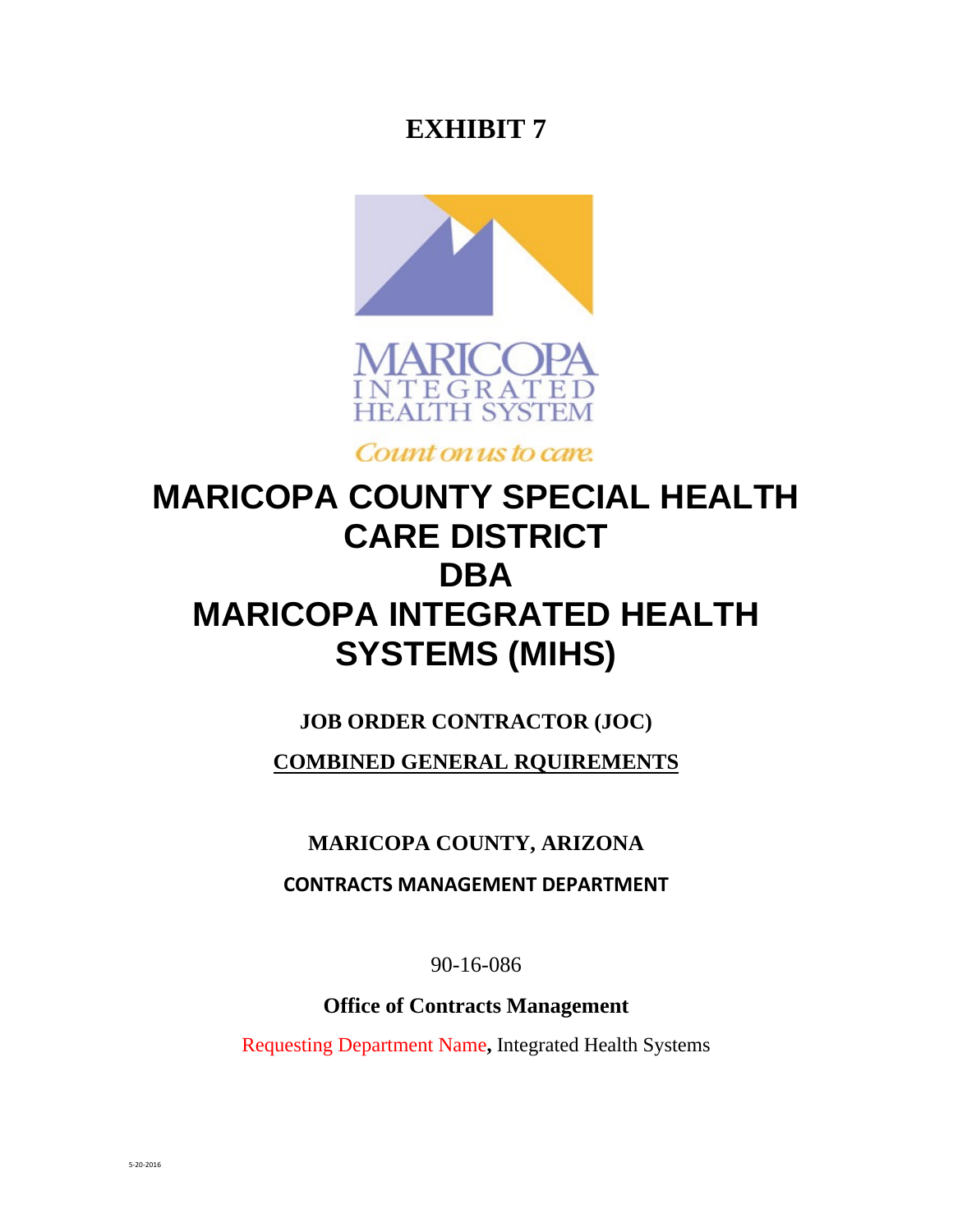## **EXHIBIT 7**





Count on us to care.

# **MARICOPA COUNTY SPECIAL HEALTH CARE DISTRICT DBA MARICOPA INTEGRATED HEALTH SYSTEMS (MIHS)**

## **JOB ORDER CONTRACTOR (JOC)**

**COMBINED GENERAL RQUIREMENTS** 

## **MARICOPA COUNTY, ARIZONA**

**CONTRACTS MANAGEMENT DEPARTMENT**

90-16-086

**Office of Contracts Management** 

Requesting Department Name**,** Integrated Health Systems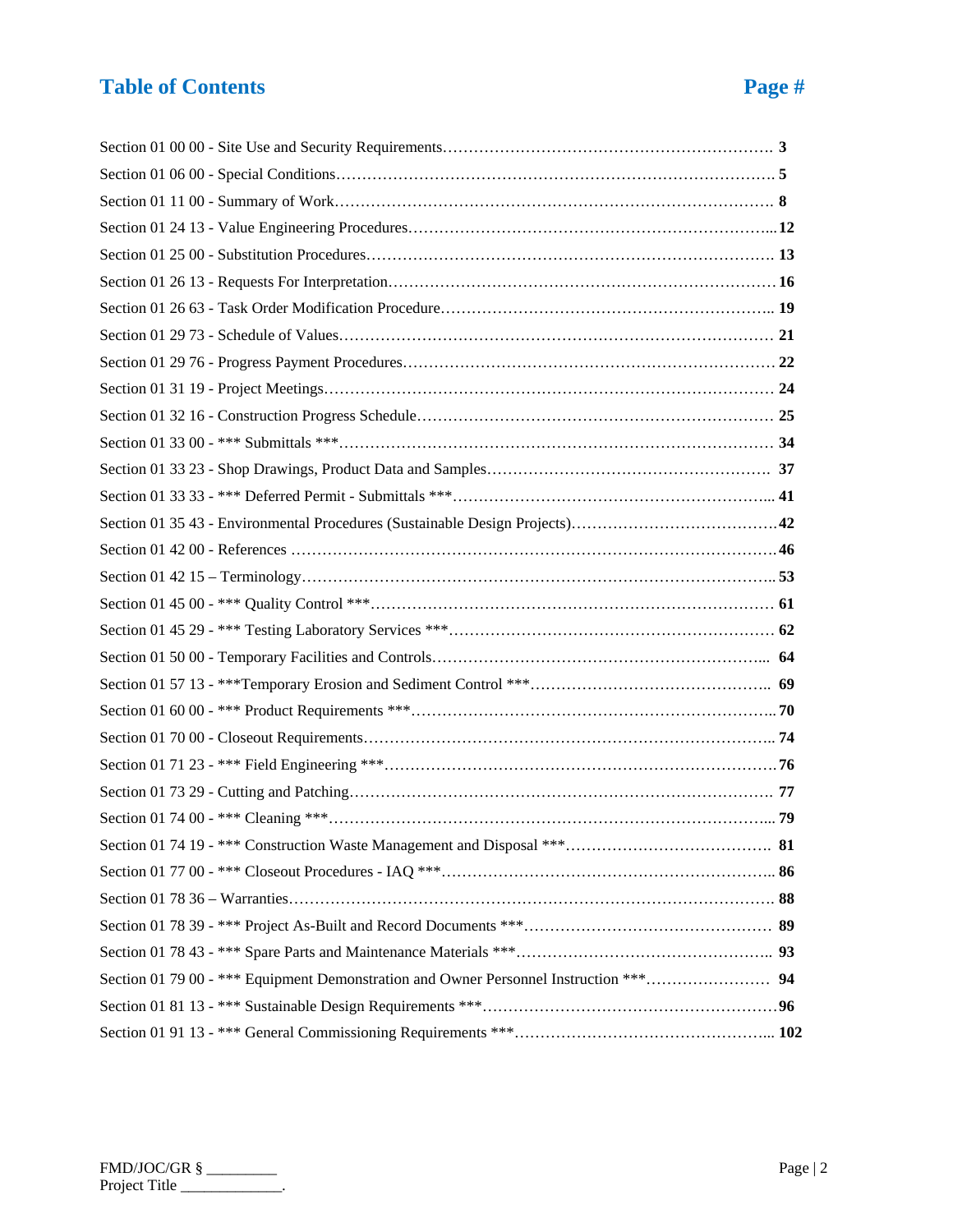# **Table of Contents Page 4 and 2**

| . .<br>k. |  |
|-----------|--|
|-----------|--|

| Section 01 79 00 - *** Equipment Demonstration and Owner Personnel Instruction *** 94 |  |
|---------------------------------------------------------------------------------------|--|
|                                                                                       |  |
|                                                                                       |  |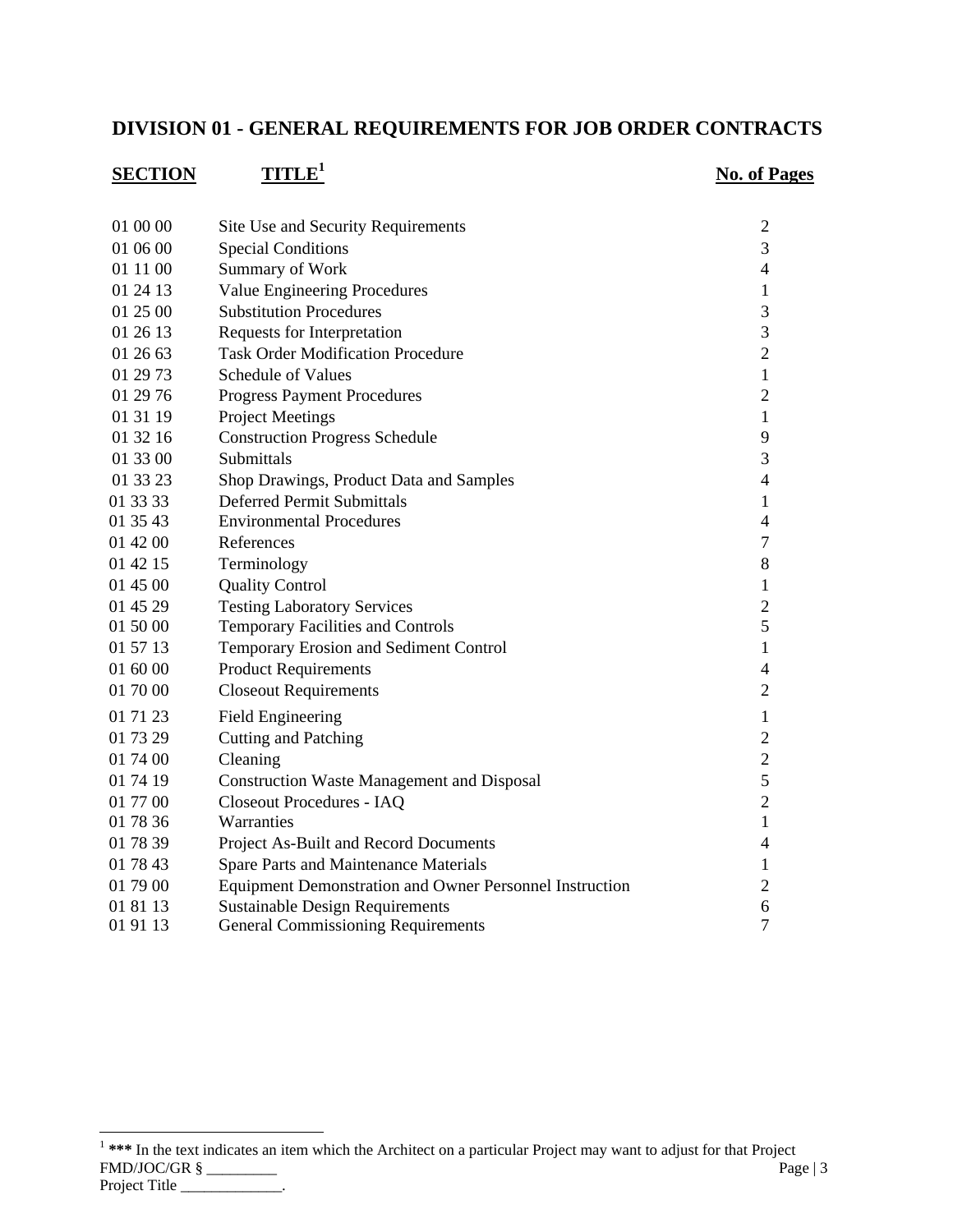## **DIVISION 01 - GENERAL REQUIREMENTS FOR JOB ORDER CONTRACTS**

| <b>SECTION</b> | TITLE <sup>1</sup>                                             | <b>No. of Pages</b> |
|----------------|----------------------------------------------------------------|---------------------|
|                |                                                                |                     |
| 01 00 00       | Site Use and Security Requirements                             | $\mathfrak{2}$      |
| 01 06 00       | <b>Special Conditions</b>                                      | 3                   |
| 01 11 00       | Summary of Work                                                | $\overline{4}$      |
| 01 24 13       | <b>Value Engineering Procedures</b>                            | 1                   |
| 01 25 00       | <b>Substitution Procedures</b>                                 | 3                   |
| 01 26 13       | Requests for Interpretation                                    | 3                   |
| 01 26 63       | <b>Task Order Modification Procedure</b>                       | $\overline{2}$      |
| 01 29 73       | <b>Schedule of Values</b>                                      | $\mathbf{1}$        |
| 01 29 76       | <b>Progress Payment Procedures</b>                             | $\overline{2}$      |
| 01 31 19       | <b>Project Meetings</b>                                        | 1                   |
| 01 32 16       | <b>Construction Progress Schedule</b>                          | 9                   |
| 01 33 00       | Submittals                                                     | 3                   |
| 01 33 23       | Shop Drawings, Product Data and Samples                        | $\overline{4}$      |
| 01 33 33       | <b>Deferred Permit Submittals</b>                              | $\mathbf 1$         |
| 01 35 43       | <b>Environmental Procedures</b>                                | $\overline{4}$      |
| 01 42 00       | References                                                     | $\tau$              |
| 01 42 15       | Terminology                                                    | $8\,$               |
| 01 45 00       | <b>Quality Control</b>                                         | $\mathbf{1}$        |
| 01 45 29       | <b>Testing Laboratory Services</b>                             | $\overline{2}$      |
| 01 50 00       | Temporary Facilities and Controls                              | 5                   |
| 01 57 13       | Temporary Erosion and Sediment Control                         | $\mathbf{1}$        |
| 01 60 00       | <b>Product Requirements</b>                                    | $\overline{4}$      |
| 01 70 00       | <b>Closeout Requirements</b>                                   | $\overline{2}$      |
| 01 71 23       | <b>Field Engineering</b>                                       | $\mathbf{1}$        |
| 01 73 29       | <b>Cutting and Patching</b>                                    | $\overline{2}$      |
| 01 74 00       | Cleaning                                                       | $\overline{2}$      |
| 01 74 19       | <b>Construction Waste Management and Disposal</b>              | 5                   |
| 01 77 00       | Closeout Procedures - IAQ                                      | $\overline{2}$      |
| 01 78 36       | Warranties                                                     | $\mathbf{1}$        |
| 01 78 39       | Project As-Built and Record Documents                          | $\overline{4}$      |
| 01 78 43       | Spare Parts and Maintenance Materials                          | 1                   |
| 01 79 00       | <b>Equipment Demonstration and Owner Personnel Instruction</b> | $\overline{2}$      |
| 01 81 13       | <b>Sustainable Design Requirements</b>                         | 6                   |
| 01 91 13       | <b>General Commissioning Requirements</b>                      | $\overline{7}$      |

FMD/JOC/GR § \_\_\_\_\_\_\_\_\_ Page | 3 Project Title \_\_\_\_\_\_\_\_\_\_\_\_\_. <sup>1</sup> \*\*\* In the text indicates an item which the Architect on a particular Project may want to adjust for that Project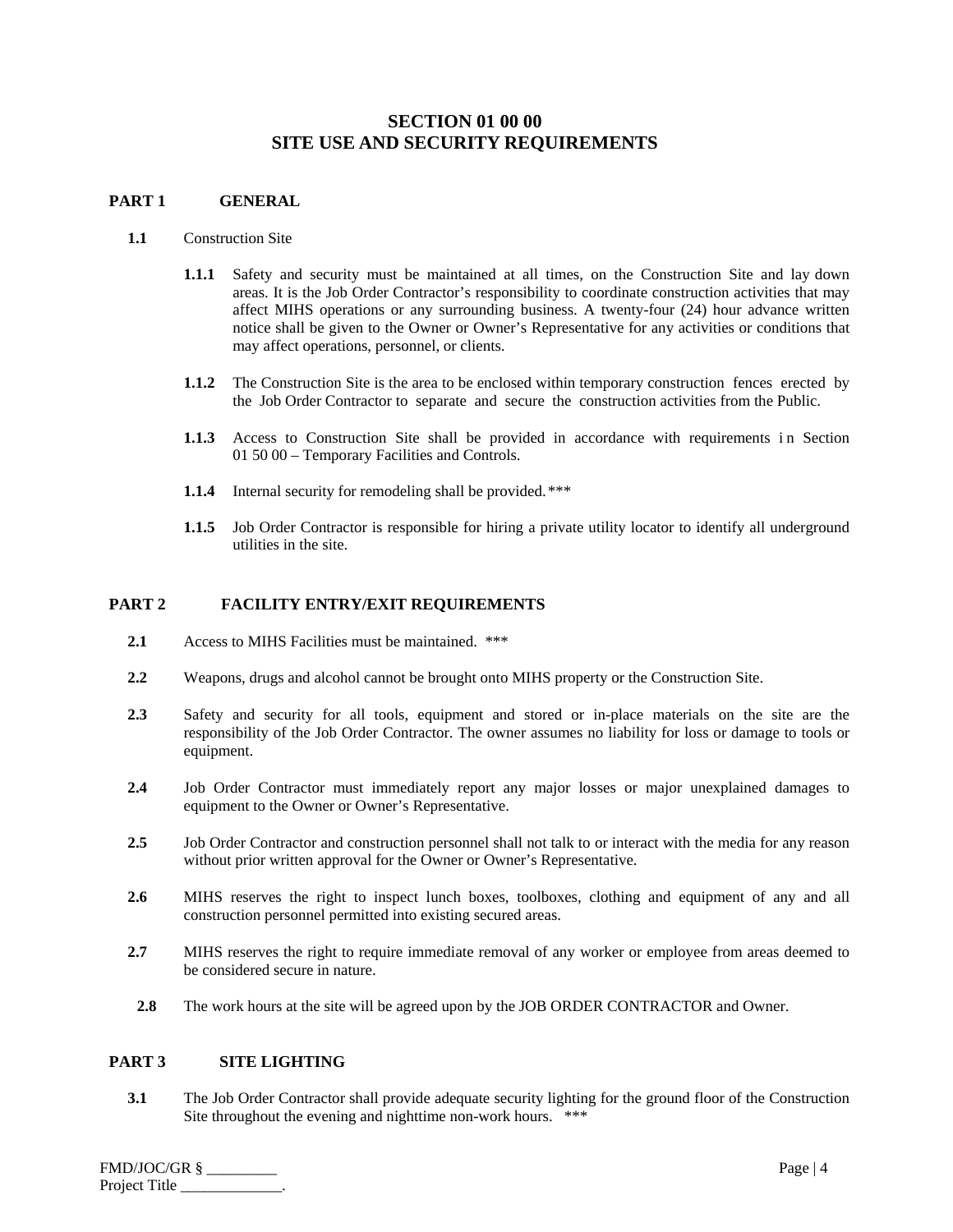## **SECTION 01 00 00 SITE USE AND SECURITY REQUIREMENTS**

## **PART 1 GENERAL**

## **1.1** Construction Site

- **1.1.1** Safety and security must be maintained at all times, on the Construction Site and lay down areas. It is the Job Order Contractor's responsibility to coordinate construction activities that may affect MIHS operations or any surrounding business. A twenty-four (24) hour advance written notice shall be given to the Owner or Owner's Representative for any activities or conditions that may affect operations, personnel, or clients.
- **1.1.2** The Construction Site is the area to be enclosed within temporary construction fences erected by the Job Order Contractor to separate and secure the construction activities from the Public.
- **1.1.3** Access to Construction Site shall be provided in accordance with requirements in Section 01 50 00 – Temporary Facilities and Controls.
- **1.1.4** Internal security for remodeling shall be provided.\*\*\*
- **1.1.5** Job Order Contractor is responsible for hiring a private utility locator to identify all underground utilities in the site.

## **PART 2 FACILITY ENTRY/EXIT REQUIREMENTS**

- **2.1** Access to MIHS Facilities must be maintained. \*\*\*
- **2.2** Weapons, drugs and alcohol cannot be brought onto MIHS property or the Construction Site.
- **2.3** Safety and security for all tools, equipment and stored or in-place materials on the site are the responsibility of the Job Order Contractor. The owner assumes no liability for loss or damage to tools or equipment.
- **2.4** Job Order Contractor must immediately report any major losses or major unexplained damages to equipment to the Owner or Owner's Representative.
- **2.5** Job Order Contractor and construction personnel shall not talk to or interact with the media for any reason without prior written approval for the Owner or Owner's Representative.
- **2.6** MIHS reserves the right to inspect lunch boxes, toolboxes, clothing and equipment of any and all construction personnel permitted into existing secured areas.
- **2.7** MIHS reserves the right to require immediate removal of any worker or employee from areas deemed to be considered secure in nature.
- **2.8** The work hours at the site will be agreed upon by the JOB ORDER CONTRACTOR and Owner.

## **PART 3 SITE LIGHTING**

**3.1** The Job Order Contractor shall provide adequate security lighting for the ground floor of the Construction Site throughout the evening and nighttime non-work hours. \*\*\*

| FMD/JOC/GR §  | Page $ 4 $ |
|---------------|------------|
| Project Title |            |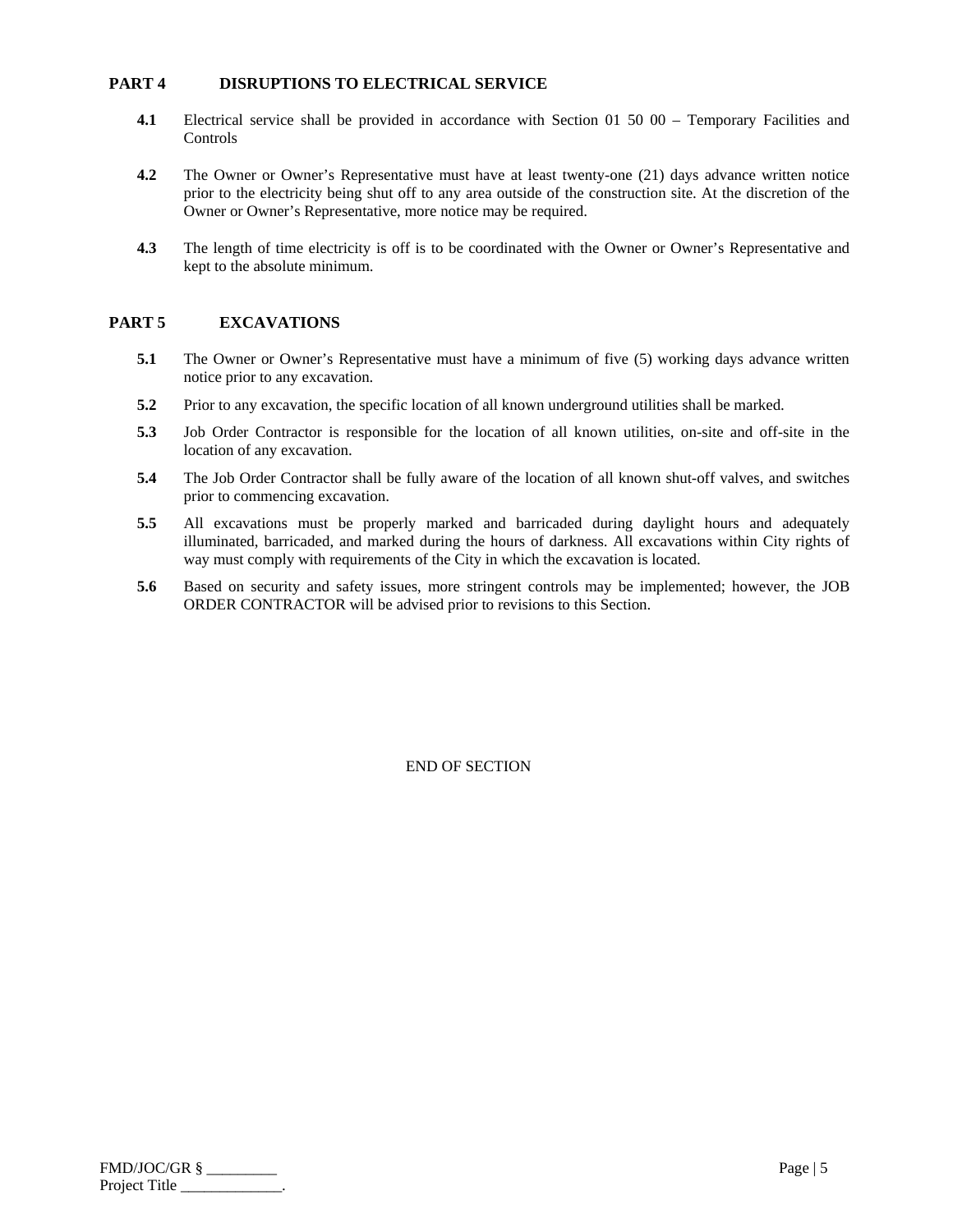## **PART 4 DISRUPTIONS TO ELECTRICAL SERVICE**

- **4.1** Electrical service shall be provided in accordance with Section 01 50 00 Temporary Facilities and Controls
- **4.2** The Owner or Owner's Representative must have at least twenty-one (21) days advance written notice prior to the electricity being shut off to any area outside of the construction site. At the discretion of the Owner or Owner's Representative, more notice may be required.
- **4.3** The length of time electricity is off is to be coordinated with the Owner or Owner's Representative and kept to the absolute minimum.

## **PART 5 EXCAVATIONS**

- **5.1** The Owner or Owner's Representative must have a minimum of five (5) working days advance written notice prior to any excavation.
- **5.2** Prior to any excavation, the specific location of all known underground utilities shall be marked.
- **5.3** Job Order Contractor is responsible for the location of all known utilities, on-site and off-site in the location of any excavation.
- **5.4** The Job Order Contractor shall be fully aware of the location of all known shut-off valves, and switches prior to commencing excavation.
- **5.5** All excavations must be properly marked and barricaded during daylight hours and adequately illuminated, barricaded, and marked during the hours of darkness. All excavations within City rights of way must comply with requirements of the City in which the excavation is located.
- **5.6** Based on security and safety issues, more stringent controls may be implemented; however, the JOB ORDER CONTRACTOR will be advised prior to revisions to this Section.

| FMD/JOC/GR §  | Page $\vert 5 \vert$ |
|---------------|----------------------|
| Project Title |                      |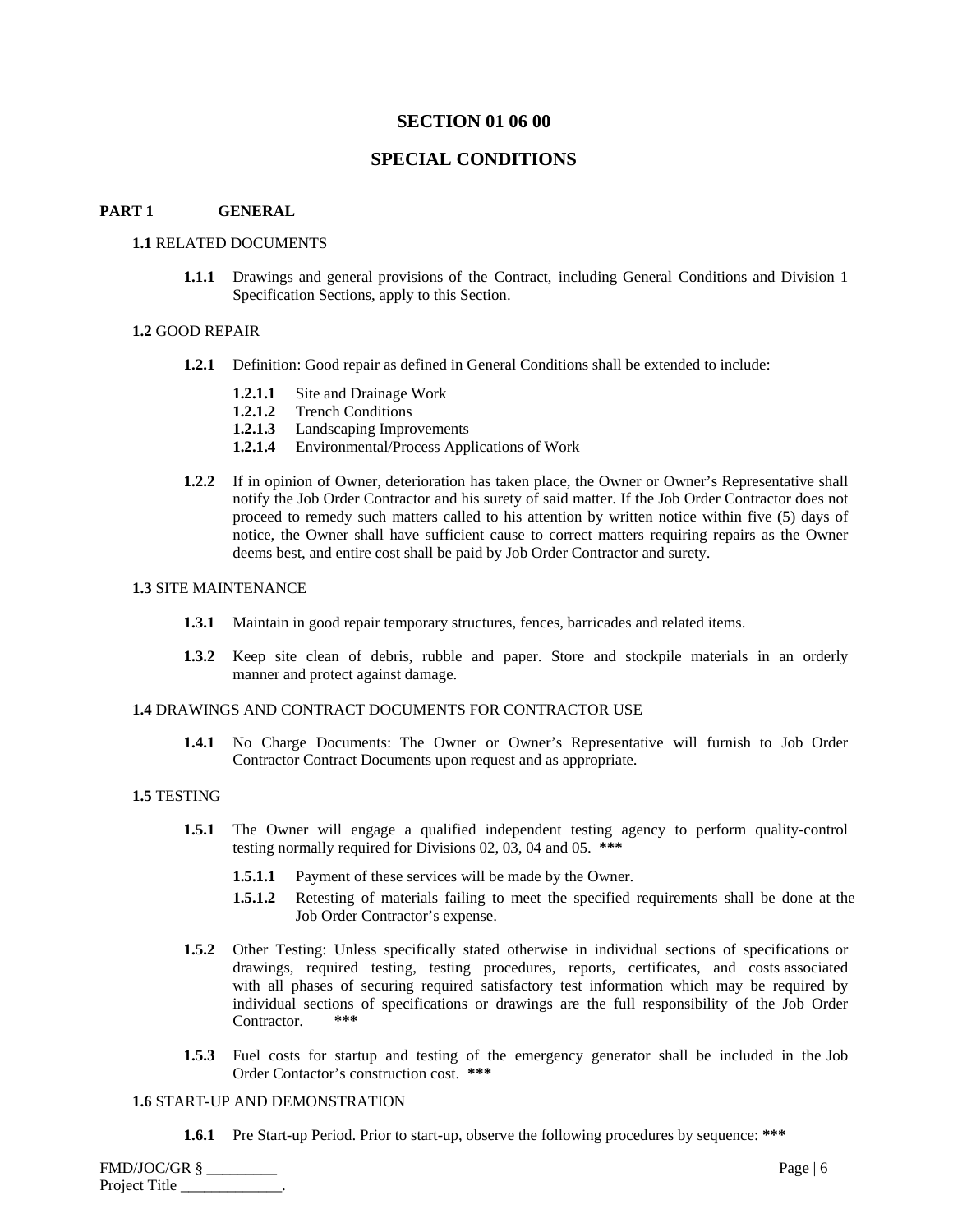## **SECTION 01 06 00**

## **SPECIAL CONDITIONS**

#### **PART 1 GENERAL**

## **1.1** RELATED DOCUMENTS

**1.1.1** Drawings and general provisions of the Contract, including General Conditions and Division 1 Specification Sections, apply to this Section.

## **1.2** GOOD REPAIR

- **1.2.1** Definition: Good repair as defined in General Conditions shall be extended to include:
	- **1.2.1.1** Site and Drainage Work
	- **1.2.1.2** Trench Conditions
	- **1.2.1.3** Landscaping Improvements
	- **1.2.1.4** Environmental/Process Applications of Work
- **1.2.2** If in opinion of Owner, deterioration has taken place, the Owner or Owner's Representative shall notify the Job Order Contractor and his surety of said matter. If the Job Order Contractor does not proceed to remedy such matters called to his attention by written notice within five (5) days of notice, the Owner shall have sufficient cause to correct matters requiring repairs as the Owner deems best, and entire cost shall be paid by Job Order Contractor and surety.

### **1.3** SITE MAINTENANCE

- **1.3.1** Maintain in good repair temporary structures, fences, barricades and related items.
- **1.3.2** Keep site clean of debris, rubble and paper. Store and stockpile materials in an orderly manner and protect against damage.

#### **1.4** DRAWINGS AND CONTRACT DOCUMENTS FOR CONTRACTOR USE

**1.4.1** No Charge Documents: The Owner or Owner's Representative will furnish to Job Order Contractor Contract Documents upon request and as appropriate.

## **1.5** TESTING

- **1.5.1** The Owner will engage a qualified independent testing agency to perform quality-control testing normally required for Divisions 02, 03, 04 and 05. **\*\*\***
	- **1.5.1.1** Payment of these services will be made by the Owner.
	- **1.5.1.2** Retesting of materials failing to meet the specified requirements shall be done at the Job Order Contractor's expense.
- **1.5.2** Other Testing: Unless specifically stated otherwise in individual sections of specifications or drawings, required testing, testing procedures, reports, certificates, and costs associated with all phases of securing required satisfactory test information which may be required by individual sections of specifications or drawings are the full responsibility of the Job Order Contractor.
- **1.5.3** Fuel costs for startup and testing of the emergency generator shall be included in the Job Order Contactor's construction cost. **\*\*\***

#### **1.6** START-UP AND DEMONSTRATION

**1.6.1** Pre Start-up Period. Prior to start-up, observe the following procedures by sequence: **\*\*\***

| FMD/JOC/GR §  | Page $\vert 6$ |
|---------------|----------------|
| Project Title |                |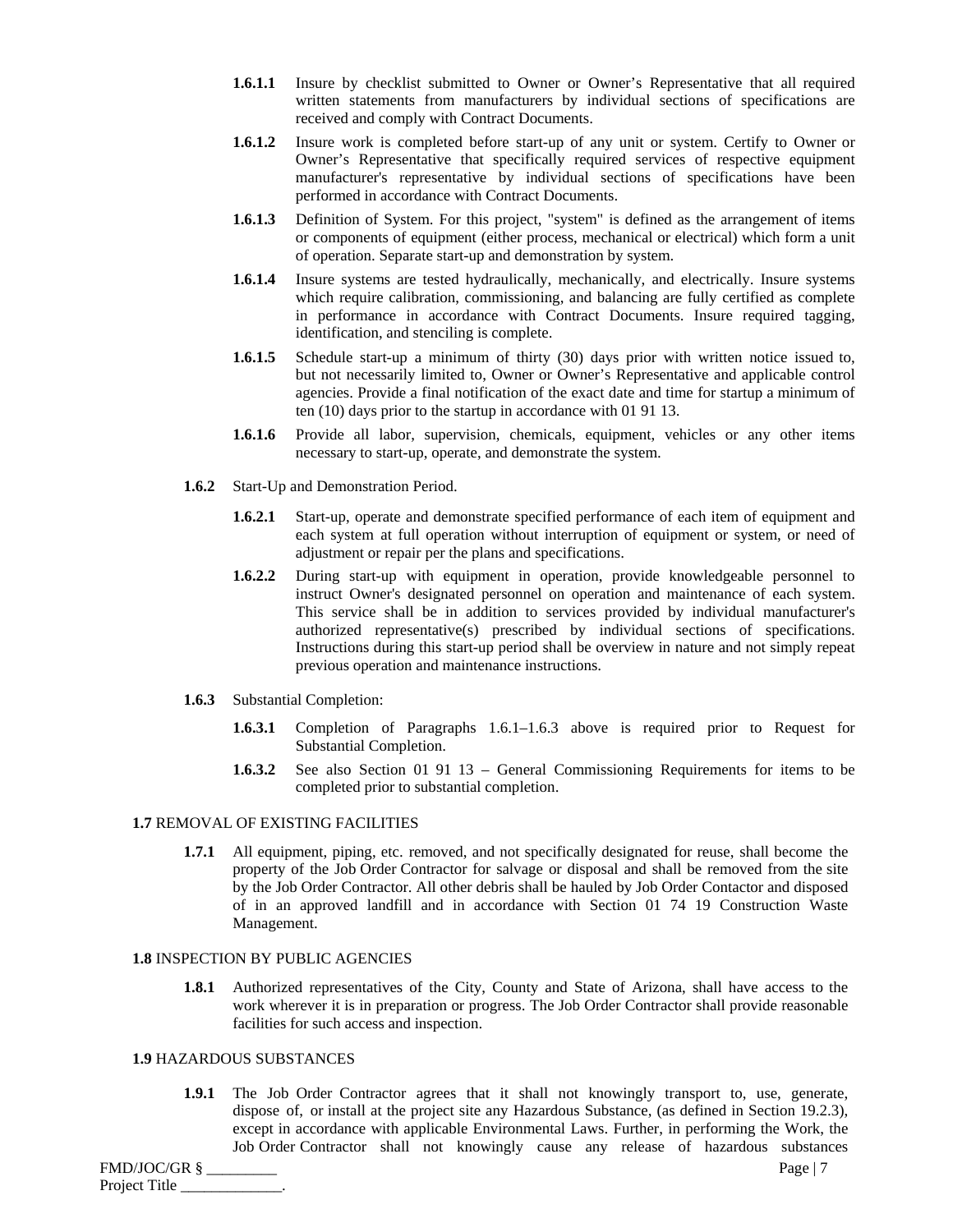- **1.6.1.1** Insure by checklist submitted to Owner or Owner's Representative that all required written statements from manufacturers by individual sections of specifications are received and comply with Contract Documents.
- **1.6.1.2** Insure work is completed before start-up of any unit or system. Certify to Owner or Owner's Representative that specifically required services of respective equipment manufacturer's representative by individual sections of specifications have been performed in accordance with Contract Documents.
- **1.6.1.3** Definition of System. For this project, "system" is defined as the arrangement of items or components of equipment (either process, mechanical or electrical) which form a unit of operation. Separate start-up and demonstration by system.
- **1.6.1.4** Insure systems are tested hydraulically, mechanically, and electrically. Insure systems which require calibration, commissioning, and balancing are fully certified as complete in performance in accordance with Contract Documents. Insure required tagging, identification, and stenciling is complete.
- **1.6.1.5** Schedule start-up a minimum of thirty (30) days prior with written notice issued to, but not necessarily limited to, Owner or Owner's Representative and applicable control agencies. Provide a final notification of the exact date and time for startup a minimum of ten (10) days prior to the startup in accordance with 01 91 13.
- **1.6.1.6** Provide all labor, supervision, chemicals, equipment, vehicles or any other items necessary to start-up, operate, and demonstrate the system.
- **1.6.2** Start-Up and Demonstration Period.
	- **1.6.2.1** Start-up, operate and demonstrate specified performance of each item of equipment and each system at full operation without interruption of equipment or system, or need of adjustment or repair per the plans and specifications.
	- **1.6.2.2** During start-up with equipment in operation, provide knowledgeable personnel to instruct Owner's designated personnel on operation and maintenance of each system. This service shall be in addition to services provided by individual manufacturer's authorized representative(s) prescribed by individual sections of specifications. Instructions during this start-up period shall be overview in nature and not simply repeat previous operation and maintenance instructions.
- **1.6.3** Substantial Completion:
	- **1.6.3.1** Completion of Paragraphs 1.6.1–1.6.3 above is required prior to Request for Substantial Completion.
	- **1.6.3.2** See also Section 01 91 13 General Commissioning Requirements for items to be completed prior to substantial completion.

## **1.7** REMOVAL OF EXISTING FACILITIES

**1.7.1** All equipment, piping, etc. removed, and not specifically designated for reuse, shall become the property of the Job Order Contractor for salvage or disposal and shall be removed from the site by the Job Order Contractor. All other debris shall be hauled by Job Order Contactor and disposed of in an approved landfill and in accordance with Section 01 74 19 Construction Waste Management.

## **1.8** INSPECTION BY PUBLIC AGENCIES

**1.8.1** Authorized representatives of the City, County and State of Arizona, shall have access to the work wherever it is in preparation or progress. The Job Order Contractor shall provide reasonable facilities for such access and inspection.

#### **1.9** HAZARDOUS SUBSTANCES

**1.9.1** The Job Order Contractor agrees that it shall not knowingly transport to, use, generate, dispose of, or install at the project site any Hazardous Substance, (as defined in Section 19.2.3), except in accordance with applicable Environmental Laws. Further, in performing the Work, the Job Order Contractor shall not knowingly cause any release of hazardous substances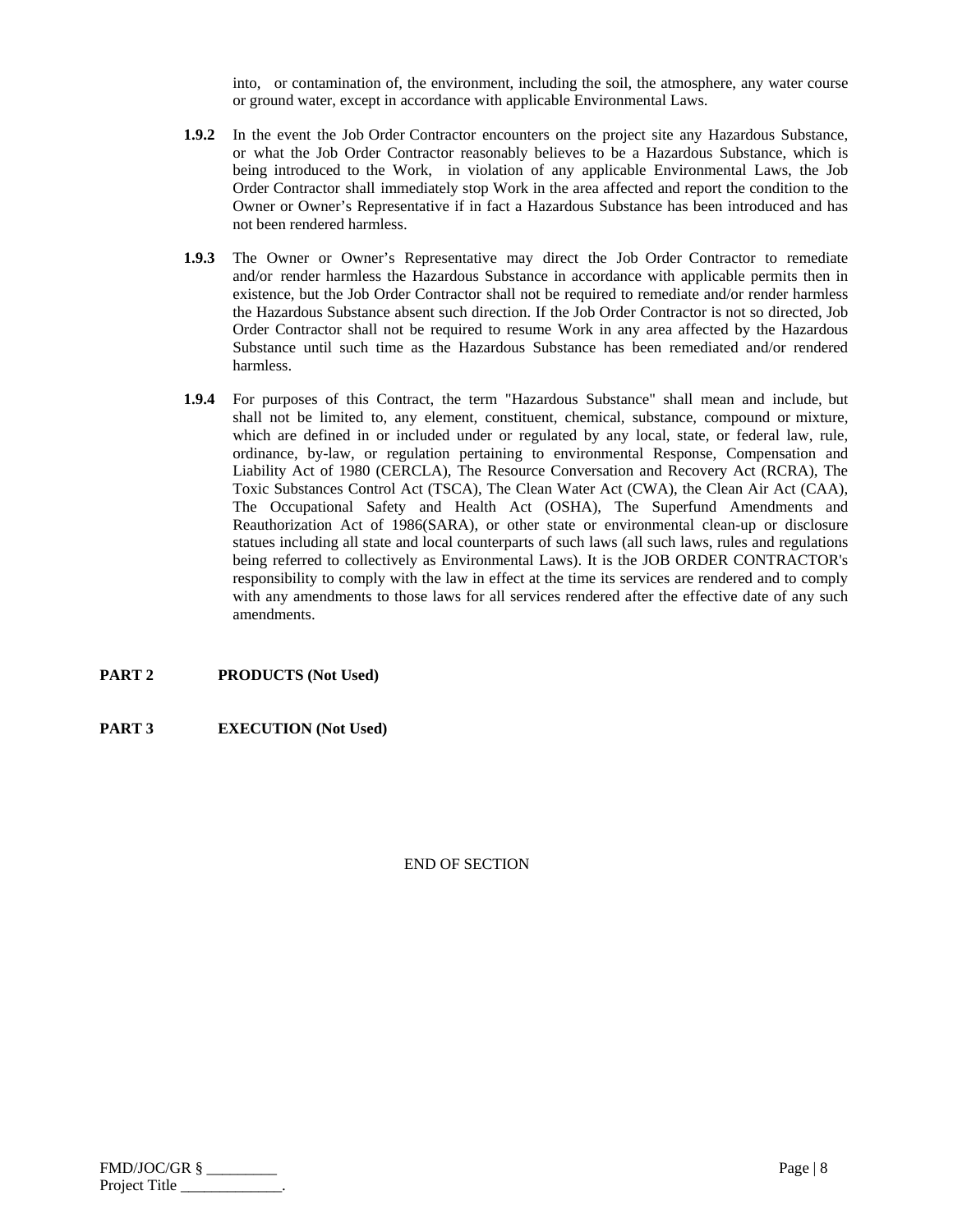into, or contamination of, the environment, including the soil, the atmosphere, any water course or ground water, except in accordance with applicable Environmental Laws.

- **1.9.2** In the event the Job Order Contractor encounters on the project site any Hazardous Substance, or what the Job Order Contractor reasonably believes to be a Hazardous Substance, which is being introduced to the Work, in violation of any applicable Environmental Laws, the Job Order Contractor shall immediately stop Work in the area affected and report the condition to the Owner or Owner's Representative if in fact a Hazardous Substance has been introduced and has not been rendered harmless.
- **1.9.3** The Owner or Owner's Representative may direct the Job Order Contractor to remediate and/or render harmless the Hazardous Substance in accordance with applicable permits then in existence, but the Job Order Contractor shall not be required to remediate and/or render harmless the Hazardous Substance absent such direction. If the Job Order Contractor is not so directed, Job Order Contractor shall not be required to resume Work in any area affected by the Hazardous Substance until such time as the Hazardous Substance has been remediated and/or rendered harmless.
- **1.9.4** For purposes of this Contract, the term "Hazardous Substance" shall mean and include, but shall not be limited to, any element, constituent, chemical, substance, compound or mixture, which are defined in or included under or regulated by any local, state, or federal law, rule, ordinance, by-law, or regulation pertaining to environmental Response, Compensation and Liability Act of 1980 (CERCLA), The Resource Conversation and Recovery Act (RCRA), The Toxic Substances Control Act (TSCA), The Clean Water Act (CWA), the Clean Air Act (CAA), The Occupational Safety and Health Act (OSHA), The Superfund Amendments and Reauthorization Act of 1986(SARA), or other state or environmental clean-up or disclosure statues including all state and local counterparts of such laws (all such laws, rules and regulations being referred to collectively as Environmental Laws). It is the JOB ORDER CONTRACTOR's responsibility to comply with the law in effect at the time its services are rendered and to comply with any amendments to those laws for all services rendered after the effective date of any such amendments.

## **PART 2 PRODUCTS (Not Used)**

## **PART 3 EXECUTION (Not Used)**

| FMD/JOC/GR §  | Page $ 8 $ |
|---------------|------------|
| Project Title |            |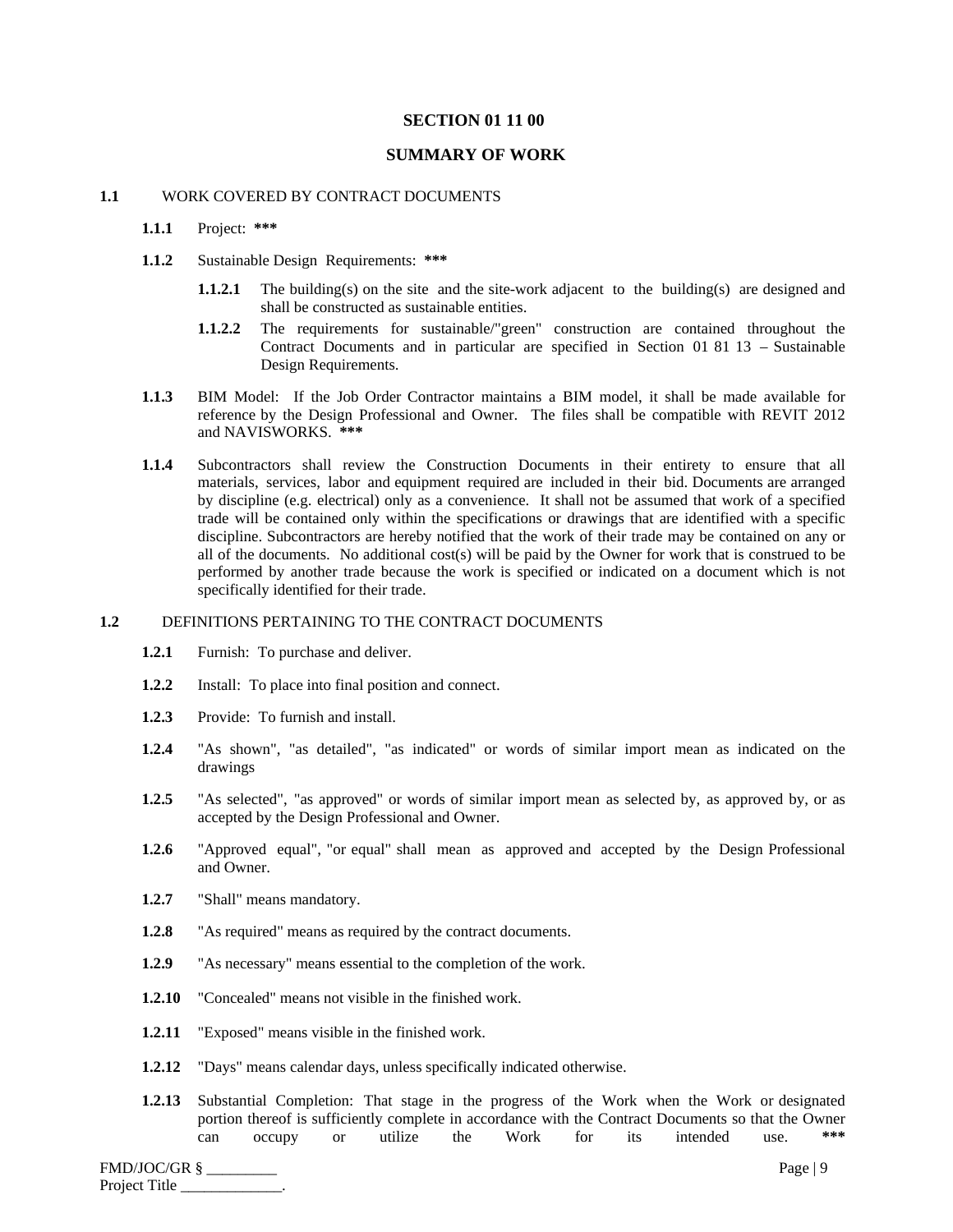## **SECTION 01 11 00**

## **SUMMARY OF WORK**

## **1.1** WORK COVERED BY CONTRACT DOCUMENTS

## **1.1.1** Project: **\*\*\***

- **1.1.2** Sustainable Design Requirements: **\*\*\***
	- **1.1.2.1** The building(s) on the site and the site-work adjacent to the building(s) are designed and shall be constructed as sustainable entities.
	- **1.1.2.2** The requirements for sustainable/"green" construction are contained throughout the Contract Documents and in particular are specified in Section 01 81 13 – Sustainable Design Requirements.
- **1.1.3** BIM Model: If the Job Order Contractor maintains a BIM model, it shall be made available for reference by the Design Professional and Owner. The files shall be compatible with REVIT 2012 and NAVISWORKS. **\*\*\***
- **1.1.4** Subcontractors shall review the Construction Documents in their entirety to ensure that all materials, services, labor and equipment required are included in their bid. Documents are arranged by discipline (e.g. electrical) only as a convenience. It shall not be assumed that work of a specified trade will be contained only within the specifications or drawings that are identified with a specific discipline. Subcontractors are hereby notified that the work of their trade may be contained on any or all of the documents. No additional cost(s) will be paid by the Owner for work that is construed to be performed by another trade because the work is specified or indicated on a document which is not specifically identified for their trade.

## **1.2** DEFINITIONS PERTAINING TO THE CONTRACT DOCUMENTS

- **1.2.1** Furnish: To purchase and deliver.
- **1.2.2** Install: To place into final position and connect.
- **1.2.3** Provide: To furnish and install.
- **1.2.4** "As shown", "as detailed", "as indicated" or words of similar import mean as indicated on the drawings
- **1.2.5** "As selected", "as approved" or words of similar import mean as selected by, as approved by, or as accepted by the Design Professional and Owner.
- **1.2.6** "Approved equal", "or equal" shall mean as approved and accepted by the Design Professional and Owner.
- **1.2.7** "Shall" means mandatory.
- **1.2.8** "As required" means as required by the contract documents.
- **1.2.9** "As necessary" means essential to the completion of the work.
- **1.2.10** "Concealed" means not visible in the finished work.
- **1.2.11** "Exposed" means visible in the finished work.
- **1.2.12** "Days" means calendar days, unless specifically indicated otherwise.
- **1.2.13** Substantial Completion: That stage in the progress of the Work when the Work or designated portion thereof is sufficiently complete in accordance with the Contract Documents so that the Owner can occupy or utilize the Work for its intended use. **\*\*\***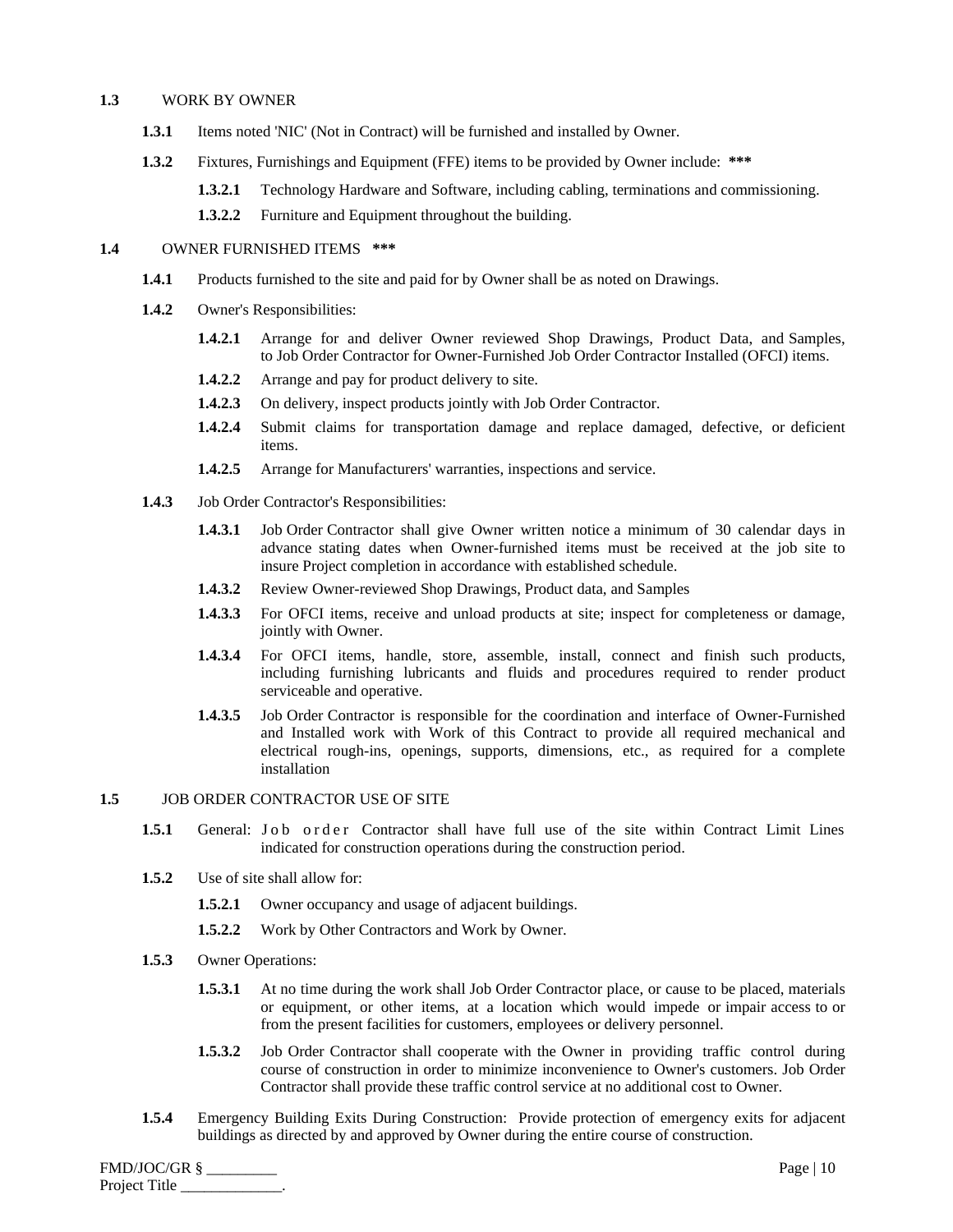#### **1.3** WORK BY OWNER

- **1.3.1** Items noted 'NIC' (Not in Contract) will be furnished and installed by Owner.
- **1.3.2** Fixtures, Furnishings and Equipment (FFE) items to be provided by Owner include: **\*\*\***
	- **1.3.2.1** Technology Hardware and Software, including cabling, terminations and commissioning.
	- **1.3.2.2** Furniture and Equipment throughout the building.

## **1.4** OWNER FURNISHED ITEMS **\*\*\***

- **1.4.1** Products furnished to the site and paid for by Owner shall be as noted on Drawings.
- **1.4.2** Owner's Responsibilities:
	- **1.4.2.1** Arrange for and deliver Owner reviewed Shop Drawings, Product Data, and Samples, to Job Order Contractor for Owner-Furnished Job Order Contractor Installed (OFCI) items.
	- **1.4.2.2** Arrange and pay for product delivery to site.
	- **1.4.2.3** On delivery, inspect products jointly with Job Order Contractor.
	- **1.4.2.4** Submit claims for transportation damage and replace damaged, defective, or deficient items.
	- **1.4.2.5** Arrange for Manufacturers' warranties, inspections and service.
- **1.4.3** Job Order Contractor's Responsibilities:
	- **1.4.3.1** Job Order Contractor shall give Owner written notice a minimum of 30 calendar days in advance stating dates when Owner-furnished items must be received at the job site to insure Project completion in accordance with established schedule.
	- **1.4.3.2** Review Owner-reviewed Shop Drawings, Product data, and Samples
	- **1.4.3.3** For OFCI items, receive and unload products at site; inspect for completeness or damage, jointly with Owner.
	- **1.4.3.4** For OFCI items, handle, store, assemble, install, connect and finish such products, including furnishing lubricants and fluids and procedures required to render product serviceable and operative.
	- **1.4.3.5** Job Order Contractor is responsible for the coordination and interface of Owner-Furnished and Installed work with Work of this Contract to provide all required mechanical and electrical rough-ins, openings, supports, dimensions, etc., as required for a complete installation
- **1.5** JOB ORDER CONTRACTOR USE OF SITE
	- 1.5.1 General: Job order Contractor shall have full use of the site within Contract Limit Lines indicated for construction operations during the construction period.
	- **1.5.2** Use of site shall allow for:
		- **1.5.2.1** Owner occupancy and usage of adjacent buildings.
		- **1.5.2.2** Work by Other Contractors and Work by Owner.
	- **1.5.3** Owner Operations:
		- **1.5.3.1** At no time during the work shall Job Order Contractor place, or cause to be placed, materials or equipment, or other items, at a location which would impede or impair access to or from the present facilities for customers, employees or delivery personnel.
		- **1.5.3.2** Job Order Contractor shall cooperate with the Owner in providing traffic control during course of construction in order to minimize inconvenience to Owner's customers. Job Order Contractor shall provide these traffic control service at no additional cost to Owner.
	- **1.5.4** Emergency Building Exits During Construction: Provide protection of emergency exits for adjacent buildings as directed by and approved by Owner during the entire course of construction.

FMD/JOC/GR § \_\_\_\_\_\_\_\_\_ Page | 10 Project Title \_\_\_\_\_\_\_\_\_\_\_\_\_.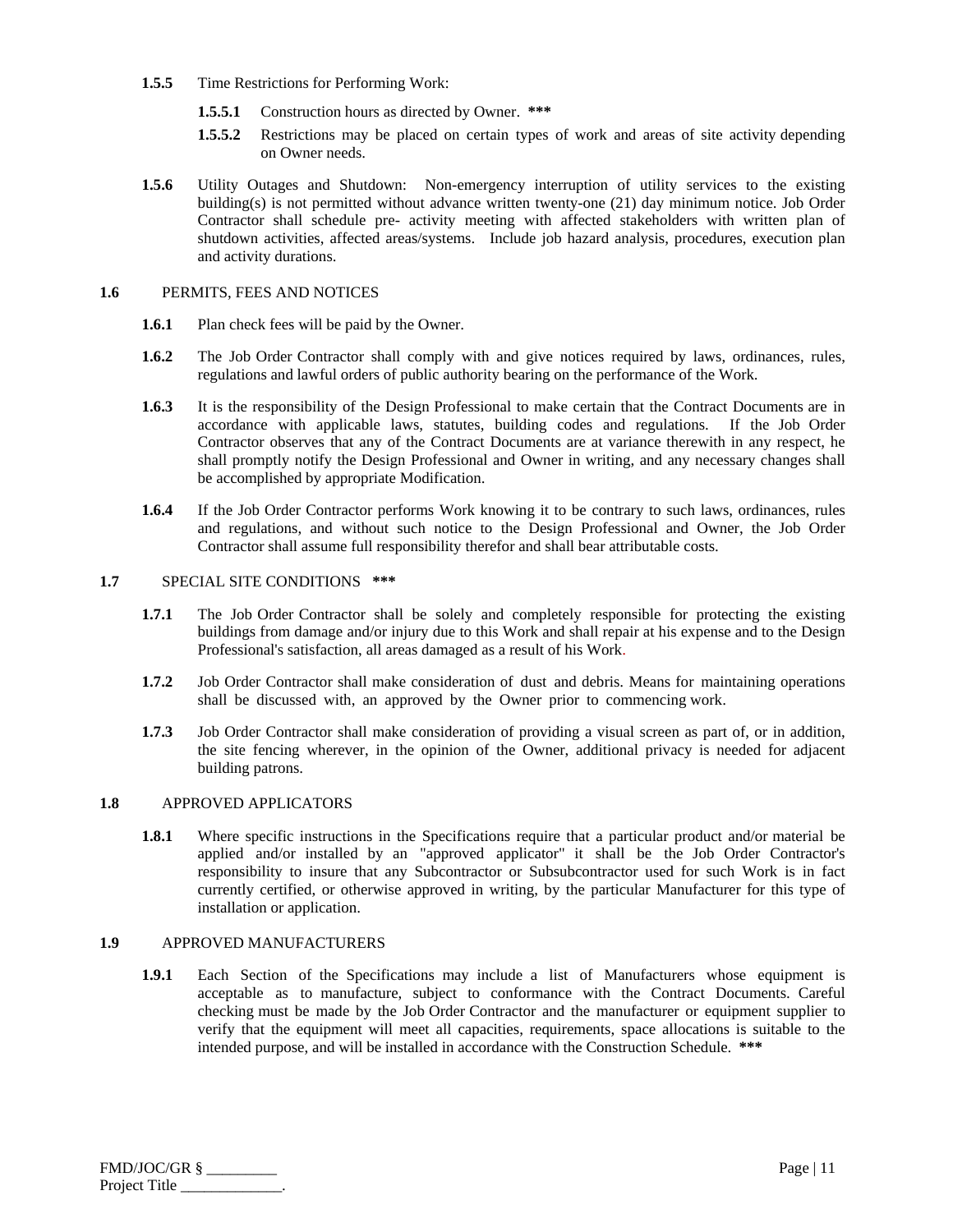- **1.5.5** Time Restrictions for Performing Work:
	- **1.5.5.1** Construction hours as directed by Owner. **\*\*\***
	- **1.5.5.2** Restrictions may be placed on certain types of work and areas of site activity depending on Owner needs.
- **1.5.6** Utility Outages and Shutdown: Non-emergency interruption of utility services to the existing building(s) is not permitted without advance written twenty-one (21) day minimum notice. Job Order Contractor shall schedule pre- activity meeting with affected stakeholders with written plan of shutdown activities, affected areas/systems. Include job hazard analysis, procedures, execution plan and activity durations.

#### **1.6** PERMITS, FEES AND NOTICES

- **1.6.1** Plan check fees will be paid by the Owner.
- **1.6.2** The Job Order Contractor shall comply with and give notices required by laws, ordinances, rules, regulations and lawful orders of public authority bearing on the performance of the Work.
- **1.6.3** It is the responsibility of the Design Professional to make certain that the Contract Documents are in accordance with applicable laws, statutes, building codes and regulations. If the Job Order Contractor observes that any of the Contract Documents are at variance therewith in any respect, he shall promptly notify the Design Professional and Owner in writing, and any necessary changes shall be accomplished by appropriate Modification.
- **1.6.4** If the Job Order Contractor performs Work knowing it to be contrary to such laws, ordinances, rules and regulations, and without such notice to the Design Professional and Owner, the Job Order Contractor shall assume full responsibility therefor and shall bear attributable costs.

## **1.7** SPECIAL SITE CONDITIONS **\*\*\***

- **1.7.1** The Job Order Contractor shall be solely and completely responsible for protecting the existing buildings from damage and/or injury due to this Work and shall repair at his expense and to the Design Professional's satisfaction, all areas damaged as a result of his Work.
- **1.7.2** Job Order Contractor shall make consideration of dust and debris. Means for maintaining operations shall be discussed with, an approved by the Owner prior to commencing work.
- **1.7.3** Job Order Contractor shall make consideration of providing a visual screen as part of, or in addition, the site fencing wherever, in the opinion of the Owner, additional privacy is needed for adjacent building patrons.

#### **1.8** APPROVED APPLICATORS

**1.8.1** Where specific instructions in the Specifications require that a particular product and/or material be applied and/or installed by an "approved applicator" it shall be the Job Order Contractor's responsibility to insure that any Subcontractor or Subsubcontractor used for such Work is in fact currently certified, or otherwise approved in writing, by the particular Manufacturer for this type of installation or application.

#### **1.9** APPROVED MANUFACTURERS

**1.9.1** Each Section of the Specifications may include a list of Manufacturers whose equipment is acceptable as to manufacture, subject to conformance with the Contract Documents. Careful checking must be made by the Job Order Contractor and the manufacturer or equipment supplier to verify that the equipment will meet all capacities, requirements, space allocations is suitable to the intended purpose, and will be installed in accordance with the Construction Schedule. **\*\*\***

| FMD/JOC/GR §  | Page $ 1$ |
|---------------|-----------|
| Project Title |           |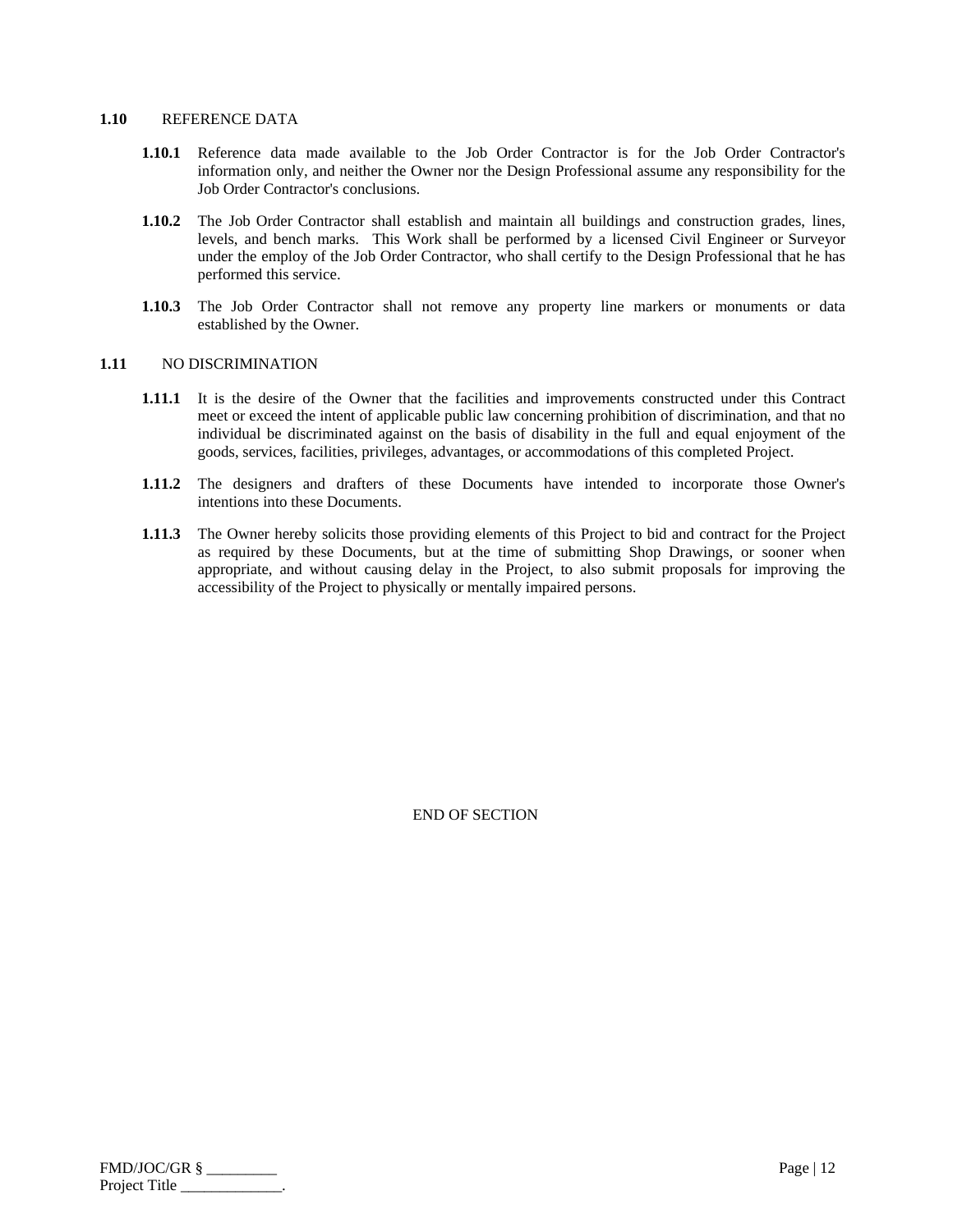#### **1.10** REFERENCE DATA

- **1.10.1** Reference data made available to the Job Order Contractor is for the Job Order Contractor's information only, and neither the Owner nor the Design Professional assume any responsibility for the Job Order Contractor's conclusions.
- **1.10.2** The Job Order Contractor shall establish and maintain all buildings and construction grades, lines, levels, and bench marks. This Work shall be performed by a licensed Civil Engineer or Surveyor under the employ of the Job Order Contractor, who shall certify to the Design Professional that he has performed this service.
- **1.10.3** The Job Order Contractor shall not remove any property line markers or monuments or data established by the Owner.

#### **1.11** NO DISCRIMINATION

- **1.11.1** It is the desire of the Owner that the facilities and improvements constructed under this Contract meet or exceed the intent of applicable public law concerning prohibition of discrimination, and that no individual be discriminated against on the basis of disability in the full and equal enjoyment of the goods, services, facilities, privileges, advantages, or accommodations of this completed Project.
- **1.11.2** The designers and drafters of these Documents have intended to incorporate those Owner's intentions into these Documents.
- **1.11.3** The Owner hereby solicits those providing elements of this Project to bid and contract for the Project as required by these Documents, but at the time of submitting Shop Drawings, or sooner when appropriate, and without causing delay in the Project, to also submit proposals for improving the accessibility of the Project to physically or mentally impaired persons.

| $FMD/JOC/GR$ § | Page $ 12 $ |
|----------------|-------------|
| Project Title  |             |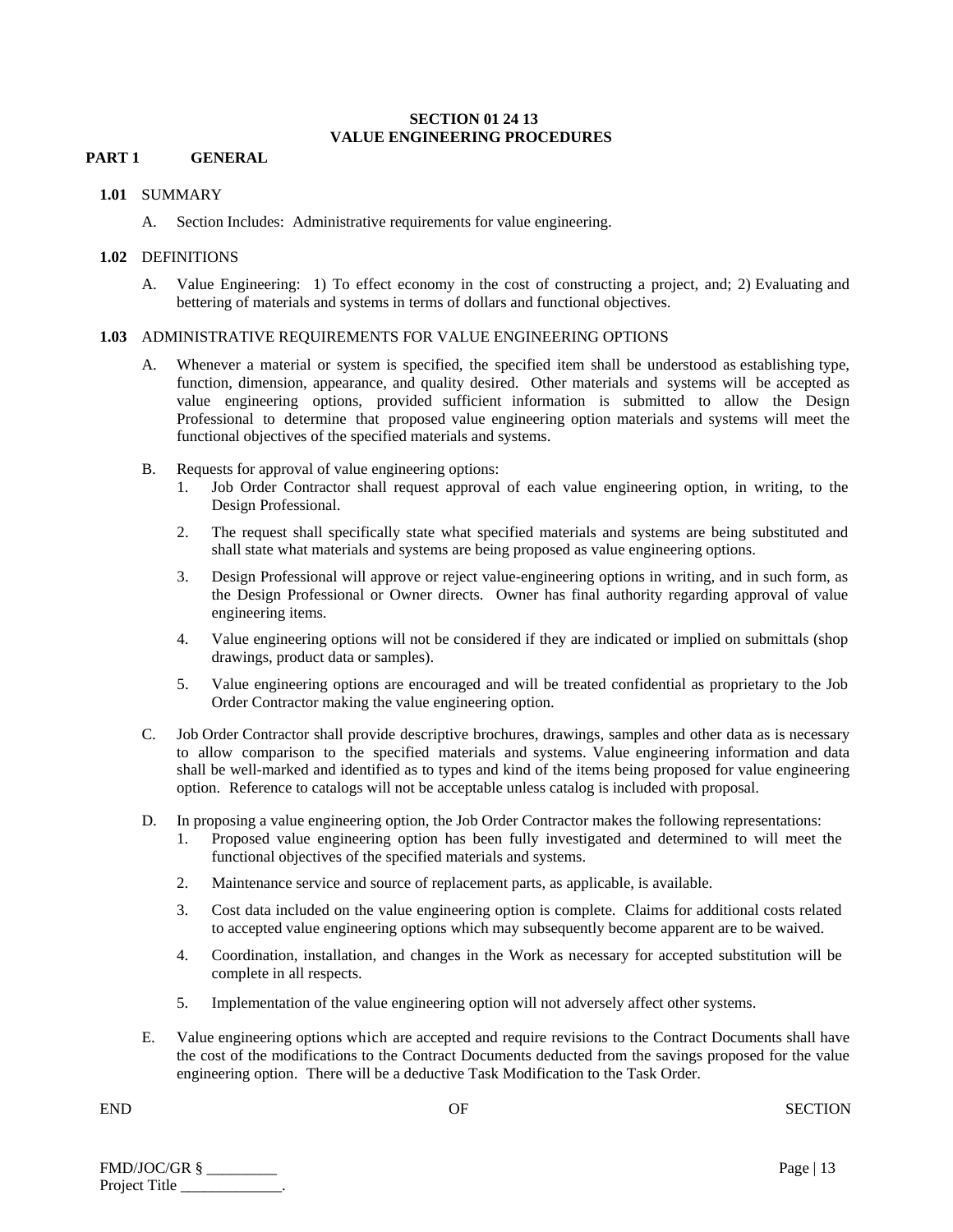## **SECTION 01 24 13 VALUE ENGINEERING PROCEDURES**

## **PART 1 GENERAL**

#### **1.01** SUMMARY

A. Section Includes: Administrative requirements for value engineering.

## **1.02** DEFINITIONS

A. Value Engineering: 1) To effect economy in the cost of constructing a project, and; 2) Evaluating and bettering of materials and systems in terms of dollars and functional objectives.

## **1.03** ADMINISTRATIVE REQUIREMENTS FOR VALUE ENGINEERING OPTIONS

- A. Whenever a material or system is specified, the specified item shall be understood as establishing type, function, dimension, appearance, and quality desired. Other materials and systems will be accepted as value engineering options, provided sufficient information is submitted to allow the Design Professional to determine that proposed value engineering option materials and systems will meet the functional objectives of the specified materials and systems.
- B. Requests for approval of value engineering options:
	- 1. Job Order Contractor shall request approval of each value engineering option, in writing, to the Design Professional.
	- 2. The request shall specifically state what specified materials and systems are being substituted and shall state what materials and systems are being proposed as value engineering options.
	- 3. Design Professional will approve or reject value-engineering options in writing, and in such form, as the Design Professional or Owner directs. Owner has final authority regarding approval of value engineering items.
	- 4. Value engineering options will not be considered if they are indicated or implied on submittals (shop drawings, product data or samples).
	- 5. Value engineering options are encouraged and will be treated confidential as proprietary to the Job Order Contractor making the value engineering option.
- C. Job Order Contractor shall provide descriptive brochures, drawings, samples and other data as is necessary to allow comparison to the specified materials and systems. Value engineering information and data shall be well-marked and identified as to types and kind of the items being proposed for value engineering option. Reference to catalogs will not be acceptable unless catalog is included with proposal.
- D. In proposing a value engineering option, the Job Order Contractor makes the following representations:
	- 1. Proposed value engineering option has been fully investigated and determined to will meet the functional objectives of the specified materials and systems.
	- 2. Maintenance service and source of replacement parts, as applicable, is available.
	- 3. Cost data included on the value engineering option is complete. Claims for additional costs related to accepted value engineering options which may subsequently become apparent are to be waived.
	- 4. Coordination, installation, and changes in the Work as necessary for accepted substitution will be complete in all respects.
	- 5. Implementation of the value engineering option will not adversely affect other systems.
- E. Value engineering options which are accepted and require revisions to the Contract Documents shall have the cost of the modifications to the Contract Documents deducted from the savings proposed for the value engineering option. There will be a deductive Task Modification to the Task Order.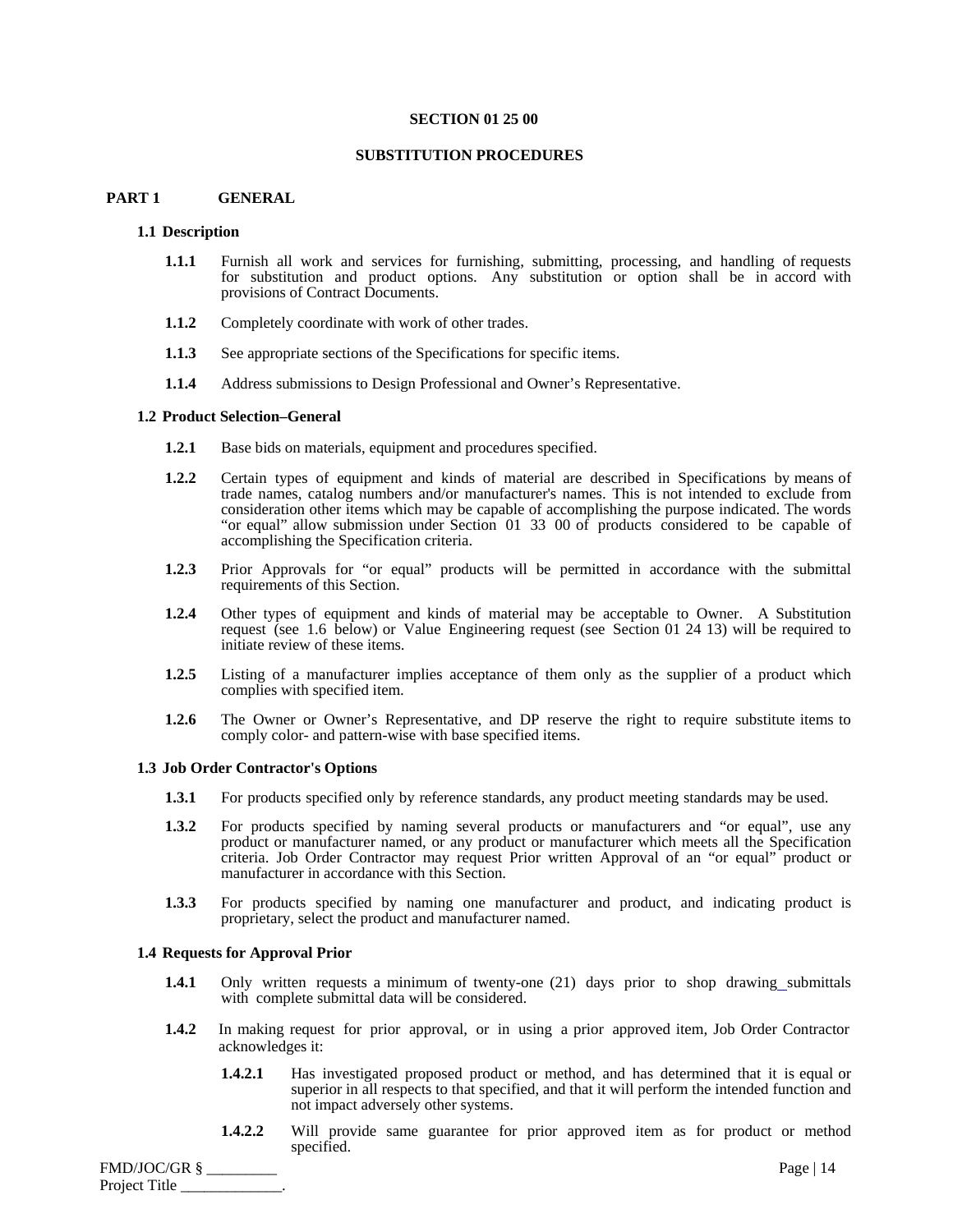#### **SECTION 01 25 00**

#### **SUBSTITUTION PROCEDURES**

### **PART 1 GENERAL**

#### **1.1 Description**

- **1.1.1** Furnish all work and services for furnishing, submitting, processing, and handling of requests for substitution and product options. Any substitution or option shall be in accord with provisions of Contract Documents.
- **1.1.2** Completely coordinate with work of other trades.
- **1.1.3** See appropriate sections of the Specifications for specific items.
- **1.1.4** Address submissions to Design Professional and Owner's Representative.

#### **1.2 Product Selection–General**

- **1.2.1** Base bids on materials, equipment and procedures specified.
- **1.2.2** Certain types of equipment and kinds of material are described in Specifications by means of trade names, catalog numbers and/or manufacturer's names. This is not intended to exclude from consideration other items which may be capable of accomplishing the purpose indicated. The words "or equal" allow submission under Section 01 33 00 of products considered to be capable of accomplishing the Specification criteria.
- **1.2.3** Prior Approvals for "or equal" products will be permitted in accordance with the submittal requirements of this Section.
- **1.2.4** Other types of equipment and kinds of material may be acceptable to Owner. A Substitution request (see 1.6 below) or Value Engineering request (see Section 01 24 13) will be required to initiate review of these items.
- **1.2.5** Listing of a manufacturer implies acceptance of them only as the supplier of a product which complies with specified item.
- **1.2.6** The Owner or Owner's Representative, and DP reserve the right to require substitute items to comply color- and pattern-wise with base specified items.

#### **1.3 Job Order Contractor's Options**

- **1.3.1** For products specified only by reference standards, any product meeting standards may be used.
- **1.3.2** For products specified by naming several products or manufacturers and "or equal", use any product or manufacturer named, or any product or manufacturer which meets all the Specification criteria. Job Order Contractor may request Prior written Approval of an "or equal" product or manufacturer in accordance with this Section.
- **1.3.3** For products specified by naming one manufacturer and product, and indicating product is proprietary, select the product and manufacturer named.

#### **1.4 Requests for Approval Prior**

- **1.4.1** Only written requests a minimum of twenty-one (21) days prior to shop drawing submittals with complete submittal data will be considered.
- **1.4.2** In making request for prior approval, or in using a prior approved item, Job Order Contractor acknowledges it:
	- **1.4.2.1** Has investigated proposed product or method, and has determined that it is equal or superior in all respects to that specified, and that it will perform the intended function and not impact adversely other systems.
	- **1.4.2.2** Will provide same guarantee for prior approved item as for product or method specified.

FMD/JOC/GR § \_\_\_\_\_\_\_\_\_ Page | 14 Project Title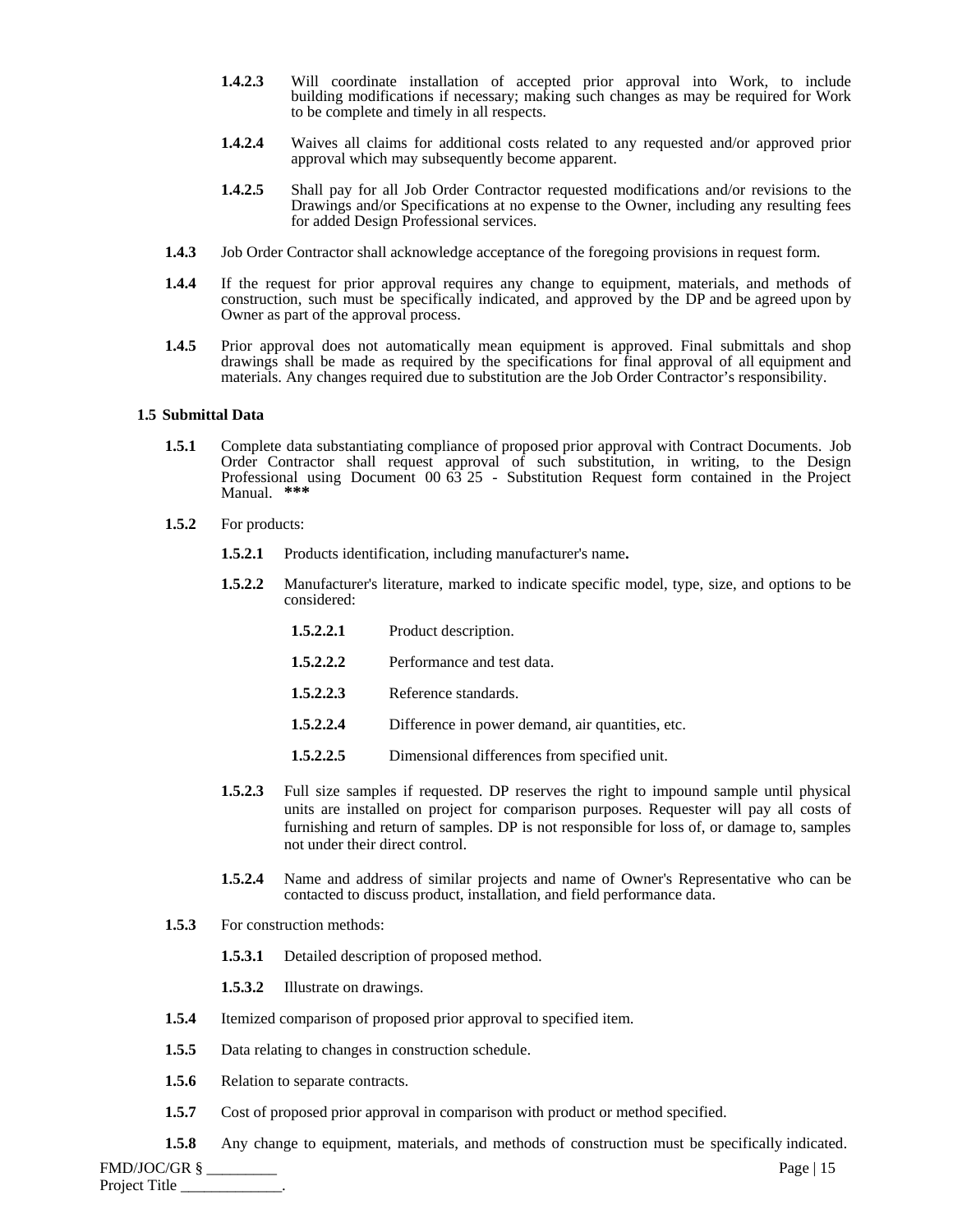- **1.4.2.3** Will coordinate installation of accepted prior approval into Work, to include building modifications if necessary; making such changes as may be required for Work to be complete and timely in all respects.
- **1.4.2.4** Waives all claims for additional costs related to any requested and/or approved prior approval which may subsequently become apparent.
- **1.4.2.5** Shall pay for all Job Order Contractor requested modifications and/or revisions to the Drawings and/or Specifications at no expense to the Owner, including any resulting fees for added Design Professional services.
- **1.4.3** Job Order Contractor shall acknowledge acceptance of the foregoing provisions in request form.
- **1.4.4** If the request for prior approval requires any change to equipment, materials, and methods of construction, such must be specifically indicated, and approved by the DP and be agreed upon by Owner as part of the approval process.
- **1.4.5** Prior approval does not automatically mean equipment is approved. Final submittals and shop drawings shall be made as required by the specifications for final approval of all equipment and materials. Any changes required due to substitution are the Job Order Contractor's responsibility.

#### **1.5 Submittal Data**

- **1.5.1** Complete data substantiating compliance of proposed prior approval with Contract Documents. Job Order Contractor shall request approval of such substitution, in writing, to the Design Professional using Document 00 63 25 - Substitution Request form contained in the Project Manual. **\*\*\***
- **1.5.2** For products:
	- **1.5.2.1** Products identification, including manufacturer's name**.**
	- **1.5.2.2** Manufacturer's literature, marked to indicate specific model, type, size, and options to be considered:
		- 1.5.2.2.1 Product description.
		- **1.5.2.2.2** Performance and test data.
		- 1.5.2.2.3 Reference standards.
		- **1.5.2.2.4** Difference in power demand, air quantities, etc.
		- **1.5.2.2.5** Dimensional differences from specified unit.
	- **1.5.2.3** Full size samples if requested. DP reserves the right to impound sample until physical units are installed on project for comparison purposes. Requester will pay all costs of furnishing and return of samples. DP is not responsible for loss of, or damage to, samples not under their direct control.
	- **1.5.2.4** Name and address of similar projects and name of Owner's Representative who can be contacted to discuss product, installation, and field performance data.
- **1.5.3** For construction methods:
	- **1.5.3.1** Detailed description of proposed method.
	- **1.5.3.2** Illustrate on drawings.
- **1.5.4** Itemized comparison of proposed prior approval to specified item.
- **1.5.5** Data relating to changes in construction schedule.
- 1.5.6 Relation to separate contracts.
- **1.5.7** Cost of proposed prior approval in comparison with product or method specified.
- **1.5.8** Any change to equipment, materials, and methods of construction must be specifically indicated.

FMD/JOC/GR § \_\_\_\_\_\_\_\_\_ Page | 15 Project Title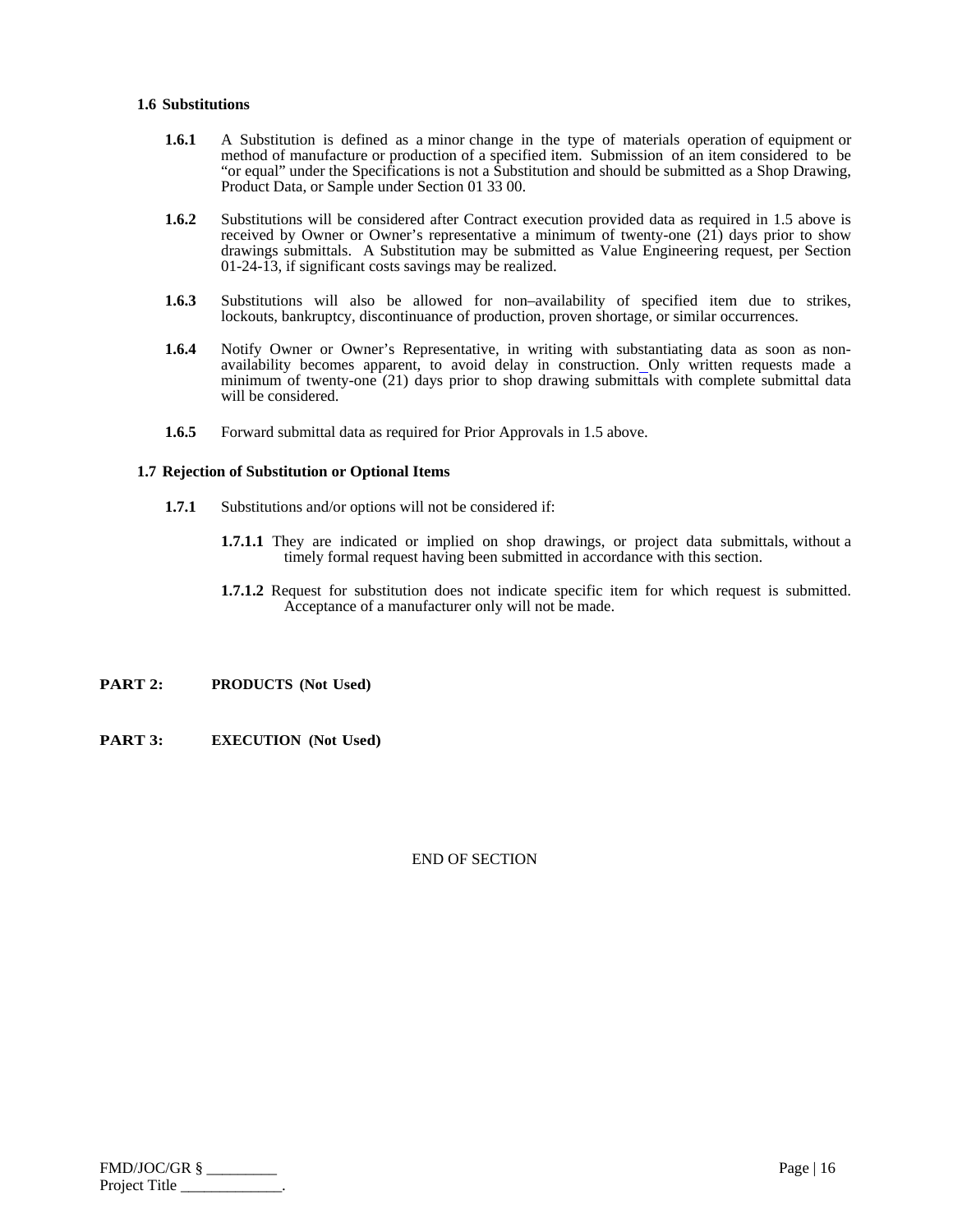#### **1.6 Substitutions**

- **1.6.1** A Substitution is defined as a minor change in the type of materials operation of equipment or method of manufacture or production of a specified item. Submission of an item considered to be "or equal" under the Specifications is not a Substitution and should be submitted as a Shop Drawing, Product Data, or Sample under Section 01 33 00.
- **1.6.2** Substitutions will be considered after Contract execution provided data as required in 1.5 above is received by Owner or Owner's representative a minimum of twenty-one  $(21)$  days prior to show drawings submittals. A Substitution may be submitted as Value Engineering request, per Section 01-24-13, if significant costs savings may be realized.
- **1.6.3** Substitutions will also be allowed for non–availability of specified item due to strikes, lockouts, bankruptcy, discontinuance of production, proven shortage, or similar occurrences.
- **1.6.4** Notify Owner or Owner's Representative, in writing with substantiating data as soon as nonavailability becomes apparent, to avoid delay in construction. Only written requests made a minimum of twenty-one (21) days prior to shop drawing submittals with complete submittal data will be considered.
- **1.6.5** Forward submittal data as required for Prior Approvals in 1.5 above.

#### **1.7 Rejection of Substitution or Optional Items**

- **1.7.1** Substitutions and/or options will not be considered if:
	- **1.7.1.1** They are indicated or implied on shop drawings, or project data submittals, without a timely formal request having been submitted in accordance with this section.
	- **1.7.1.2** Request for substitution does not indicate specific item for which request is submitted. Acceptance of a manufacturer only will not be made.
- **PART 2: PRODUCTS (Not Used)**
- **PART 3: EXECUTION (Not Used)**

| FMD/JOC/GR §  | Page   $16$ |
|---------------|-------------|
| Project Title |             |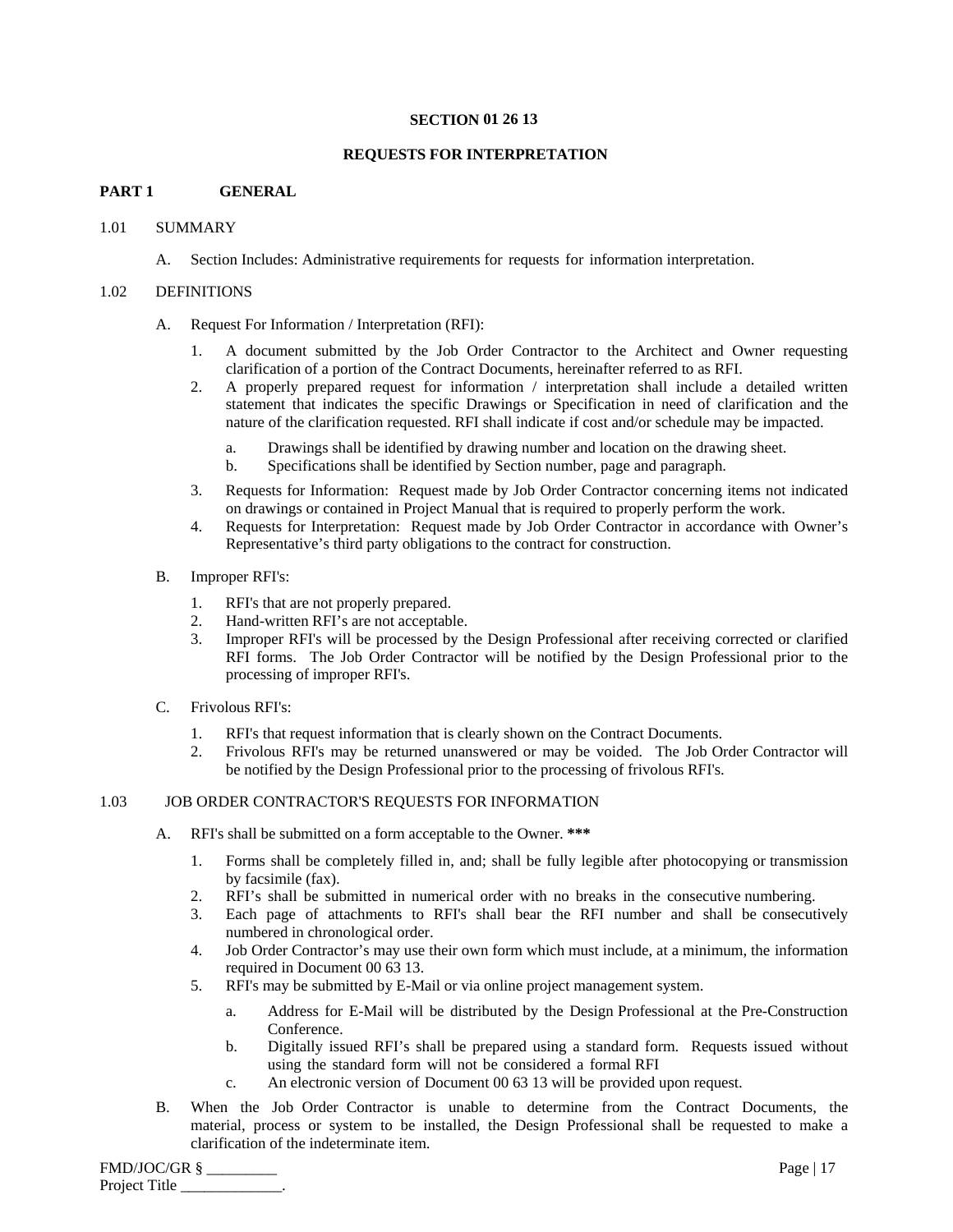#### **SECTION 01 26 13**

## **REQUESTS FOR INTERPRETATION**

## **PART 1 GENERAL**

## 1.01 SUMMARY

A. Section Includes: Administrative requirements for requests for information interpretation.

#### 1.02 DEFINITIONS

#### A. Request For Information / Interpretation (RFI):

- 1. A document submitted by the Job Order Contractor to the Architect and Owner requesting clarification of a portion of the Contract Documents, hereinafter referred to as RFI.
- 2. A properly prepared request for information / interpretation shall include a detailed written statement that indicates the specific Drawings or Specification in need of clarification and the nature of the clarification requested. RFI shall indicate if cost and/or schedule may be impacted.
	- a. Drawings shall be identified by drawing number and location on the drawing sheet.
	- b. Specifications shall be identified by Section number, page and paragraph.
- 3. Requests for Information: Request made by Job Order Contractor concerning items not indicated on drawings or contained in Project Manual that is required to properly perform the work.
- 4. Requests for Interpretation: Request made by Job Order Contractor in accordance with Owner's Representative's third party obligations to the contract for construction.
- B. Improper RFI's:
	- 1. RFI's that are not properly prepared.
	- 2. Hand-written RFI's are not acceptable.
	- 3. Improper RFI's will be processed by the Design Professional after receiving corrected or clarified RFI forms. The Job Order Contractor will be notified by the Design Professional prior to the processing of improper RFI's.
- C. Frivolous RFI's:
	- 1. RFI's that request information that is clearly shown on the Contract Documents.
	- 2. Frivolous RFI's may be returned unanswered or may be voided. The Job Order Contractor will be notified by the Design Professional prior to the processing of frivolous RFI's.

## 1.03 JOB ORDER CONTRACTOR'S REQUESTS FOR INFORMATION

- A. RFI's shall be submitted on a form acceptable to the Owner. **\*\*\*** 
	- 1. Forms shall be completely filled in, and; shall be fully legible after photocopying or transmission by facsimile (fax).
	- 2. RFI's shall be submitted in numerical order with no breaks in the consecutive numbering.
	- 3. Each page of attachments to RFI's shall bear the RFI number and shall be consecutively numbered in chronological order.
	- 4. Job Order Contractor's may use their own form which must include, at a minimum, the information required in Document 00 63 13.
	- 5. RFI's may be submitted by E-Mail or via online project management system.
		- a. Address for E-Mail will be distributed by the Design Professional at the Pre-Construction Conference.
		- b. Digitally issued RFI's shall be prepared using a standard form. Requests issued without using the standard form will not be considered a formal RFI
		- c. An electronic version of Document 00 63 13 will be provided upon request.
- B. When the Job Order Contractor is unable to determine from the Contract Documents, the material, process or system to be installed, the Design Professional shall be requested to make a clarification of the indeterminate item.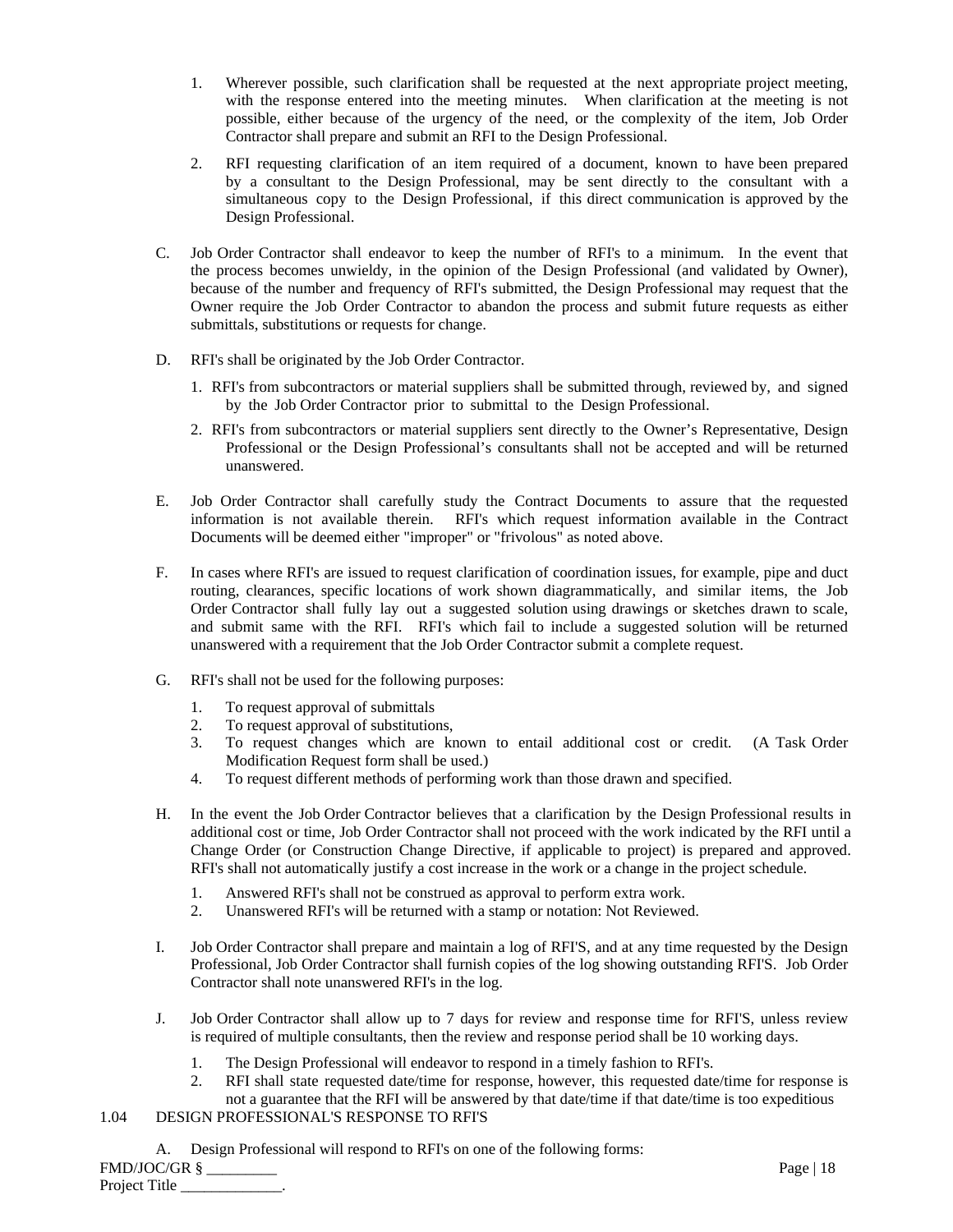- 1. Wherever possible, such clarification shall be requested at the next appropriate project meeting, with the response entered into the meeting minutes. When clarification at the meeting is not possible, either because of the urgency of the need, or the complexity of the item, Job Order Contractor shall prepare and submit an RFI to the Design Professional.
- 2. RFI requesting clarification of an item required of a document, known to have been prepared by a consultant to the Design Professional, may be sent directly to the consultant with a simultaneous copy to the Design Professional, if this direct communication is approved by the Design Professional.
- C. Job Order Contractor shall endeavor to keep the number of RFI's to a minimum. In the event that the process becomes unwieldy, in the opinion of the Design Professional (and validated by Owner), because of the number and frequency of RFI's submitted, the Design Professional may request that the Owner require the Job Order Contractor to abandon the process and submit future requests as either submittals, substitutions or requests for change.
- D. RFI's shall be originated by the Job Order Contractor.
	- 1. RFI's from subcontractors or material suppliers shall be submitted through, reviewed by, and signed by the Job Order Contractor prior to submittal to the Design Professional.
	- 2. RFI's from subcontractors or material suppliers sent directly to the Owner's Representative, Design Professional or the Design Professional's consultants shall not be accepted and will be returned unanswered.
- E. Job Order Contractor shall carefully study the Contract Documents to assure that the requested information is not available therein. RFI's which request information available in the Contract Documents will be deemed either "improper" or "frivolous" as noted above.
- F. In cases where RFI's are issued to request clarification of coordination issues, for example, pipe and duct routing, clearances, specific locations of work shown diagrammatically, and similar items, the Job Order Contractor shall fully lay out a suggested solution using drawings or sketches drawn to scale, and submit same with the RFI. RFI's which fail to include a suggested solution will be returned unanswered with a requirement that the Job Order Contractor submit a complete request.
- G. RFI's shall not be used for the following purposes:
	- 1. To request approval of submittals
	- 2. To request approval of substitutions,
	- 3. To request changes which are known to entail additional cost or credit. (A Task Order Modification Request form shall be used.)
	- 4. To request different methods of performing work than those drawn and specified.
- H. In the event the Job Order Contractor believes that a clarification by the Design Professional results in additional cost or time, Job Order Contractor shall not proceed with the work indicated by the RFI until a Change Order (or Construction Change Directive, if applicable to project) is prepared and approved. RFI's shall not automatically justify a cost increase in the work or a change in the project schedule.
	- 1. Answered RFI's shall not be construed as approval to perform extra work.
	- 2. Unanswered RFI's will be returned with a stamp or notation: Not Reviewed.
- I. Job Order Contractor shall prepare and maintain a log of RFI'S, and at any time requested by the Design Professional, Job Order Contractor shall furnish copies of the log showing outstanding RFI'S. Job Order Contractor shall note unanswered RFI's in the log.
- J. Job Order Contractor shall allow up to 7 days for review and response time for RFI'S, unless review is required of multiple consultants, then the review and response period shall be 10 working days.
	- 1. The Design Professional will endeavor to respond in a timely fashion to RFI's.
	- 2. RFI shall state requested date/time for response, however, this requested date/time for response is not a guarantee that the RFI will be answered by that date/time if that date/time is too expeditious
- 1.04 DESIGN PROFESSIONAL'S RESPONSE TO RFI'S
	- A. Design Professional will respond to RFI's on one of the following forms:

FMD/JOC/GR § \_\_\_\_\_\_\_\_\_ Page | 18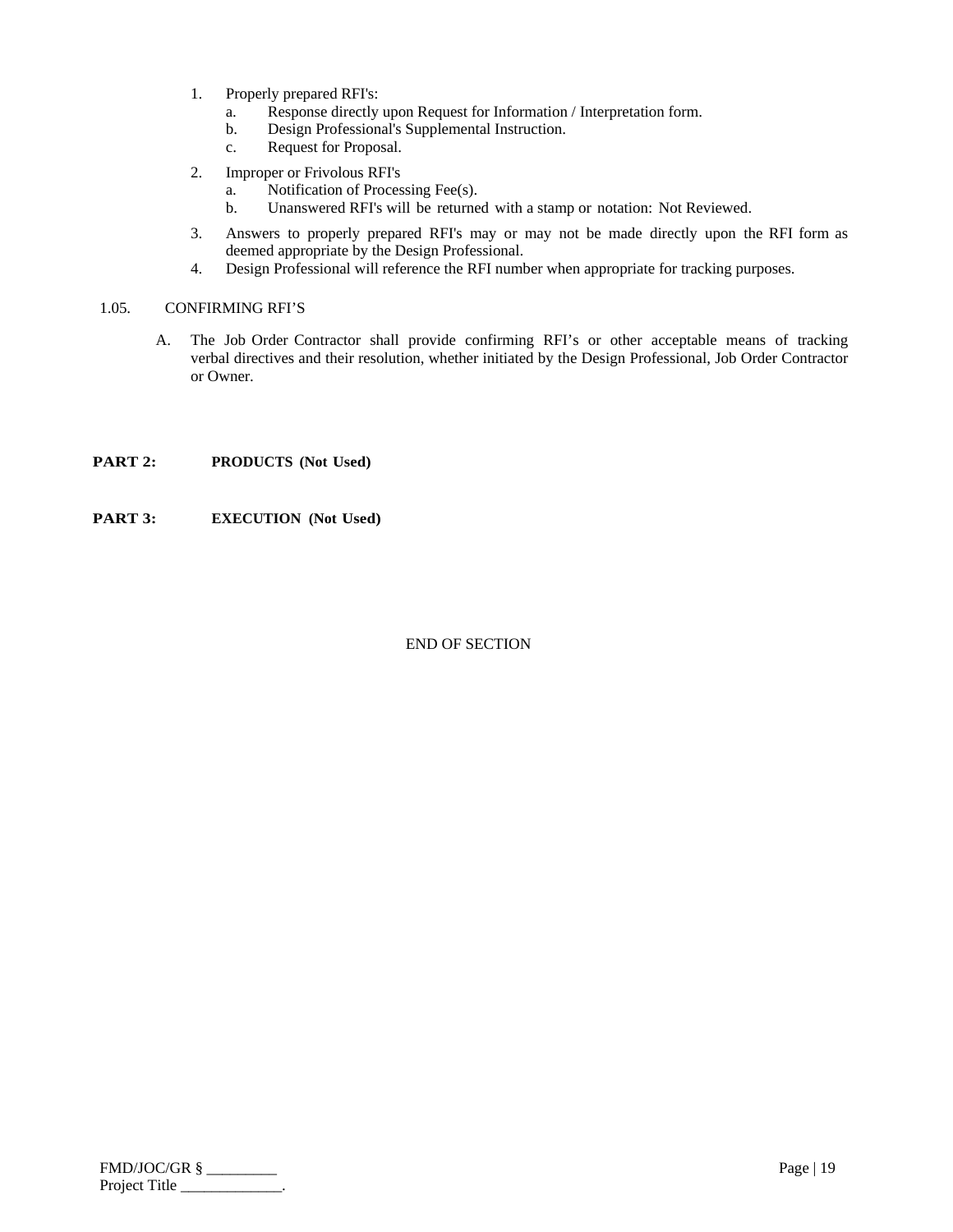- 1. Properly prepared RFI's:
	- a. Response directly upon Request for Information / Interpretation form.
	- b. Design Professional's Supplemental Instruction.
	- c. Request for Proposal.
- 2. Improper or Frivolous RFI's
	- a. Notification of Processing Fee(s).
	- b. Unanswered RFI's will be returned with a stamp or notation: Not Reviewed.
- 3. Answers to properly prepared RFI's may or may not be made directly upon the RFI form as deemed appropriate by the Design Professional.
- 4. Design Professional will reference the RFI number when appropriate for tracking purposes.

## 1.05. CONFIRMING RFI'S

A. The Job Order Contractor shall provide confirming RFI's or other acceptable means of tracking verbal directives and their resolution, whether initiated by the Design Professional, Job Order Contractor or Owner.

## **PART 2: PRODUCTS** (Not Used)

**PART 3: EXECUTION (Not Used)**

| $FMD/JOC/GR$ § | Page   $19$ |
|----------------|-------------|
| Project Title  |             |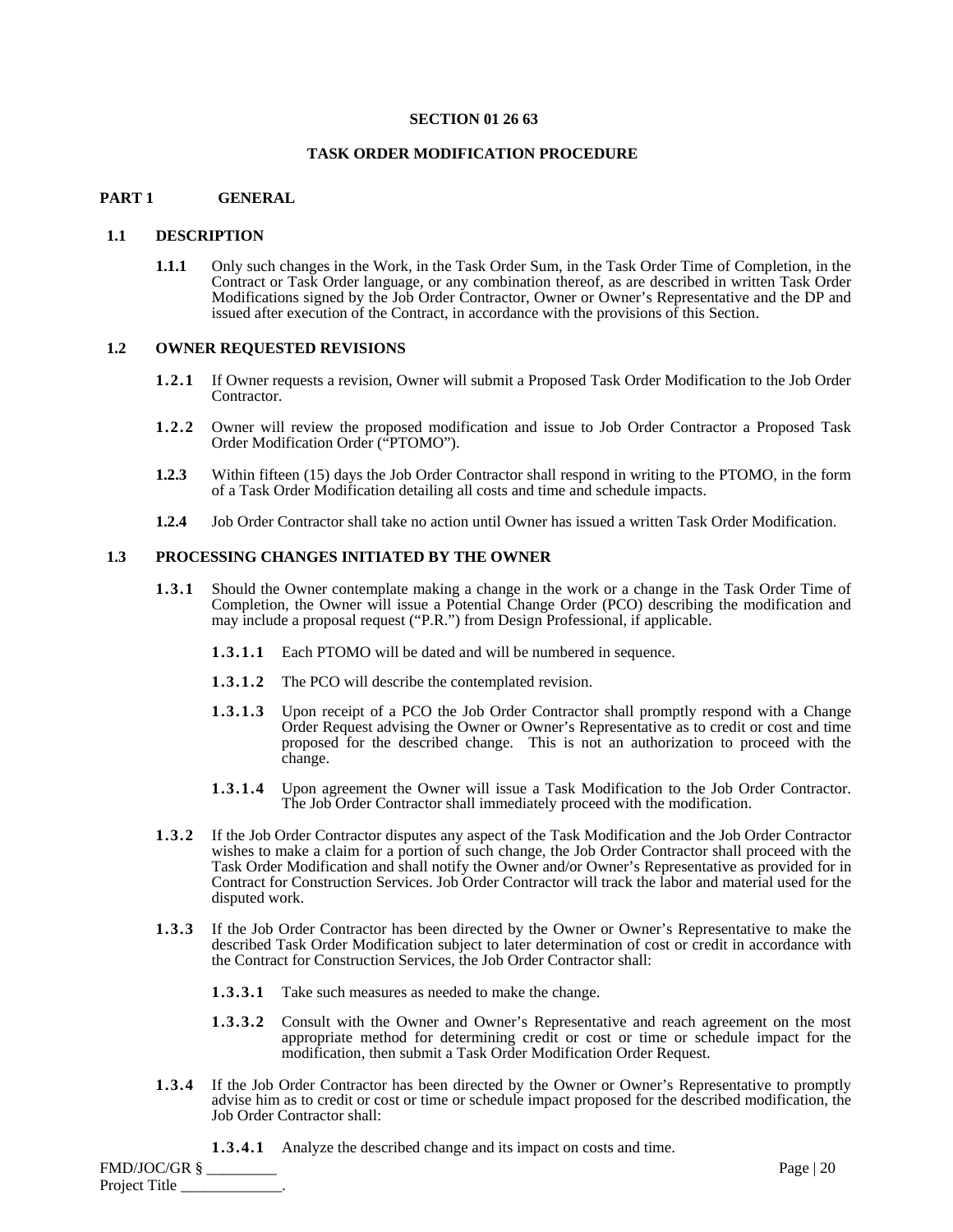#### **SECTION 01 26 63**

#### **TASK ORDER MODIFICATION PROCEDURE**

#### **PART 1 GENERAL**

#### **1.1 DESCRIPTION**

**1.1.1** Only such changes in the Work, in the Task Order Sum, in the Task Order Time of Completion, in the Contract or Task Order language, or any combination thereof, as are described in written Task Order Modifications signed by the Job Order Contractor, Owner or Owner's Representative and the DP and issued after execution of the Contract, in accordance with the provisions of this Section.

#### **1.2 OWNER REQUESTED REVISIONS**

- **1.2.1** If Owner requests a revision, Owner will submit a Proposed Task Order Modification to the Job Order Contractor.
- **1.2.2** Owner will review the proposed modification and issue to Job Order Contractor a Proposed Task Order Modification Order ("PTOMO").
- **1.2.3** Within fifteen (15) days the Job Order Contractor shall respond in writing to the PTOMO, in the form of a Task Order Modification detailing all costs and time and schedule impacts.
- **1.2.4** Job Order Contractor shall take no action until Owner has issued a written Task Order Modification.

## **1.3 PROCESSING CHANGES INITIATED BY THE OWNER**

- **1.3.1** Should the Owner contemplate making a change in the work or a change in the Task Order Time of Completion, the Owner will issue a Potential Change Order (PCO) describing the modification and may include a proposal request ("P.R.") from Design Professional, if applicable.
	- **1.3.1.1** Each PTOMO will be dated and will be numbered in sequence.
	- **1.3.1.2** The PCO will describe the contemplated revision.
	- **1.3.1.3** Upon receipt of a PCO the Job Order Contractor shall promptly respond with a Change Order Request advising the Owner or Owner's Representative as to credit or cost and time proposed for the described change. This is not an authorization to proceed with the change.
	- **1.3.1.4** Upon agreement the Owner will issue a Task Modification to the Job Order Contractor. The Job Order Contractor shall immediately proceed with the modification.
- **1.3.2** If the Job Order Contractor disputes any aspect of the Task Modification and the Job Order Contractor wishes to make a claim for a portion of such change, the Job Order Contractor shall proceed with the Task Order Modification and shall notify the Owner and/or Owner's Representative as provided for in Contract for Construction Services. Job Order Contractor will track the labor and material used for the disputed work.
- **1.3.3** If the Job Order Contractor has been directed by the Owner or Owner's Representative to make the described Task Order Modification subject to later determination of cost or credit in accordance with the Contract for Construction Services, the Job Order Contractor shall:
	- **1.3.3.1** Take such measures as needed to make the change.
	- **1.3.3.2** Consult with the Owner and Owner's Representative and reach agreement on the most appropriate method for determining credit or cost or time or schedule impact for the modification, then submit a Task Order Modification Order Request.
- 1.3.4 If the Job Order Contractor has been directed by the Owner or Owner's Representative to promptly advise him as to credit or cost or time or schedule impact proposed for the described modification, the Job Order Contractor shall:
	- **1.3.4.1** Analyze the described change and its impact on costs and time.

FMD/JOC/GR § \_\_\_\_\_\_\_\_\_ Page | 20 Project Title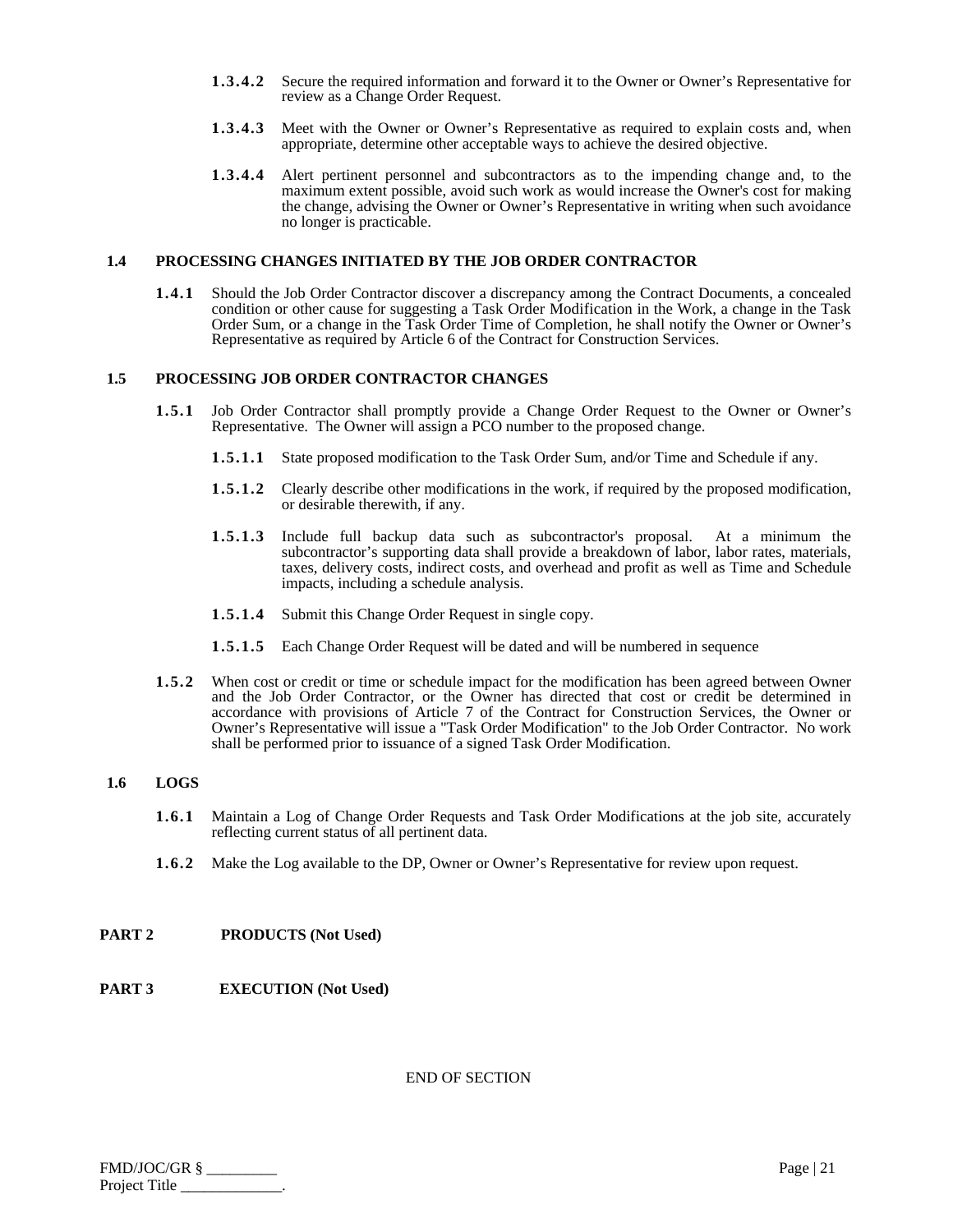- **1.3.4.2** Secure the required information and forward it to the Owner or Owner's Representative for review as a Change Order Request.
- **1.3.4.3** Meet with the Owner or Owner's Representative as required to explain costs and, when appropriate, determine other acceptable ways to achieve the desired objective.
- **1.3.4.4** Alert pertinent personnel and subcontractors as to the impending change and, to the maximum extent possible, avoid such work as would increase the Owner's cost for making the change, advising the Owner or Owner's Representative in writing when such avoidance no longer is practicable.

#### **1.4 PROCESSING CHANGES INITIATED BY THE JOB ORDER CONTRACTOR**

**1.4.1** Should the Job Order Contractor discover a discrepancy among the Contract Documents, a concealed condition or other cause for suggesting a Task Order Modification in the Work, a change in the Task Order Sum, or a change in the Task Order Time of Completion, he shall notify the Owner or Owner's Representative as required by Article 6 of the Contract for Construction Services.

## **1.5 PROCESSING JOB ORDER CONTRACTOR CHANGES**

- **1.5.1** Job Order Contractor shall promptly provide a Change Order Request to the Owner or Owner's Representative. The Owner will assign a PCO number to the proposed change.
	- **1.5.1.1** State proposed modification to the Task Order Sum, and/or Time and Schedule if any.
	- **1.5.1.2** Clearly describe other modifications in the work, if required by the proposed modification, or desirable therewith, if any.
	- **1.5.1.3** Include full backup data such as subcontractor's proposal. At a minimum the subcontractor's supporting data shall provide a breakdown of labor, labor rates, materials, taxes, delivery costs, indirect costs, and overhead and profit as well as Time and Schedule impacts, including a schedule analysis.
	- **1.5.1.4** Submit this Change Order Request in single copy.
	- **1.5.1.5** Each Change Order Request will be dated and will be numbered in sequence
- **1.5.2** When cost or credit or time or schedule impact for the modification has been agreed between Owner and the Job Order Contractor, or the Owner has directed that cost or credit be determined in accordance with provisions of Article 7 of the Contract for Construction Services, the Owner or Owner's Representative will issue a "Task Order Modification" to the Job Order Contractor. No work shall be performed prior to issuance of a signed Task Order Modification.

## **1.6 LOGS**

- **1.6.1** Maintain a Log of Change Order Requests and Task Order Modifications at the job site, accurately reflecting current status of all pertinent data.
- **1.6.2** Make the Log available to the DP, Owner or Owner's Representative for review upon request.

#### **PART 2 PRODUCTS (Not Used)**

**PART 3 EXECUTION (Not Used)** 

| $FMD/JOC/GR$ § | Page $ 21$ |
|----------------|------------|
| Project Title  |            |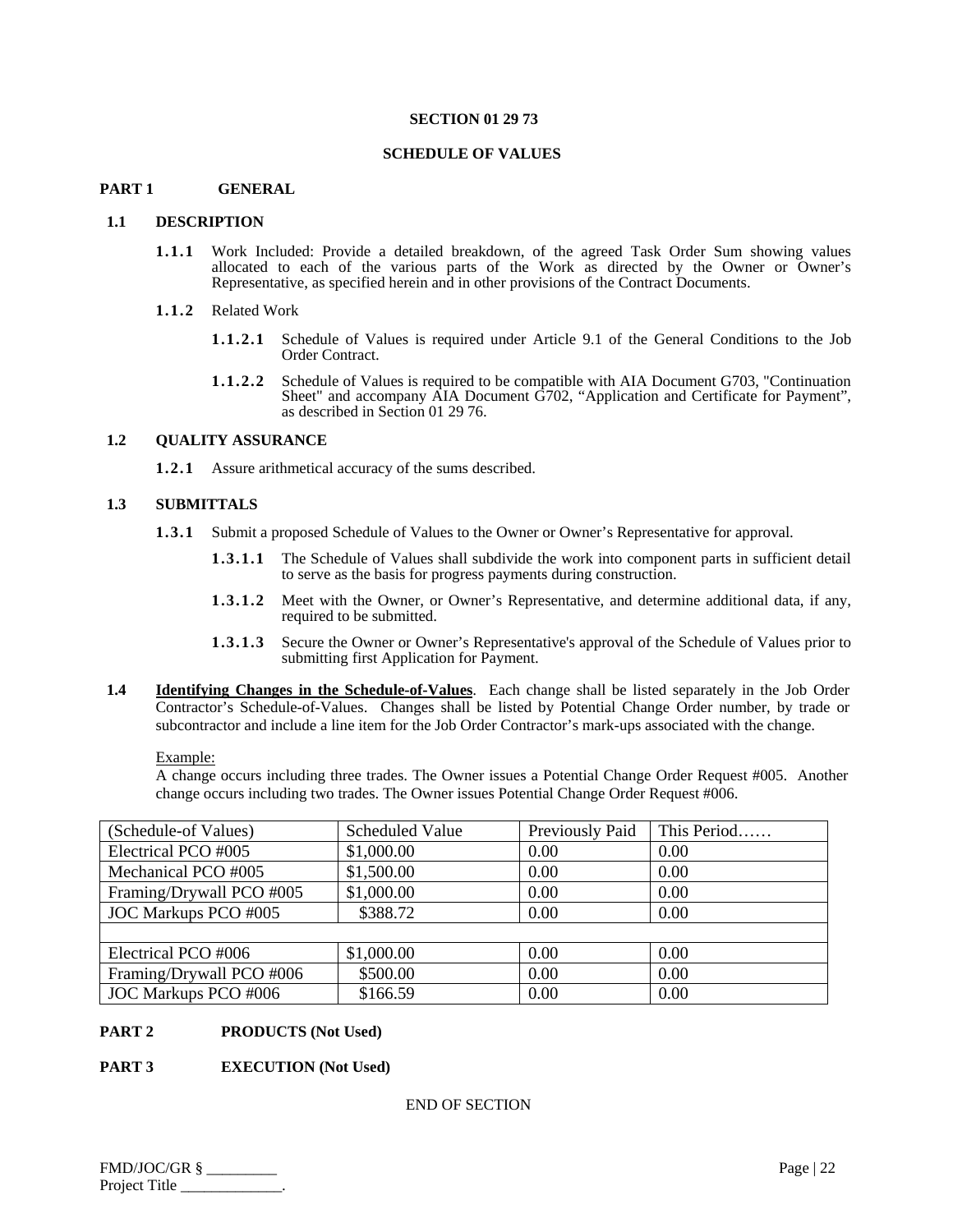#### **SECTION 01 29 73**

#### **SCHEDULE OF VALUES**

## **PART 1 GENERAL**

#### **1.1 DESCRIPTION**

- **1.1.1** Work Included: Provide a detailed breakdown, of the agreed Task Order Sum showing values allocated to each of the various parts of the Work as directed by the Owner or Owner's Representative, as specified herein and in other provisions of the Contract Documents.
- **1.1.2** Related Work
	- **1.1.2.1** Schedule of Values is required under Article 9.1 of the General Conditions to the Job Order Contract.
	- **1.1.2.2** Schedule of Values is required to be compatible with AIA Document G703, "Continuation Sheet" and accompany AIA Document G702, "Application and Certificate for Payment", as described in Section 01 29 76.

## **1.2 QUALITY ASSURANCE**

**1.2.1** Assure arithmetical accuracy of the sums described.

#### **1.3 SUBMITTALS**

- **1.3.1** Submit a proposed Schedule of Values to the Owner or Owner's Representative for approval.
	- **1.3.1.1** The Schedule of Values shall subdivide the work into component parts in sufficient detail to serve as the basis for progress payments during construction.
	- **1.3.1.2** Meet with the Owner, or Owner's Representative, and determine additional data, if any, required to be submitted.
	- **1.3.1.3** Secure the Owner or Owner's Representative's approval of the Schedule of Values prior to submitting first Application for Payment.
- **1.4 Identifying Changes in the Schedule-of-Values**. Each change shall be listed separately in the Job Order Contractor's Schedule-of-Values. Changes shall be listed by Potential Change Order number, by trade or subcontractor and include a line item for the Job Order Contractor's mark-ups associated with the change.

#### Example:

A change occurs including three trades. The Owner issues a Potential Change Order Request #005. Another change occurs including two trades. The Owner issues Potential Change Order Request #006.

| (Schedule-of Values)     | <b>Scheduled Value</b> | Previously Paid | This Period |
|--------------------------|------------------------|-----------------|-------------|
| Electrical PCO #005      | \$1,000.00             | 0.00            | 0.00        |
| Mechanical PCO #005      | \$1,500.00             | 0.00            | 0.00        |
| Framing/Drywall PCO #005 | \$1,000.00             | 0.00            | 0.00        |
| JOC Markups PCO #005     | \$388.72               | 0.00            | 0.00        |
|                          |                        |                 |             |
| Electrical PCO #006      | \$1,000.00             | 0.00            | 0.00        |
| Framing/Drywall PCO #006 | \$500.00               | 0.00            | 0.00        |
| JOC Markups PCO #006     | \$166.59               | 0.00            | 0.00        |

#### **PART 2 PRODUCTS (Not Used)**

#### **PART 3 EXECUTION (Not Used)**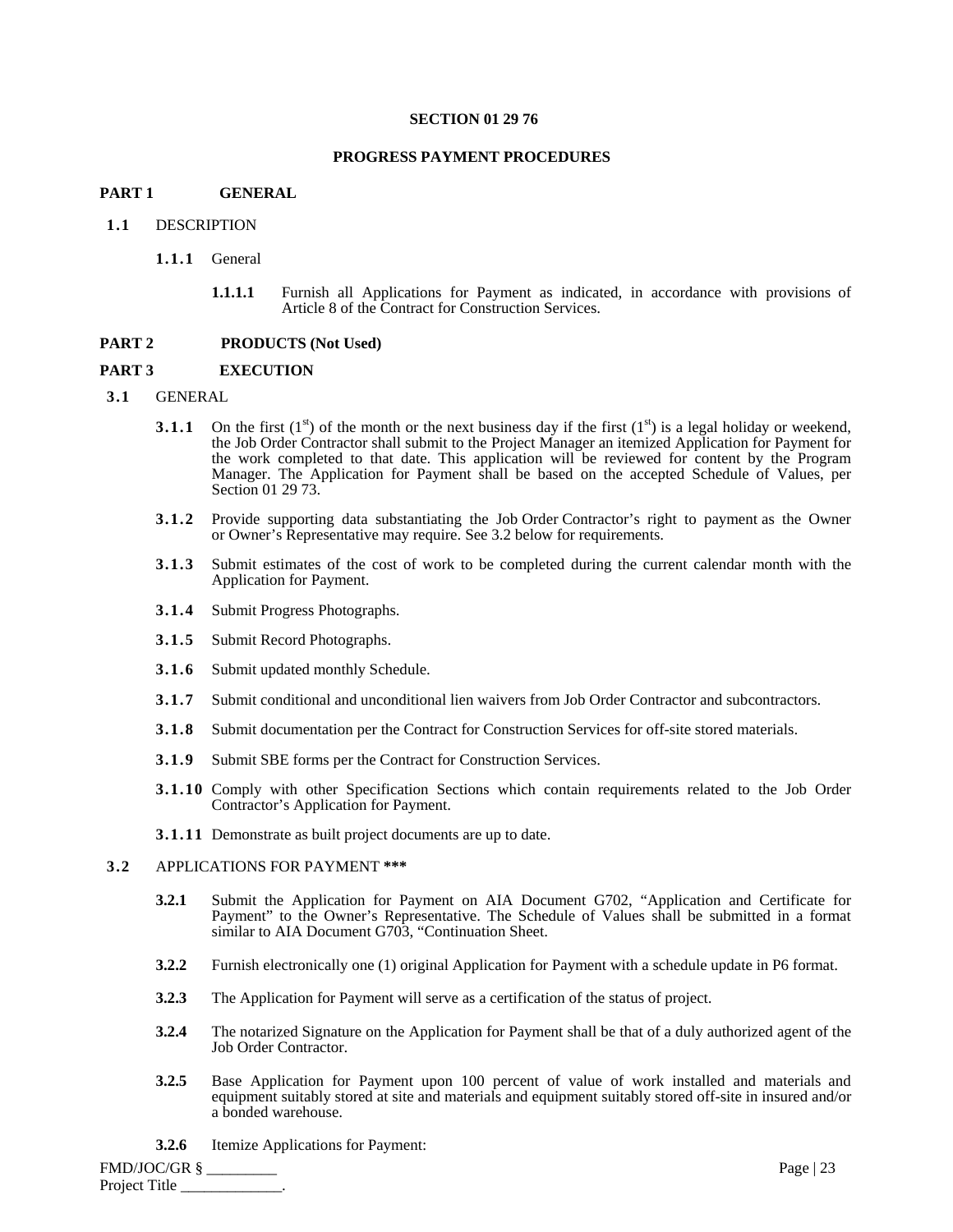#### **SECTION 01 29 76**

#### **PROGRESS PAYMENT PROCEDURES**

#### **PART 1 GENERAL**

#### **1.1** DESCRIPTION

#### **1.1.1** General

**1.1.1.1** Furnish all Applications for Payment as indicated, in accordance with provisions of Article 8 of the Contract for Construction Services.

#### **PART 2 PRODUCTS (Not Used)**

#### **PART 3 EXECUTION**

#### **3.1** GENERAL

- **3.1.1** On the first  $(1^{st})$  of the month or the next business day if the first  $(1^{st})$  is a legal holiday or weekend, the Job Order Contractor shall submit to the Project Manager an itemized Application for Payment for the work completed to that date. This application will be reviewed for content by the Program Manager. The Application for Payment shall be based on the accepted Schedule of Values, per Section 01 29 73.
- **3.1.2** Provide supporting data substantiating the Job Order Contractor's right to payment as the Owner or Owner's Representative may require. See 3.2 below for requirements.
- **3.1.3** Submit estimates of the cost of work to be completed during the current calendar month with the Application for Payment.
- **3.1.4** Submit Progress Photographs.
- **3.1.5** Submit Record Photographs.
- **3.1.6** Submit updated monthly Schedule.
- **3.1.7** Submit conditional and unconditional lien waivers from Job Order Contractor and subcontractors.
- **3.1.8** Submit documentation per the Contract for Construction Services for off-site stored materials.
- **3.1.9** Submit SBE forms per the Contract for Construction Services.
- **3.1.10** Comply with other Specification Sections which contain requirements related to the Job Order Contractor's Application for Payment.
- **3.1.11** Demonstrate as built project documents are up to date.

#### **3.2** APPLICATIONS FOR PAYMENT **\*\*\***

- **3.2.1** Submit the Application for Payment on AIA Document G702, "Application and Certificate for Payment" to the Owner's Representative. The Schedule of Values shall be submitted in a format similar to AIA Document G703, "Continuation Sheet.
- **3.2.2** Furnish electronically one (1) original Application for Payment with a schedule update in P6 format.
- **3.2.3** The Application for Payment will serve as a certification of the status of project.
- **3.2.4** The notarized Signature on the Application for Payment shall be that of a duly authorized agent of the Job Order Contractor.
- **3.2.5** Base Application for Payment upon 100 percent of value of work installed and materials and equipment suitably stored at site and materials and equipment suitably stored off-site in insured and/or a bonded warehouse.
- **3.2.6** Itemize Applications for Payment:

FMD/JOC/GR § \_\_\_\_\_\_\_\_\_ Page | 23 Project Title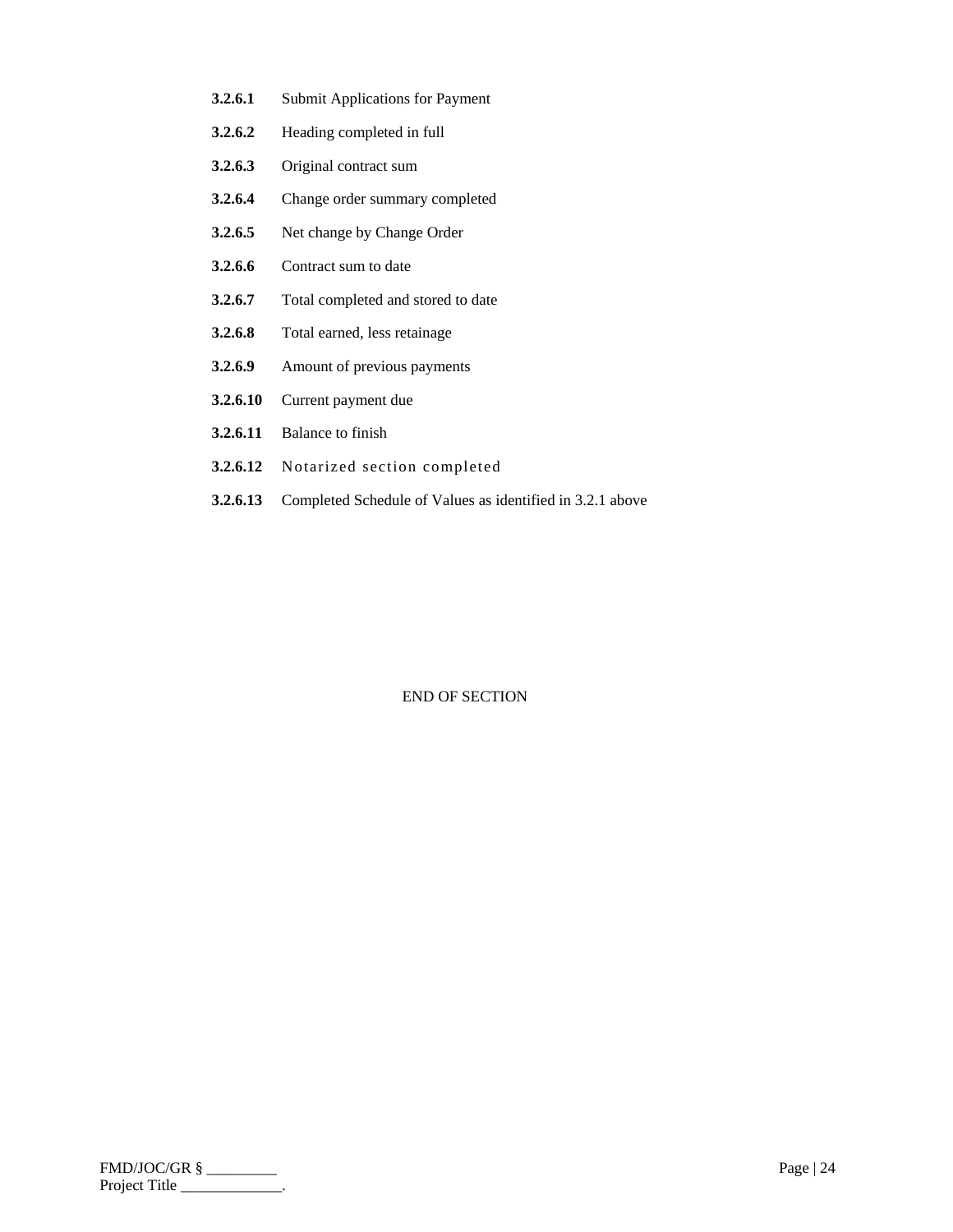- **3.2.6.1** Submit Applications for Payment
- **3.2.6.2** Heading completed in full
- **3.2.6.3** Original contract sum
- **3.2.6.4** Change order summary completed
- **3.2.6.5** Net change by Change Order
- **3.2.6.6** Contract sum to date
- **3.2.6.7** Total completed and stored to date
- **3.2.6.8** Total earned, less retainage
- **3.2.6.9** Amount of previous payments
- **3.2.6.10** Current payment due
- **3.2.6.11** Balance to finish
- **3.2.6.12** Notarized section completed
- **3.2.6.13** Completed Schedule of Values as identified in 3.2.1 above

| FMD/JOC/GR §  | Page $ 24$ |
|---------------|------------|
| Project Title |            |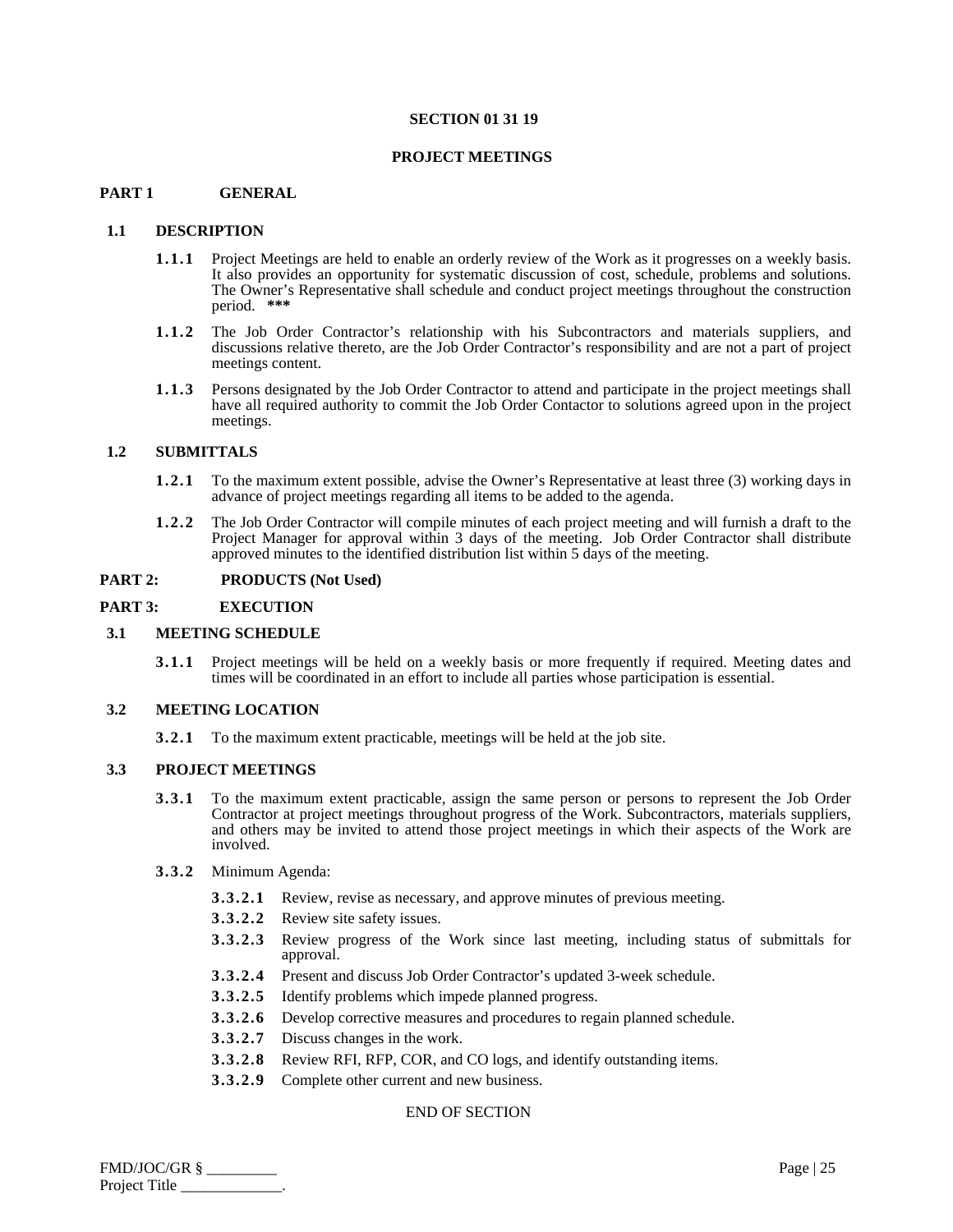#### **SECTION 01 31 19**

#### **PROJECT MEETINGS**

#### **PART 1 GENERAL**

#### **1.1 DESCRIPTION**

- **1.1.1** Project Meetings are held to enable an orderly review of the Work as it progresses on a weekly basis. It also provides an opportunity for systematic discussion of cost, schedule, problems and solutions. The Owner's Representative shall schedule and conduct project meetings throughout the construction period. **\*\*\***
- **1.1.2** The Job Order Contractor's relationship with his Subcontractors and materials suppliers, and discussions relative thereto, are the Job Order Contractor's responsibility and are not a part of project meetings content.
- **1.1.3** Persons designated by the Job Order Contractor to attend and participate in the project meetings shall have all required authority to commit the Job Order Contactor to solutions agreed upon in the project meetings.

#### **1.2 SUBMITTALS**

- **1.2.1** To the maximum extent possible, advise the Owner's Representative at least three (3) working days in advance of project meetings regarding all items to be added to the agenda.
- **1.2.2** The Job Order Contractor will compile minutes of each project meeting and will furnish a draft to the Project Manager for approval within 3 days of the meeting. Job Order Contractor shall distribute approved minutes to the identified distribution list within 5 days of the meeting.

#### **PART 2: PRODUCTS** (Not Used)

#### **PART 3: EXECUTION**

#### **3.1 MEETING SCHEDULE**

**3.1.1** Project meetings will be held on a weekly basis or more frequently if required. Meeting dates and times will be coordinated in an effort to include all parties whose participation is essential.

#### **3.2 MEETING LOCATION**

**3.2.1** To the maximum extent practicable, meetings will be held at the job site.

#### **3.3 PROJECT MEETINGS**

- **3.3.1** To the maximum extent practicable, assign the same person or persons to represent the Job Order Contractor at project meetings throughout progress of the Work. Subcontractors, materials suppliers, and others may be invited to attend those project meetings in which their aspects of the Work are involved.
- **3.3.2** Minimum Agenda:
	- **3.3.2.1** Review, revise as necessary, and approve minutes of previous meeting.
	- **3.3.2.2** Review site safety issues.
	- **3.3.2.3** Review progress of the Work since last meeting, including status of submittals for approval.
	- **3.3.2.4** Present and discuss Job Order Contractor's updated 3-week schedule.
	- **3.3.2.5** Identify problems which impede planned progress.
	- **3.3.2.6** Develop corrective measures and procedures to regain planned schedule.
	- **3.3.2.7** Discuss changes in the work.
	- **3.3.2.8** Review RFI, RFP, COR, and CO logs, and identify outstanding items.
	- **3.3.2.9** Complete other current and new business.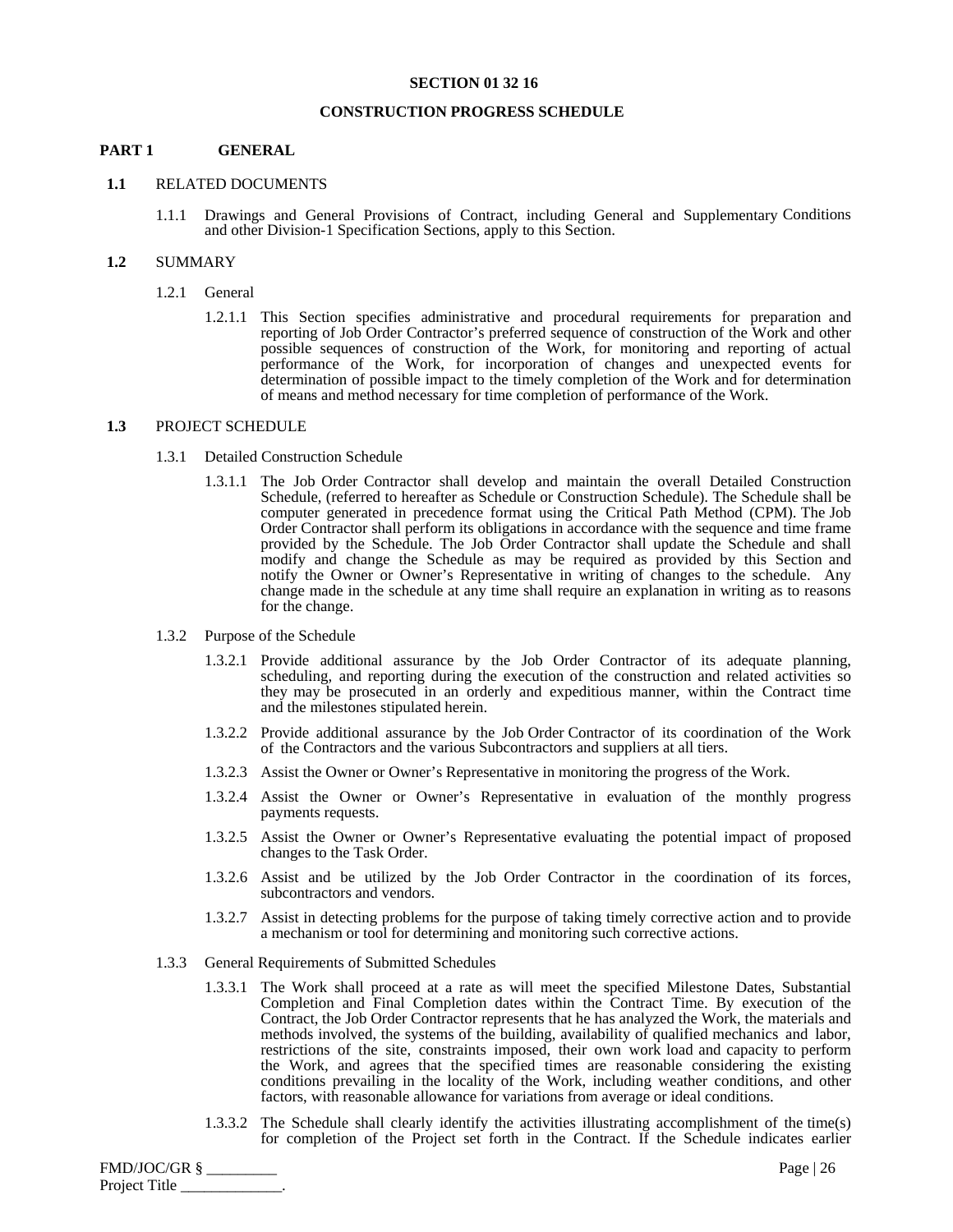#### **SECTION 01 32 16**

#### **CONSTRUCTION PROGRESS SCHEDULE**

## **PART 1 GENERAL**

#### **1.1** RELATED DOCUMENTS

1.1.1 Drawings and General Provisions of Contract, including General and Supplementary Conditions and other Division-1 Specification Sections, apply to this Section.

#### **1.2** SUMMARY

- 1.2.1 General
	- 1.2.1.1 This Section specifies administrative and procedural requirements for preparation and reporting of Job Order Contractor's preferred sequence of construction of the Work and other possible sequences of construction of the Work, for monitoring and reporting of actual performance of the Work, for incorporation of changes and unexpected events for determination of possible impact to the timely completion of the Work and for determination of means and method necessary for time completion of performance of the Work.

#### **1.3** PROJECT SCHEDULE

- 1.3.1 Detailed Construction Schedule
	- 1.3.1.1 The Job Order Contractor shall develop and maintain the overall Detailed Construction Schedule, (referred to hereafter as Schedule or Construction Schedule). The Schedule shall be computer generated in precedence format using the Critical Path Method (CPM). The Job Order Contractor shall perform its obligations in accordance with the sequence and time frame provided by the Schedule. The Job Order Contractor shall update the Schedule and shall modify and change the Schedule as may be required as provided by this Section and notify the Owner or Owner's Representative in writing of changes to the schedule. Any change made in the schedule at any time shall require an explanation in writing as to reasons for the change.
- 1.3.2 Purpose of the Schedule
	- 1.3.2.1 Provide additional assurance by the Job Order Contractor of its adequate planning, scheduling, and reporting during the execution of the construction and related activities so they may be prosecuted in an orderly and expeditious manner, within the Contract time and the milestones stipulated herein.
	- 1.3.2.2 Provide additional assurance by the Job Order Contractor of its coordination of the Work of the Contractors and the various Subcontractors and suppliers at all tiers.
	- 1.3.2.3 Assist the Owner or Owner's Representative in monitoring the progress of the Work.
	- 1.3.2.4 Assist the Owner or Owner's Representative in evaluation of the monthly progress payments requests.
	- 1.3.2.5 Assist the Owner or Owner's Representative evaluating the potential impact of proposed changes to the Task Order.
	- 1.3.2.6 Assist and be utilized by the Job Order Contractor in the coordination of its forces, subcontractors and vendors.
	- 1.3.2.7 Assist in detecting problems for the purpose of taking timely corrective action and to provide a mechanism or tool for determining and monitoring such corrective actions.
- 1.3.3 General Requirements of Submitted Schedules
	- 1.3.3.1 The Work shall proceed at a rate as will meet the specified Milestone Dates, Substantial Completion and Final Completion dates within the Contract Time. By execution of the Contract, the Job Order Contractor represents that he has analyzed the Work, the materials and methods involved, the systems of the building, availability of qualified mechanics and labor, restrictions of the site, constraints imposed, their own work load and capacity to perform the Work, and agrees that the specified times are reasonable considering the existing conditions prevailing in the locality of the Work, including weather conditions, and other factors, with reasonable allowance for variations from average or ideal conditions.
	- 1.3.3.2 The Schedule shall clearly identify the activities illustrating accomplishment of the time(s) for completion of the Project set forth in the Contract. If the Schedule indicates earlier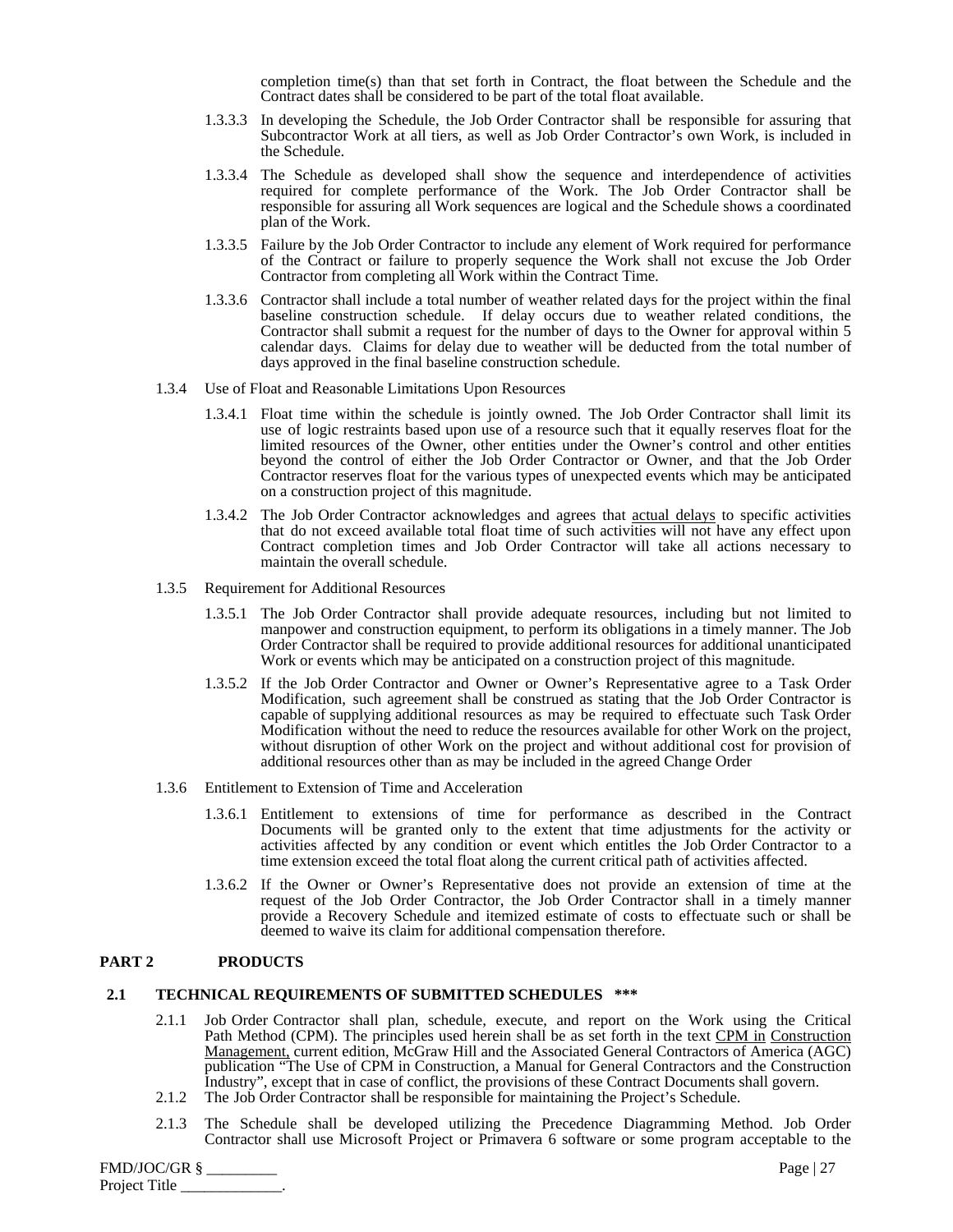completion time(s) than that set forth in Contract, the float between the Schedule and the Contract dates shall be considered to be part of the total float available.

- 1.3.3.3 In developing the Schedule, the Job Order Contractor shall be responsible for assuring that Subcontractor Work at all tiers, as well as Job Order Contractor's own Work, is included in the Schedule.
- 1.3.3.4 The Schedule as developed shall show the sequence and interdependence of activities required for complete performance of the Work. The Job Order Contractor shall be responsible for assuring all Work sequences are logical and the Schedule shows a coordinated plan of the Work.
- 1.3.3.5 Failure by the Job Order Contractor to include any element of Work required for performance of the Contract or failure to properly sequence the Work shall not excuse the Job Order Contractor from completing all Work within the Contract Time.
- 1.3.3.6 Contractor shall include a total number of weather related days for the project within the final baseline construction schedule. If delay occurs due to weather related conditions, the Contractor shall submit a request for the number of days to the Owner for approval within 5 calendar days. Claims for delay due to weather will be deducted from the total number of days approved in the final baseline construction schedule.
- 1.3.4 Use of Float and Reasonable Limitations Upon Resources
	- 1.3.4.1 Float time within the schedule is jointly owned. The Job Order Contractor shall limit its use of logic restraints based upon use of a resource such that it equally reserves float for the limited resources of the Owner, other entities under the Owner's control and other entities beyond the control of either the Job Order Contractor or Owner, and that the Job Order Contractor reserves float for the various types of unexpected events which may be anticipated on a construction project of this magnitude.
	- 1.3.4.2 The Job Order Contractor acknowledges and agrees that actual delays to specific activities that do not exceed available total float time of such activities will not have any effect upon Contract completion times and Job Order Contractor will take all actions necessary to maintain the overall schedule.
- 1.3.5 Requirement for Additional Resources
	- 1.3.5.1 The Job Order Contractor shall provide adequate resources, including but not limited to manpower and construction equipment, to perform its obligations in a timely manner. The Job Order Contractor shall be required to provide additional resources for additional unanticipated Work or events which may be anticipated on a construction project of this magnitude.
	- 1.3.5.2 If the Job Order Contractor and Owner or Owner's Representative agree to a Task Order Modification, such agreement shall be construed as stating that the Job Order Contractor is capable of supplying additional resources as may be required to effectuate such Task Order Modification without the need to reduce the resources available for other Work on the project, without disruption of other Work on the project and without additional cost for provision of additional resources other than as may be included in the agreed Change Order
- 1.3.6 Entitlement to Extension of Time and Acceleration
	- 1.3.6.1 Entitlement to extensions of time for performance as described in the Contract Documents will be granted only to the extent that time adjustments for the activity or activities affected by any condition or event which entitles the Job Order Contractor to a time extension exceed the total float along the current critical path of activities affected.
	- 1.3.6.2 If the Owner or Owner's Representative does not provide an extension of time at the request of the Job Order Contractor, the Job Order Contractor shall in a timely manner provide a Recovery Schedule and itemized estimate of costs to effectuate such or shall be deemed to waive its claim for additional compensation therefore.

#### **PART 2 PRODUCTS**

#### **2.1 TECHNICAL REQUIREMENTS OF SUBMITTED SCHEDULES \*\*\***

- 2.1.1 Job Order Contractor shall plan, schedule, execute, and report on the Work using the Critical Path Method (CPM). The principles used herein shall be as set forth in the text CPM in Construction Management, current edition, McGraw Hill and the Associated General Contractors of America (AGC) publication "The Use of CPM in Construction, a Manual for General Contractors and the Construction Industry", except that in case of conflict, the provisions of these Contract Documents shall govern. 2.1.2 The Job Order Contractor shall be responsible for maintaining the Project's Schedule.
- 2.1.3 The Schedule shall be developed utilizing the Precedence Diagramming Method. Job Order
- Contractor shall use Microsoft Project or Primavera 6 software or some program acceptable to the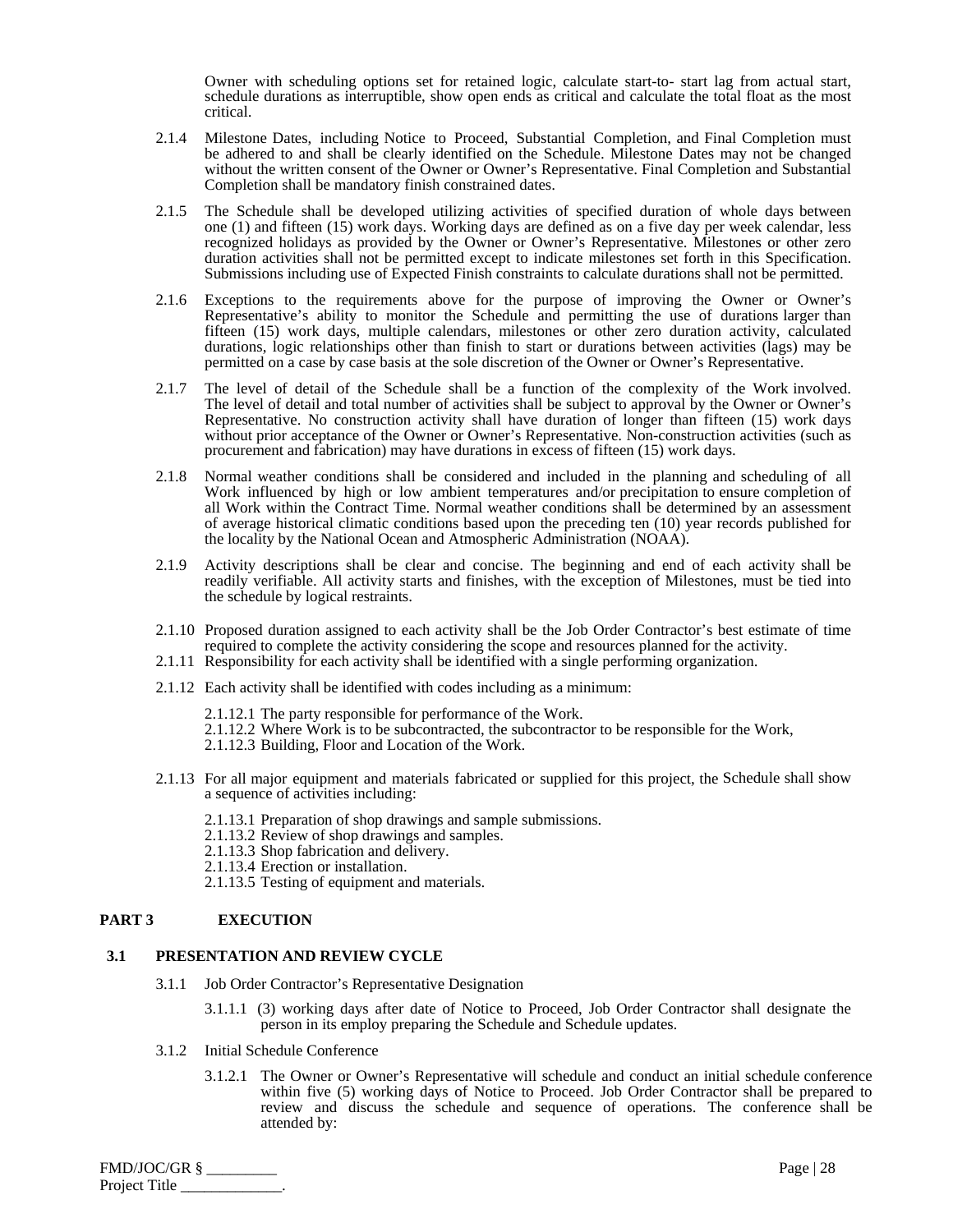Owner with scheduling options set for retained logic, calculate start-to- start lag from actual start, schedule durations as interruptible, show open ends as critical and calculate the total float as the most critical.

- 2.1.4 Milestone Dates, including Notice to Proceed, Substantial Completion, and Final Completion must be adhered to and shall be clearly identified on the Schedule. Milestone Dates may not be changed without the written consent of the Owner or Owner's Representative. Final Completion and Substantial Completion shall be mandatory finish constrained dates.
- 2.1.5 The Schedule shall be developed utilizing activities of specified duration of whole days between one (1) and fifteen (15) work days. Working days are defined as on a five day per week calendar, less recognized holidays as provided by the Owner or Owner's Representative. Milestones or other zero duration activities shall not be permitted except to indicate milestones set forth in this Specification. Submissions including use of Expected Finish constraints to calculate durations shall not be permitted.
- 2.1.6 Exceptions to the requirements above for the purpose of improving the Owner or Owner's Representative's ability to monitor the Schedule and permitting the use of durations larger than fifteen (15) work days, multiple calendars, milestones or other zero duration activity, calculated durations, logic relationships other than finish to start or durations between activities (lags) may be permitted on a case by case basis at the sole discretion of the Owner or Owner's Representative.
- 2.1.7 The level of detail of the Schedule shall be a function of the complexity of the Work involved. The level of detail and total number of activities shall be subject to approval by the Owner or Owner's Representative. No construction activity shall have duration of longer than fifteen (15) work days without prior acceptance of the Owner or Owner's Representative. Non-construction activities (such as procurement and fabrication) may have durations in excess of fifteen (15) work days.
- 2.1.8 Normal weather conditions shall be considered and included in the planning and scheduling of all Work influenced by high or low ambient temperatures and/or precipitation to ensure completion of all Work within the Contract Time. Normal weather conditions shall be determined by an assessment of average historical climatic conditions based upon the preceding ten (10) year records published for the locality by the National Ocean and Atmospheric Administration (NOAA).
- 2.1.9 Activity descriptions shall be clear and concise. The beginning and end of each activity shall be readily verifiable. All activity starts and finishes, with the exception of Milestones, must be tied into the schedule by logical restraints.
- 2.1.10 Proposed duration assigned to each activity shall be the Job Order Contractor's best estimate of time required to complete the activity considering the scope and resources planned for the activity.
- 2.1.11 Responsibility for each activity shall be identified with a single performing organization.
- 2.1.12 Each activity shall be identified with codes including as a minimum:
	- 2.1.12.1 The party responsible for performance of the Work.
	- 2.1.12.2 Where Work is to be subcontracted, the subcontractor to be responsible for the Work,
	- 2.1.12.3 Building, Floor and Location of the Work.
- 2.1.13 For all major equipment and materials fabricated or supplied for this project, the Schedule shall show a sequence of activities including:
	- 2.1.13.1 Preparation of shop drawings and sample submissions.
	- 2.1.13.2 Review of shop drawings and samples.
	- 2.1.13.3 Shop fabrication and delivery.
	- 2.1.13.4 Erection or installation.
	- 2.1.13.5 Testing of equipment and materials.

#### **PART 3 EXECUTION**

#### **3.1 PRESENTATION AND REVIEW CYCLE**

- 3.1.1 Job Order Contractor's Representative Designation
	- 3.1.1.1 (3) working days after date of Notice to Proceed, Job Order Contractor shall designate the person in its employ preparing the Schedule and Schedule updates.
- 3.1.2 Initial Schedule Conference
	- 3.1.2.1 The Owner or Owner's Representative will schedule and conduct an initial schedule conference within five (5) working days of Notice to Proceed. Job Order Contractor shall be prepared to review and discuss the schedule and sequence of operations. The conference shall be attended by:

FMD/JOC/GR § \_\_\_\_\_\_\_\_\_ Page | 28 Project Title \_\_\_\_\_\_\_\_\_\_\_\_\_.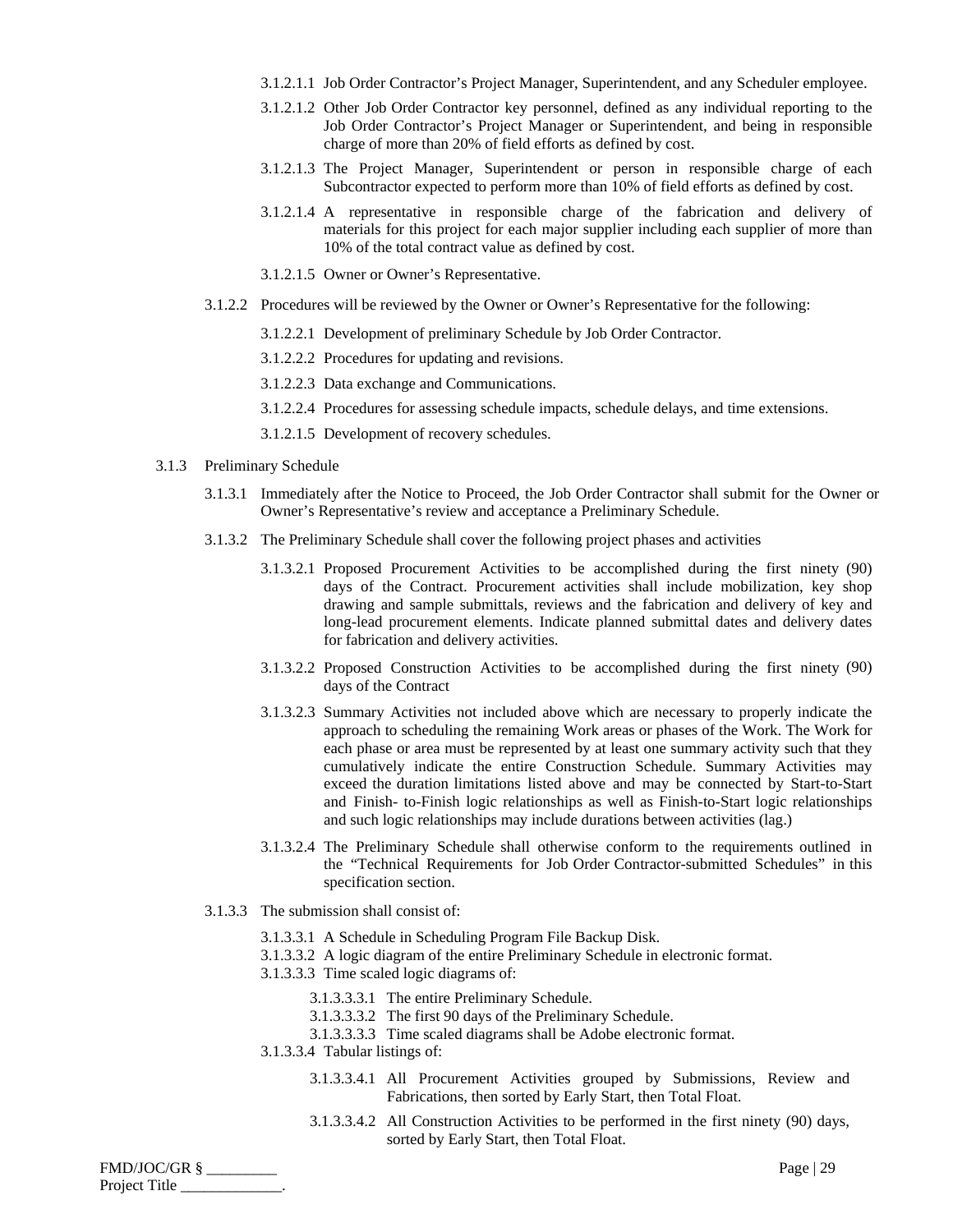- 3.1.2.1.1 Job Order Contractor's Project Manager, Superintendent, and any Scheduler employee.
- 3.1.2.1.2 Other Job Order Contractor key personnel, defined as any individual reporting to the Job Order Contractor's Project Manager or Superintendent, and being in responsible charge of more than 20% of field efforts as defined by cost.
- 3.1.2.1.3 The Project Manager, Superintendent or person in responsible charge of each Subcontractor expected to perform more than 10% of field efforts as defined by cost.
- 3.1.2.1.4 A representative in responsible charge of the fabrication and delivery of materials for this project for each major supplier including each supplier of more than 10% of the total contract value as defined by cost.
- 3.1.2.1.5 Owner or Owner's Representative.
- 3.1.2.2 Procedures will be reviewed by the Owner or Owner's Representative for the following:
	- 3.1.2.2.1 Development of preliminary Schedule by Job Order Contractor.
	- 3.1.2.2.2 Procedures for updating and revisions.
	- 3.1.2.2.3 Data exchange and Communications.
	- 3.1.2.2.4 Procedures for assessing schedule impacts, schedule delays, and time extensions.
	- 3.1.2.1.5 Development of recovery schedules.
- 3.1.3 Preliminary Schedule
	- 3.1.3.1 Immediately after the Notice to Proceed, the Job Order Contractor shall submit for the Owner or Owner's Representative's review and acceptance a Preliminary Schedule.
	- 3.1.3.2 The Preliminary Schedule shall cover the following project phases and activities
		- 3.1.3.2.1 Proposed Procurement Activities to be accomplished during the first ninety (90) days of the Contract. Procurement activities shall include mobilization, key shop drawing and sample submittals, reviews and the fabrication and delivery of key and long-lead procurement elements. Indicate planned submittal dates and delivery dates for fabrication and delivery activities.
		- 3.1.3.2.2 Proposed Construction Activities to be accomplished during the first ninety (90) days of the Contract
		- 3.1.3.2.3 Summary Activities not included above which are necessary to properly indicate the approach to scheduling the remaining Work areas or phases of the Work. The Work for each phase or area must be represented by at least one summary activity such that they cumulatively indicate the entire Construction Schedule. Summary Activities may exceed the duration limitations listed above and may be connected by Start-to-Start and Finish- to-Finish logic relationships as well as Finish-to-Start logic relationships and such logic relationships may include durations between activities (lag.)
		- 3.1.3.2.4 The Preliminary Schedule shall otherwise conform to the requirements outlined in the "Technical Requirements for Job Order Contractor-submitted Schedules" in this specification section.
	- 3.1.3.3 The submission shall consist of:
		- 3.1.3.3.1 A Schedule in Scheduling Program File Backup Disk.
		- 3.1.3.3.2 A logic diagram of the entire Preliminary Schedule in electronic format.
		- 3.1.3.3.3 Time scaled logic diagrams of:
			- 3.1.3.3.3.1 The entire Preliminary Schedule.
			- 3.1.3.3.3.2 The first 90 days of the Preliminary Schedule.
			- 3.1.3.3.3.3 Time scaled diagrams shall be Adobe electronic format.
		- 3.1.3.3.4 Tabular listings of:
			- 3.1.3.3.4.1 All Procurement Activities grouped by Submissions, Review and Fabrications, then sorted by Early Start, then Total Float.
			- 3.1.3.3.4.2 All Construction Activities to be performed in the first ninety (90) days, sorted by Early Start, then Total Float.

FMD/JOC/GR § \_\_\_\_\_\_\_\_\_ Page | 29 Project Title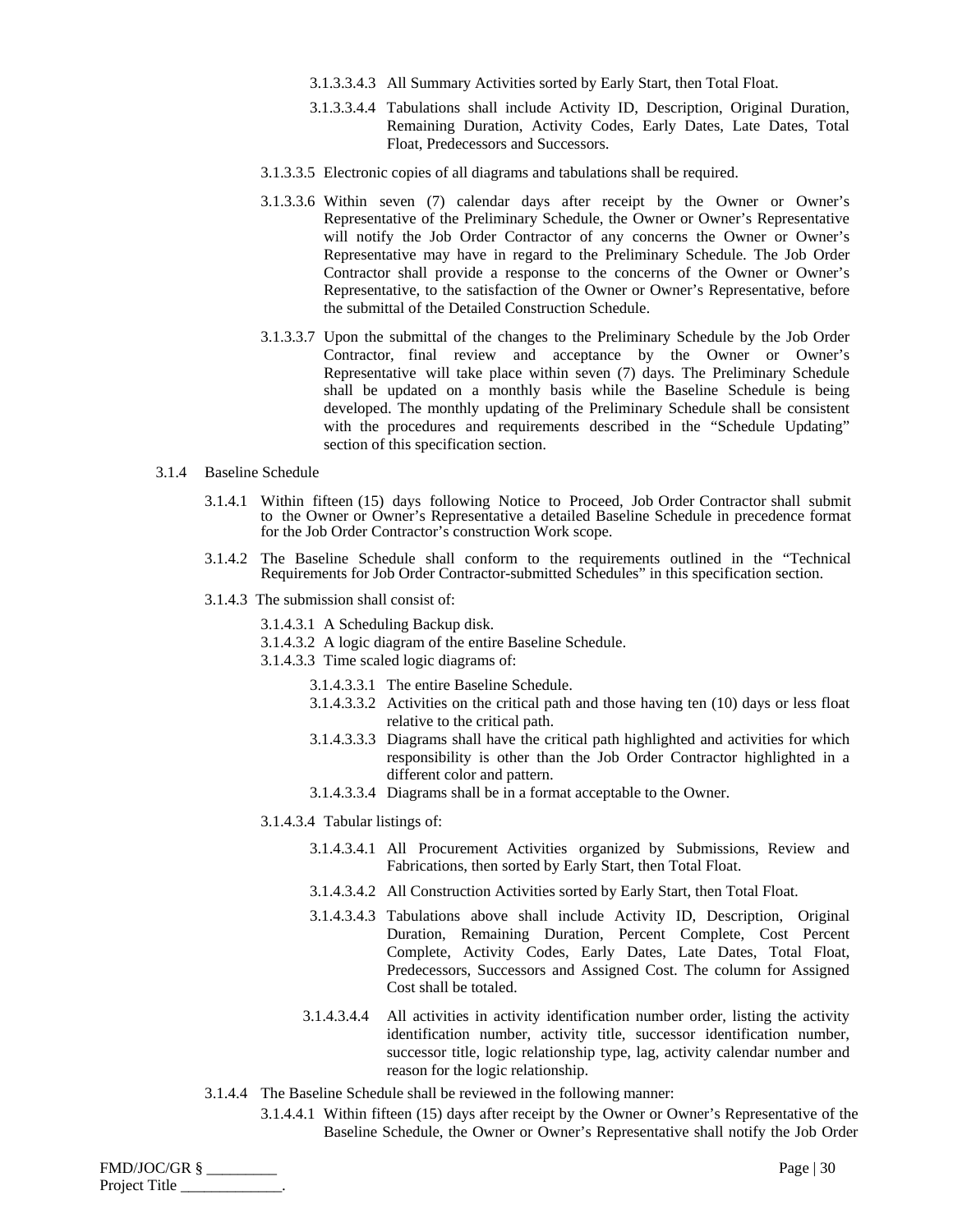- 3.1.3.3.4.3 All Summary Activities sorted by Early Start, then Total Float.
- 3.1.3.3.4.4 Tabulations shall include Activity ID, Description, Original Duration, Remaining Duration, Activity Codes, Early Dates, Late Dates, Total Float, Predecessors and Successors.
- 3.1.3.3.5 Electronic copies of all diagrams and tabulations shall be required.
- 3.1.3.3.6 Within seven (7) calendar days after receipt by the Owner or Owner's Representative of the Preliminary Schedule, the Owner or Owner's Representative will notify the Job Order Contractor of any concerns the Owner or Owner's Representative may have in regard to the Preliminary Schedule. The Job Order Contractor shall provide a response to the concerns of the Owner or Owner's Representative, to the satisfaction of the Owner or Owner's Representative, before the submittal of the Detailed Construction Schedule.
- 3.1.3.3.7 Upon the submittal of the changes to the Preliminary Schedule by the Job Order Contractor, final review and acceptance by the Owner or Owner's Representative will take place within seven (7) days. The Preliminary Schedule shall be updated on a monthly basis while the Baseline Schedule is being developed. The monthly updating of the Preliminary Schedule shall be consistent with the procedures and requirements described in the "Schedule Updating" section of this specification section.
- 3.1.4 Baseline Schedule
	- 3.1.4.1 Within fifteen (15) days following Notice to Proceed, Job Order Contractor shall submit to the Owner or Owner's Representative a detailed Baseline Schedule in precedence format for the Job Order Contractor's construction Work scope.
	- 3.1.4.2 The Baseline Schedule shall conform to the requirements outlined in the "Technical Requirements for Job Order Contractor-submitted Schedules" in this specification section.
	- 3.1.4.3 The submission shall consist of:
		- 3.1.4.3.1 A Scheduling Backup disk.
		- 3.1.4.3.2 A logic diagram of the entire Baseline Schedule.
		- 3.1.4.3.3 Time scaled logic diagrams of:
			- 3.1.4.3.3.1 The entire Baseline Schedule.
			- 3.1.4.3.3.2 Activities on the critical path and those having ten (10) days or less float relative to the critical path.
			- 3.1.4.3.3.3 Diagrams shall have the critical path highlighted and activities for which responsibility is other than the Job Order Contractor highlighted in a different color and pattern.
			- 3.1.4.3.3.4 Diagrams shall be in a format acceptable to the Owner.
		- 3.1.4.3.4 Tabular listings of:
			- 3.1.4.3.4.1 All Procurement Activities organized by Submissions, Review and Fabrications, then sorted by Early Start, then Total Float.
			- 3.1.4.3.4.2 All Construction Activities sorted by Early Start, then Total Float.
			- 3.1.4.3.4.3 Tabulations above shall include Activity ID, Description, Original Duration, Remaining Duration, Percent Complete, Cost Percent Complete, Activity Codes, Early Dates, Late Dates, Total Float, Predecessors, Successors and Assigned Cost. The column for Assigned Cost shall be totaled.
			- 3.1.4.3.4.4 All activities in activity identification number order, listing the activity identification number, activity title, successor identification number, successor title, logic relationship type, lag, activity calendar number and reason for the logic relationship.
	- 3.1.4.4 The Baseline Schedule shall be reviewed in the following manner:
		- 3.1.4.4.1 Within fifteen (15) days after receipt by the Owner or Owner's Representative of the Baseline Schedule, the Owner or Owner's Representative shall notify the Job Order

| FMD/JOC/GR §  | Page   $30$ |
|---------------|-------------|
| Project Title |             |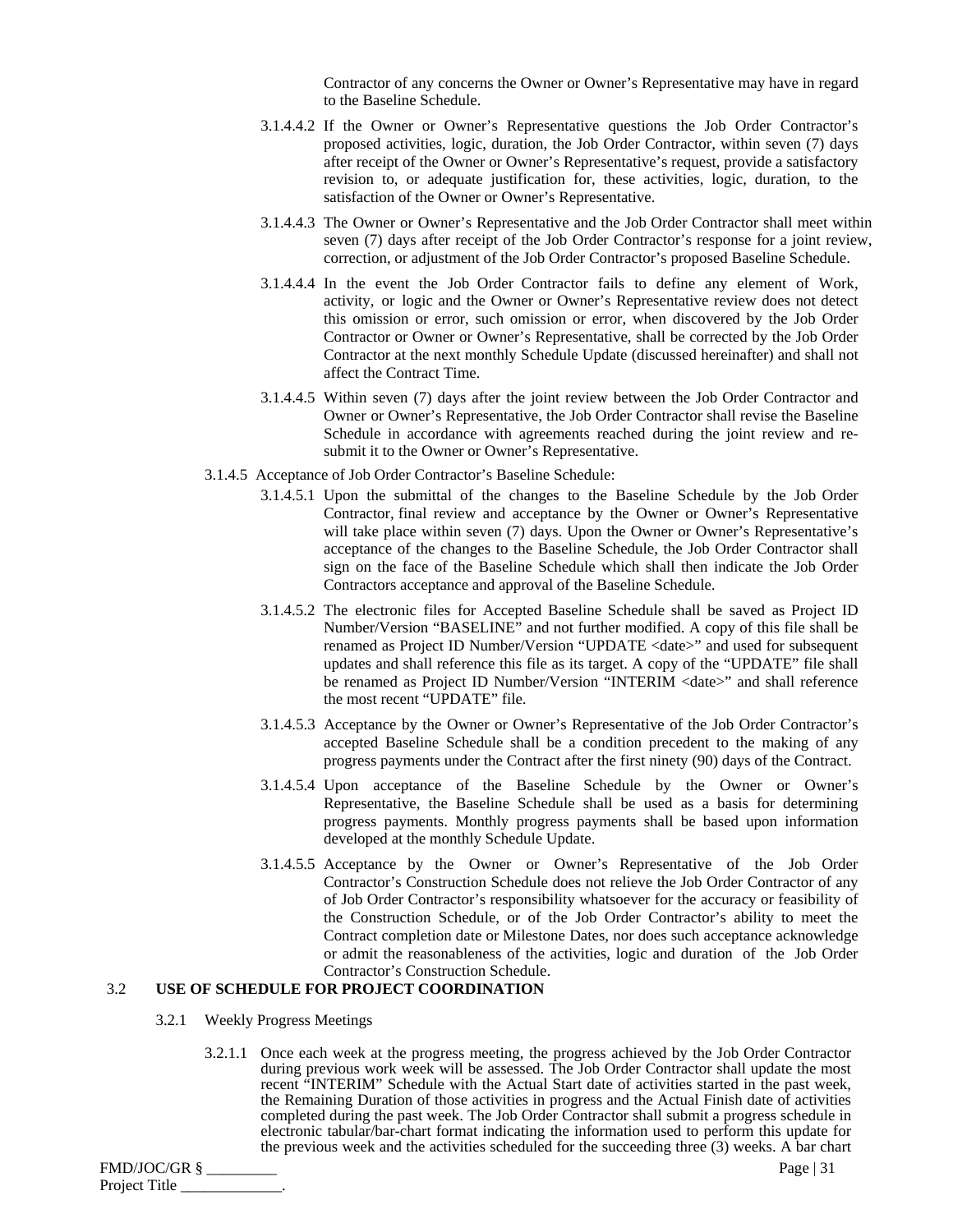Contractor of any concerns the Owner or Owner's Representative may have in regard to the Baseline Schedule.

- 3.1.4.4.2 If the Owner or Owner's Representative questions the Job Order Contractor's proposed activities, logic, duration, the Job Order Contractor, within seven (7) days after receipt of the Owner or Owner's Representative's request, provide a satisfactory revision to, or adequate justification for, these activities, logic, duration, to the satisfaction of the Owner or Owner's Representative.
- 3.1.4.4.3 The Owner or Owner's Representative and the Job Order Contractor shall meet within seven (7) days after receipt of the Job Order Contractor's response for a joint review, correction, or adjustment of the Job Order Contractor's proposed Baseline Schedule.
- 3.1.4.4.4 In the event the Job Order Contractor fails to define any element of Work, activity, or logic and the Owner or Owner's Representative review does not detect this omission or error, such omission or error, when discovered by the Job Order Contractor or Owner or Owner's Representative, shall be corrected by the Job Order Contractor at the next monthly Schedule Update (discussed hereinafter) and shall not affect the Contract Time.
- 3.1.4.4.5 Within seven (7) days after the joint review between the Job Order Contractor and Owner or Owner's Representative, the Job Order Contractor shall revise the Baseline Schedule in accordance with agreements reached during the joint review and resubmit it to the Owner or Owner's Representative.
- 3.1.4.5 Acceptance of Job Order Contractor's Baseline Schedule:
	- 3.1.4.5.1 Upon the submittal of the changes to the Baseline Schedule by the Job Order Contractor, final review and acceptance by the Owner or Owner's Representative will take place within seven (7) days. Upon the Owner or Owner's Representative's acceptance of the changes to the Baseline Schedule, the Job Order Contractor shall sign on the face of the Baseline Schedule which shall then indicate the Job Order Contractors acceptance and approval of the Baseline Schedule.
	- 3.1.4.5.2 The electronic files for Accepted Baseline Schedule shall be saved as Project ID Number/Version "BASELINE" and not further modified. A copy of this file shall be renamed as Project ID Number/Version "UPDATE <date>" and used for subsequent updates and shall reference this file as its target. A copy of the "UPDATE" file shall be renamed as Project ID Number/Version "INTERIM <date>" and shall reference the most recent "UPDATE" file.
	- 3.1.4.5.3 Acceptance by the Owner or Owner's Representative of the Job Order Contractor's accepted Baseline Schedule shall be a condition precedent to the making of any progress payments under the Contract after the first ninety (90) days of the Contract.
	- 3.1.4.5.4 Upon acceptance of the Baseline Schedule by the Owner or Owner's Representative, the Baseline Schedule shall be used as a basis for determining progress payments. Monthly progress payments shall be based upon information developed at the monthly Schedule Update.
	- 3.1.4.5.5 Acceptance by the Owner or Owner's Representative of the Job Order Contractor's Construction Schedule does not relieve the Job Order Contractor of any of Job Order Contractor's responsibility whatsoever for the accuracy or feasibility of the Construction Schedule, or of the Job Order Contractor's ability to meet the Contract completion date or Milestone Dates, nor does such acceptance acknowledge or admit the reasonableness of the activities, logic and duration of the Job Order Contractor's Construction Schedule.

## 3.2 **USE OF SCHEDULE FOR PROJECT COORDINATION**

- 3.2.1 Weekly Progress Meetings
	- 3.2.1.1 Once each week at the progress meeting, the progress achieved by the Job Order Contractor during previous work week will be assessed. The Job Order Contractor shall update the most recent "INTERIM" Schedule with the Actual Start date of activities started in the past week, the Remaining Duration of those activities in progress and the Actual Finish date of activities completed during the past week. The Job Order Contractor shall submit a progress schedule in electronic tabular/bar-chart format indicating the information used to perform this update for the previous week and the activities scheduled for the succeeding three (3) weeks. A bar chart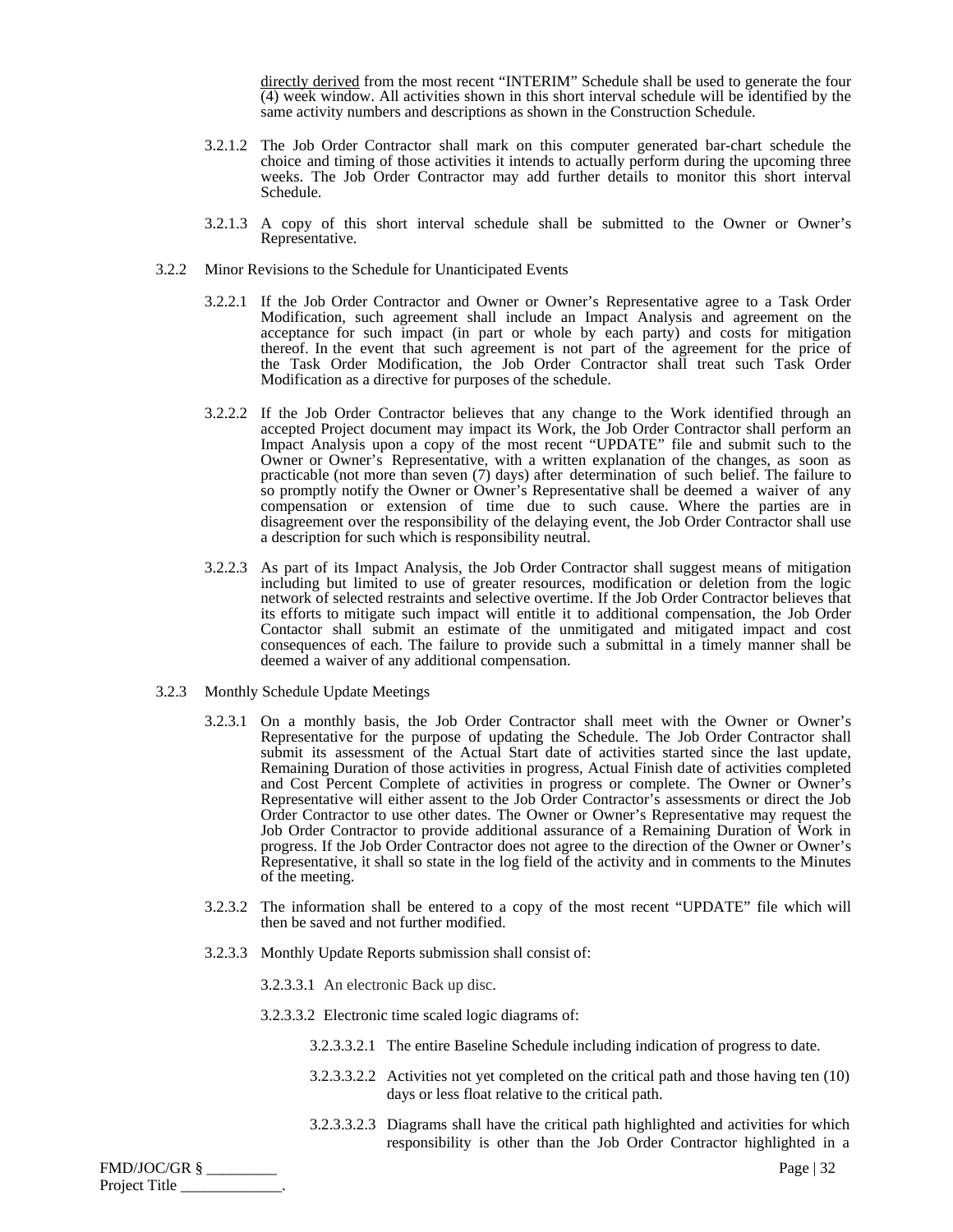directly derived from the most recent "INTERIM" Schedule shall be used to generate the four (4) week window. All activities shown in this short interval schedule will be identified by the same activity numbers and descriptions as shown in the Construction Schedule.

- 3.2.1.2 The Job Order Contractor shall mark on this computer generated bar-chart schedule the choice and timing of those activities it intends to actually perform during the upcoming three weeks. The Job Order Contractor may add further details to monitor this short interval Schedule.
- 3.2.1.3 A copy of this short interval schedule shall be submitted to the Owner or Owner's Representative.
- 3.2.2 Minor Revisions to the Schedule for Unanticipated Events
	- 3.2.2.1 If the Job Order Contractor and Owner or Owner's Representative agree to a Task Order Modification, such agreement shall include an Impact Analysis and agreement on the acceptance for such impact (in part or whole by each party) and costs for mitigation thereof. In the event that such agreement is not part of the agreement for the price of the Task Order Modification, the Job Order Contractor shall treat such Task Order Modification as a directive for purposes of the schedule.
	- 3.2.2.2 If the Job Order Contractor believes that any change to the Work identified through an accepted Project document may impact its Work, the Job Order Contractor shall perform an Impact Analysis upon a copy of the most recent "UPDATE" file and submit such to the Owner or Owner's Representative, with a written explanation of the changes, as soon as practicable (not more than seven (7) days) after determination of such belief. The failure to so promptly notify the Owner or Owner's Representative shall be deemed a waiver of any compensation or extension of time due to such cause. Where the parties are in disagreement over the responsibility of the delaying event, the Job Order Contractor shall use a description for such which is responsibility neutral.
	- 3.2.2.3 As part of its Impact Analysis, the Job Order Contractor shall suggest means of mitigation including but limited to use of greater resources, modification or deletion from the logic network of selected restraints and selective overtime. If the Job Order Contractor believes that its efforts to mitigate such impact will entitle it to additional compensation, the Job Order Contactor shall submit an estimate of the unmitigated and mitigated impact and cost consequences of each. The failure to provide such a submittal in a timely manner shall be deemed a waiver of any additional compensation.
- 3.2.3 Monthly Schedule Update Meetings
	- 3.2.3.1 On a monthly basis, the Job Order Contractor shall meet with the Owner or Owner's Representative for the purpose of updating the Schedule. The Job Order Contractor shall submit its assessment of the Actual Start date of activities started since the last update, Remaining Duration of those activities in progress, Actual Finish date of activities completed and Cost Percent Complete of activities in progress or complete. The Owner or Owner's Representative will either assent to the Job Order Contractor's assessments or direct the Job Order Contractor to use other dates. The Owner or Owner's Representative may request the Job Order Contractor to provide additional assurance of a Remaining Duration of Work in progress. If the Job Order Contractor does not agree to the direction of the Owner or Owner's Representative, it shall so state in the log field of the activity and in comments to the Minutes of the meeting.
	- 3.2.3.2 The information shall be entered to a copy of the most recent "UPDATE" file which will then be saved and not further modified.
	- 3.2.3.3 Monthly Update Reports submission shall consist of:
		- 3.2.3.3.1 An electronic Back up disc.
		- 3.2.3.3.2 Electronic time scaled logic diagrams of:
			- 3.2.3.3.2.1 The entire Baseline Schedule including indication of progress to date.
			- 3.2.3.3.2.2 Activities not yet completed on the critical path and those having ten (10) days or less float relative to the critical path.
			- 3.2.3.3.2.3 Diagrams shall have the critical path highlighted and activities for which responsibility is other than the Job Order Contractor highlighted in a

| FMD/JOC/GR §  | Page $ 32$ |
|---------------|------------|
| Project Title |            |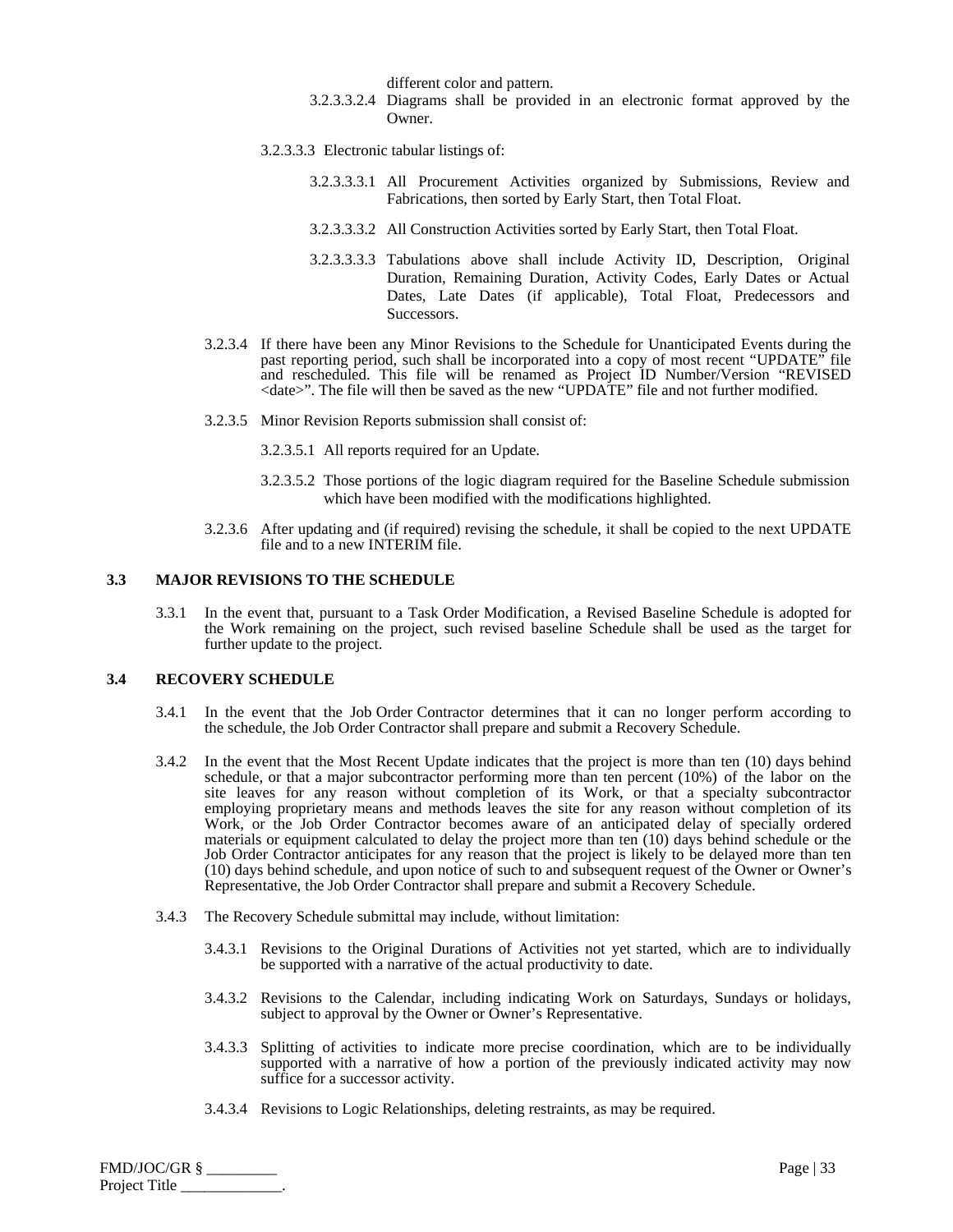different color and pattern.

- 3.2.3.3.2.4 Diagrams shall be provided in an electronic format approved by the Owner.
- 3.2.3.3.3 Electronic tabular listings of:
	- 3.2.3.3.3.1 All Procurement Activities organized by Submissions, Review and Fabrications, then sorted by Early Start, then Total Float.
	- 3.2.3.3.3.2 All Construction Activities sorted by Early Start, then Total Float.
	- 3.2.3.3.3.3 Tabulations above shall include Activity ID, Description, Original Duration, Remaining Duration, Activity Codes, Early Dates or Actual Dates, Late Dates (if applicable), Total Float, Predecessors and Successors.
- 3.2.3.4 If there have been any Minor Revisions to the Schedule for Unanticipated Events during the past reporting period, such shall be incorporated into a copy of most recent "UPDATE" file and rescheduled. This file will be renamed as Project ID Number/Version "REVISED <date>". The file will then be saved as the new "UPDATE" file and not further modified.
- 3.2.3.5 Minor Revision Reports submission shall consist of:
	- 3.2.3.5.1 All reports required for an Update.
	- 3.2.3.5.2 Those portions of the logic diagram required for the Baseline Schedule submission which have been modified with the modifications highlighted.
- 3.2.3.6 After updating and (if required) revising the schedule, it shall be copied to the next UPDATE file and to a new INTERIM file.

#### **3.3 MAJOR REVISIONS TO THE SCHEDULE**

3.3.1 In the event that, pursuant to a Task Order Modification, a Revised Baseline Schedule is adopted for the Work remaining on the project, such revised baseline Schedule shall be used as the target for further update to the project.

## **3.4 RECOVERY SCHEDULE**

- 3.4.1 In the event that the Job Order Contractor determines that it can no longer perform according to the schedule, the Job Order Contractor shall prepare and submit a Recovery Schedule.
- 3.4.2 In the event that the Most Recent Update indicates that the project is more than ten (10) days behind schedule, or that a major subcontractor performing more than ten percent (10%) of the labor on the site leaves for any reason without completion of its Work, or that a specialty subcontractor employing proprietary means and methods leaves the site for any reason without completion of its Work, or the Job Order Contractor becomes aware of an anticipated delay of specially ordered materials or equipment calculated to delay the project more than ten (10) days behind schedule or the Job Order Contractor anticipates for any reason that the project is likely to be delayed more than ten (10) days behind schedule, and upon notice of such to and subsequent request of the Owner or Owner's Representative, the Job Order Contractor shall prepare and submit a Recovery Schedule.
- 3.4.3 The Recovery Schedule submittal may include, without limitation:
	- 3.4.3.1 Revisions to the Original Durations of Activities not yet started, which are to individually be supported with a narrative of the actual productivity to date.
	- 3.4.3.2 Revisions to the Calendar, including indicating Work on Saturdays, Sundays or holidays, subject to approval by the Owner or Owner's Representative.
	- 3.4.3.3 Splitting of activities to indicate more precise coordination, which are to be individually supported with a narrative of how a portion of the previously indicated activity may now suffice for a successor activity.
	- 3.4.3.4 Revisions to Logic Relationships, deleting restraints, as may be required.

FMD/JOC/GR § \_\_\_\_\_\_\_\_\_ Page | 33 Project Title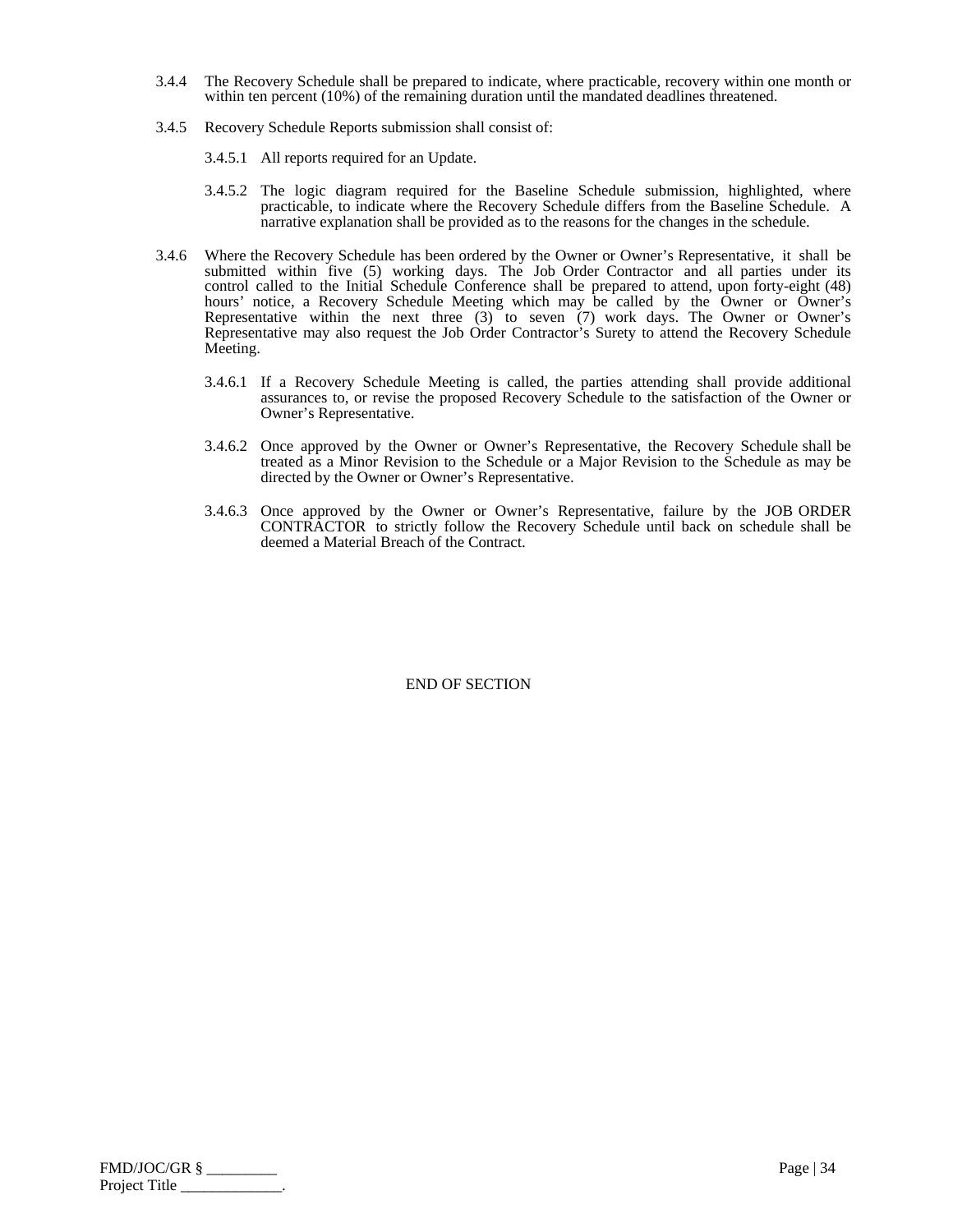- 3.4.4 The Recovery Schedule shall be prepared to indicate, where practicable, recovery within one month or within ten percent (10%) of the remaining duration until the mandated deadlines threatened.
- 3.4.5 Recovery Schedule Reports submission shall consist of:
	- 3.4.5.1 All reports required for an Update.
	- 3.4.5.2 The logic diagram required for the Baseline Schedule submission, highlighted, where practicable, to indicate where the Recovery Schedule differs from the Baseline Schedule. A narrative explanation shall be provided as to the reasons for the changes in the schedule.
- 3.4.6 Where the Recovery Schedule has been ordered by the Owner or Owner's Representative, it shall be submitted within five (5) working days. The Job Order Contractor and all parties under its control called to the Initial Schedule Conference shall be prepared to attend, upon forty-eight (48) hours' notice, a Recovery Schedule Meeting which may be called by the Owner or Owner's Representative within the next three (3) to seven (7) work days. The Owner or Owner's Representative may also request the Job Order Contractor's Surety to attend the Recovery Schedule Meeting.
	- 3.4.6.1 If a Recovery Schedule Meeting is called, the parties attending shall provide additional assurances to, or revise the proposed Recovery Schedule to the satisfaction of the Owner or Owner's Representative.
	- 3.4.6.2 Once approved by the Owner or Owner's Representative, the Recovery Schedule shall be treated as a Minor Revision to the Schedule or a Major Revision to the Schedule as may be directed by the Owner or Owner's Representative.
	- 3.4.6.3 Once approved by the Owner or Owner's Representative, failure by the JOB ORDER CONTRACTOR to strictly follow the Recovery Schedule until back on schedule shall be deemed a Material Breach of the Contract.

| FMD/JOC/GR §  | Page $ 34$ |
|---------------|------------|
| Project Title |            |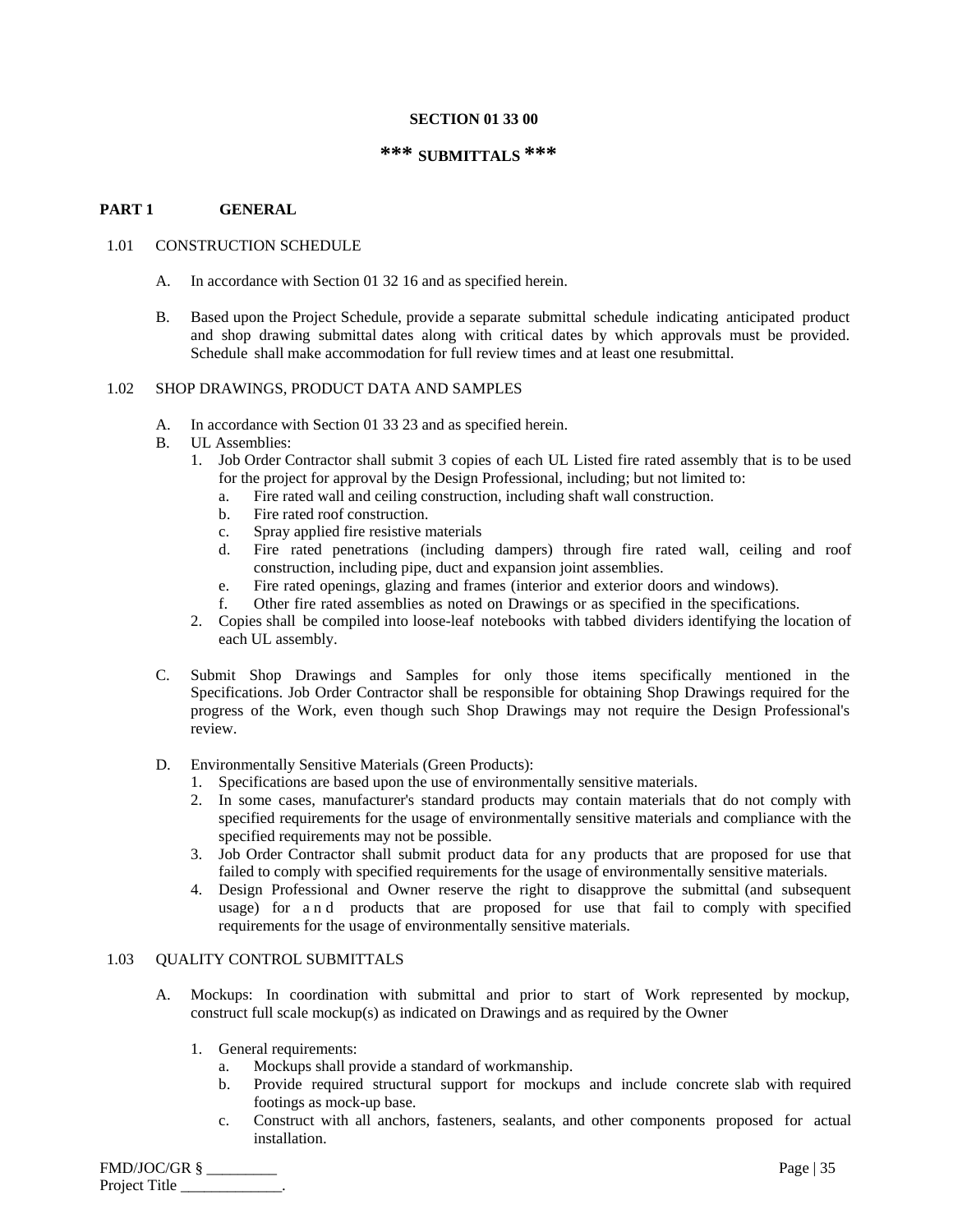#### **SECTION 01 33 00**

## **\*\*\* SUBMITTALS \*\*\***

#### **PART 1 GENERAL**

#### 1.01 CONSTRUCTION SCHEDULE

- A. In accordance with Section 01 32 16 and as specified herein.
- B. Based upon the Project Schedule, provide a separate submittal schedule indicating anticipated product and shop drawing submittal dates along with critical dates by which approvals must be provided. Schedule shall make accommodation for full review times and at least one resubmittal.

#### 1.02 SHOP DRAWINGS, PRODUCT DATA AND SAMPLES

- A. In accordance with Section 01 33 23 and as specified herein.
- B. UL Assemblies:
	- 1. Job Order Contractor shall submit 3 copies of each UL Listed fire rated assembly that is to be used for the project for approval by the Design Professional, including; but not limited to:
		- a. Fire rated wall and ceiling construction, including shaft wall construction.
		- b. Fire rated roof construction.
		- c. Spray applied fire resistive materials
		- d. Fire rated penetrations (including dampers) through fire rated wall, ceiling and roof construction, including pipe, duct and expansion joint assemblies.
		- e. Fire rated openings, glazing and frames (interior and exterior doors and windows).
		- f. Other fire rated assemblies as noted on Drawings or as specified in the specifications.
	- 2. Copies shall be compiled into loose-leaf notebooks with tabbed dividers identifying the location of each UL assembly.
- C. Submit Shop Drawings and Samples for only those items specifically mentioned in the Specifications. Job Order Contractor shall be responsible for obtaining Shop Drawings required for the progress of the Work, even though such Shop Drawings may not require the Design Professional's review.
- D. Environmentally Sensitive Materials (Green Products):
	- 1. Specifications are based upon the use of environmentally sensitive materials.
	- 2. In some cases, manufacturer's standard products may contain materials that do not comply with specified requirements for the usage of environmentally sensitive materials and compliance with the specified requirements may not be possible.
	- 3. Job Order Contractor shall submit product data for any products that are proposed for use that failed to comply with specified requirements for the usage of environmentally sensitive materials.
	- 4. Design Professional and Owner reserve the right to disapprove the submittal (and subsequent usage) for a n d products that are proposed for use that fail to comply with specified requirements for the usage of environmentally sensitive materials.

## 1.03 QUALITY CONTROL SUBMITTALS

- A. Mockups: In coordination with submittal and prior to start of Work represented by mockup, construct full scale mockup(s) as indicated on Drawings and as required by the Owner
	- 1. General requirements:
		- a. Mockups shall provide a standard of workmanship.
		- b. Provide required structural support for mockups and include concrete slab with required footings as mock-up base.
		- c. Construct with all anchors, fasteners, sealants, and other components proposed for actual installation.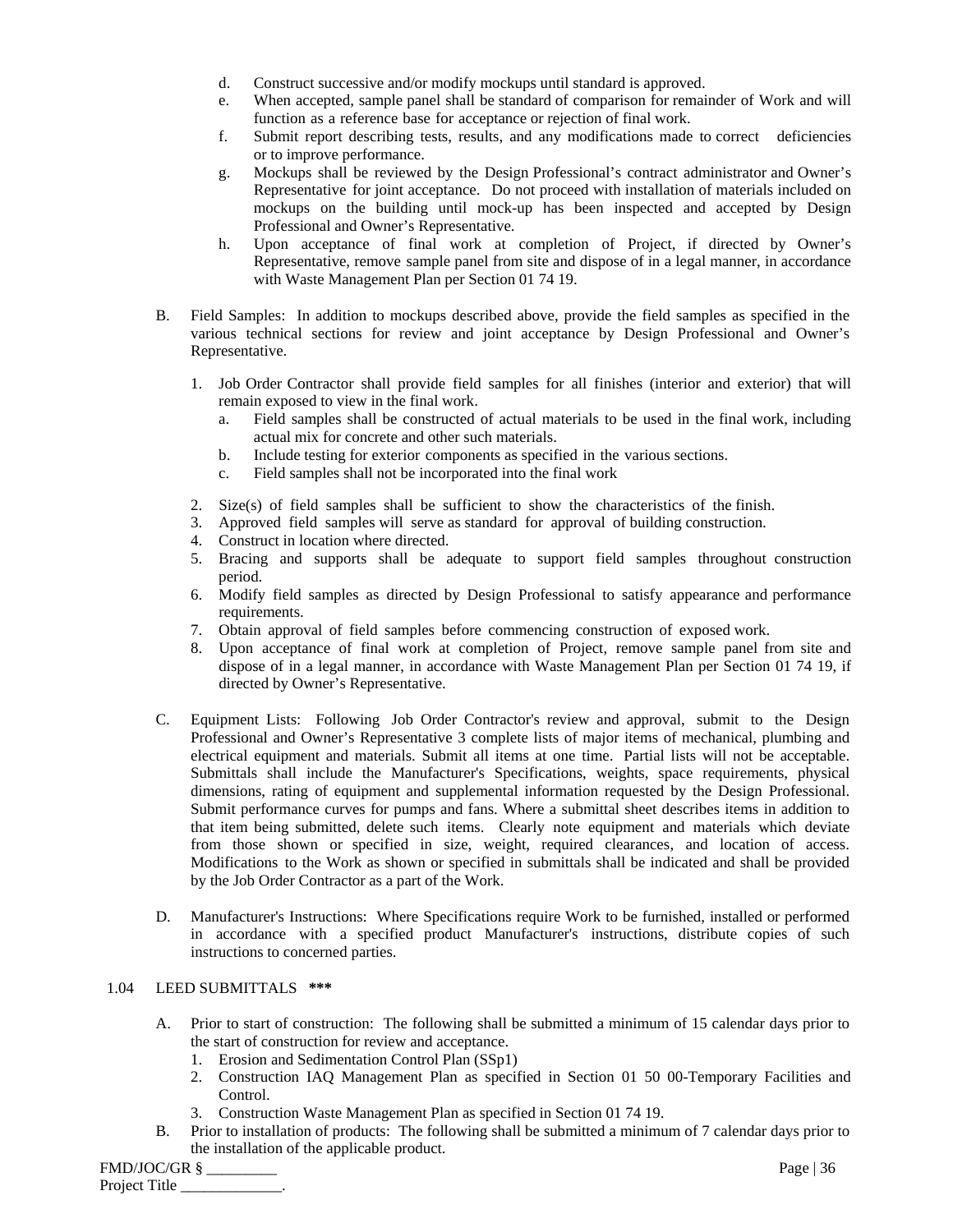- d. Construct successive and/or modify mockups until standard is approved.
- e. When accepted, sample panel shall be standard of comparison for remainder of Work and will function as a reference base for acceptance or rejection of final work.
- f. Submit report describing tests, results, and any modifications made to correct deficiencies or to improve performance.
- g. Mockups shall be reviewed by the Design Professional's contract administrator and Owner's Representative for joint acceptance. Do not proceed with installation of materials included on mockups on the building until mock-up has been inspected and accepted by Design Professional and Owner's Representative.
- h. Upon acceptance of final work at completion of Project, if directed by Owner's Representative, remove sample panel from site and dispose of in a legal manner, in accordance with Waste Management Plan per Section 01 74 19.
- B. Field Samples: In addition to mockups described above, provide the field samples as specified in the various technical sections for review and joint acceptance by Design Professional and Owner's Representative.
	- 1. Job Order Contractor shall provide field samples for all finishes (interior and exterior) that will remain exposed to view in the final work.
		- a. Field samples shall be constructed of actual materials to be used in the final work, including actual mix for concrete and other such materials.
		- b. Include testing for exterior components as specified in the various sections.
		- c. Field samples shall not be incorporated into the final work
	- 2. Size(s) of field samples shall be sufficient to show the characteristics of the finish.
	- 3. Approved field samples will serve as standard for approval of building construction.
	- 4. Construct in location where directed.
	- 5. Bracing and supports shall be adequate to support field samples throughout construction period.
	- 6. Modify field samples as directed by Design Professional to satisfy appearance and performance requirements.
	- 7. Obtain approval of field samples before commencing construction of exposed work.
	- 8. Upon acceptance of final work at completion of Project, remove sample panel from site and dispose of in a legal manner, in accordance with Waste Management Plan per Section 01 74 19, if directed by Owner's Representative.
- C. Equipment Lists: Following Job Order Contractor's review and approval, submit to the Design Professional and Owner's Representative 3 complete lists of major items of mechanical, plumbing and electrical equipment and materials. Submit all items at one time. Partial lists will not be acceptable. Submittals shall include the Manufacturer's Specifications, weights, space requirements, physical dimensions, rating of equipment and supplemental information requested by the Design Professional. Submit performance curves for pumps and fans. Where a submittal sheet describes items in addition to that item being submitted, delete such items. Clearly note equipment and materials which deviate from those shown or specified in size, weight, required clearances, and location of access. Modifications to the Work as shown or specified in submittals shall be indicated and shall be provided by the Job Order Contractor as a part of the Work.
- D. Manufacturer's Instructions: Where Specifications require Work to be furnished, installed or performed in accordance with a specified product Manufacturer's instructions, distribute copies of such instructions to concerned parties.

## 1.04 LEED SUBMITTALS **\*\*\***

- A. Prior to start of construction: The following shall be submitted a minimum of 15 calendar days prior to the start of construction for review and acceptance.
	- 1. Erosion and Sedimentation Control Plan (SSp1)
	- 2. Construction IAQ Management Plan as specified in Section 01 50 00-Temporary Facilities and Control.
	- 3. Construction Waste Management Plan as specified in Section 01 74 19.
- B. Prior to installation of products: The following shall be submitted a minimum of 7 calendar days prior to the installation of the applicable product.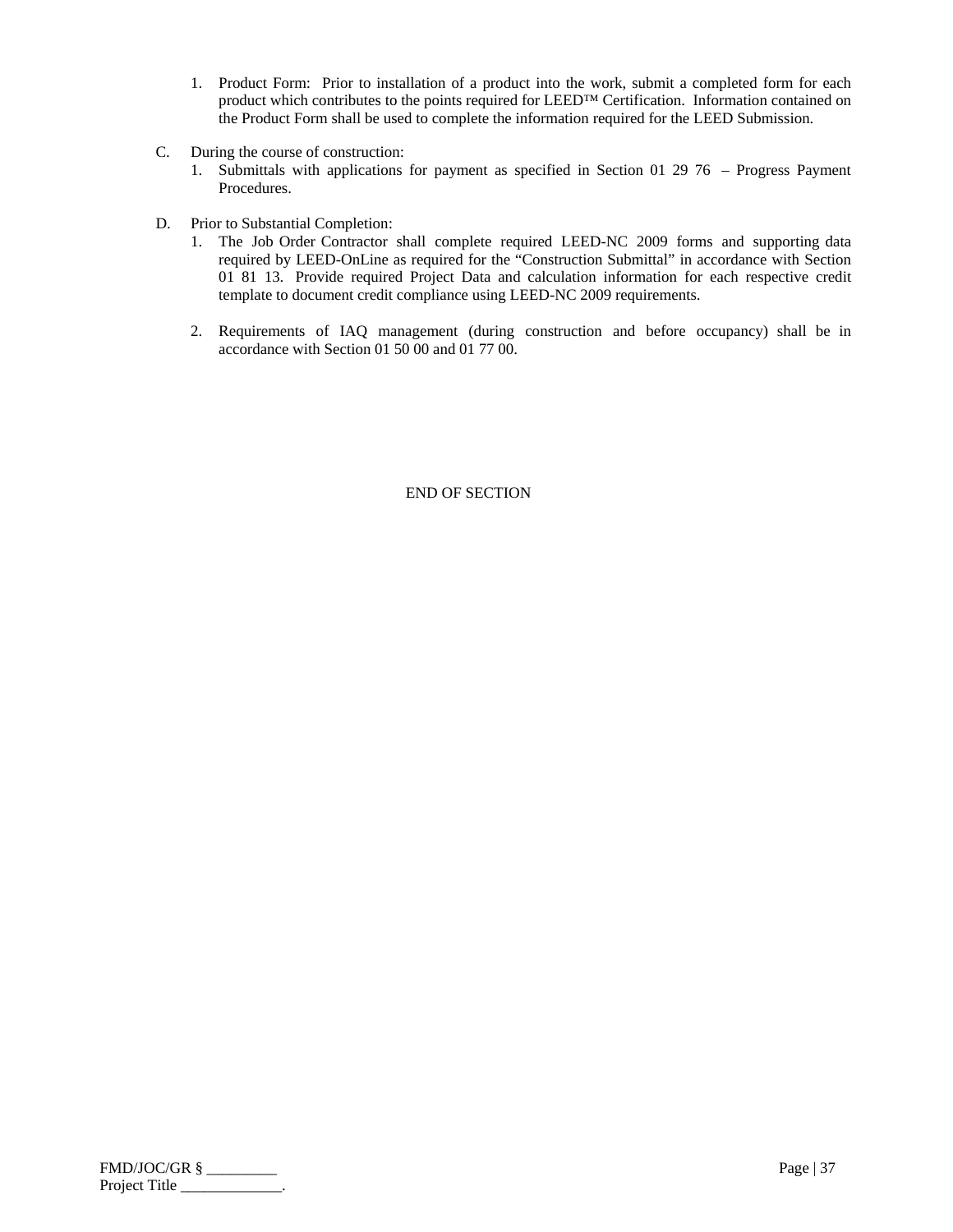- 1. Product Form: Prior to installation of a product into the work, submit a completed form for each product which contributes to the points required for LEED™ Certification. Information contained on the Product Form shall be used to complete the information required for the LEED Submission.
- C. During the course of construction:
	- 1. Submittals with applications for payment as specified in Section 01 29 76 Progress Payment Procedures.
- D. Prior to Substantial Completion:
	- 1. The Job Order Contractor shall complete required LEED-NC 2009 forms and supporting data required by LEED-OnLine as required for the "Construction Submittal" in accordance with Section 01 81 13. Provide required Project Data and calculation information for each respective credit template to document credit compliance using LEED-NC 2009 requirements.
	- 2. Requirements of IAQ management (during construction and before occupancy) shall be in accordance with Section 01 50 00 and 01 77 00.

| FMD/JOC/GR §  | Page $ 37$ |
|---------------|------------|
| Project Title |            |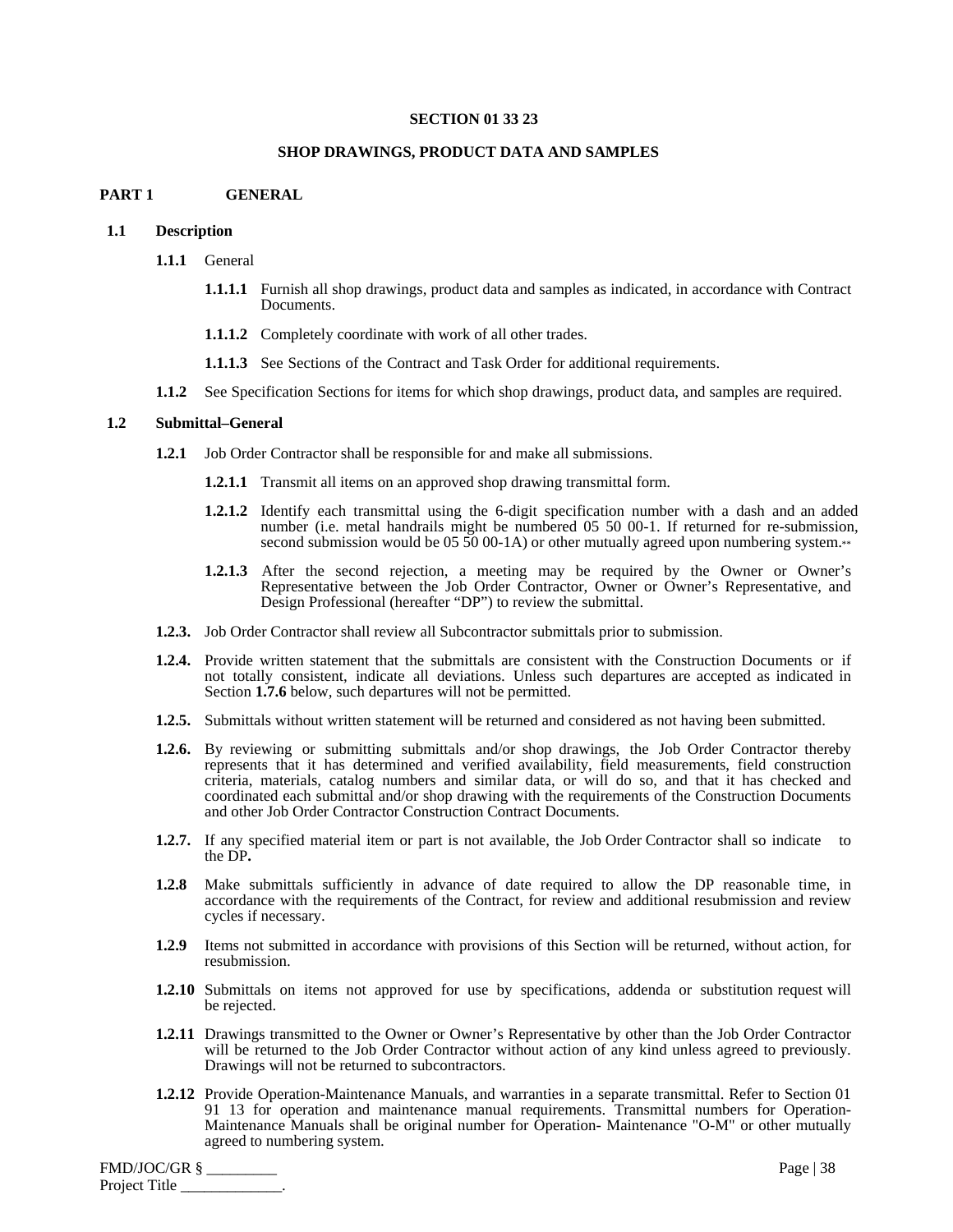#### **SECTION 01 33 23**

#### **SHOP DRAWINGS, PRODUCT DATA AND SAMPLES**

#### **PART 1 GENERAL**

#### **1.1 Description**

- **1.1.1** General
	- **1.1.1.1** Furnish all shop drawings, product data and samples as indicated, in accordance with Contract Documents.
	- **1.1.1.2** Completely coordinate with work of all other trades.
	- **1.1.1.3** See Sections of the Contract and Task Order for additional requirements.
- **1.1.2** See Specification Sections for items for which shop drawings, product data, and samples are required.

#### **1.2 Submittal–General**

- **1.2.1** Job Order Contractor shall be responsible for and make all submissions.
	- **1.2.1.1** Transmit all items on an approved shop drawing transmittal form.
	- **1.2.1.2** Identify each transmittal using the 6-digit specification number with a dash and an added number (i.e. metal handrails might be numbered 05 50 00-1. If returned for re-submission, second submission would be 05 50 00-1A) or other mutually agreed upon numbering system.\*\*
	- **1.2.1.3** After the second rejection, a meeting may be required by the Owner or Owner's Representative between the Job Order Contractor, Owner or Owner's Representative, and Design Professional (hereafter "DP") to review the submittal.
- **1.2.3.** Job Order Contractor shall review all Subcontractor submittals prior to submission.
- **1.2.4.** Provide written statement that the submittals are consistent with the Construction Documents or if not totally consistent, indicate all deviations. Unless such departures are accepted as indicated in Section **1.7.6** below, such departures will not be permitted.
- **1.2.5.** Submittals without written statement will be returned and considered as not having been submitted.
- **1.2.6.** By reviewing or submitting submittals and/or shop drawings, the Job Order Contractor thereby represents that it has determined and verified availability, field measurements, field construction criteria, materials, catalog numbers and similar data, or will do so, and that it has checked and coordinated each submittal and/or shop drawing with the requirements of the Construction Documents and other Job Order Contractor Construction Contract Documents.
- **1.2.7.** If any specified material item or part is not available, the Job Order Contractor shall so indicate to the DP**.**
- **1.2.8** Make submittals sufficiently in advance of date required to allow the DP reasonable time, in accordance with the requirements of the Contract, for review and additional resubmission and review cycles if necessary.
- **1.2.9** Items not submitted in accordance with provisions of this Section will be returned, without action, for resubmission.
- **1.2.10** Submittals on items not approved for use by specifications, addenda or substitution request will be rejected.
- **1.2.11** Drawings transmitted to the Owner or Owner's Representative by other than the Job Order Contractor will be returned to the Job Order Contractor without action of any kind unless agreed to previously. Drawings will not be returned to subcontractors.
- **1.2.12** Provide Operation-Maintenance Manuals, and warranties in a separate transmittal. Refer to Section 01 91 13 for operation and maintenance manual requirements. Transmittal numbers for Operation-Maintenance Manuals shall be original number for Operation- Maintenance "O-M" or other mutually agreed to numbering system.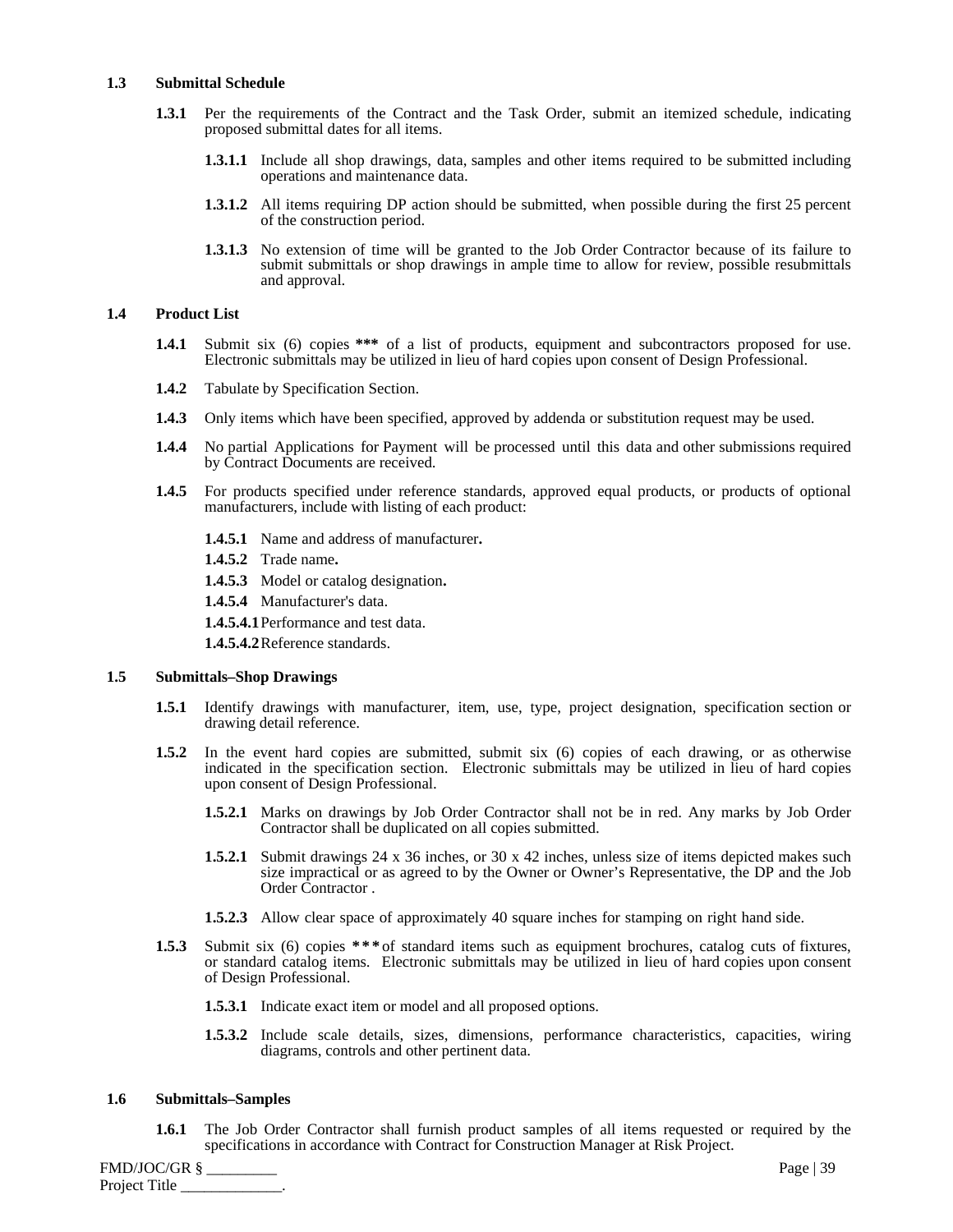#### **1.3 Submittal Schedule**

- **1.3.1** Per the requirements of the Contract and the Task Order, submit an itemized schedule, indicating proposed submittal dates for all items.
	- **1.3.1.1** Include all shop drawings, data, samples and other items required to be submitted including operations and maintenance data.
	- **1.3.1.2** All items requiring DP action should be submitted, when possible during the first 25 percent of the construction period.
	- **1.3.1.3** No extension of time will be granted to the Job Order Contractor because of its failure to submit submittals or shop drawings in ample time to allow for review, possible resubmittals and approval.

#### **1.4 Product List**

- **1.4.1** Submit six (6) copies **\*\*\*** of a list of products, equipment and subcontractors proposed for use. Electronic submittals may be utilized in lieu of hard copies upon consent of Design Professional.
- **1.4.2** Tabulate by Specification Section.
- **1.4.3** Only items which have been specified, approved by addenda or substitution request may be used.
- **1.4.4** No partial Applications for Payment will be processed until this data and other submissions required by Contract Documents are received.
- **1.4.5** For products specified under reference standards, approved equal products, or products of optional manufacturers, include with listing of each product:
	- **1.4.5.1** Name and address of manufacturer**.**
	- **1.4.5.2** Trade name**.**
	- **1.4.5.3** Model or catalog designation**.**
	- **1.4.5.4** Manufacturer's data.
	- **1.4.5.4.1** Performance and test data.

**1.4.5.4.2** Reference standards.

#### **1.5 Submittals–Shop Drawings**

- **1.5.1** Identify drawings with manufacturer, item, use, type, project designation, specification section or drawing detail reference.
- **1.5.2** In the event hard copies are submitted, submit six (6) copies of each drawing, or as otherwise indicated in the specification section. Electronic submittals may be utilized in lieu of hard copies upon consent of Design Professional.
	- **1.5.2.1** Marks on drawings by Job Order Contractor shall not be in red. Any marks by Job Order Contractor shall be duplicated on all copies submitted.
	- **1.5.2.1** Submit drawings 24 x 36 inches, or 30 x 42 inches, unless size of items depicted makes such size impractical or as agreed to by the Owner or Owner's Representative, the DP and the Job Order Contractor .
	- **1.5.2.3** Allow clear space of approximately 40 square inches for stamping on right hand side.
- **1.5.3** Submit six (6) copies **\*\*\*** of standard items such as equipment brochures, catalog cuts of fixtures, or standard catalog items. Electronic submittals may be utilized in lieu of hard copies upon consent of Design Professional.
	- **1.5.3.1** Indicate exact item or model and all proposed options.
	- **1.5.3.2** Include scale details, sizes, dimensions, performance characteristics, capacities, wiring diagrams, controls and other pertinent data.

#### **1.6 Submittals–Samples**

**1.6.1** The Job Order Contractor shall furnish product samples of all items requested or required by the specifications in accordance with Contract for Construction Manager at Risk Project.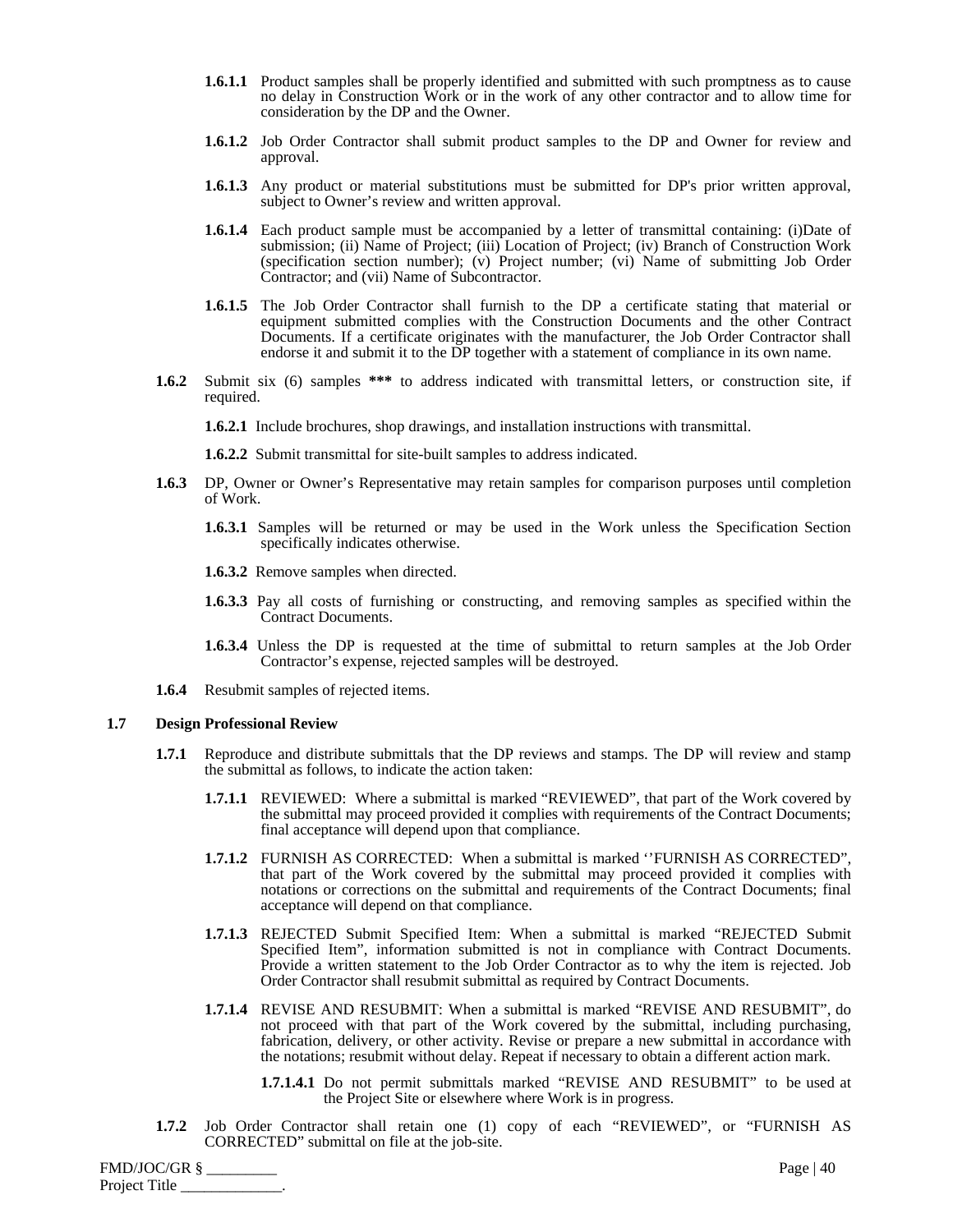- **1.6.1.1** Product samples shall be properly identified and submitted with such promptness as to cause no delay in Construction Work or in the work of any other contractor and to allow time for consideration by the DP and the Owner.
- **1.6.1.2** Job Order Contractor shall submit product samples to the DP and Owner for review and approval.
- **1.6.1.3** Any product or material substitutions must be submitted for DP's prior written approval, subject to Owner's review and written approval.
- **1.6.1.4** Each product sample must be accompanied by a letter of transmittal containing: (i)Date of submission; (ii) Name of Project; (iii) Location of Project; (iv) Branch of Construction Work (specification section number); (v) Project number; (vi) Name of submitting Job Order Contractor; and (vii) Name of Subcontractor.
- **1.6.1.5** The Job Order Contractor shall furnish to the DP a certificate stating that material or equipment submitted complies with the Construction Documents and the other Contract Documents. If a certificate originates with the manufacturer, the Job Order Contractor shall endorse it and submit it to the DP together with a statement of compliance in its own name.
- **1.6.2** Submit six (6) samples **\*\*\*** to address indicated with transmittal letters, or construction site, if required.

**1.6.2.1** Include brochures, shop drawings, and installation instructions with transmittal.

**1.6.2.2** Submit transmittal for site-built samples to address indicated.

- **1.6.3** DP, Owner or Owner's Representative may retain samples for comparison purposes until completion of Work.
	- **1.6.3.1** Samples will be returned or may be used in the Work unless the Specification Section specifically indicates otherwise.
	- **1.6.3.2** Remove samples when directed.
	- **1.6.3.3** Pay all costs of furnishing or constructing, and removing samples as specified within the Contract Documents.
	- **1.6.3.4** Unless the DP is requested at the time of submittal to return samples at the Job Order Contractor's expense, rejected samples will be destroyed.
- **1.6.4** Resubmit samples of rejected items.

#### **1.7 Design Professional Review**

- **1.7.1** Reproduce and distribute submittals that the DP reviews and stamps. The DP will review and stamp the submittal as follows, to indicate the action taken:
	- **1.7.1.1** REVIEWED: Where a submittal is marked "REVIEWED", that part of the Work covered by the submittal may proceed provided it complies with requirements of the Contract Documents; final acceptance will depend upon that compliance.
	- **1.7.1.2** FURNISH AS CORRECTED: When a submittal is marked ''FURNISH AS CORRECTED", that part of the Work covered by the submittal may proceed provided it complies with notations or corrections on the submittal and requirements of the Contract Documents; final acceptance will depend on that compliance.
	- **1.7.1.3** REJECTED Submit Specified Item: When a submittal is marked "REJECTED Submit Specified Item", information submitted is not in compliance with Contract Documents. Provide a written statement to the Job Order Contractor as to why the item is rejected. Job Order Contractor shall resubmit submittal as required by Contract Documents.
	- **1.7.1.4** REVISE AND RESUBMIT: When a submittal is marked "REVISE AND RESUBMIT", do not proceed with that part of the Work covered by the submittal, including purchasing, fabrication, delivery, or other activity. Revise or prepare a new submittal in accordance with the notations; resubmit without delay. Repeat if necessary to obtain a different action mark.
		- **1.7.1.4.1** Do not permit submittals marked "REVISE AND RESUBMIT" to be used at the Project Site or elsewhere where Work is in progress.
- **1.7.2** Job Order Contractor shall retain one (1) copy of each "REVIEWED", or "FURNISH AS CORRECTED" submittal on file at the job-site.

| FMD/JOC/GR §  | Page   $40$ |
|---------------|-------------|
| Project Title |             |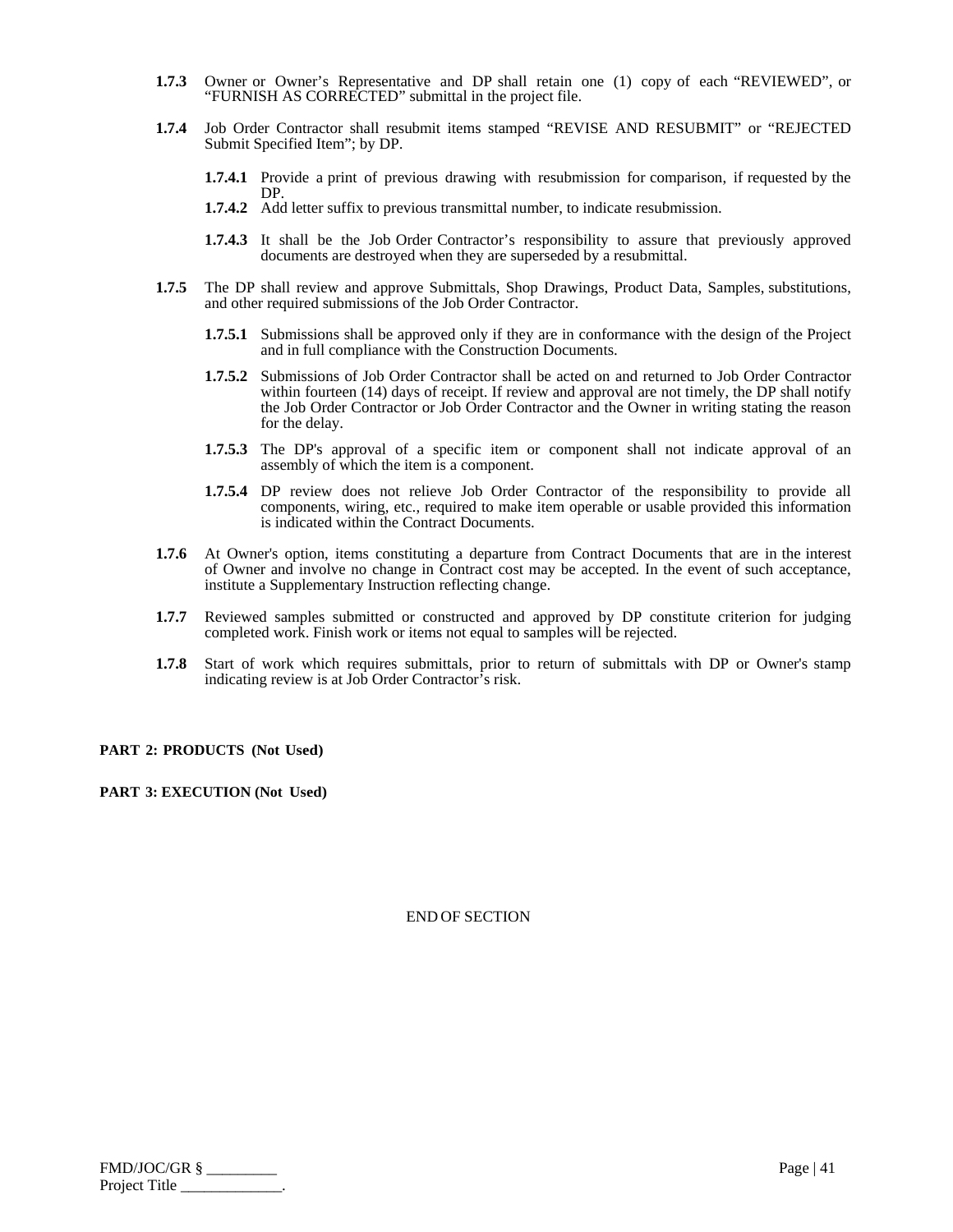- **1.7.3** Owner or Owner's Representative and DP shall retain one (1) copy of each "REVIEWED", or "FURNISH AS CORRECTED" submittal in the project file.
- **1.7.4** Job Order Contractor shall resubmit items stamped "REVISE AND RESUBMIT" or "REJECTED Submit Specified Item"; by DP.
	- **1.7.4.1** Provide a print of previous drawing with resubmission for comparison, if requested by the DP.
	- **1.7.4.2** Add letter suffix to previous transmittal number, to indicate resubmission.
	- **1.7.4.3** It shall be the Job Order Contractor's responsibility to assure that previously approved documents are destroyed when they are superseded by a resubmittal.
- **1.7.5** The DP shall review and approve Submittals, Shop Drawings, Product Data, Samples, substitutions, and other required submissions of the Job Order Contractor.
	- **1.7.5.1** Submissions shall be approved only if they are in conformance with the design of the Project and in full compliance with the Construction Documents.
	- **1.7.5.2** Submissions of Job Order Contractor shall be acted on and returned to Job Order Contractor within fourteen (14) days of receipt. If review and approval are not timely, the DP shall notify the Job Order Contractor or Job Order Contractor and the Owner in writing stating the reason for the delay.
	- **1.7.5.3** The DP's approval of a specific item or component shall not indicate approval of an assembly of which the item is a component.
	- **1.7.5.4** DP review does not relieve Job Order Contractor of the responsibility to provide all components, wiring, etc., required to make item operable or usable provided this information is indicated within the Contract Documents.
- **1.7.6** At Owner's option, items constituting a departure from Contract Documents that are in the interest of Owner and involve no change in Contract cost may be accepted. In the event of such acceptance, institute a Supplementary Instruction reflecting change.
- **1.7.7** Reviewed samples submitted or constructed and approved by DP constitute criterion for judging completed work. Finish work or items not equal to samples will be rejected.
- **1.7.8** Start of work which requires submittals, prior to return of submittals with DP or Owner's stamp indicating review is at Job Order Contractor's risk.

**PART 2: PRODUCTS (Not Used)**

**PART 3: EXECUTION (Not Used)**

| FMD/JOC/GR §  | Page   $41$ |
|---------------|-------------|
| Project Title |             |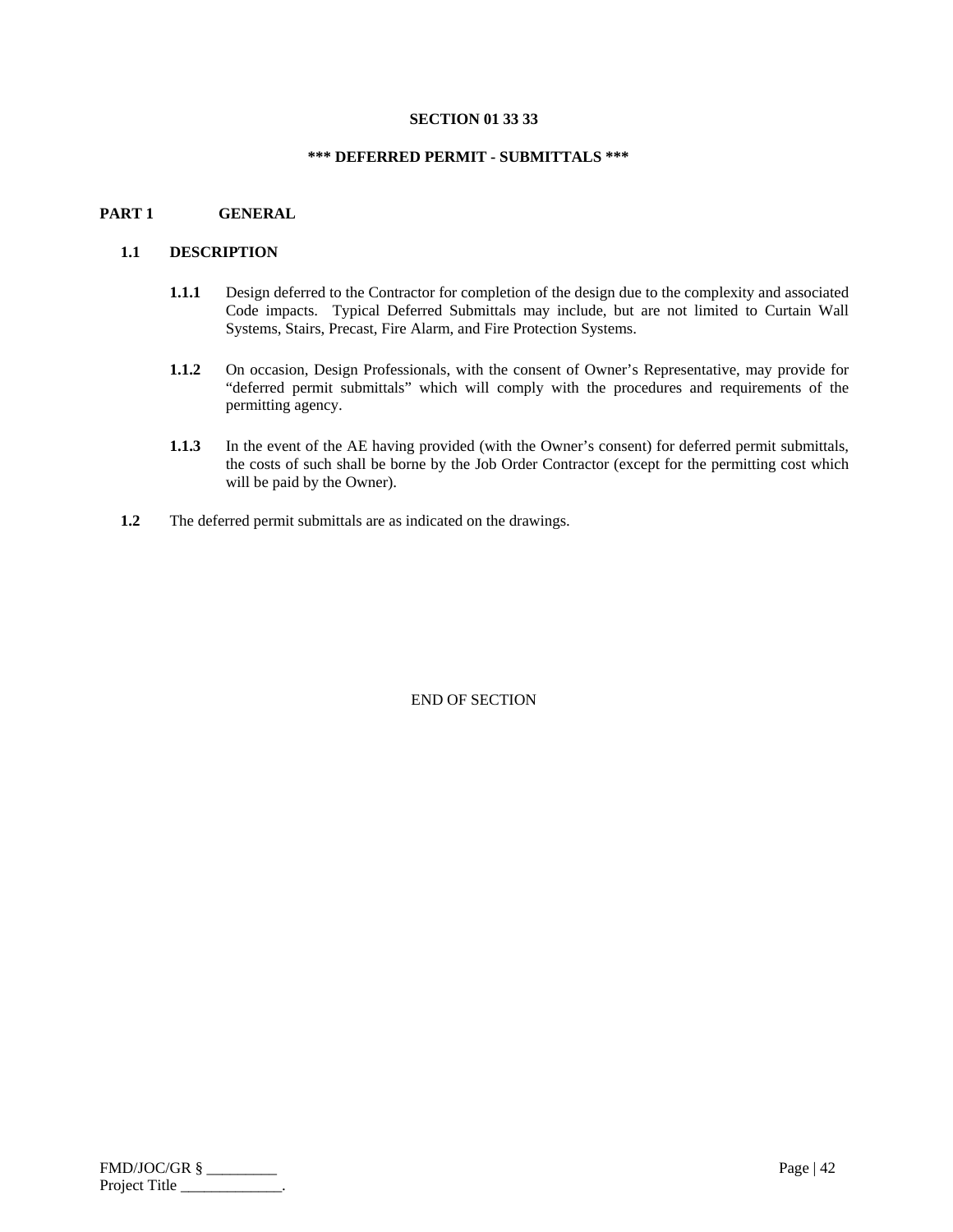#### **SECTION 01 33 33**

## **\*\*\* DEFERRED PERMIT - SUBMITTALS \*\*\***

## **PART 1 GENERAL**

## **1.1 DESCRIPTION**

- **1.1.1** Design deferred to the Contractor for completion of the design due to the complexity and associated Code impacts. Typical Deferred Submittals may include, but are not limited to Curtain Wall Systems, Stairs, Precast, Fire Alarm, and Fire Protection Systems.
- **1.1.2** On occasion, Design Professionals, with the consent of Owner's Representative, may provide for "deferred permit submittals" which will comply with the procedures and requirements of the permitting agency.
- **1.1.3** In the event of the AE having provided (with the Owner's consent) for deferred permit submittals, the costs of such shall be borne by the Job Order Contractor (except for the permitting cost which will be paid by the Owner).
- **1.2** The deferred permit submittals are as indicated on the drawings.

| FMD/JOC/GR §  | Page   $42$ |
|---------------|-------------|
| Project Title |             |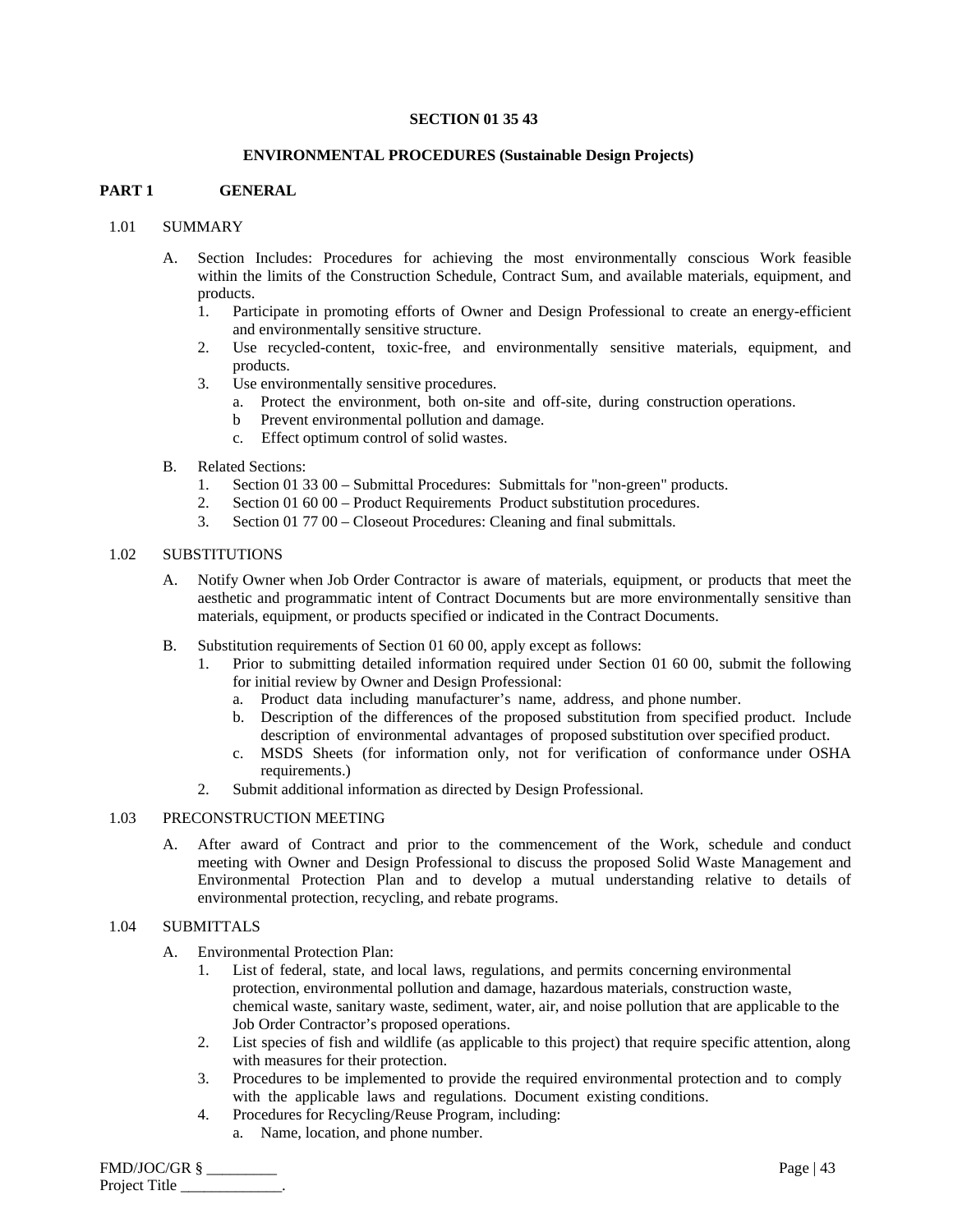## **SECTION 01 35 43**

#### **ENVIRONMENTAL PROCEDURES (Sustainable Design Projects)**

## **PART 1 GENERAL**

## 1.01 SUMMARY

- A. Section Includes: Procedures for achieving the most environmentally conscious Work feasible within the limits of the Construction Schedule, Contract Sum, and available materials, equipment, and products.
	- 1. Participate in promoting efforts of Owner and Design Professional to create an energy-efficient and environmentally sensitive structure.
	- 2. Use recycled-content, toxic-free, and environmentally sensitive materials, equipment, and products.
	- 3. Use environmentally sensitive procedures.
		- a. Protect the environment, both on-site and off-site, during construction operations.
		- b Prevent environmental pollution and damage.
		- c. Effect optimum control of solid wastes.
- B. Related Sections:
	- 1. Section 01 33 00 Submittal Procedures: Submittals for "non-green" products.
	- 2. Section 01 60 00 Product Requirements Product substitution procedures.
	- 3. Section 01 77 00 Closeout Procedures: Cleaning and final submittals.

#### 1.02 SUBSTITUTIONS

- A. Notify Owner when Job Order Contractor is aware of materials, equipment, or products that meet the aesthetic and programmatic intent of Contract Documents but are more environmentally sensitive than materials, equipment, or products specified or indicated in the Contract Documents.
- B. Substitution requirements of Section 01 60 00, apply except as follows:
	- 1. Prior to submitting detailed information required under Section 01 60 00, submit the following for initial review by Owner and Design Professional:
		- a. Product data including manufacturer's name, address, and phone number.
		- b. Description of the differences of the proposed substitution from specified product. Include description of environmental advantages of proposed substitution over specified product.
		- c. MSDS Sheets (for information only, not for verification of conformance under OSHA requirements.)
	- 2. Submit additional information as directed by Design Professional.

## 1.03 PRECONSTRUCTION MEETING

A. After award of Contract and prior to the commencement of the Work, schedule and conduct meeting with Owner and Design Professional to discuss the proposed Solid Waste Management and Environmental Protection Plan and to develop a mutual understanding relative to details of environmental protection, recycling, and rebate programs.

#### 1.04 SUBMITTALS

- A. Environmental Protection Plan:
	- 1. List of federal, state, and local laws, regulations, and permits concerning environmental protection, environmental pollution and damage, hazardous materials, construction waste, chemical waste, sanitary waste, sediment, water, air, and noise pollution that are applicable to the Job Order Contractor's proposed operations.
	- 2. List species of fish and wildlife (as applicable to this project) that require specific attention, along with measures for their protection.
	- 3. Procedures to be implemented to provide the required environmental protection and to comply with the applicable laws and regulations. Document existing conditions.
	- 4. Procedures for Recycling/Reuse Program, including:
		- a. Name, location, and phone number.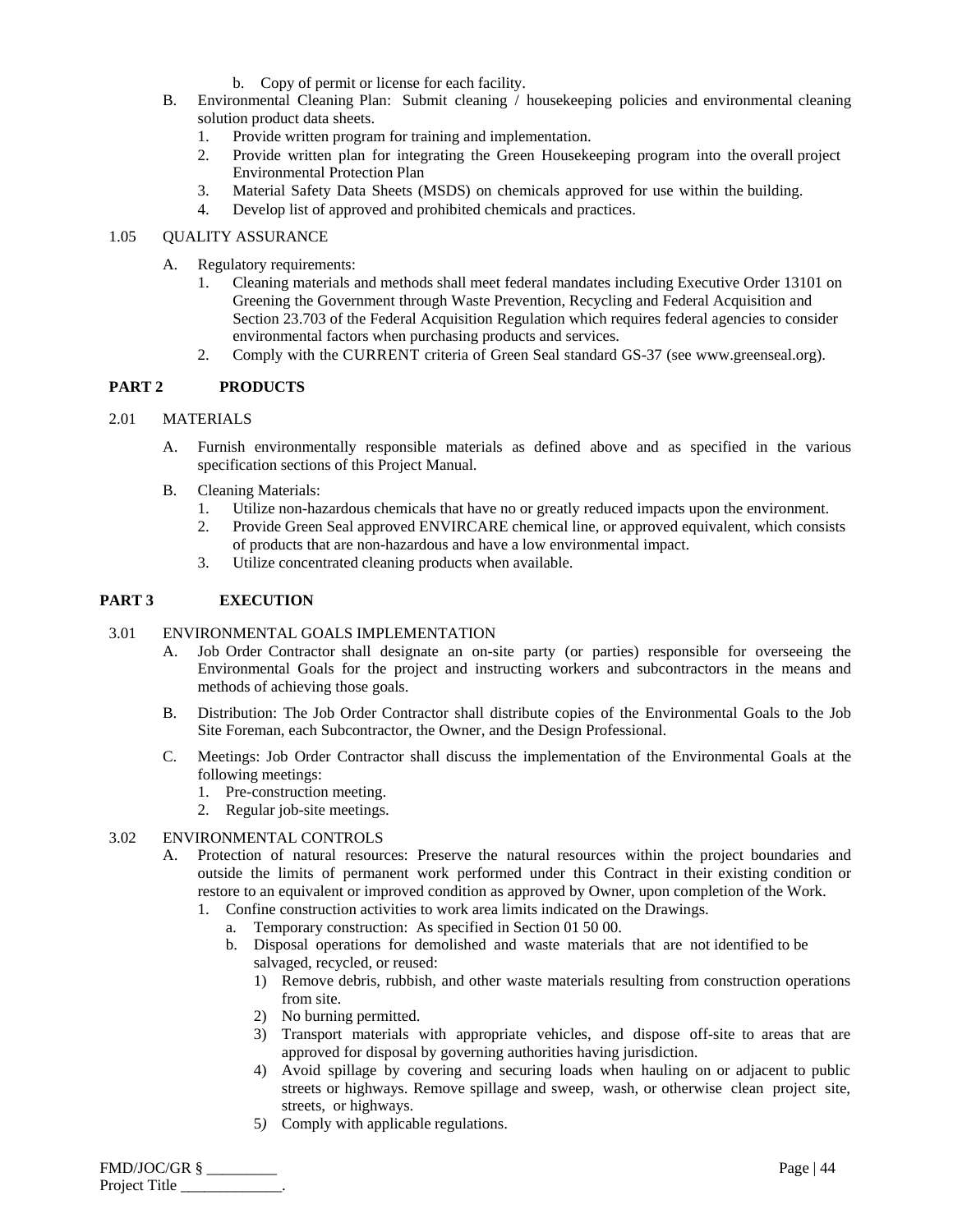- b. Copy of permit or license for each facility.
- B. Environmental Cleaning Plan: Submit cleaning / housekeeping policies and environmental cleaning solution product data sheets.
	- 1. Provide written program for training and implementation.
	- 2. Provide written plan for integrating the Green Housekeeping program into the overall project Environmental Protection Plan
	- 3. Material Safety Data Sheets (MSDS) on chemicals approved for use within the building.
	- 4. Develop list of approved and prohibited chemicals and practices.

## 1.05 QUALITY ASSURANCE

- A. Regulatory requirements:
	- 1. Cleaning materials and methods shall meet federal mandates including Executive Order 13101 on Greening the Government through Waste Prevention, Recycling and Federal Acquisition and Section 23.703 of the Federal Acquisition Regulation which requires federal agencies to consider environmental factors when purchasing products and services.
	- 2. Comply with the CURRENT criteria of Green Seal standard GS-37 (see www.greenseal.org).

# **PART 2 PRODUCTS**

# 2.01 MATERIALS

- A. Furnish environmentally responsible materials as defined above and as specified in the various specification sections of this Project Manual.
- B. Cleaning Materials:
	- 1. Utilize non-hazardous chemicals that have no or greatly reduced impacts upon the environment.
	- 2. Provide Green Seal approved ENVIRCARE chemical line, or approved equivalent, which consists of products that are non-hazardous and have a low environmental impact.
	- 3. Utilize concentrated cleaning products when available.

# **PART 3 EXECUTION**

# 3.01 ENVIRONMENTAL GOALS IMPLEMENTATION

- A. Job Order Contractor shall designate an on-site party (or parties) responsible for overseeing the Environmental Goals for the project and instructing workers and subcontractors in the means and methods of achieving those goals.
- B. Distribution: The Job Order Contractor shall distribute copies of the Environmental Goals to the Job Site Foreman, each Subcontractor, the Owner, and the Design Professional.
- C. Meetings: Job Order Contractor shall discuss the implementation of the Environmental Goals at the following meetings:
	- 1. Pre-construction meeting.
	- 2. Regular job-site meetings.

## 3.02 ENVIRONMENTAL CONTROLS

- A. Protection of natural resources: Preserve the natural resources within the project boundaries and outside the limits of permanent work performed under this Contract in their existing condition or restore to an equivalent or improved condition as approved by Owner, upon completion of the Work.
	- 1. Confine construction activities to work area limits indicated on the Drawings.
		- a. Temporary construction: As specified in Section 01 50 00.
		- b. Disposal operations for demolished and waste materials that are not identified to be salvaged, recycled, or reused:
			- 1) Remove debris, rubbish, and other waste materials resulting from construction operations from site.
			- 2) No burning permitted.
			- 3) Transport materials with appropriate vehicles, and dispose off-site to areas that are approved for disposal by governing authorities having jurisdiction.
			- 4) Avoid spillage by covering and securing loads when hauling on or adjacent to public streets or highways. Remove spillage and sweep, wash, or otherwise clean project site, streets, or highways.
			- 5*)* Comply with applicable regulations.

FMD/JOC/GR § \_\_\_\_\_\_\_\_\_ Page | 44 Project Title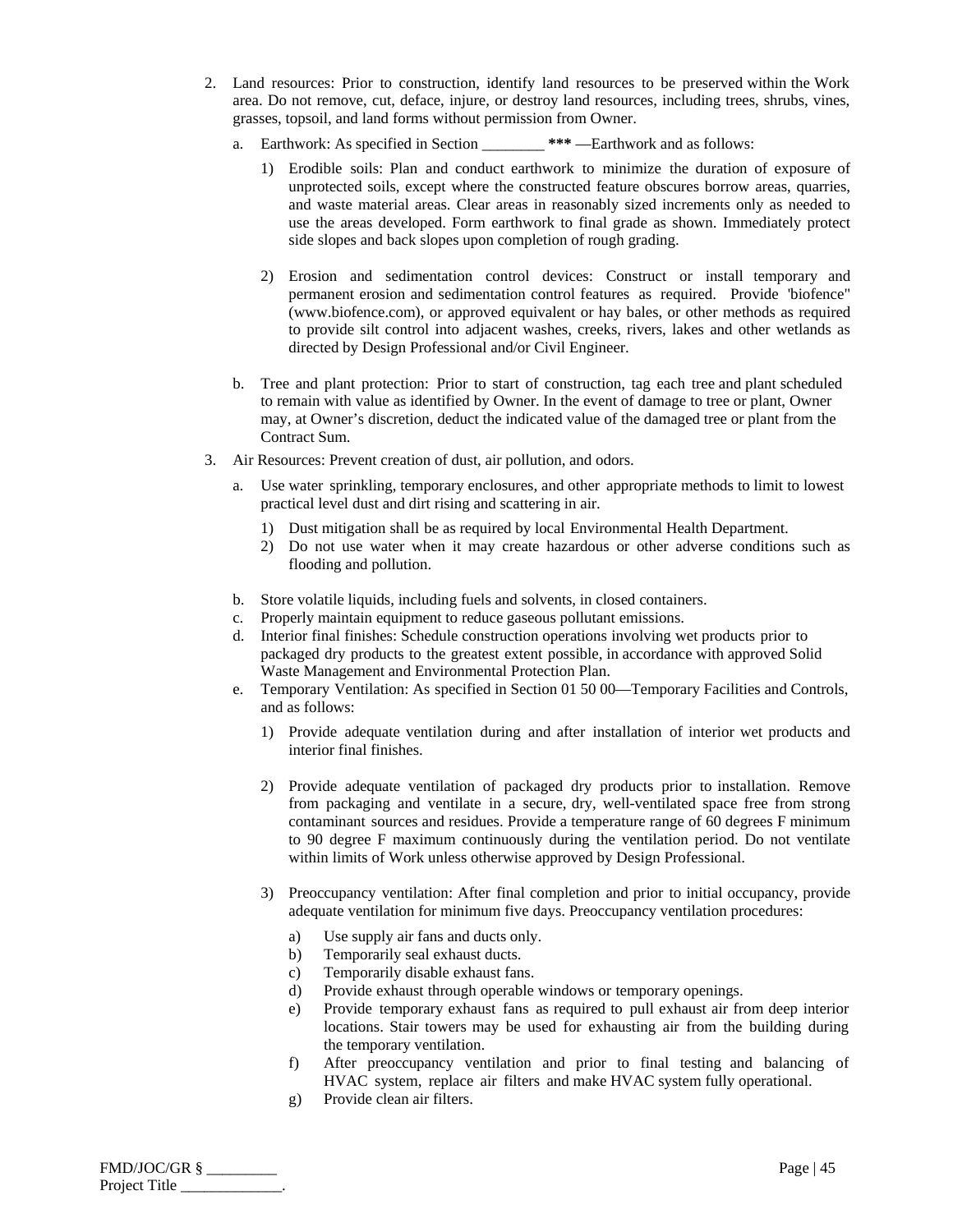- 2. Land resources: Prior to construction, identify land resources to be preserved within the Work area. Do not remove, cut, deface, injure, or destroy land resources, including trees, shrubs, vines, grasses, topsoil, and land forms without permission from Owner.
	- a. Earthwork: As specified in Section \_\_\_\_\_\_\_\_ **\*\*\*** —Earthwork and as follows:
		- 1) Erodible soils: Plan and conduct earthwork to minimize the duration of exposure of unprotected soils, except where the constructed feature obscures borrow areas, quarries, and waste material areas. Clear areas in reasonably sized increments only as needed to use the areas developed. Form earthwork to final grade as shown. Immediately protect side slopes and back slopes upon completion of rough grading.
		- 2) Erosion and sedimentation control devices: Construct or install temporary and permanent erosion and sedimentation control features as required. Provide 'biofence" (www.biofence.com), or approved equivalent or hay bales, or other methods as required to provide silt control into adjacent washes, creeks, rivers, lakes and other wetlands as directed by Design Professional and/or Civil Engineer.
	- b. Tree and plant protection: Prior to start of construction, tag each tree and plant scheduled to remain with value as identified by Owner. In the event of damage to tree or plant, Owner may, at Owner's discretion, deduct the indicated value of the damaged tree or plant from the Contract Sum.
- 3. Air Resources: Prevent creation of dust, air pollution, and odors.
	- a. Use water sprinkling, temporary enclosures, and other appropriate methods to limit to lowest practical level dust and dirt rising and scattering in air.
		- 1) Dust mitigation shall be as required by local Environmental Health Department.
		- 2) Do not use water when it may create hazardous or other adverse conditions such as flooding and pollution.
	- b. Store volatile liquids, including fuels and solvents, in closed containers.
	- c. Properly maintain equipment to reduce gaseous pollutant emissions.
	- d. Interior final finishes: Schedule construction operations involving wet products prior to packaged dry products to the greatest extent possible, in accordance with approved Solid Waste Management and Environmental Protection Plan.
	- e. Temporary Ventilation: As specified in Section 01 50 00—Temporary Facilities and Controls, and as follows:
		- 1) Provide adequate ventilation during and after installation of interior wet products and interior final finishes.
		- 2) Provide adequate ventilation of packaged dry products prior to installation. Remove from packaging and ventilate in a secure, dry, well-ventilated space free from strong contaminant sources and residues. Provide a temperature range of 60 degrees F minimum to 90 degree F maximum continuously during the ventilation period. Do not ventilate within limits of Work unless otherwise approved by Design Professional.
		- 3) Preoccupancy ventilation: After final completion and prior to initial occupancy, provide adequate ventilation for minimum five days. Preoccupancy ventilation procedures:
			- a) Use supply air fans and ducts only.
			- b) Temporarily seal exhaust ducts.
			- c) Temporarily disable exhaust fans.
			- d) Provide exhaust through operable windows or temporary openings.
			- e) Provide temporary exhaust fans as required to pull exhaust air from deep interior locations. Stair towers may be used for exhausting air from the building during the temporary ventilation.
			- f) After preoccupancy ventilation and prior to final testing and balancing of HVAC system, replace air filters and make HVAC system fully operational.
			- g) Provide clean air filters.

FMD/JOC/GR § \_\_\_\_\_\_\_\_\_ Page | 45 Project Title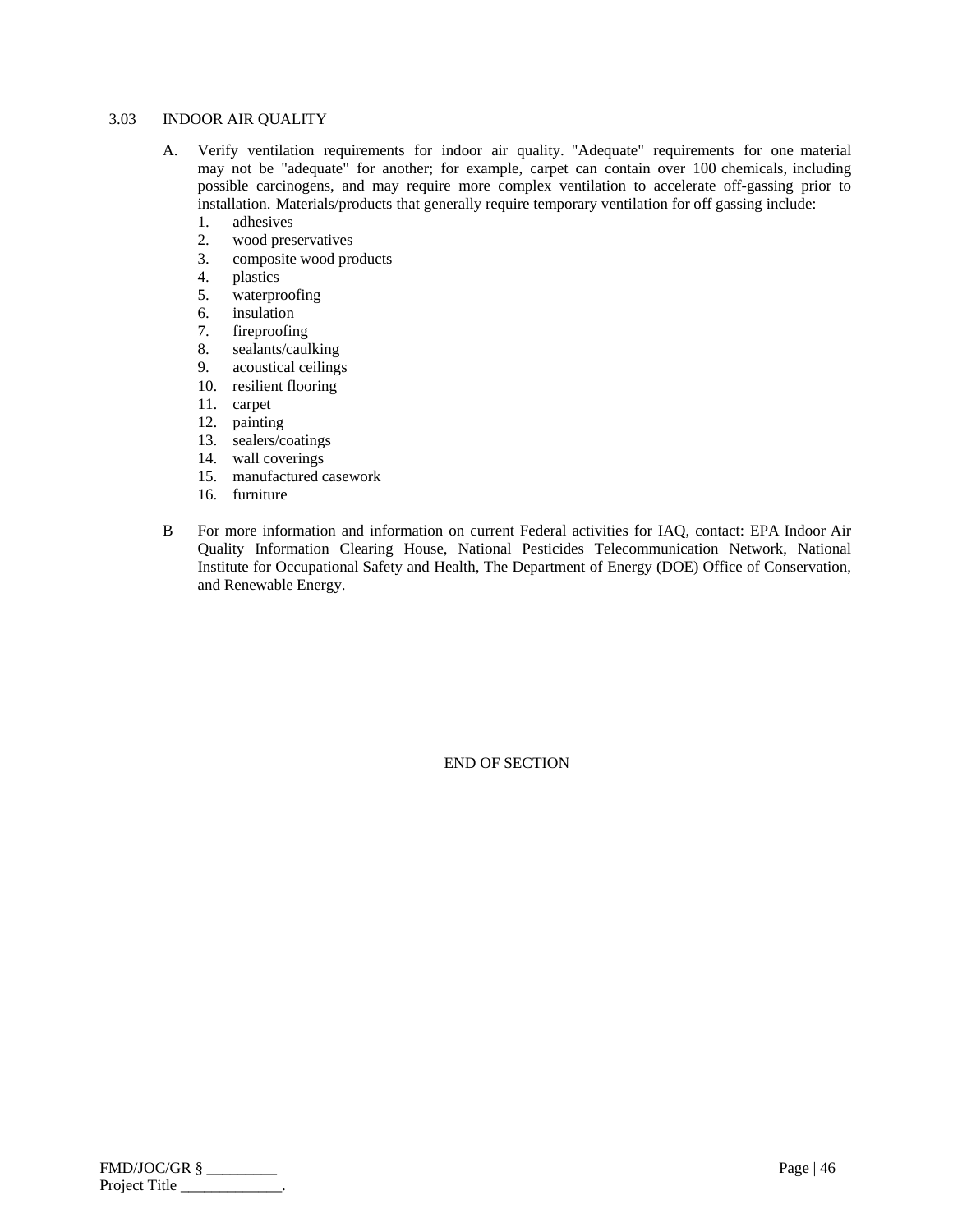#### 3.03 INDOOR AIR QUALITY

- A. Verify ventilation requirements for indoor air quality. "Adequate" requirements for one material may not be "adequate" for another; for example, carpet can contain over 100 chemicals, including possible carcinogens, and may require more complex ventilation to accelerate off-gassing prior to installation. Materials/products that generally require temporary ventilation for off gassing include:
	- 1. adhesives<br>2. wood pres
	- wood preservatives
	- 3. composite wood products
	- 4. plastics
	- 5. waterproofing
	- 6. insulation
	- 7. fireproofing
	- 8. sealants/caulking
	- 9. acoustical ceilings
	- 10. resilient flooring
	- 11. carpet
	- 12. painting
	- 13. sealers/coatings
	- 14. wall coverings
	- 15. manufactured casework
	- 16. furniture
- B For more information and information on current Federal activities for IAQ, contact: EPA Indoor Air Quality Information Clearing House, National Pesticides Telecommunication Network, National Institute for Occupational Safety and Health, The Department of Energy (DOE) Office of Conservation, and Renewable Energy.

| $FMD/JOC/GR$ § | Page   $46$ |
|----------------|-------------|
| Project Title  |             |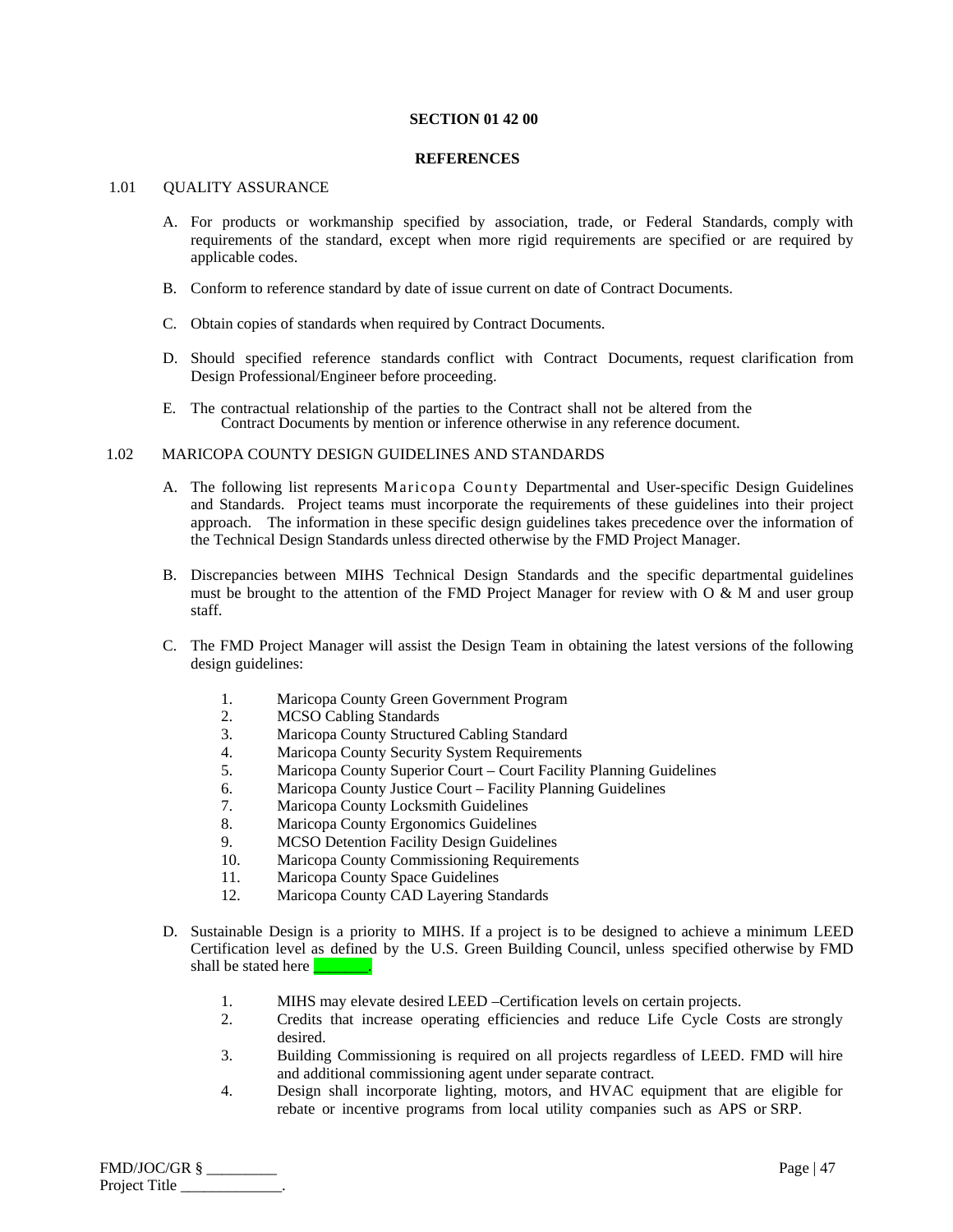## **SECTION 01 42 00**

#### **REFERENCES**

## 1.01 OUALITY ASSURANCE

- A. For products or workmanship specified by association, trade, or Federal Standards, comply with requirements of the standard, except when more rigid requirements are specified or are required by applicable codes.
- B. Conform to reference standard by date of issue current on date of Contract Documents.
- C. Obtain copies of standards when required by Contract Documents.
- D. Should specified reference standards conflict with Contract Documents, request clarification from Design Professional/Engineer before proceeding.
- E. The contractual relationship of the parties to the Contract shall not be altered from the Contract Documents by mention or inference otherwise in any reference document.

# 1.02 MARICOPA COUNTY DESIGN GUIDELINES AND STANDARDS

- A. The following list represents Maricopa County Departmental and User-specific Design Guidelines and Standards. Project teams must incorporate the requirements of these guidelines into their project approach. The information in these specific design guidelines takes precedence over the information of the Technical Design Standards unless directed otherwise by the FMD Project Manager.
- B. Discrepancies between MIHS Technical Design Standards and the specific departmental guidelines must be brought to the attention of the FMD Project Manager for review with  $O \& M$  and user group staff.
- C. The FMD Project Manager will assist the Design Team in obtaining the latest versions of the following design guidelines:
	- 1. Maricopa County Green Government Program
	- 2. MCSO Cabling Standards
	- 3. Maricopa County Structured Cabling Standard
	- 4. Maricopa County Security System Requirements
	- 5. Maricopa County Superior Court Court Facility Planning Guidelines
	- 6. Maricopa County Justice Court Facility Planning Guidelines
	- 7. Maricopa County Locksmith Guidelines
	- 8. Maricopa County Ergonomics Guidelines
	- 9. MCSO Detention Facility Design Guidelines
	- 10. Maricopa County Commissioning Requirements
	- 11. Maricopa County Space Guidelines
	- 12. Maricopa County CAD Layering Standards
- D. Sustainable Design is a priority to MIHS. If a project is to be designed to achieve a minimum LEED Certification level as defined by the U.S. Green Building Council, unless specified otherwise by FMD shall be stated here
	- 1. MIHS may elevate desired LEED –Certification levels on certain projects.
	- 2. Credits that increase operating efficiencies and reduce Life Cycle Costs are strongly desired.
	- 3. Building Commissioning is required on all projects regardless of LEED. FMD will hire and additional commissioning agent under separate contract.
	- 4. Design shall incorporate lighting, motors, and HVAC equipment that are eligible for rebate or incentive programs from local utility companies such as APS or SRP.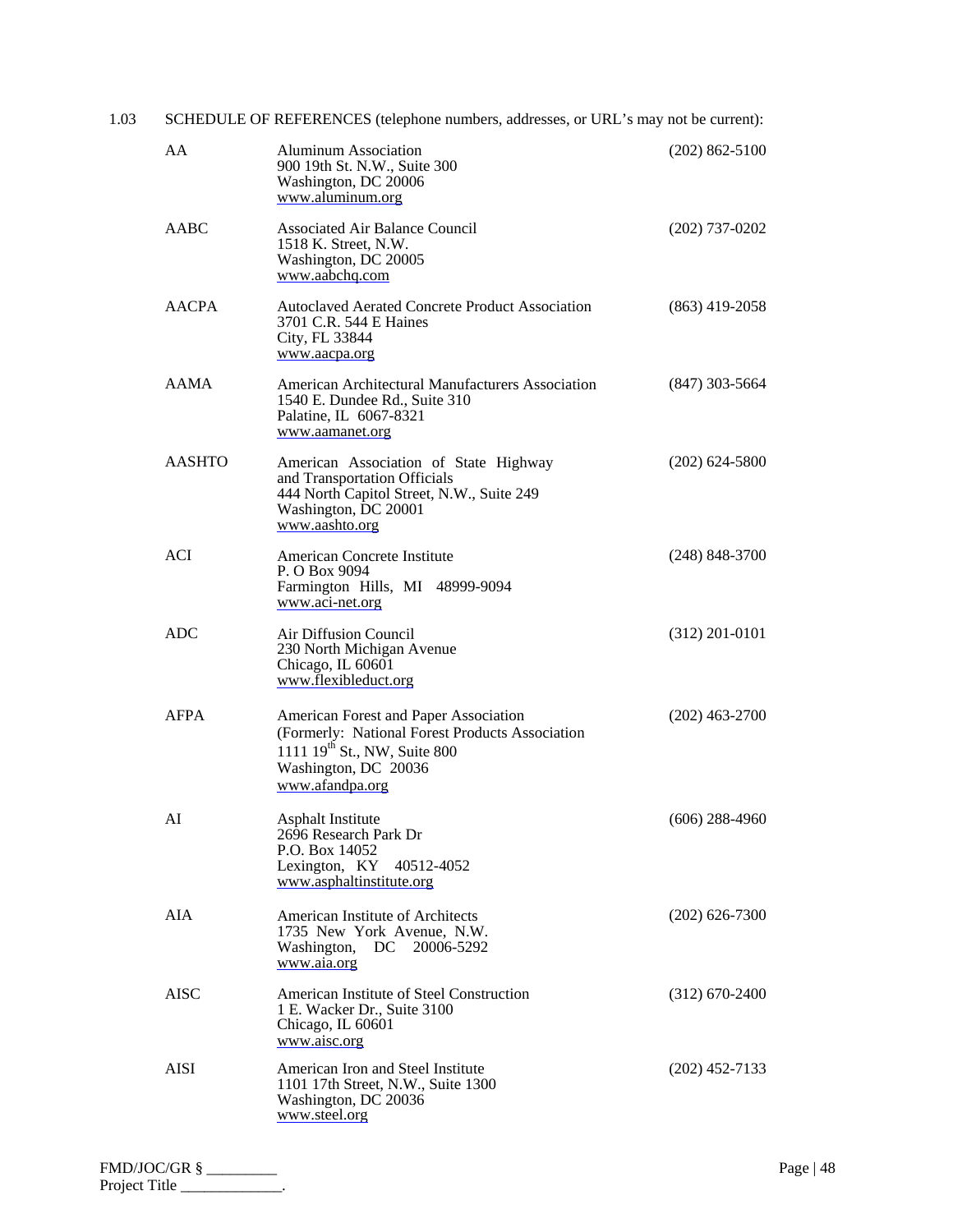| 1.03 | SCHEDULE OF REFERENCES (telephone numbers, addresses, or URL's may not be current): |                                                                                                                                                                                 |                  |  |
|------|-------------------------------------------------------------------------------------|---------------------------------------------------------------------------------------------------------------------------------------------------------------------------------|------------------|--|
|      | AA                                                                                  | <b>Aluminum Association</b><br>900 19th St. N.W., Suite 300<br>Washington, DC 20006<br>www.aluminum.org                                                                         | $(202)$ 862-5100 |  |
|      | AABC                                                                                | <b>Associated Air Balance Council</b><br>1518 K. Street, N.W.<br>Washington, DC 20005<br>www.aabchq.com                                                                         | $(202)$ 737-0202 |  |
|      | <b>AACPA</b>                                                                        | <b>Autoclaved Aerated Concrete Product Association</b><br>3701 C.R. 544 E Haines<br>City, FL 33844<br>www.aacpa.org                                                             | $(863)$ 419-2058 |  |
|      | <b>AAMA</b>                                                                         | American Architectural Manufacturers Association<br>1540 E. Dundee Rd., Suite 310<br>Palatine, IL 6067-8321<br>www.aamanet.org                                                  | $(847)$ 303-5664 |  |
|      | <b>AASHTO</b>                                                                       | American Association of State Highway<br>and Transportation Officials<br>444 North Capitol Street, N.W., Suite 249<br>Washington, DC 20001<br>www.aashto.org                    | $(202)$ 624-5800 |  |
|      | <b>ACI</b>                                                                          | American Concrete Institute<br>P. O Box 9094<br>Farmington Hills, MI 48999-9094<br>www.aci-net.org                                                                              | $(248)$ 848-3700 |  |
|      | <b>ADC</b>                                                                          | Air Diffusion Council<br>230 North Michigan Avenue<br>Chicago, IL 60601<br>www.flexibleduct.org                                                                                 | $(312)$ 201-0101 |  |
|      | <b>AFPA</b>                                                                         | American Forest and Paper Association<br>(Formerly: National Forest Products Association<br>1111 19 <sup>th</sup> St., NW, Suite 800<br>Washington, DC 20036<br>www.afandpa.org | $(202)$ 463-2700 |  |
|      | AI                                                                                  | <b>Asphalt Institute</b><br>2696 Research Park Dr<br>P.O. Box 14052<br>Lexington, KY 40512-4052<br>www.asphaltinstitute.org                                                     | $(606)$ 288-4960 |  |
|      | <b>AIA</b>                                                                          | American Institute of Architects<br>1735 New York Avenue, N.W.<br>Washington, DC<br>20006-5292<br>www.aia.org                                                                   | $(202)$ 626-7300 |  |
|      | <b>AISC</b>                                                                         | American Institute of Steel Construction<br>1 E. Wacker Dr., Suite 3100<br>Chicago, IL 60601<br>www.aisc.org                                                                    | $(312)$ 670-2400 |  |
|      | AISI                                                                                | American Iron and Steel Institute<br>1101 17th Street, N.W., Suite 1300<br>Washington, DC 20036<br>www.steel.org                                                                | $(202)$ 452-7133 |  |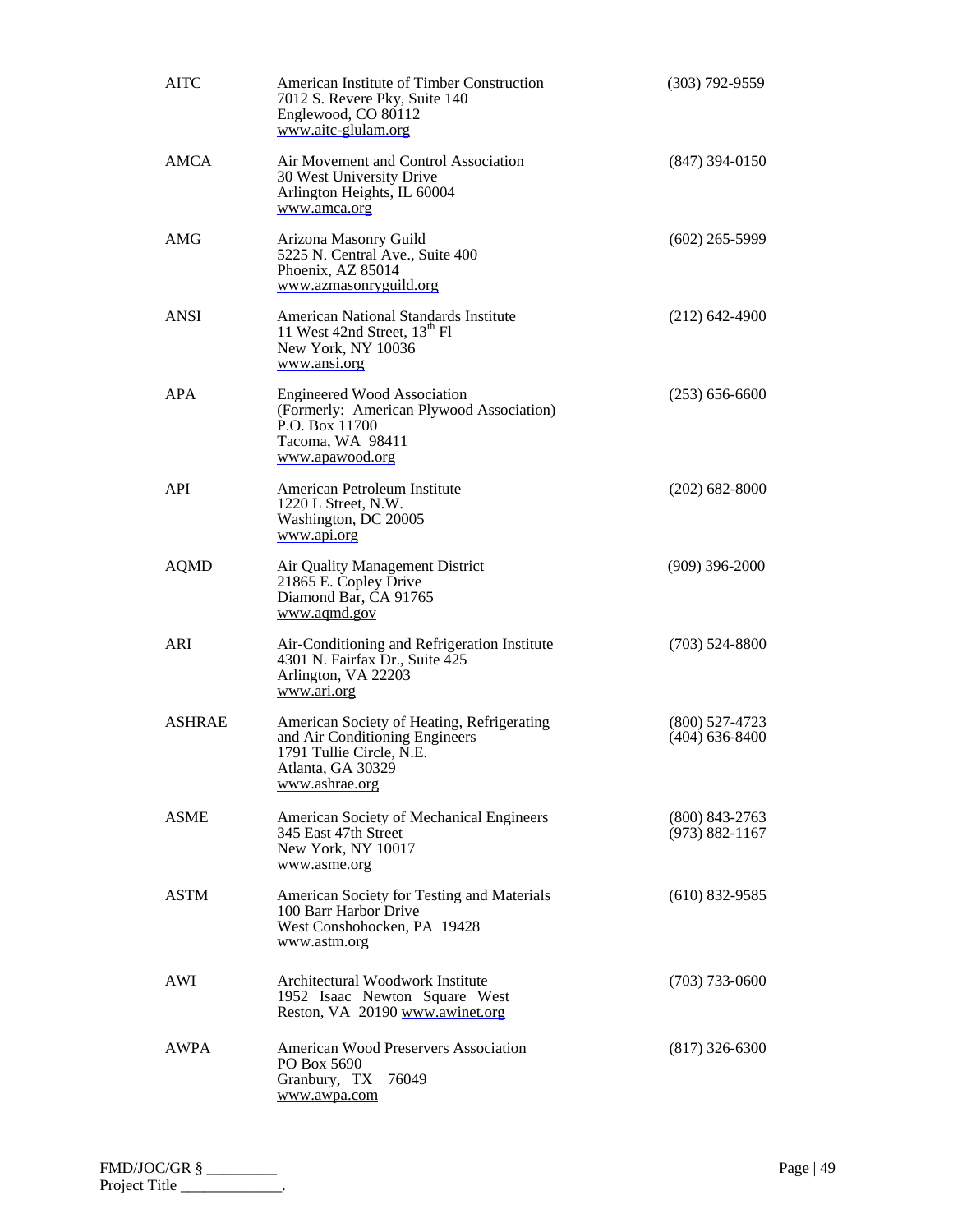| <b>AITC</b>   | American Institute of Timber Construction<br>7012 S. Revere Pky, Suite 140<br>Englewood, CO 80112<br>www.aitc-glulam.org                        | $(303)$ 792-9559                       |
|---------------|-------------------------------------------------------------------------------------------------------------------------------------------------|----------------------------------------|
| <b>AMCA</b>   | Air Movement and Control Association<br>30 West University Drive<br>Arlington Heights, IL 60004<br>www.amca.org                                 | $(847)$ 394-0150                       |
| AMG           | Arizona Masonry Guild<br>5225 N. Central Ave., Suite 400<br>Phoenix, AZ 85014<br>www.azmasonryguild.org                                         | $(602)$ 265-5999                       |
| <b>ANSI</b>   | American National Standards Institute<br>11 West 42nd Street, 13 <sup>th</sup> Fl<br>New York, NY 10036<br>www.ansi.org                         | $(212)$ 642-4900                       |
| <b>APA</b>    | <b>Engineered Wood Association</b><br>(Formerly: American Plywood Association)<br>P.O. Box 11700<br>Tacoma, WA 98411<br>www.apawood.org         | $(253) 656-6600$                       |
| API           | American Petroleum Institute<br>1220 L Street, N.W.<br>Washington, DC 20005<br>www.api.org                                                      | $(202)$ 682-8000                       |
| <b>AQMD</b>   | Air Quality Management District<br>21865 E. Copley Drive<br>Diamond Bar, CA 91765<br>www.aqmd.gov                                               | $(909)$ 396-2000                       |
| ARI           | Air-Conditioning and Refrigeration Institute<br>4301 N. Fairfax Dr., Suite 425<br>Arlington, VA 22203<br>www.ari.org                            | $(703)$ 524-8800                       |
| <b>ASHRAE</b> | American Society of Heating, Refrigerating<br>and Air Conditioning Engineers<br>1791 Tullie Circle, N.E.<br>Atlanta, GA 30329<br>www.ashrae.org | $(800)$ 527-4723<br>$(404)$ 636-8400   |
| <b>ASME</b>   | American Society of Mechanical Engineers<br>345 East 47th Street<br>New York, NY 10017<br>www.asme.org                                          | $(800)$ 843-2763<br>$(973) 882 - 1167$ |
| <b>ASTM</b>   | American Society for Testing and Materials<br>100 Barr Harbor Drive<br>West Conshohocken, PA 19428<br>www.astm.org                              | $(610)$ 832-9585                       |
| AWI           | Architectural Woodwork Institute<br>1952 Isaac Newton Square West<br>Reston, VA 20190 www.awinet.org                                            | $(703)$ 733-0600                       |
| AWPA          | American Wood Preservers Association<br>PO Box 5690<br>Granbury, TX<br>76049<br>www.awpa.com                                                    | $(817)$ 326-6300                       |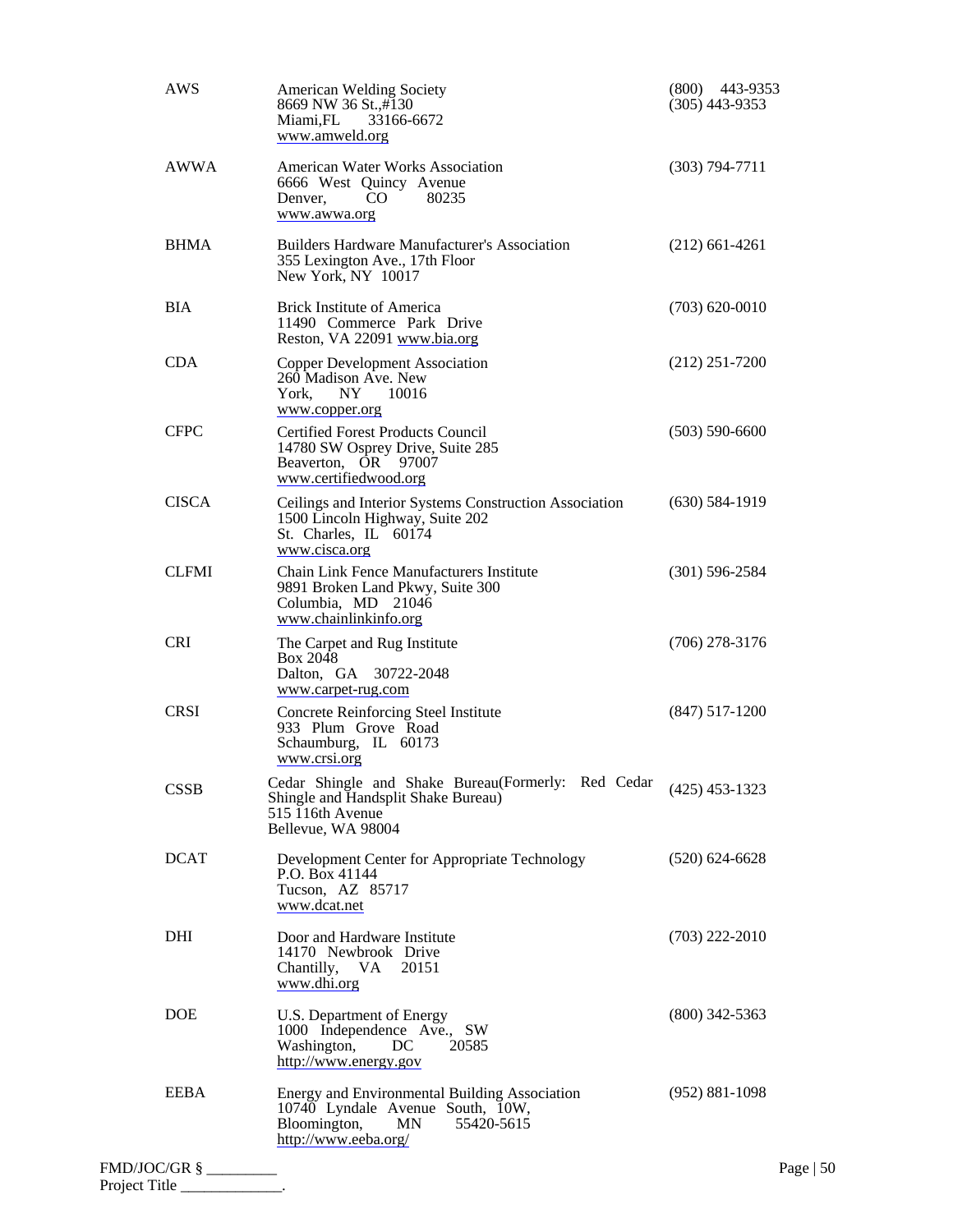|                | AWS          | <b>American Welding Society</b><br>8669 NW 36 St.,#130<br>Miami, FL<br>33166-6672<br>www.amweld.org                                           | $(800)$ 443-9353<br>$(305)$ 443-9353 |             |
|----------------|--------------|-----------------------------------------------------------------------------------------------------------------------------------------------|--------------------------------------|-------------|
|                | <b>AWWA</b>  | <b>American Water Works Association</b><br>6666 West Quincy Avenue<br>80235<br>CO<br>Denver,<br>www.awwa.org                                  | $(303) 794 - 7711$                   |             |
|                | <b>BHMA</b>  | <b>Builders Hardware Manufacturer's Association</b><br>355 Lexington Ave., 17th Floor<br>New York, NY 10017                                   | $(212)$ 661-4261                     |             |
|                | <b>BIA</b>   | <b>Brick Institute of America</b><br>11490 Commerce Park Drive<br>Reston, VA 22091 www.bia.org                                                | $(703)$ 620-0010                     |             |
|                | <b>CDA</b>   | <b>Copper Development Association</b><br>260 Madison Ave. New<br>NY.<br>10016<br>York,<br>www.copper.org                                      | $(212)$ 251-7200                     |             |
|                | <b>CFPC</b>  | <b>Certified Forest Products Council</b><br>14780 SW Osprey Drive, Suite 285<br>Beaverton, OR 97007<br>www.certifiedwood.org                  | $(503) 590 - 6600$                   |             |
|                | <b>CISCA</b> | Ceilings and Interior Systems Construction Association<br>1500 Lincoln Highway, Suite 202<br>St. Charles, IL 60174<br>www.cisca.org           | $(630)$ 584-1919                     |             |
|                | <b>CLFMI</b> | Chain Link Fence Manufacturers Institute<br>9891 Broken Land Pkwy, Suite 300<br>Columbia, MD 21046<br>www.chainlinkinfo.org                   | $(301)$ 596-2584                     |             |
|                | <b>CRI</b>   | The Carpet and Rug Institute<br>Box 2048<br>Dalton, GA 30722-2048<br>www.carpet-rug.com                                                       | $(706)$ 278-3176                     |             |
|                | <b>CRSI</b>  | Concrete Reinforcing Steel Institute<br>933 Plum Grove Road<br>Schaumburg, IL 60173<br>www.crsi.org                                           | $(847)$ 517-1200                     |             |
|                | <b>CSSB</b>  | Cedar Shingle and Shake Bureau(Formerly: Red Cedar<br>Shingle and Handsplit Shake Bureau)<br>515 116th Avenue<br>Bellevue, WA 98004           | $(425)$ 453-1323                     |             |
|                | <b>DCAT</b>  | Development Center for Appropriate Technology<br>P.O. Box 41144<br>Tucson, AZ 85717<br>www.dcat.net                                           | $(520)$ 624-6628                     |             |
|                | DHI          | Door and Hardware Institute<br>14170 Newbrook Drive<br>Chantilly, VA<br>20151<br>www.dhi.org                                                  | $(703)$ 222-2010                     |             |
|                | <b>DOE</b>   | U.S. Department of Energy<br>1000 Independence Ave., SW<br>Washington,<br>DC<br>20585<br>http://www.energy.gov                                | $(800)$ 342-5363                     |             |
|                | <b>EEBA</b>  | Energy and Environmental Building Association<br>10740 Lyndale Avenue South, 10W,<br>55420-5615<br>Bloomington,<br>MN<br>http://www.eeba.org/ | $(952) 881-1098$                     |             |
| FMD/JOC/GR § _ |              |                                                                                                                                               |                                      | Page   $50$ |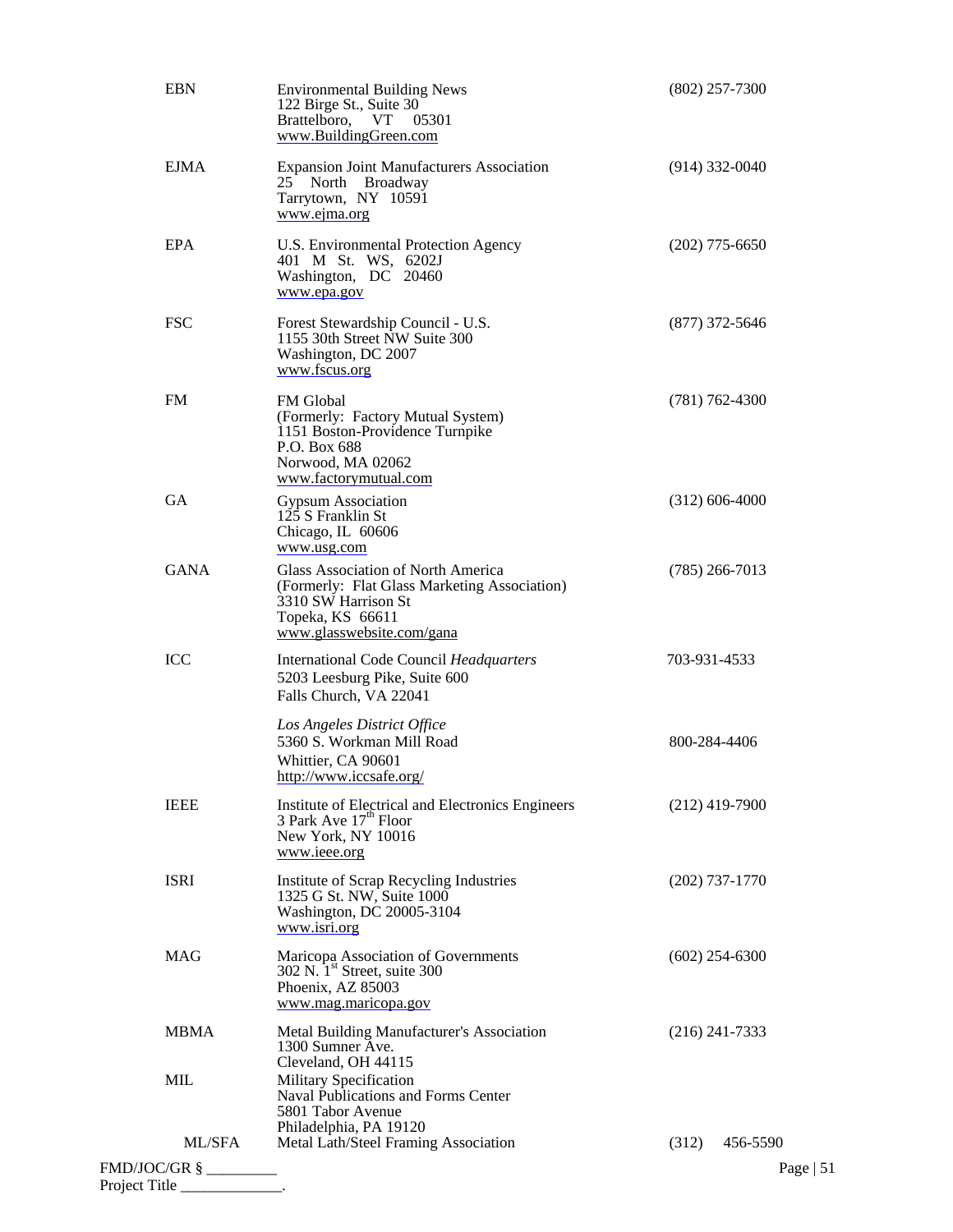| <b>EBN</b>    | <b>Environmental Building News</b><br>122 Birge St., Suite 30<br>Brattelboro, VT<br>05301<br>www.BuildingGreen.com                                         | $(802)$ 257-7300  |
|---------------|------------------------------------------------------------------------------------------------------------------------------------------------------------|-------------------|
| <b>EJMA</b>   | <b>Expansion Joint Manufacturers Association</b><br>25 North Broadway<br>Tarrytown, NY 10591<br>www.ejma.org                                               | $(914)$ 332-0040  |
| EPA           | U.S. Environmental Protection Agency<br>401 M St. WS, 6202J<br>Washington, DC 20460<br>www.epa.gov                                                         | $(202)$ 775-6650  |
| <b>FSC</b>    | Forest Stewardship Council - U.S.<br>1155 30th Street NW Suite 300<br>Washington, DC 2007<br>www.fscus.org                                                 | $(877)$ 372-5646  |
| <b>FM</b>     | <b>FM</b> Global<br>(Formerly: Factory Mutual System)<br>1151 Boston-Providence Turnpike<br>P.O. Box 688<br>Norwood, MA 02062<br>www.factorymutual.com     | $(781)$ 762-4300  |
| <b>GA</b>     | <b>Gypsum Association</b><br>125 S Franklin St<br>Chicago, IL 60606<br>www.usg.com                                                                         | $(312)$ 606-4000  |
| <b>GANA</b>   | Glass Association of North America<br>(Formerly: Flat Glass Marketing Association)<br>3310 SW Harrison St<br>Topeka, KS 66611<br>www.glasswebsite.com/gana | $(785)$ 266-7013  |
| ICC           | <b>International Code Council Headquarters</b><br>5203 Leesburg Pike, Suite 600<br>Falls Church, VA 22041                                                  | 703-931-4533      |
|               | Los Angeles District Office<br>5360 S. Workman Mill Road<br>Whittier, CA 90601<br>http://www.iccsafe.org/                                                  | 800-284-4406      |
| <b>IEEE</b>   | Institute of Electrical and Electronics Engineers<br>3 Park Ave $17^{\text{th}}$ Floor<br>New York, NY 10016<br>www.ieee.org                               | $(212)$ 419-7900  |
| <b>ISRI</b>   | Institute of Scrap Recycling Industries<br>1325 G St. NW, Suite 1000<br>Washington, DC 20005-3104<br>www.isri.org                                          | $(202)$ 737-1770  |
| <b>MAG</b>    | Maricopa Association of Governments<br>302 N. 1 <sup>st</sup> Street, suite 300<br>Phoenix, AZ 85003<br>www.mag.maricopa.gov                               | $(602)$ 254-6300  |
| <b>MBMA</b>   | Metal Building Manufacturer's Association<br>1300 Sumner Ave.<br>Cleveland, OH 44115                                                                       | $(216)$ 241-7333  |
| MIL           | Military Specification<br>Naval Publications and Forms Center<br>5801 Tabor Avenue<br>Philadelphia, PA 19120                                               |                   |
| ML/SFA        | Metal Lath/Steel Framing Association                                                                                                                       | (312)<br>456-5590 |
|               |                                                                                                                                                            | Page $ 51$        |
| Project Title |                                                                                                                                                            |                   |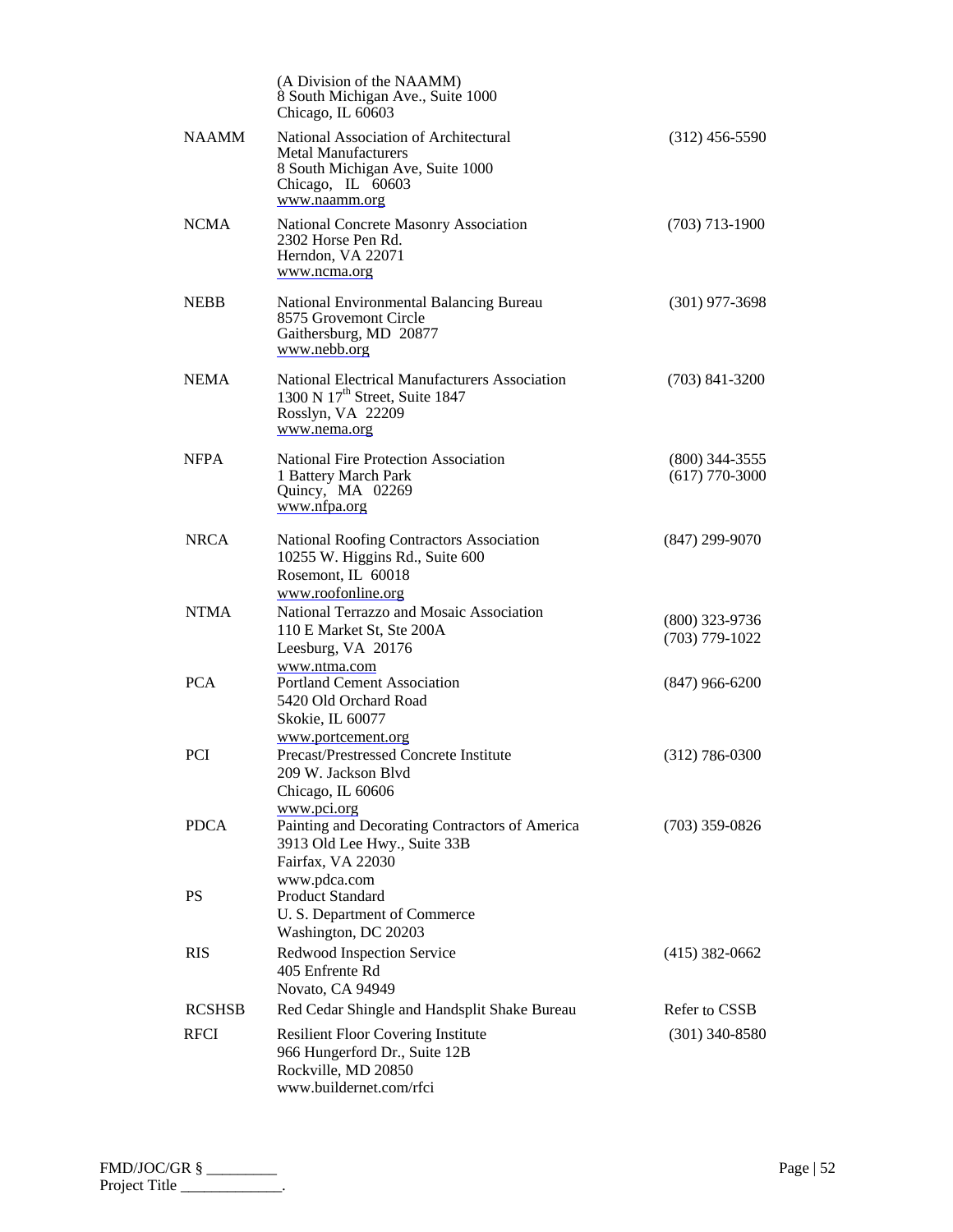|               | (A Division of the NAAMM)<br>8 South Michigan Ave., Suite 1000<br>Chicago, IL 60603                                                           |                                      |
|---------------|-----------------------------------------------------------------------------------------------------------------------------------------------|--------------------------------------|
| <b>NAAMM</b>  | National Association of Architectural<br><b>Metal Manufacturers</b><br>8 South Michigan Ave, Suite 1000<br>Chicago, IL 60603<br>www.naamm.org | $(312)$ 456-5590                     |
| <b>NCMA</b>   | National Concrete Masonry Association<br>2302 Horse Pen Rd.<br>Herndon, VA 22071<br>www.ncma.org                                              | $(703)$ 713-1900                     |
| <b>NEBB</b>   | National Environmental Balancing Bureau<br>8575 Grovemont Circle<br>Gaithersburg, MD 20877<br>www.nebb.org                                    | $(301)$ 977-3698                     |
| <b>NEMA</b>   | National Electrical Manufacturers Association<br>1300 N 17 <sup>th</sup> Street, Suite 1847<br>Rosslyn, VA 22209<br>www.nema.org              | $(703)$ 841-3200                     |
| <b>NFPA</b>   | <b>National Fire Protection Association</b><br>1 Battery March Park<br>Quincy, MA 02269<br>www.nfpa.org                                       | $(800)$ 344-3555<br>$(617)$ 770-3000 |
| <b>NRCA</b>   | National Roofing Contractors Association<br>10255 W. Higgins Rd., Suite 600<br>Rosemont, IL 60018<br>www.roofonline.org                       | $(847)$ 299-9070                     |
| <b>NTMA</b>   | National Terrazzo and Mosaic Association<br>110 E Market St, Ste 200A<br>Leesburg, VA 20176                                                   | $(800)$ 323-9736<br>$(703)$ 779-1022 |
| <b>PCA</b>    | www.ntma.com<br><b>Portland Cement Association</b><br>5420 Old Orchard Road<br>Skokie, IL 60077                                               | $(847)$ 966-6200                     |
| <b>PCI</b>    | www.portcement.org<br>Precast/Prestressed Concrete Institute<br>209 W. Jackson Blvd<br>Chicago, IL 60606                                      | $(312)$ 786-0300                     |
| <b>PDCA</b>   | www.pci.org<br>Painting and Decorating Contractors of America<br>3913 Old Lee Hwy., Suite 33B<br>Fairfax, VA 22030<br>www.pdca.com            | $(703)$ 359-0826                     |
| <b>PS</b>     | <b>Product Standard</b><br>U. S. Department of Commerce<br>Washington, DC 20203                                                               |                                      |
| <b>RIS</b>    | Redwood Inspection Service<br>405 Enfrente Rd<br>Novato, CA 94949                                                                             | $(415)$ 382-0662                     |
| <b>RCSHSB</b> | Red Cedar Shingle and Handsplit Shake Bureau                                                                                                  | Refer to CSSB                        |
| <b>RFCI</b>   | <b>Resilient Floor Covering Institute</b><br>966 Hungerford Dr., Suite 12B<br>Rockville, MD 20850<br>www.buildernet.com/rfci                  | $(301)$ 340-8580                     |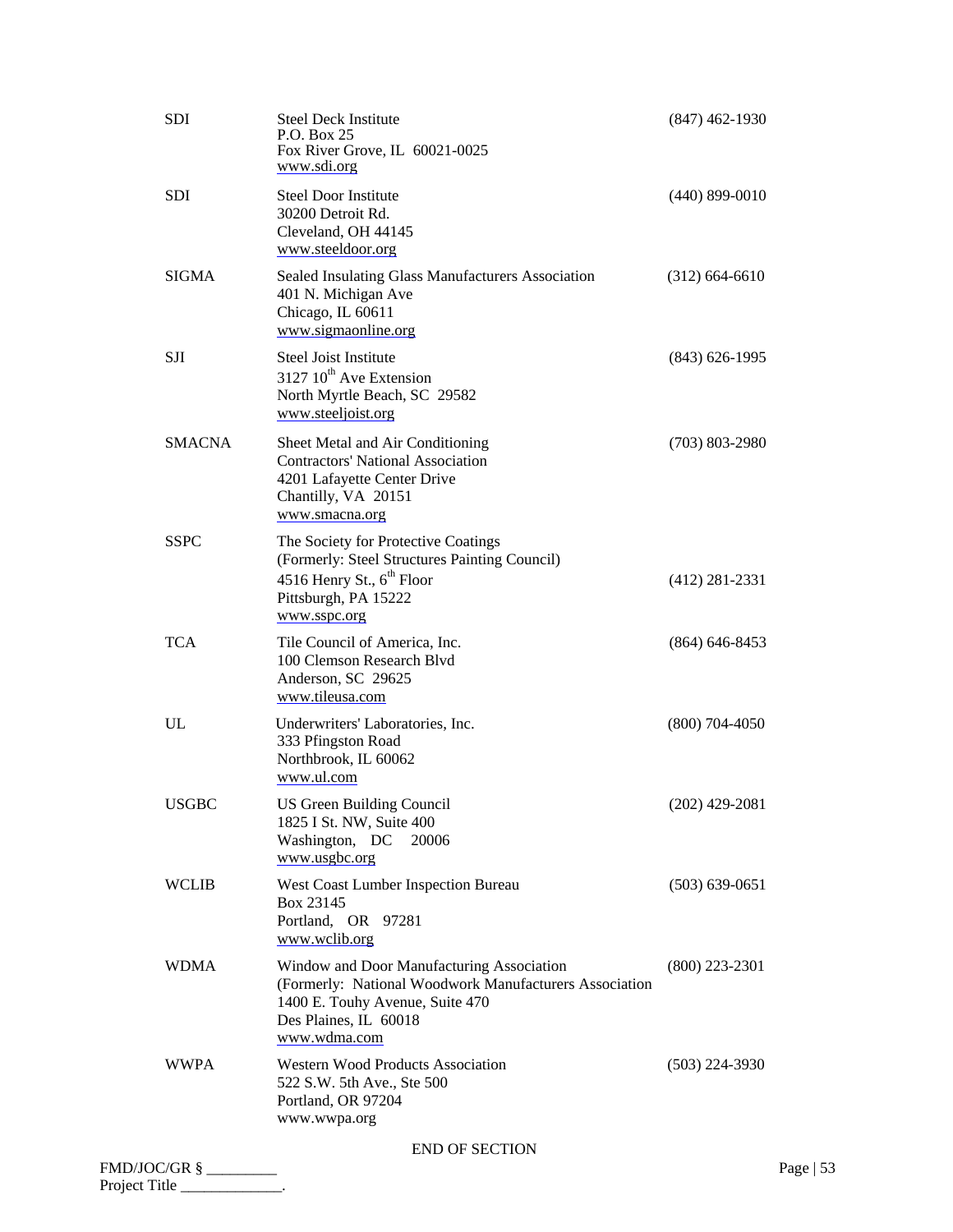|              | SDI           | <b>Steel Deck Institute</b><br>P.O. Box 25<br>Fox River Grove, IL 60021-0025<br>www.sdi.org                                                                                     | $(847)$ 462-1930   |            |
|--------------|---------------|---------------------------------------------------------------------------------------------------------------------------------------------------------------------------------|--------------------|------------|
|              | SDI           | <b>Steel Door Institute</b><br>30200 Detroit Rd.<br>Cleveland, OH 44145<br>www.steeldoor.org                                                                                    | $(440) 899 - 0010$ |            |
|              | <b>SIGMA</b>  | Sealed Insulating Glass Manufacturers Association<br>401 N. Michigan Ave<br>Chicago, IL 60611<br>www.sigmaonline.org                                                            | $(312)$ 664-6610   |            |
|              | SJI           | <b>Steel Joist Institute</b><br>3127 10 <sup>th</sup> Ave Extension<br>North Myrtle Beach, SC 29582<br>www.steeljoist.org                                                       | $(843) 626 - 1995$ |            |
|              | <b>SMACNA</b> | Sheet Metal and Air Conditioning<br><b>Contractors' National Association</b><br>4201 Lafayette Center Drive<br>Chantilly, VA 20151<br>www.smacna.org                            | $(703) 803 - 2980$ |            |
|              | <b>SSPC</b>   | The Society for Protective Coatings<br>(Formerly: Steel Structures Painting Council)<br>4516 Henry St., 6 <sup>th</sup> Floor<br>Pittsburgh, PA 15222<br>www.sspc.org           | $(412)$ 281-2331   |            |
|              | <b>TCA</b>    | Tile Council of America, Inc.<br>100 Clemson Research Blvd<br>Anderson, SC 29625<br>www.tileusa.com                                                                             | $(864) 646 - 8453$ |            |
|              | UL            | Underwriters' Laboratories, Inc.<br>333 Pfingston Road<br>Northbrook, IL 60062<br>www.ul.com                                                                                    | $(800)$ 704-4050   |            |
|              | <b>USGBC</b>  | <b>US Green Building Council</b><br>1825 I St. NW, Suite 400<br>Washington, DC<br>20006<br>www.usgbc.org                                                                        | $(202)$ 429-2081   |            |
|              | <b>WCLIB</b>  | West Coast Lumber Inspection Bureau<br>Box 23145<br>Portland, OR 97281<br>www.wclib.org                                                                                         | $(503) 639 - 0651$ |            |
|              | <b>WDMA</b>   | Window and Door Manufacturing Association<br>(Formerly: National Woodwork Manufacturers Association<br>1400 E. Touhy Avenue, Suite 470<br>Des Plaines, IL 60018<br>www.wdma.com | $(800)$ 223-2301   |            |
|              | <b>WWPA</b>   | <b>Western Wood Products Association</b><br>522 S.W. 5th Ave., Ste 500<br>Portland, OR 97204<br>www.wwpa.org                                                                    | $(503)$ 224-3930   |            |
|              |               | <b>END OF SECTION</b>                                                                                                                                                           |                    |            |
| FMD/JOC/GR § |               |                                                                                                                                                                                 |                    | Page $ 53$ |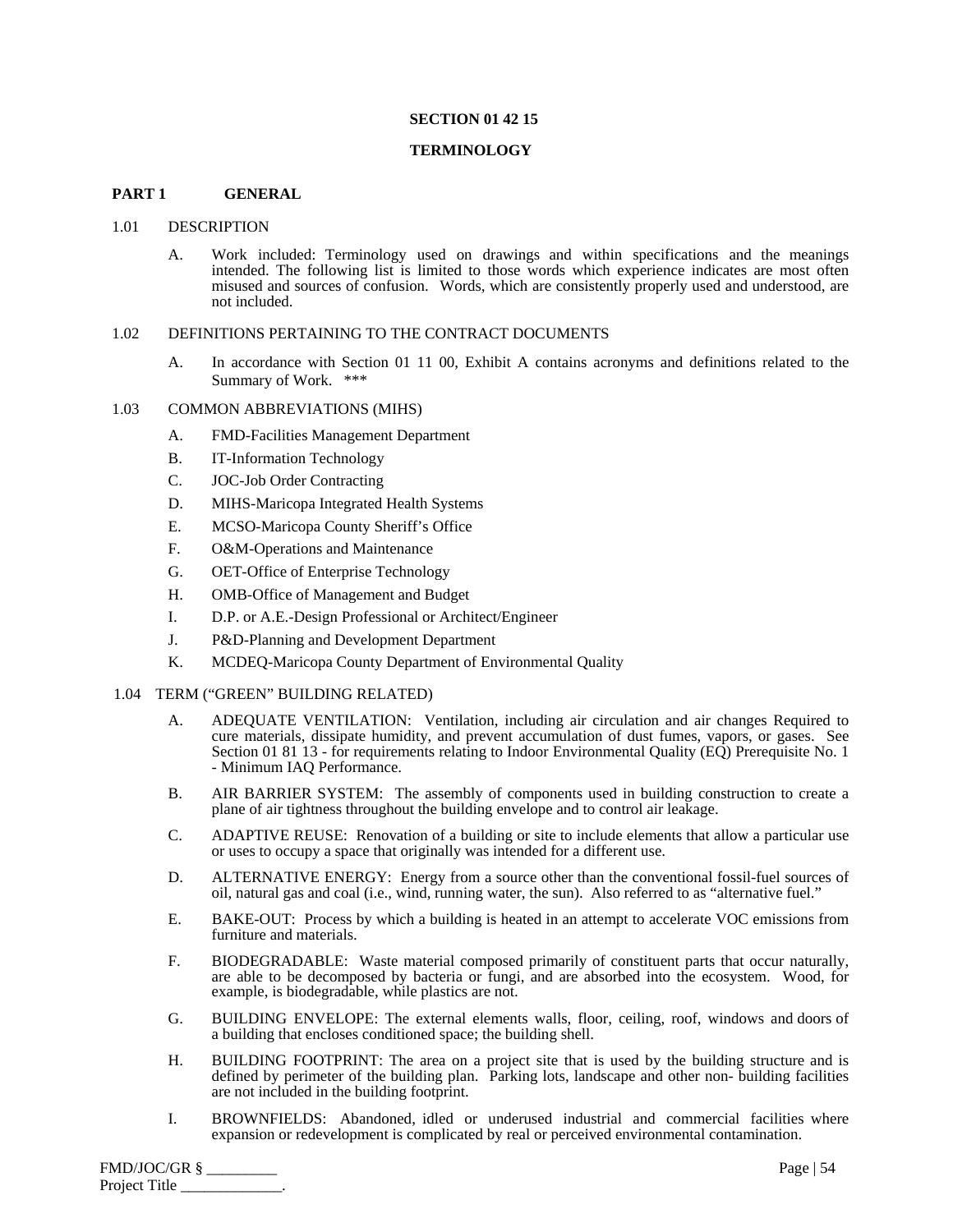## **SECTION 01 42 15**

#### **TERMINOLOGY**

#### **PART 1 GENERAL**

#### 1.01 DESCRIPTION

A. Work included: Terminology used on drawings and within specifications and the meanings intended. The following list is limited to those words which experience indicates are most often misused and sources of confusion. Words, which are consistently properly used and understood, are not included.

#### 1.02 DEFINITIONS PERTAINING TO THE CONTRACT DOCUMENTS

A. In accordance with Section 01 11 00, Exhibit A contains acronyms and definitions related to the Summary of Work. \*\*\*

## 1.03 COMMON ABBREVIATIONS (MIHS)

- A. FMD-Facilities Management Department
- B. IT-Information Technology
- C. JOC-Job Order Contracting
- D. MIHS-Maricopa Integrated Health Systems
- E. MCSO-Maricopa County Sheriff's Office
- F. O&M-Operations and Maintenance
- G. OET-Office of Enterprise Technology
- H. OMB-Office of Management and Budget
- I. D.P. or A.E.-Design Professional or Architect/Engineer
- J. P&D-Planning and Development Department
- K. MCDEQ-Maricopa County Department of Environmental Quality

## 1.04 TERM ("GREEN" BUILDING RELATED)

- A. ADEQUATE VENTILATION: Ventilation, including air circulation and air changes Required to cure materials, dissipate humidity, and prevent accumulation of dust fumes, vapors, or gases. See Section 01 81 13 - for requirements relating to Indoor Environmental Quality (EQ) Prerequisite No. 1 - Minimum IAQ Performance.
- B. AIR BARRIER SYSTEM: The assembly of components used in building construction to create a plane of air tightness throughout the building envelope and to control air leakage.
- C. ADAPTIVE REUSE: Renovation of a building or site to include elements that allow a particular use or uses to occupy a space that originally was intended for a different use.
- D. ALTERNATIVE ENERGY: Energy from a source other than the conventional fossil-fuel sources of oil, natural gas and coal (i.e., wind, running water, the sun). Also referred to as "alternative fuel."
- E. BAKE-OUT: Process by which a building is heated in an attempt to accelerate VOC emissions from furniture and materials.
- F. BIODEGRADABLE: Waste material composed primarily of constituent parts that occur naturally, are able to be decomposed by bacteria or fungi, and are absorbed into the ecosystem. Wood, for example, is biodegradable, while plastics are not.
- G. BUILDING ENVELOPE: The external elements walls, floor, ceiling, roof, windows and doors of a building that encloses conditioned space; the building shell.
- H. BUILDING FOOTPRINT: The area on a project site that is used by the building structure and is defined by perimeter of the building plan. Parking lots, landscape and other non- building facilities are not included in the building footprint.
- I. BROWNFIELDS: Abandoned, idled or underused industrial and commercial facilities where expansion or redevelopment is complicated by real or perceived environmental contamination.

| FMD/JOC/GR §  | Page $  54$ |
|---------------|-------------|
| Project Title |             |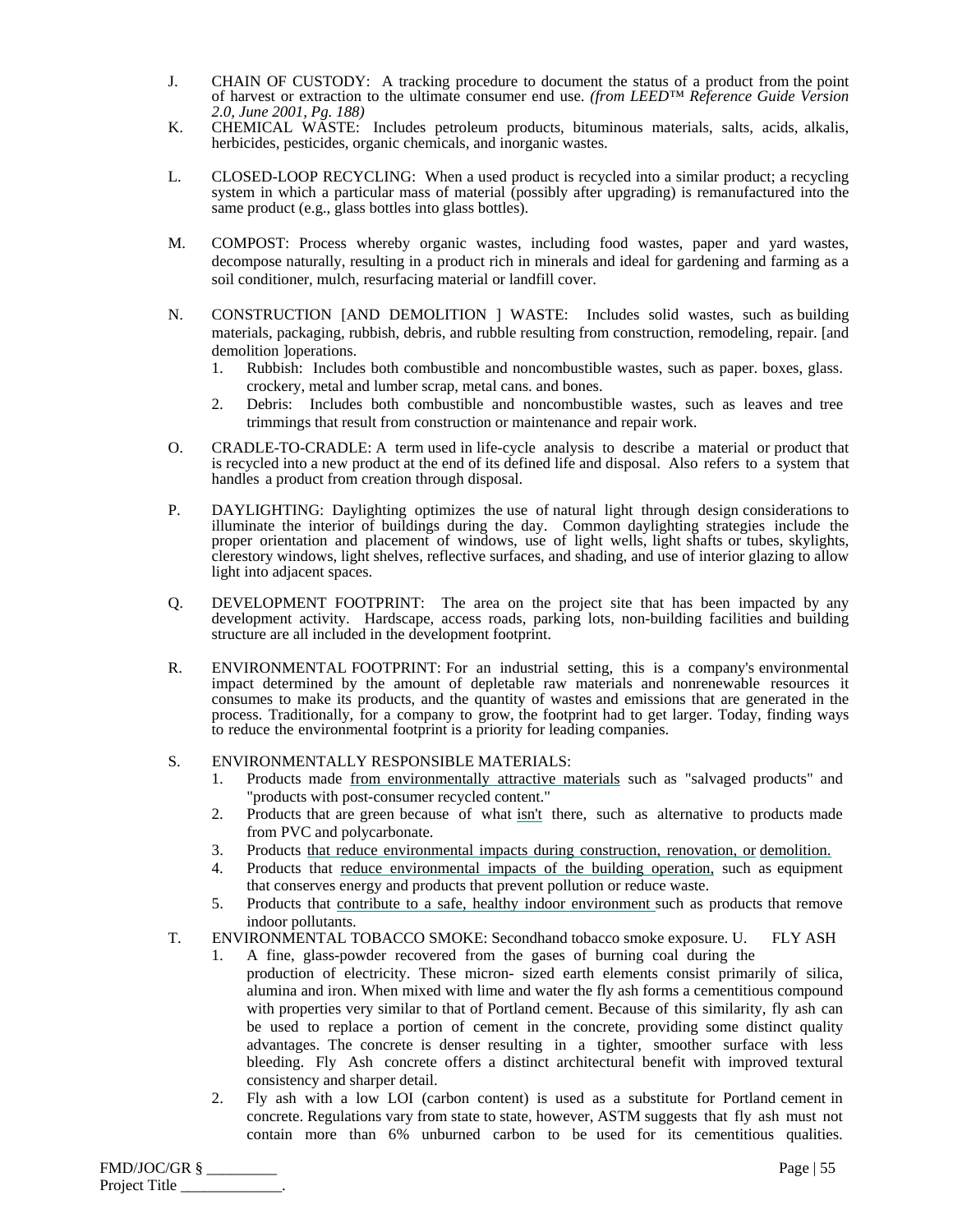- J. CHAIN OF CUSTODY: A tracking procedure to document the status of a product from the point of harvest or extraction to the ultimate consumer end use. *(from LEED™ Reference Guide Version 2.0, June 2001, Pg. 188)*
- K. CHEMICAL WASTE: Includes petroleum products, bituminous materials, salts, acids, alkalis, herbicides, pesticides, organic chemicals, and inorganic wastes.
- L. CLOSED-LOOP RECYCLING: When a used product is recycled into a similar product; a recycling system in which a particular mass of material (possibly after upgrading) is remanufactured into the same product (e.g., glass bottles into glass bottles).
- M. COMPOST: Process whereby organic wastes, including food wastes, paper and yard wastes, decompose naturally, resulting in a product rich in minerals and ideal for gardening and farming as a soil conditioner, mulch, resurfacing material or landfill cover.
- N. CONSTRUCTION [AND DEMOLITION ] WASTE: Includes solid wastes, such as building materials, packaging, rubbish, debris, and rubble resulting from construction, remodeling, repair. [and demolition ]operations.
	- 1. Rubbish: Includes both combustible and noncombustible wastes, such as paper. boxes, glass. crockery, metal and lumber scrap, metal cans. and bones.
	- 2. Debris: Includes both combustible and noncombustible wastes, such as leaves and tree trimmings that result from construction or maintenance and repair work.
- O. CRADLE-TO-CRADLE: A term used in life-cycle analysis to describe a material or product that is recycled into a new product at the end of its defined life and disposal. Also refers to a system that handles a product from creation through disposal.
- P. DAYLIGHTING: Daylighting optimizes the use of natural light through design considerations to illuminate the interior of buildings during the day. Common daylighting strategies include the proper orientation and placement of windows, use of light wells, light shafts or tubes, skylights, clerestory windows, light shelves, reflective surfaces, and shading, and use of interior glazing to allow light into adjacent spaces.
- Q. DEVELOPMENT FOOTPRINT: The area on the project site that has been impacted by any development activity. Hardscape, access roads, parking lots, non-building facilities and building structure are all included in the development footprint.
- R. ENVIRONMENTAL FOOTPRINT: For an industrial setting, this is a company's environmental impact determined by the amount of depletable raw materials and nonrenewable resources it consumes to make its products, and the quantity of wastes and emissions that are generated in the process. Traditionally, for a company to grow, the footprint had to get larger. Today, finding ways to reduce the environmental footprint is a priority for leading companies.

# S. ENVIRONMENTALLY RESPONSIBLE MATERIALS:

- 1. Products made from environmentally attractive materials such as "salvaged products" and "products with post-consumer recycled content."
- 2. Products that are green because of what isn't there, such as alternative to products made from PVC and polycarbonate.
- 3. Products that reduce environmental impacts during construction, renovation, or demolition.
- 4. Products that reduce environmental impacts of the building operation, such as equipment that conserves energy and products that prevent pollution or reduce waste.
- 5. Products that contribute to a safe, healthy indoor environment such as products that remove indoor pollutants.
- T. ENVIRONMENTAL TOBACCO SMOKE: Secondhand tobacco smoke exposure. U. FLY ASH
	- 1. A fine, glass-powder recovered from the gases of burning coal during the production of electricity. These micron- sized earth elements consist primarily of silica, alumina and iron. When mixed with lime and water the fly ash forms a cementitious compound with properties very similar to that of Portland cement. Because of this similarity, fly ash can be used to replace a portion of cement in the concrete, providing some distinct quality advantages. The concrete is denser resulting in a tighter, smoother surface with less bleeding. Fly Ash concrete offers a distinct architectural benefit with improved textural consistency and sharper detail.
	- 2. Fly ash with a low LOI (carbon content) is used as a substitute for Portland cement in concrete. Regulations vary from state to state, however, ASTM suggests that fly ash must not contain more than 6% unburned carbon to be used for its cementitious qualities.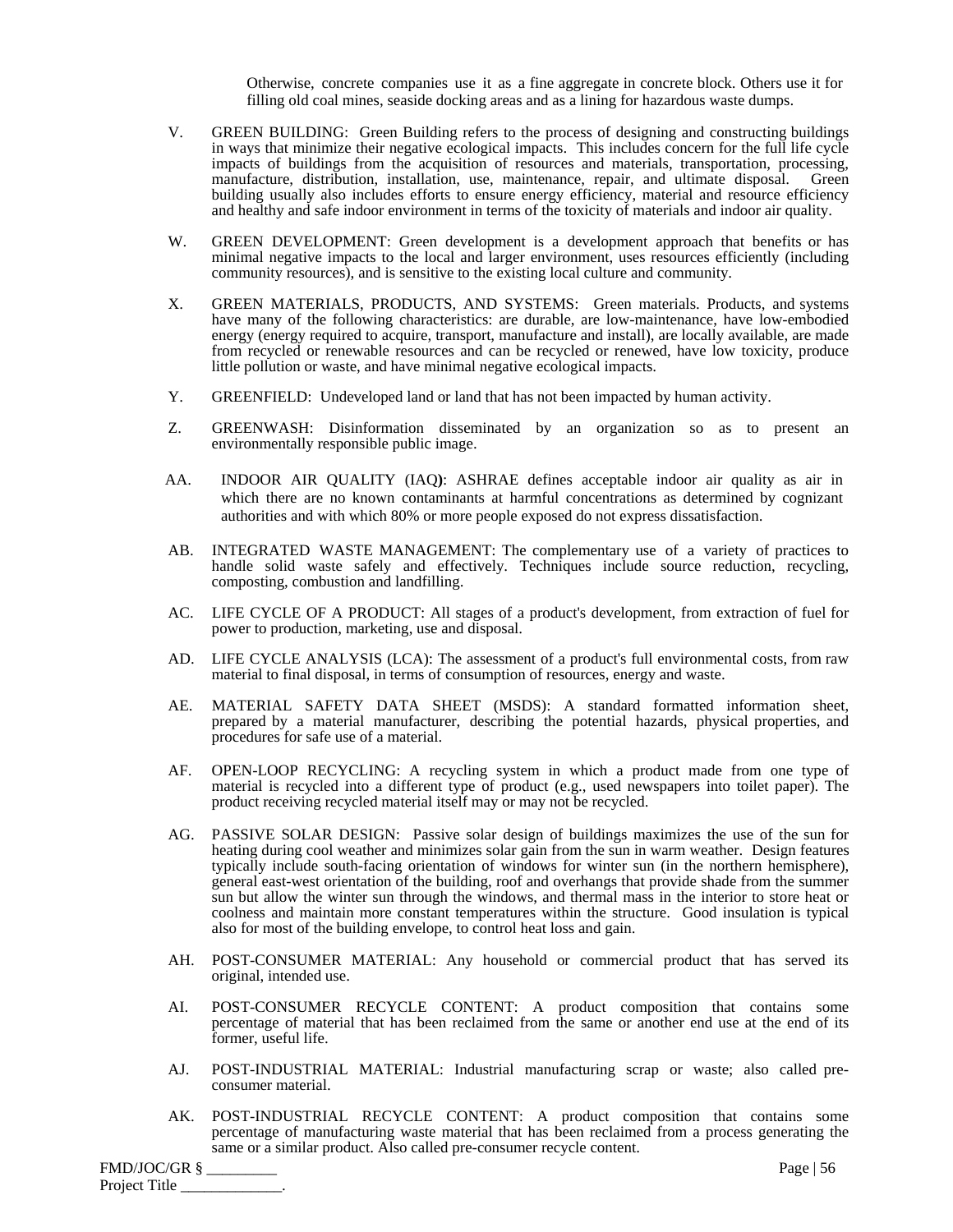Otherwise, concrete companies use it as a fine aggregate in concrete block. Others use it for filling old coal mines, seaside docking areas and as a lining for hazardous waste dumps.

- V. GREEN BUILDING: Green Building refers to the process of designing and constructing buildings in ways that minimize their negative ecological impacts. This includes concern for the full life cycle impacts of buildings from the acquisition of resources and materials, transportation, processing, manufacture, distribution, installation, use, maintenance, repair, and ultimate disposal. Green building usually also includes efforts to ensure energy efficiency, material and resource efficiency and healthy and safe indoor environment in terms of the toxicity of materials and indoor air quality.
- W. GREEN DEVELOPMENT: Green development is a development approach that benefits or has minimal negative impacts to the local and larger environment, uses resources efficiently (including community resources), and is sensitive to the existing local culture and community.
- X. GREEN MATERIALS, PRODUCTS, AND SYSTEMS: Green materials. Products, and systems have many of the following characteristics: are durable, are low-maintenance, have low-embodied energy (energy required to acquire, transport, manufacture and install), are locally available, are made from recycled or renewable resources and can be recycled or renewed, have low toxicity, produce little pollution or waste, and have minimal negative ecological impacts.
- Y. GREENFIELD: Undeveloped land or land that has not been impacted by human activity.
- Z. GREENWASH: Disinformation disseminated by an organization so as to present an environmentally responsible public image.
- AA. INDOOR AIR QUALITY (IAQ**)**: ASHRAE defines acceptable indoor air quality as air in which there are no known contaminants at harmful concentrations as determined by cognizant authorities and with which 80% or more people exposed do not express dissatisfaction.
- AB. INTEGRATED WASTE MANAGEMENT: The complementary use of a variety of practices to handle solid waste safely and effectively. Techniques include source reduction, recycling, composting, combustion and landfilling.
- AC. LIFE CYCLE OF A PRODUCT: All stages of a product's development, from extraction of fuel for power to production, marketing, use and disposal.
- AD. LIFE CYCLE ANALYSIS (LCA): The assessment of a product's full environmental costs, from raw material to final disposal, in terms of consumption of resources, energy and waste.
- AE. MATERIAL SAFETY DATA SHEET (MSDS): A standard formatted information sheet, prepared by a material manufacturer, describing the potential hazards, physical properties, and procedures for safe use of a material.
- AF. OPEN-LOOP RECYCLING: A recycling system in which a product made from one type of material is recycled into a different type of product (e.g., used newspapers into toilet paper). The product receiving recycled material itself may or may not be recycled.
- AG. PASSIVE SOLAR DESIGN: Passive solar design of buildings maximizes the use of the sun for heating during cool weather and minimizes solar gain from the sun in warm weather. Design features typically include south-facing orientation of windows for winter sun (in the northern hemisphere), general east-west orientation of the building, roof and overhangs that provide shade from the summer sun but allow the winter sun through the windows, and thermal mass in the interior to store heat or coolness and maintain more constant temperatures within the structure. Good insulation is typical also for most of the building envelope, to control heat loss and gain.
- AH. POST-CONSUMER MATERIAL: Any household or commercial product that has served its original, intended use.
- AI. POST-CONSUMER RECYCLE CONTENT: A product composition that contains some percentage of material that has been reclaimed from the same or another end use at the end of its former, useful life.
- AJ. POST-INDUSTRIAL MATERIAL: Industrial manufacturing scrap or waste; also called preconsumer material.
- AK. POST-INDUSTRIAL RECYCLE CONTENT: A product composition that contains some percentage of manufacturing waste material that has been reclaimed from a process generating the same or a similar product. Also called pre-consumer recycle content.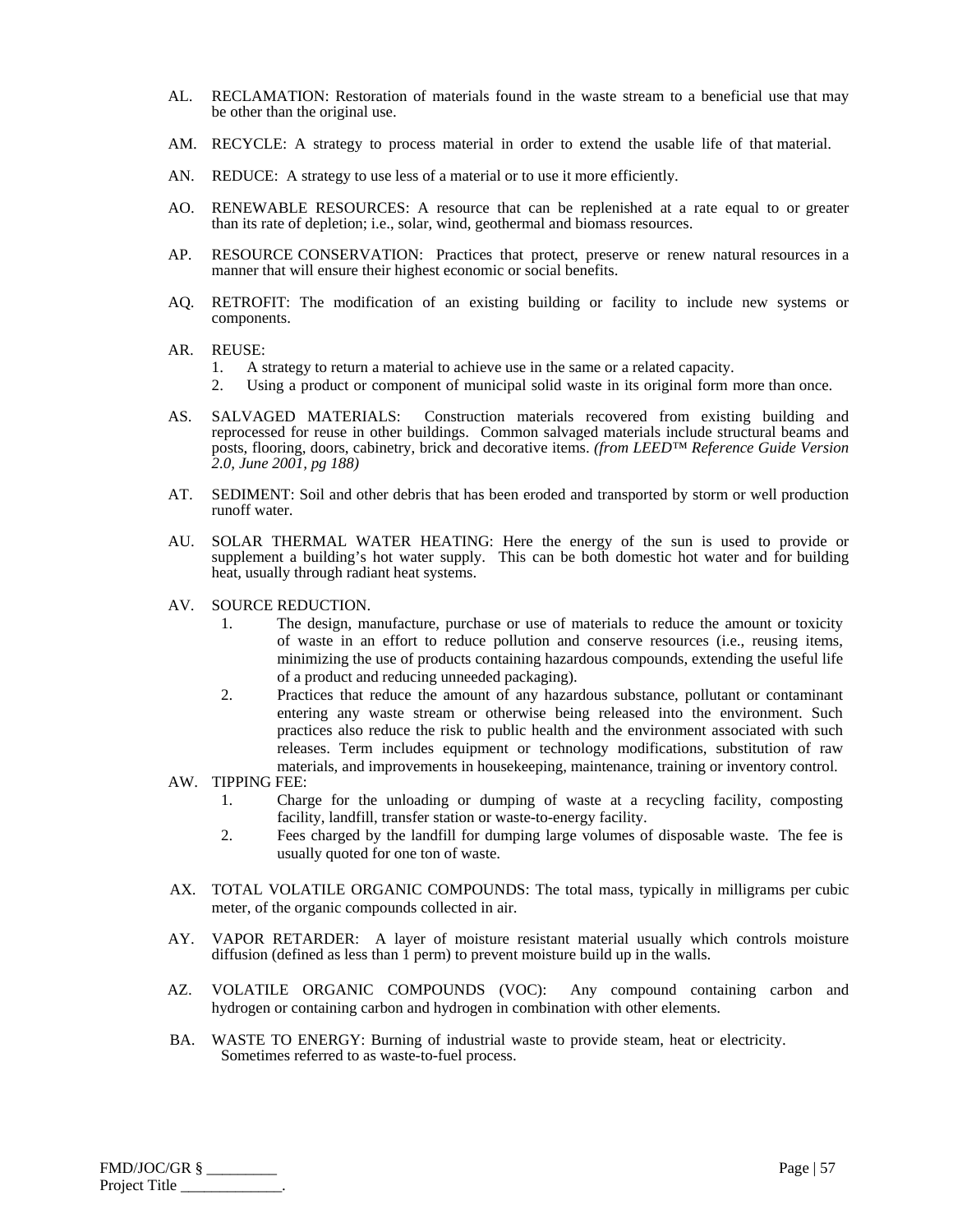- AL. RECLAMATION: Restoration of materials found in the waste stream to a beneficial use that may be other than the original use.
- AM. RECYCLE: A strategy to process material in order to extend the usable life of that material.
- AN. REDUCE: A strategy to use less of a material or to use it more efficiently.
- AO. RENEWABLE RESOURCES: A resource that can be replenished at a rate equal to or greater than its rate of depletion; i.e., solar, wind, geothermal and biomass resources.
- AP. RESOURCE CONSERVATION: Practices that protect, preserve or renew natural resources in a manner that will ensure their highest economic or social benefits.
- AQ. RETROFIT: The modification of an existing building or facility to include new systems or components.
- AR. REUSE:
	- 1. A strategy to return a material to achieve use in the same or a related capacity.
	- 2. Using a product or component of municipal solid waste in its original form more than once.
- AS. SALVAGED MATERIALS: Construction materials recovered from existing building and reprocessed for reuse in other buildings. Common salvaged materials include structural beams and posts, flooring, doors, cabinetry, brick and decorative items. *(from LEED™ Reference Guide Version 2.0, June 2001, pg 188)*
- AT. SEDIMENT: Soil and other debris that has been eroded and transported by storm or well production runoff water.
- AU. SOLAR THERMAL WATER HEATING: Here the energy of the sun is used to provide or supplement a building's hot water supply. This can be both domestic hot water and for building heat, usually through radiant heat systems.
- AV. SOURCE REDUCTION.
	- 1. The design, manufacture, purchase or use of materials to reduce the amount or toxicity of waste in an effort to reduce pollution and conserve resources (i.e., reusing items, minimizing the use of products containing hazardous compounds, extending the useful life of a product and reducing unneeded packaging).
	- 2. Practices that reduce the amount of any hazardous substance, pollutant or contaminant entering any waste stream or otherwise being released into the environment. Such practices also reduce the risk to public health and the environment associated with such releases. Term includes equipment or technology modifications, substitution of raw materials, and improvements in housekeeping, maintenance, training or inventory control.

AW. TIPPING FEE:

- 1. Charge for the unloading or dumping of waste at a recycling facility, composting facility, landfill, transfer station or waste-to-energy facility.
- 2. Fees charged by the landfill for dumping large volumes of disposable waste. The fee is usually quoted for one ton of waste.
- AX. TOTAL VOLATILE ORGANIC COMPOUNDS: The total mass, typically in milligrams per cubic meter, of the organic compounds collected in air.
- AY. VAPOR RETARDER: A layer of moisture resistant material usually which controls moisture diffusion (defined as less than 1 perm) to prevent moisture build up in the walls.
- AZ. VOLATILE ORGANIC COMPOUNDS (VOC): Any compound containing carbon and hydrogen or containing carbon and hydrogen in combination with other elements.
- BA. WASTE TO ENERGY: Burning of industrial waste to provide steam, heat or electricity. Sometimes referred to as waste-to-fuel process.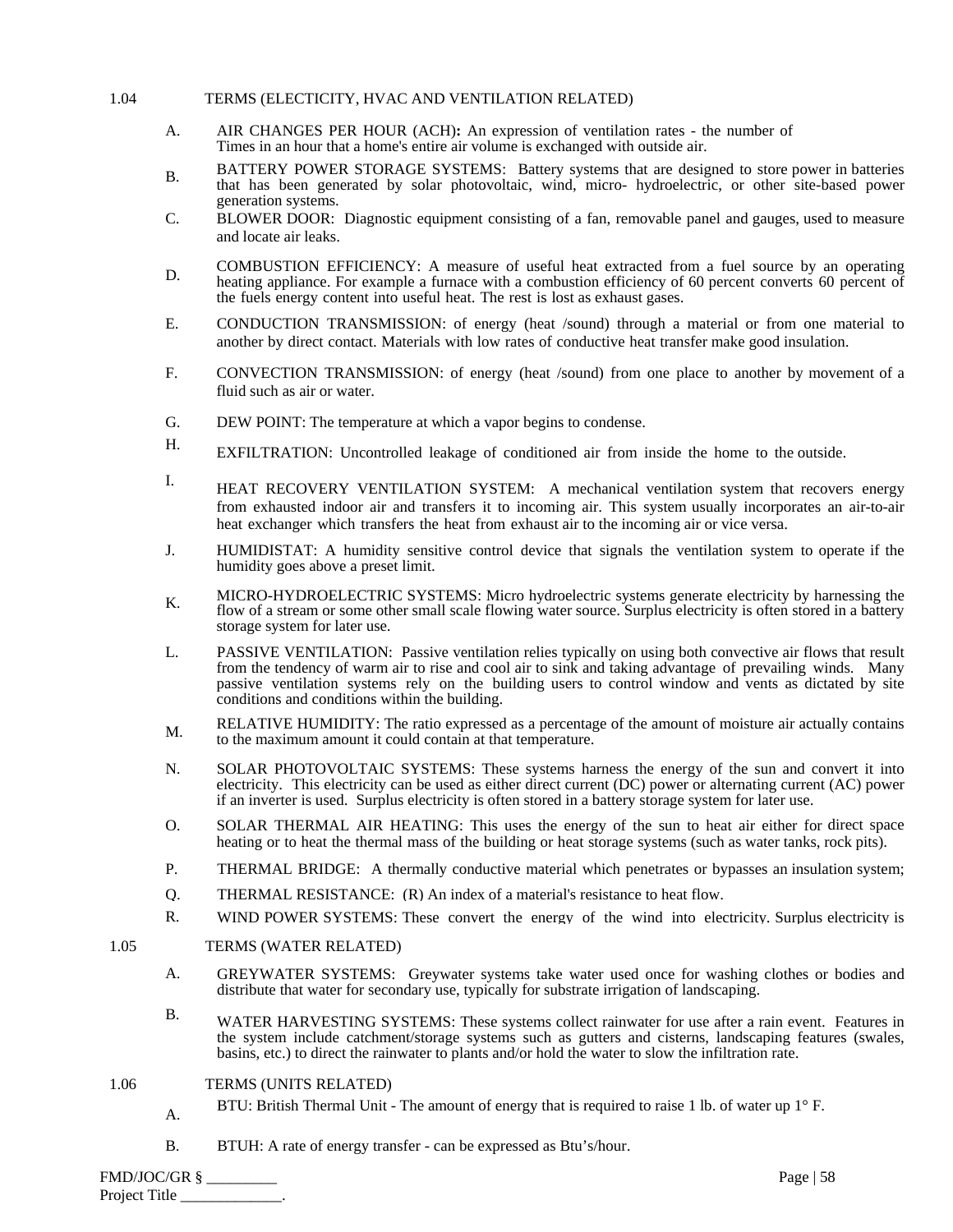#### 1.04 TERMS (ELECTICITY, HVAC AND VENTILATION RELATED)

- A. AIR CHANGES PER HOUR (ACH)**:** An expression of ventilation rates - the number of Times in an hour that a home's entire air volume is exchanged with outside air.
- B. BATTERY POWER STORAGE SYSTEMS: Battery systems that are designed to store power in batteries that has been generated by solar photovoltaic, wind, micro- hydroelectric, or other site-based power generation systems.
- C. BLOWER DOOR: Diagnostic equipment consisting of a fan, removable panel and gauges, used to measure and locate air leaks.
- D. COMBUSTION EFFICIENCY: A measure of useful heat extracted from a fuel source by an operating D. heating appliance. For example a furnace with a combustion efficiency of 60 percent converts 60 percent of the fuels energy content into useful heat. The rest is lost as exhaust gases.
- E. CONDUCTION TRANSMISSION: of energy (heat /sound) through a material or from one material to another by direct contact. Materials with low rates of conductive heat transfer make good insulation.
- F. CONVECTION TRANSMISSION: of energy (heat /sound) from one place to another by movement of a fluid such as air or water.
- G. DEW POINT: The temperature at which a vapor begins to condense.
- H. EXFILTRATION: Uncontrolled leakage of conditioned air from inside the home to the outside.
- I. HEAT RECOVERY VENTILATION SYSTEM: A mechanical ventilation system that recovers energy from exhausted indoor air and transfers it to incoming air. This system usually incorporates an air-to-air heat exchanger which transfers the heat from exhaust air to the incoming air or vice versa.
- J. HUMIDISTAT: A humidity sensitive control device that signals the ventilation system to operate if the humidity goes above a preset limit.
- K. MICRO-HYDROELECTRIC SYSTEMS: Micro hydroelectric systems generate electricity by harnessing the flow of a stream or some other small scale flowing water source. Surplus electricity is often stored in a battery storage system for later use.
- L. PASSIVE VENTILATION: Passive ventilation relies typically on using both convective air flows that result from the tendency of warm air to rise and cool air to sink and taking advantage of prevailing winds. Many passive ventilation systems rely on the building users to control window and vents as dictated by site conditions and conditions within the building.
- M. RELATIVE HUMIDITY: The ratio expressed as a percentage of the amount of moisture air actually contains to the maximum amount it could contain at that temperature.
- N. SOLAR PHOTOVOLTAIC SYSTEMS: These systems harness the energy of the sun and convert it into electricity. This electricity can be used as either direct current (DC) power or alternating current (AC) power if an inverter is used. Surplus electricity is often stored in a battery storage system for later use.
- O. SOLAR THERMAL AIR HEATING: This uses the energy of the sun to heat air either for direct space heating or to heat the thermal mass of the building or heat storage systems (such as water tanks, rock pits).
- P. THERMAL BRIDGE: A thermally conductive material which penetrates or bypasses an insulation system;
- Q. THERMAL RESISTANCE: (R) An index of a material's resistance to heat flow.
- R. WIND POWER SYSTEMS: These convert the energy of the wind into electricity. Surplus electricity is

#### 1.05 TERMS (WATER RELATED)

- A. GREYWATER SYSTEMS: Greywater systems take water used once for washing clothes or bodies and distribute that water for secondary use, typically for substrate irrigation of landscaping.
- B. WATER HARVESTING SYSTEMS: These systems collect rainwater for use after a rain event. Features in the system include catchment/storage systems such as gutters and cisterns, landscaping features (swales, basins, etc.) to direct the rainwater to plants and/or hold the water to slow the infiltration rate.

#### 1.06 TERMS (UNITS RELATED)

- A. BTU: British Thermal Unit The amount of energy that is required to raise 1 lb. of water up 1° F.
- B. BTUH: A rate of energy transfer can be expressed as Btu's/hour.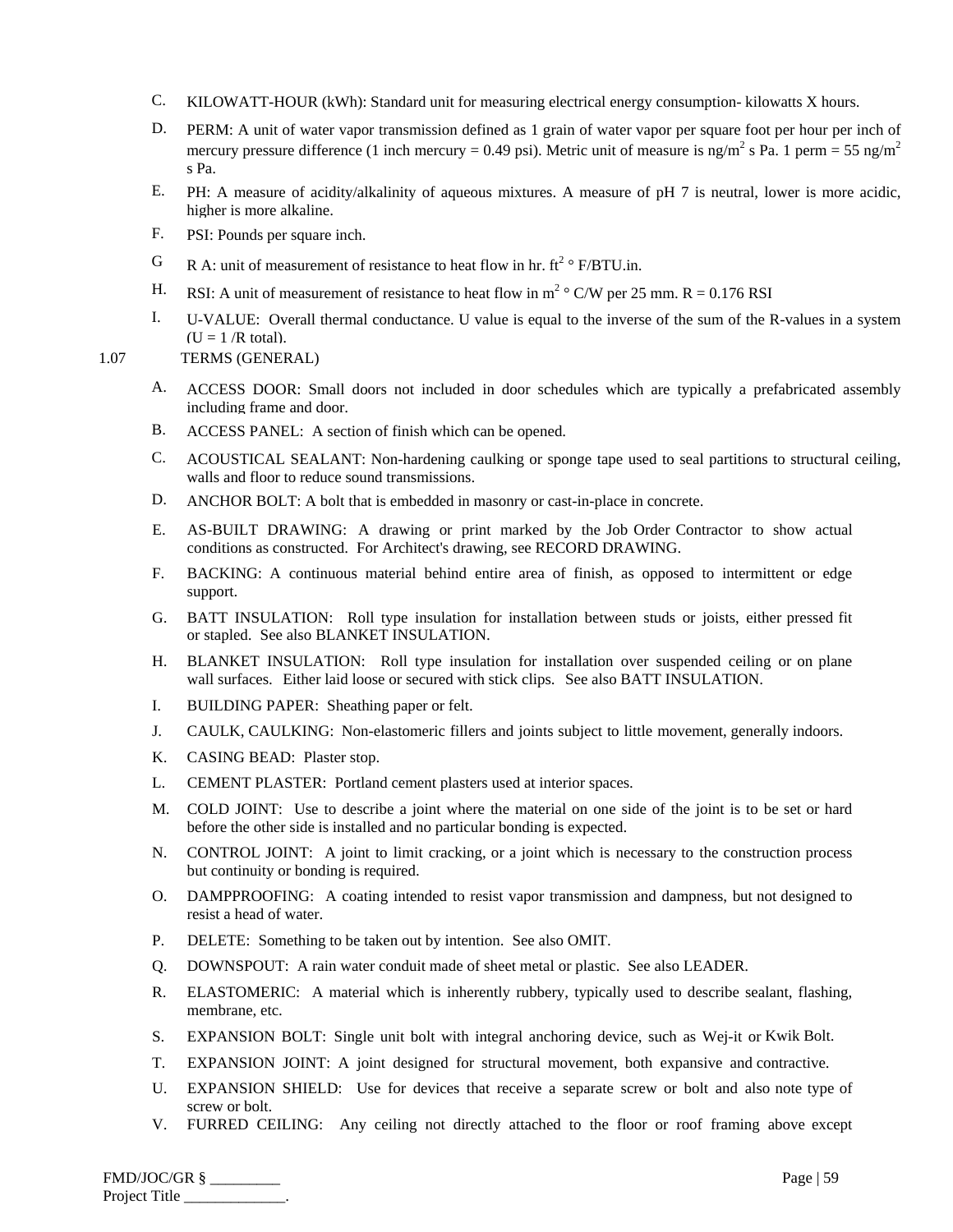- C. KILOWATT-HOUR (kWh): Standard unit for measuring electrical energy consumption- kilowatts X hours.
- D. PERM: A unit of water vapor transmission defined as 1 grain of water vapor per square foot per hour per inch of mercury pressure difference (1 inch mercury = 0.49 psi). Metric unit of measure is ng/m<sup>2</sup> s Pa. 1 perm = 55 ng/m<sup>2</sup> s Pa.
- E. PH: A measure of acidity/alkalinity of aqueous mixtures. A measure of pH 7 is neutral, lower is more acidic, higher is more alkaline.
- F. PSI: Pounds per square inch.
- G R A: unit of measurement of resistance to heat flow in hr.  $ft^2 \circ F/BTU.in.$
- H. RSI: A unit of measurement of resistance to heat flow in  $m^2 \circ C/W$  per 25 mm. R = 0.176 RSI
- I. U-VALUE: Overall thermal conductance. U value is equal to the inverse of the sum of the R-values in a system  $(U = 1 / R \text{ total}).$

# 1.07 TERMS (GENERAL)

- A. ACCESS DOOR: Small doors not included in door schedules which are typically a prefabricated assembly including frame and door.
- B. ACCESS PANEL: A section of finish which can be opened.
- C. ACOUSTICAL SEALANT: Non-hardening caulking or sponge tape used to seal partitions to structural ceiling, walls and floor to reduce sound transmissions.
- D. ANCHOR BOLT: A bolt that is embedded in masonry or cast-in-place in concrete.
- E. AS-BUILT DRAWING: A drawing or print marked by the Job Order Contractor to show actual conditions as constructed. For Architect's drawing, see RECORD DRAWING.
- F. BACKING: A continuous material behind entire area of finish, as opposed to intermittent or edge support.
- G. BATT INSULATION: Roll type insulation for installation between studs or joists, either pressed fit or stapled. See also BLANKET INSULATION.
- H. BLANKET INSULATION: Roll type insulation for installation over suspended ceiling or on plane wall surfaces. Either laid loose or secured with stick clips. See also BATT INSULATION.
- I. BUILDING PAPER: Sheathing paper or felt.
- J. CAULK, CAULKING: Non-elastomeric fillers and joints subject to little movement, generally indoors.
- K. CASING BEAD: Plaster stop.
- L. CEMENT PLASTER: Portland cement plasters used at interior spaces.
- M. COLD JOINT: Use to describe a joint where the material on one side of the joint is to be set or hard before the other side is installed and no particular bonding is expected.
- N. CONTROL JOINT: A joint to limit cracking, or a joint which is necessary to the construction process but continuity or bonding is required.
- O. DAMPPROOFING: A coating intended to resist vapor transmission and dampness, but not designed to resist a head of water.
- P. DELETE: Something to be taken out by intention. See also OMIT.
- Q. DOWNSPOUT: A rain water conduit made of sheet metal or plastic. See also LEADER.
- R. ELASTOMERIC: A material which is inherently rubbery, typically used to describe sealant, flashing, membrane, etc.
- S. EXPANSION BOLT: Single unit bolt with integral anchoring device, such as Wej-it or Kwik Bolt.
- T. EXPANSION JOINT: A joint designed for structural movement, both expansive and contractive.
- U. EXPANSION SHIELD: Use for devices that receive a separate screw or bolt and also note type of screw or bolt.
- V. FURRED CEILING: Any ceiling not directly attached to the floor or roof framing above except

| $FMD/JOC/GR$ § | Page   $59$ |
|----------------|-------------|
| Project Title  |             |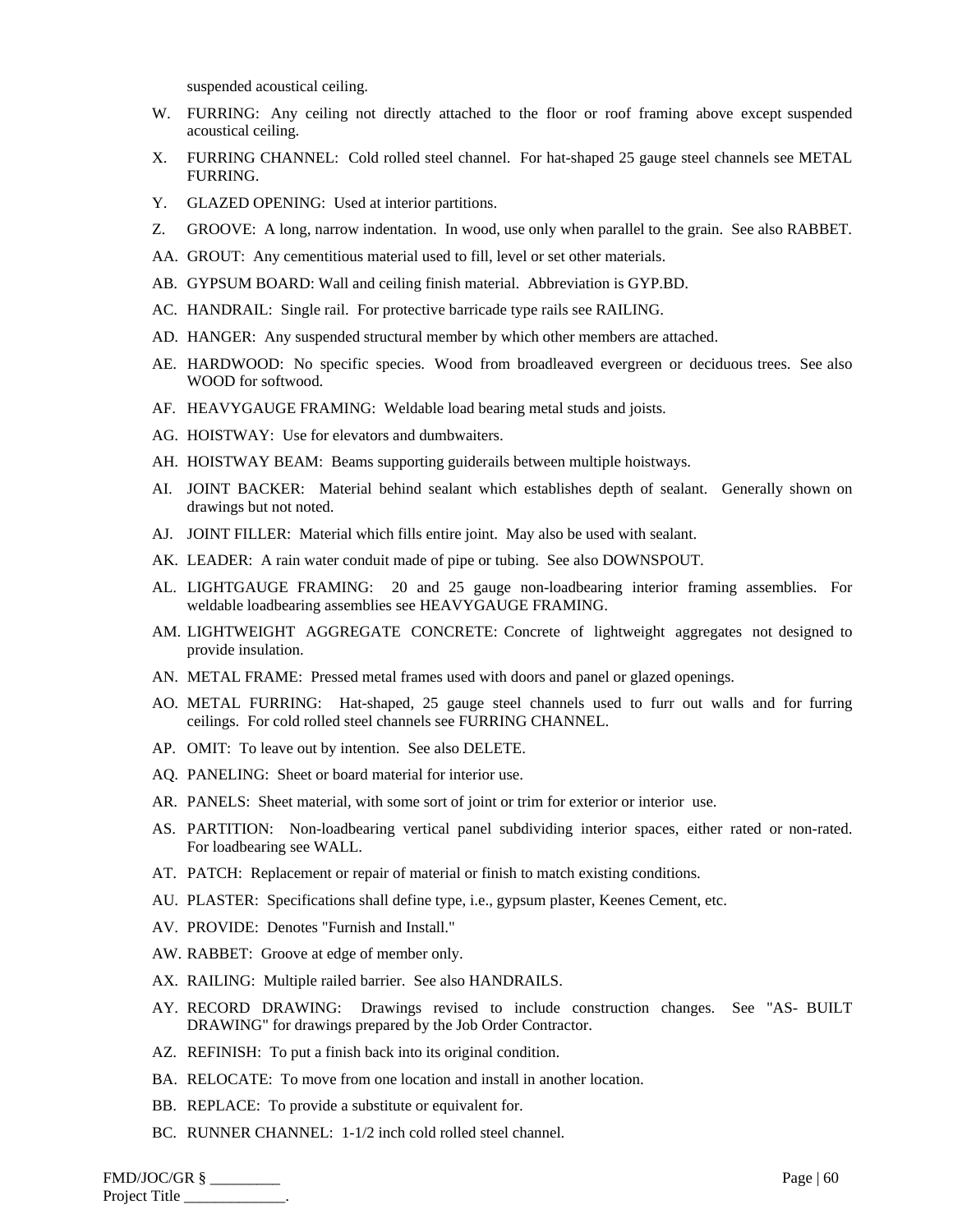suspended acoustical ceiling.

- W. FURRING: Any ceiling not directly attached to the floor or roof framing above except suspended acoustical ceiling.
- X. FURRING CHANNEL: Cold rolled steel channel. For hat-shaped 25 gauge steel channels see METAL FURRING.
- Y. GLAZED OPENING: Used at interior partitions.
- Z. GROOVE: A long, narrow indentation. In wood, use only when parallel to the grain. See also RABBET.
- AA. GROUT: Any cementitious material used to fill, level or set other materials.
- AB. GYPSUM BOARD: Wall and ceiling finish material. Abbreviation is GYP.BD.
- AC. HANDRAIL: Single rail. For protective barricade type rails see RAILING.
- AD. HANGER: Any suspended structural member by which other members are attached.
- AE. HARDWOOD: No specific species. Wood from broadleaved evergreen or deciduous trees. See also WOOD for softwood.
- AF. HEAVYGAUGE FRAMING: Weldable load bearing metal studs and joists.
- AG. HOISTWAY: Use for elevators and dumbwaiters.
- AH. HOISTWAY BEAM: Beams supporting guiderails between multiple hoistways.
- AI. JOINT BACKER: Material behind sealant which establishes depth of sealant. Generally shown on drawings but not noted.
- AJ. JOINT FILLER: Material which fills entire joint. May also be used with sealant.
- AK. LEADER: A rain water conduit made of pipe or tubing. See also DOWNSPOUT.
- AL. LIGHTGAUGE FRAMING: 20 and 25 gauge non-loadbearing interior framing assemblies. For weldable loadbearing assemblies see HEAVYGAUGE FRAMING.
- AM. LIGHTWEIGHT AGGREGATE CONCRETE: Concrete of lightweight aggregates not designed to provide insulation.
- AN. METAL FRAME: Pressed metal frames used with doors and panel or glazed openings.
- AO. METAL FURRING: Hat-shaped, 25 gauge steel channels used to furr out walls and for furring ceilings. For cold rolled steel channels see FURRING CHANNEL.
- AP. OMIT: To leave out by intention. See also DELETE.
- AQ. PANELING: Sheet or board material for interior use.
- AR. PANELS: Sheet material, with some sort of joint or trim for exterior or interior use.
- AS. PARTITION: Non-loadbearing vertical panel subdividing interior spaces, either rated or non-rated. For loadbearing see WALL.
- AT. PATCH: Replacement or repair of material or finish to match existing conditions.
- AU. PLASTER: Specifications shall define type, i.e., gypsum plaster, Keenes Cement, etc.
- AV. PROVIDE: Denotes "Furnish and Install."
- AW. RABBET: Groove at edge of member only.
- AX. RAILING: Multiple railed barrier. See also HANDRAILS.
- AY. RECORD DRAWING: Drawings revised to include construction changes. See "AS- BUILT DRAWING" for drawings prepared by the Job Order Contractor.
- AZ. REFINISH: To put a finish back into its original condition.
- BA. RELOCATE: To move from one location and install in another location.
- BB. REPLACE: To provide a substitute or equivalent for.
- BC. RUNNER CHANNEL: 1-1/2 inch cold rolled steel channel.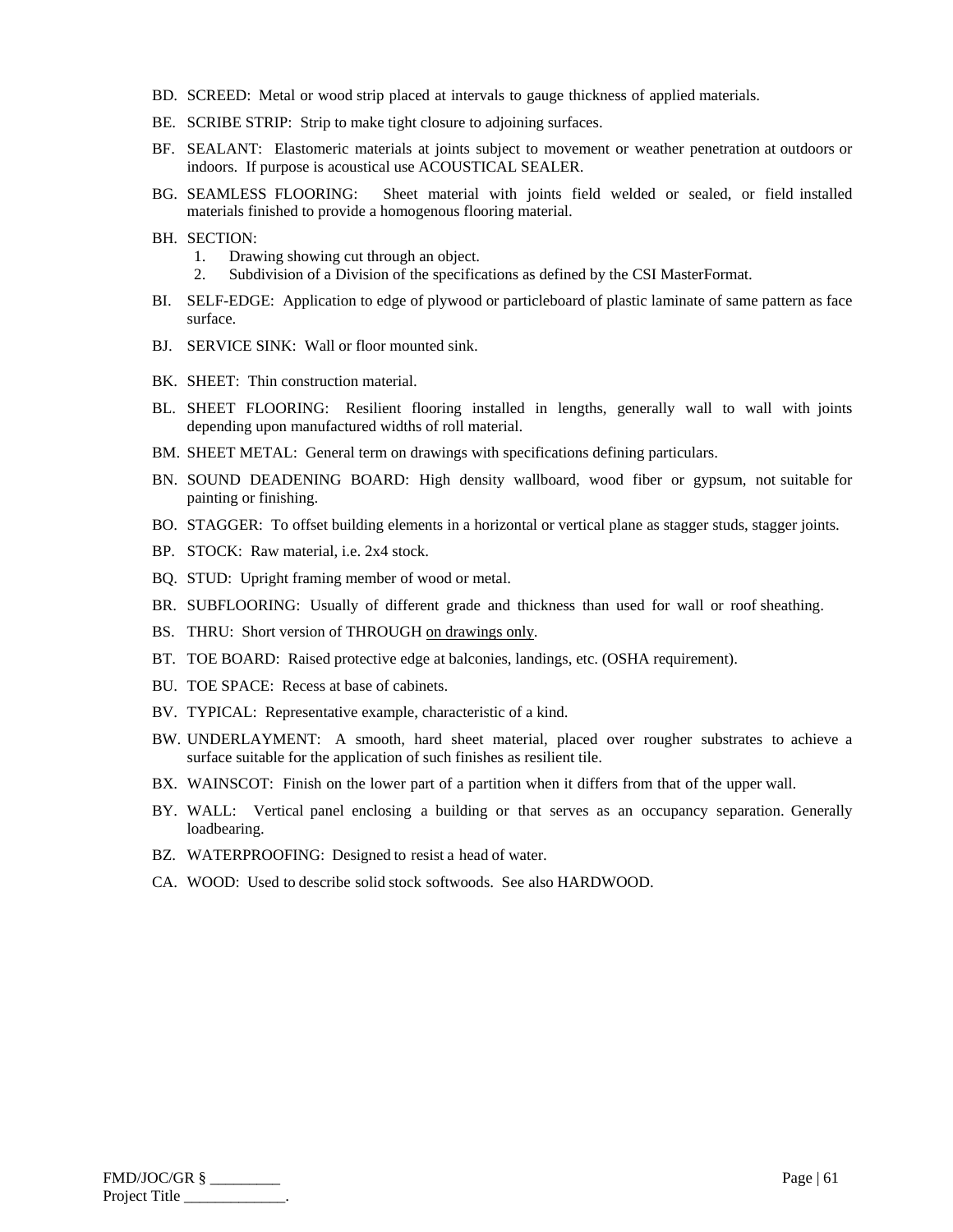- BD. SCREED: Metal or wood strip placed at intervals to gauge thickness of applied materials.
- BE. SCRIBE STRIP: Strip to make tight closure to adjoining surfaces.
- BF. SEALANT: Elastomeric materials at joints subject to movement or weather penetration at outdoors or indoors. If purpose is acoustical use ACOUSTICAL SEALER.
- BG. SEAMLESS FLOORING: Sheet material with joints field welded or sealed, or field installed materials finished to provide a homogenous flooring material.
- BH. SECTION:
	- 1. Drawing showing cut through an object.
	- 2. Subdivision of a Division of the specifications as defined by the CSI MasterFormat.
- BI. SELF-EDGE: Application to edge of plywood or particleboard of plastic laminate of same pattern as face surface.
- BJ. SERVICE SINK: Wall or floor mounted sink.
- BK. SHEET: Thin construction material.
- BL. SHEET FLOORING: Resilient flooring installed in lengths, generally wall to wall with joints depending upon manufactured widths of roll material.
- BM. SHEET METAL: General term on drawings with specifications defining particulars.
- BN. SOUND DEADENING BOARD: High density wallboard, wood fiber or gypsum, not suitable for painting or finishing.
- BO. STAGGER: To offset building elements in a horizontal or vertical plane as stagger studs, stagger joints.
- BP. STOCK: Raw material, i.e. 2x4 stock.
- BQ. STUD: Upright framing member of wood or metal.
- BR. SUBFLOORING: Usually of different grade and thickness than used for wall or roof sheathing.
- BS. THRU: Short version of THROUGH on drawings only.
- BT. TOE BOARD: Raised protective edge at balconies, landings, etc. (OSHA requirement).
- BU. TOE SPACE: Recess at base of cabinets.
- BV. TYPICAL: Representative example, characteristic of a kind.
- BW. UNDERLAYMENT: A smooth, hard sheet material, placed over rougher substrates to achieve a surface suitable for the application of such finishes as resilient tile.
- BX. WAINSCOT: Finish on the lower part of a partition when it differs from that of the upper wall.
- BY. WALL: Vertical panel enclosing a building or that serves as an occupancy separation. Generally loadbearing.
- BZ. WATERPROOFING: Designed to resist a head of water.
- CA. WOOD: Used to describe solid stock softwoods. See also HARDWOOD.

| FMD/JOC/GR §  | Page $ 61$ |
|---------------|------------|
| Project Title |            |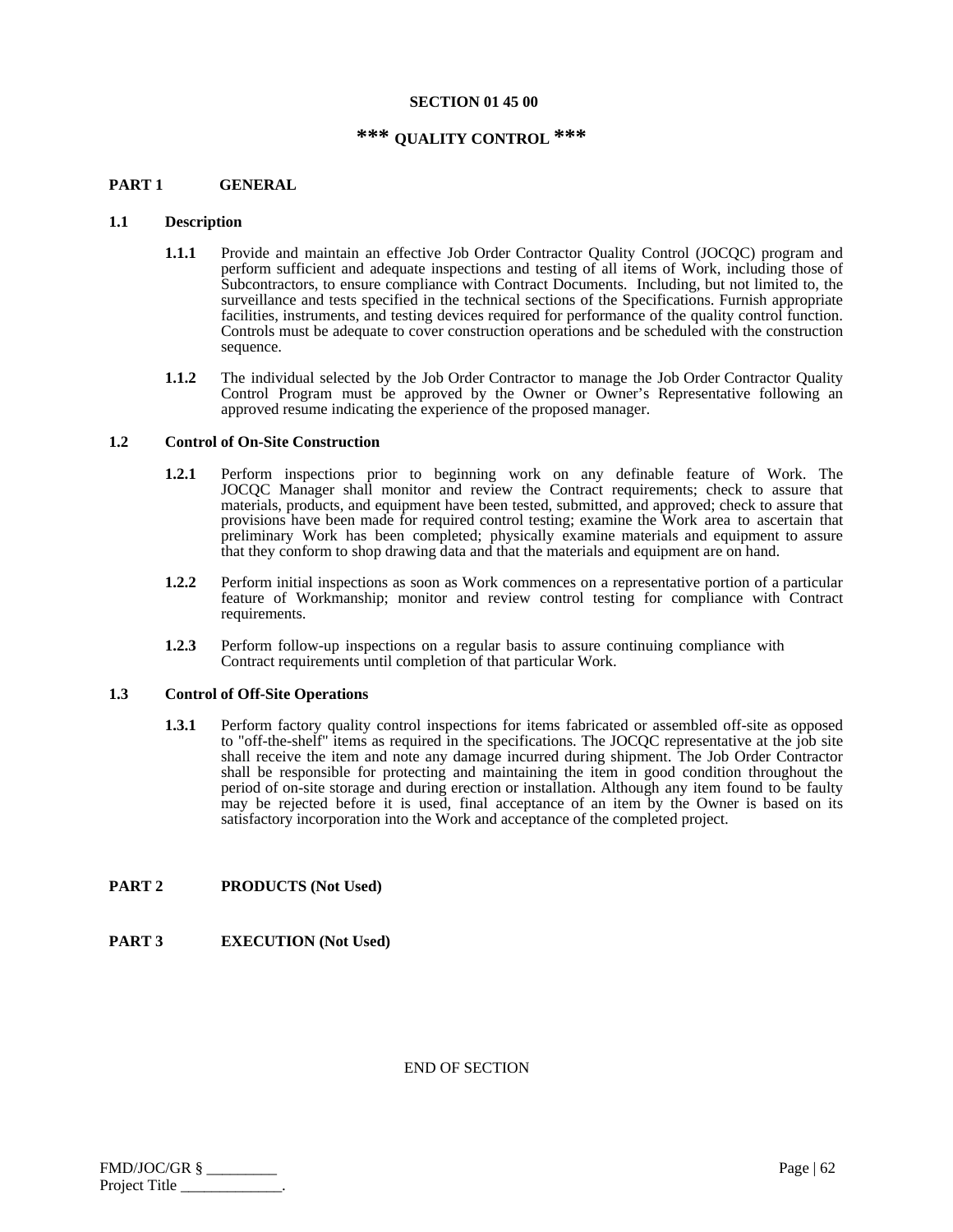#### **SECTION 01 45 00**

# **\*\*\* QUALITY CONTROL \*\*\***

#### **PART 1 GENERAL**

#### **1.1 Description**

- **1.1.1** Provide and maintain an effective Job Order Contractor Quality Control (JOCQC) program and perform sufficient and adequate inspections and testing of all items of Work, including those of Subcontractors, to ensure compliance with Contract Documents. Including, but not limited to, the surveillance and tests specified in the technical sections of the Specifications. Furnish appropriate facilities, instruments, and testing devices required for performance of the quality control function. Controls must be adequate to cover construction operations and be scheduled with the construction sequence.
- **1.1.2** The individual selected by the Job Order Contractor to manage the Job Order Contractor Quality Control Program must be approved by the Owner or Owner's Representative following an approved resume indicating the experience of the proposed manager.

#### **1.2 Control of On-Site Construction**

- **1.2.1** Perform inspections prior to beginning work on any definable feature of Work. The JOCQC Manager shall monitor and review the Contract requirements; check to assure that materials, products, and equipment have been tested, submitted, and approved; check to assure that provisions have been made for required control testing; examine the Work area to ascertain that preliminary Work has been completed; physically examine materials and equipment to assure that they conform to shop drawing data and that the materials and equipment are on hand.
- **1.2.2** Perform initial inspections as soon as Work commences on a representative portion of a particular feature of Workmanship; monitor and review control testing for compliance with Contract requirements.
- **1.2.3** Perform follow-up inspections on a regular basis to assure continuing compliance with Contract requirements until completion of that particular Work.

#### **1.3 Control of Off-Site Operations**

**1.3.1** Perform factory quality control inspections for items fabricated or assembled off-site as opposed to "off-the-shelf" items as required in the specifications. The JOCQC representative at the job site shall receive the item and note any damage incurred during shipment. The Job Order Contractor shall be responsible for protecting and maintaining the item in good condition throughout the period of on-site storage and during erection or installation. Although any item found to be faulty may be rejected before it is used, final acceptance of an item by the Owner is based on its satisfactory incorporation into the Work and acceptance of the completed project.

#### **PART 2 PRODUCTS (Not Used)**

# **PART 3 EXECUTION (Not Used)**

| FMD/JOC/GR §  | Page $\vert 62 \vert$ |
|---------------|-----------------------|
| Project Title |                       |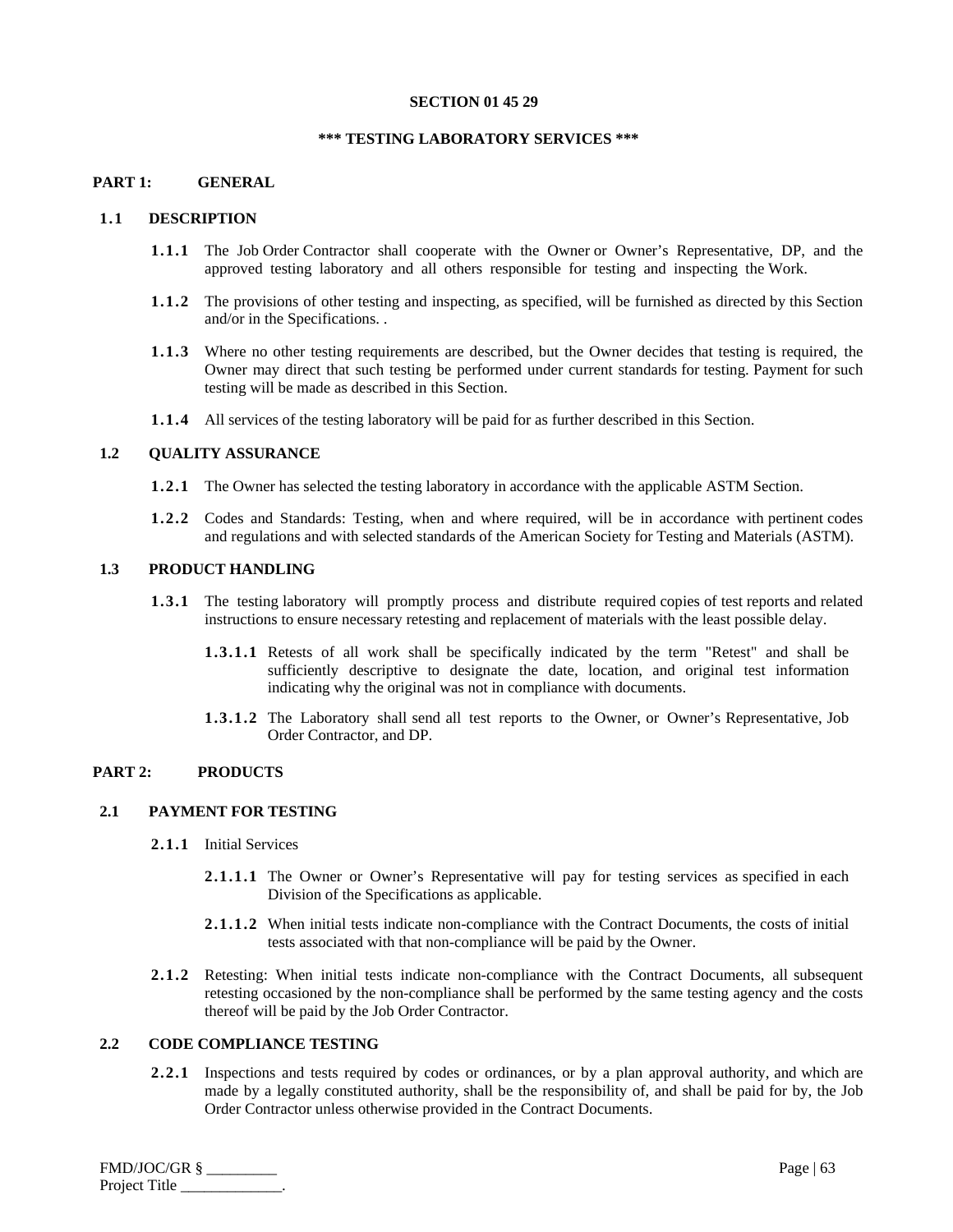#### **SECTION 01 45 29**

#### **\*\*\* TESTING LABORATORY SERVICES \*\*\***

#### **PART 1: GENERAL**

#### **1.1 DESCRIPTION**

- **1.1.1** The Job Order Contractor shall cooperate with the Owner or Owner's Representative, DP, and the approved testing laboratory and all others responsible for testing and inspecting the Work.
- **1.1.2** The provisions of other testing and inspecting, as specified, will be furnished as directed by this Section and/or in the Specifications. .
- **1.1.3** Where no other testing requirements are described, but the Owner decides that testing is required, the Owner may direct that such testing be performed under current standards for testing. Payment for such testing will be made as described in this Section.
- **1.1.4** All services of the testing laboratory will be paid for as further described in this Section.

## **1.2 QUALITY ASSURANCE**

- **1.2.1** The Owner has selected the testing laboratory in accordance with the applicable ASTM Section.
- **1.2.2** Codes and Standards: Testing, when and where required, will be in accordance with pertinent codes and regulations and with selected standards of the American Society for Testing and Materials (ASTM).

## **1.3 PRODUCT HANDLING**

- **1.3.1** The testing laboratory will promptly process and distribute required copies of test reports and related instructions to ensure necessary retesting and replacement of materials with the least possible delay.
	- **1.3.1.1** Retests of all work shall be specifically indicated by the term "Retest" and shall be sufficiently descriptive to designate the date, location, and original test information indicating why the original was not in compliance with documents.
	- **1.3.1.2** The Laboratory shall send all test reports to the Owner, or Owner's Representative, Job Order Contractor, and DP.

# **PART 2: PRODUCTS**

## **2.1 PAYMENT FOR TESTING**

- **2.1.1** Initial Services
	- **2.1.1.1** The Owner or Owner's Representative will pay for testing services as specified in each Division of the Specifications as applicable.
	- **2.1.1.2** When initial tests indicate non-compliance with the Contract Documents, the costs of initial tests associated with that non-compliance will be paid by the Owner.
- **2.1.2** Retesting: When initial tests indicate non-compliance with the Contract Documents, all subsequent retesting occasioned by the non-compliance shall be performed by the same testing agency and the costs thereof will be paid by the Job Order Contractor.

## **2.2 CODE COMPLIANCE TESTING**

**2.2.1** Inspections and tests required by codes or ordinances, or by a plan approval authority, and which are made by a legally constituted authority, shall be the responsibility of, and shall be paid for by, the Job Order Contractor unless otherwise provided in the Contract Documents.

FMD/JOC/GR § \_\_\_\_\_\_\_\_\_ Page | 63 Project Title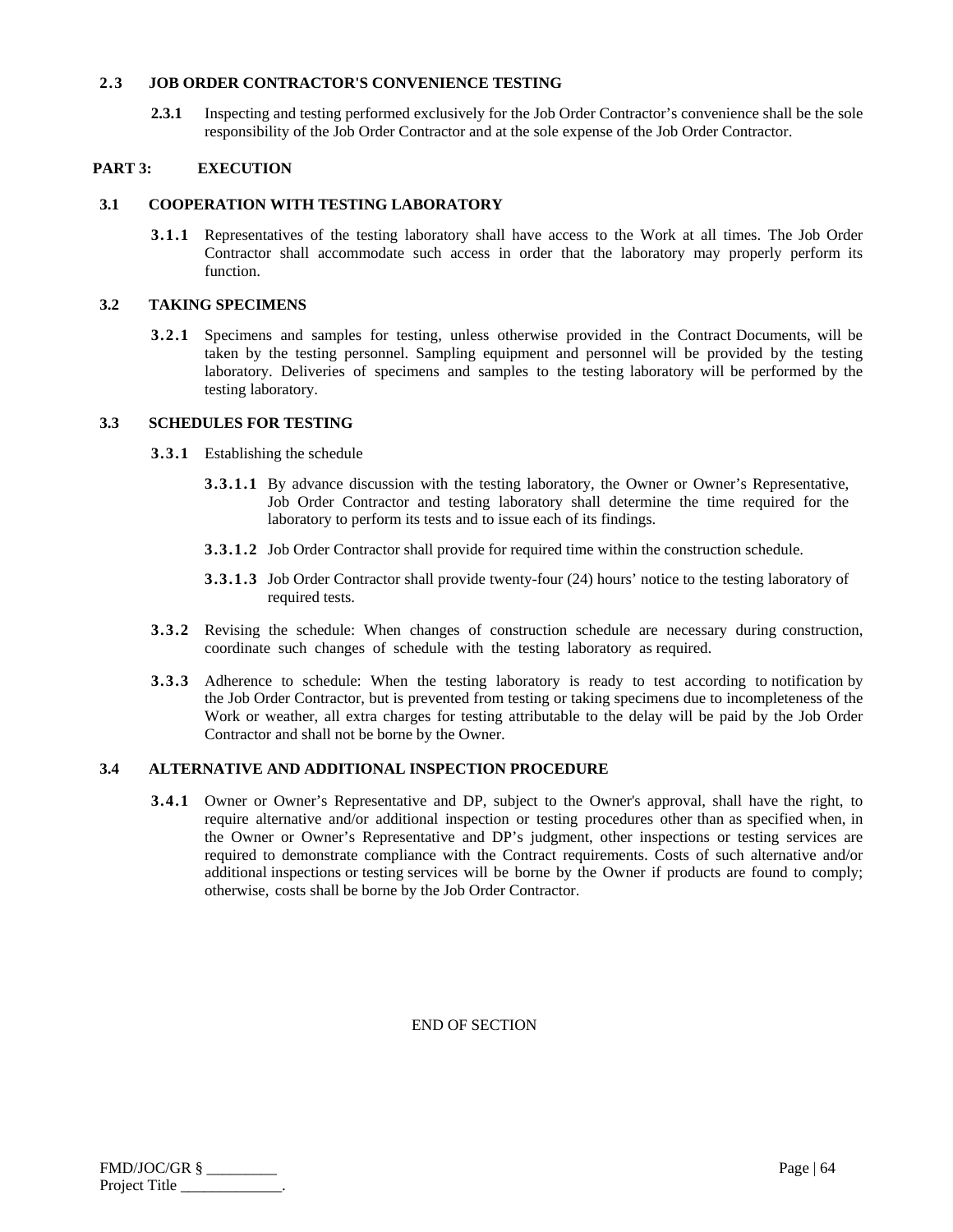## **2.3 JOB ORDER CONTRACTOR'S CONVENIENCE TESTING**

**2.3.1** Inspecting and testing performed exclusively for the Job Order Contractor's convenience shall be the sole responsibility of the Job Order Contractor and at the sole expense of the Job Order Contractor.

# **PART 3: EXECUTION**

# **3.1 COOPERATION WITH TESTING LABORATORY**

**3.1.1** Representatives of the testing laboratory shall have access to the Work at all times. The Job Order Contractor shall accommodate such access in order that the laboratory may properly perform its function.

# **3.2 TAKING SPECIMENS**

**3.2.1** Specimens and samples for testing, unless otherwise provided in the Contract Documents, will be taken by the testing personnel. Sampling equipment and personnel will be provided by the testing laboratory. Deliveries of specimens and samples to the testing laboratory will be performed by the testing laboratory.

# **3.3 SCHEDULES FOR TESTING**

- **3.3.1** Establishing the schedule
	- **3.3.1.1** By advance discussion with the testing laboratory, the Owner or Owner's Representative, Job Order Contractor and testing laboratory shall determine the time required for the laboratory to perform its tests and to issue each of its findings.
	- **3.3.1.2** Job Order Contractor shall provide for required time within the construction schedule.
	- **3.3.1.3** Job Order Contractor shall provide twenty-four (24) hours' notice to the testing laboratory of required tests.
- **3.3.2** Revising the schedule: When changes of construction schedule are necessary during construction, coordinate such changes of schedule with the testing laboratory as required.
- **3.3.3** Adherence to schedule: When the testing laboratory is ready to test according to notification by the Job Order Contractor, but is prevented from testing or taking specimens due to incompleteness of the Work or weather, all extra charges for testing attributable to the delay will be paid by the Job Order Contractor and shall not be borne by the Owner.

# **3.4 ALTERNATIVE AND ADDITIONAL INSPECTION PROCEDURE**

**3.4.1** Owner or Owner's Representative and DP, subject to the Owner's approval, shall have the right, to require alternative and/or additional inspection or testing procedures other than as specified when, in the Owner or Owner's Representative and DP's judgment, other inspections or testing services are required to demonstrate compliance with the Contract requirements. Costs of such alternative and/or additional inspections or testing services will be borne by the Owner if products are found to comply; otherwise, costs shall be borne by the Job Order Contractor.

| FMD/JOC/GR §  | Page $\vert 64$ |
|---------------|-----------------|
| Project Title |                 |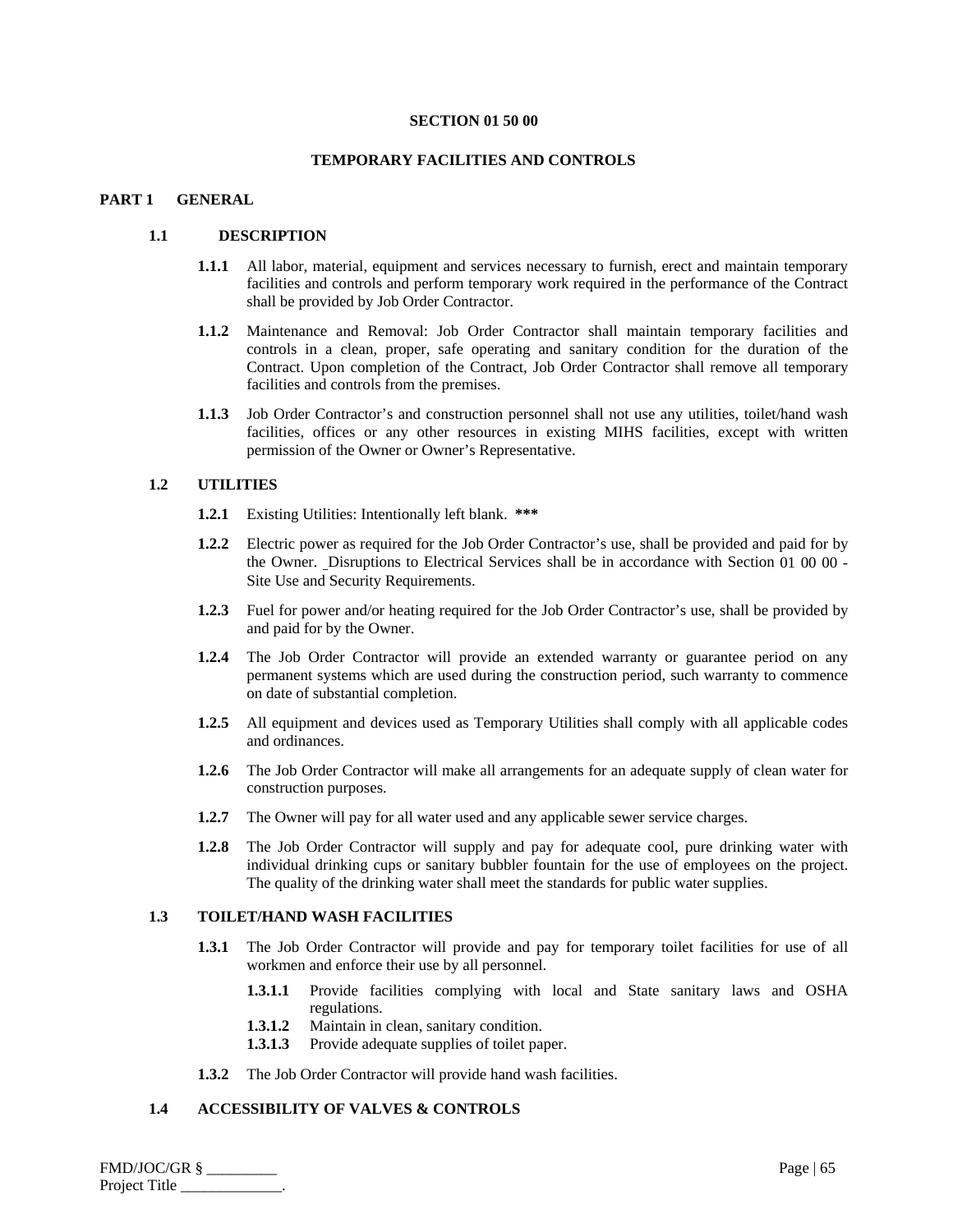#### **SECTION 01 50 00**

#### **TEMPORARY FACILITIES AND CONTROLS**

## **PART 1 GENERAL**

## **1.1 DESCRIPTION**

- **1.1.1** All labor, material, equipment and services necessary to furnish, erect and maintain temporary facilities and controls and perform temporary work required in the performance of the Contract shall be provided by Job Order Contractor.
- **1.1.2** Maintenance and Removal: Job Order Contractor shall maintain temporary facilities and controls in a clean, proper, safe operating and sanitary condition for the duration of the Contract. Upon completion of the Contract, Job Order Contractor shall remove all temporary facilities and controls from the premises.
- **1.1.3** Job Order Contractor's and construction personnel shall not use any utilities, toilet/hand wash facilities, offices or any other resources in existing MIHS facilities, except with written permission of the Owner or Owner's Representative.

#### **1.2 UTILITIES**

- **1.2.1** Existing Utilities: Intentionally left blank. **\*\*\***
- **1.2.2** Electric power as required for the Job Order Contractor's use, shall be provided and paid for by the Owner. Disruptions to Electrical Services shall be in accordance with Section 01 00 00 - Site Use and Security Requirements.
- **1.2.3** Fuel for power and/or heating required for the Job Order Contractor's use, shall be provided by and paid for by the Owner.
- **1.2.4** The Job Order Contractor will provide an extended warranty or guarantee period on any permanent systems which are used during the construction period, such warranty to commence on date of substantial completion.
- **1.2.5** All equipment and devices used as Temporary Utilities shall comply with all applicable codes and ordinances.
- **1.2.6** The Job Order Contractor will make all arrangements for an adequate supply of clean water for construction purposes.
- **1.2.7** The Owner will pay for all water used and any applicable sewer service charges.
- **1.2.8** The Job Order Contractor will supply and pay for adequate cool, pure drinking water with individual drinking cups or sanitary bubbler fountain for the use of employees on the project. The quality of the drinking water shall meet the standards for public water supplies.

## **1.3 TOILET/HAND WASH FACILITIES**

- 1.3.1 The Job Order Contractor will provide and pay for temporary toilet facilities for use of all workmen and enforce their use by all personnel.
	- **1.3.1.1** Provide facilities complying with local and State sanitary laws and OSHA regulations.
	- **1.3.1.2** Maintain in clean, sanitary condition.
	- **1.3.1.3** Provide adequate supplies of toilet paper.
- **1.3.2** The Job Order Contractor will provide hand wash facilities.

#### **1.4 ACCESSIBILITY OF VALVES & CONTROLS**

FMD/JOC/GR § \_\_\_\_\_\_\_\_\_ Page | 65 Project Title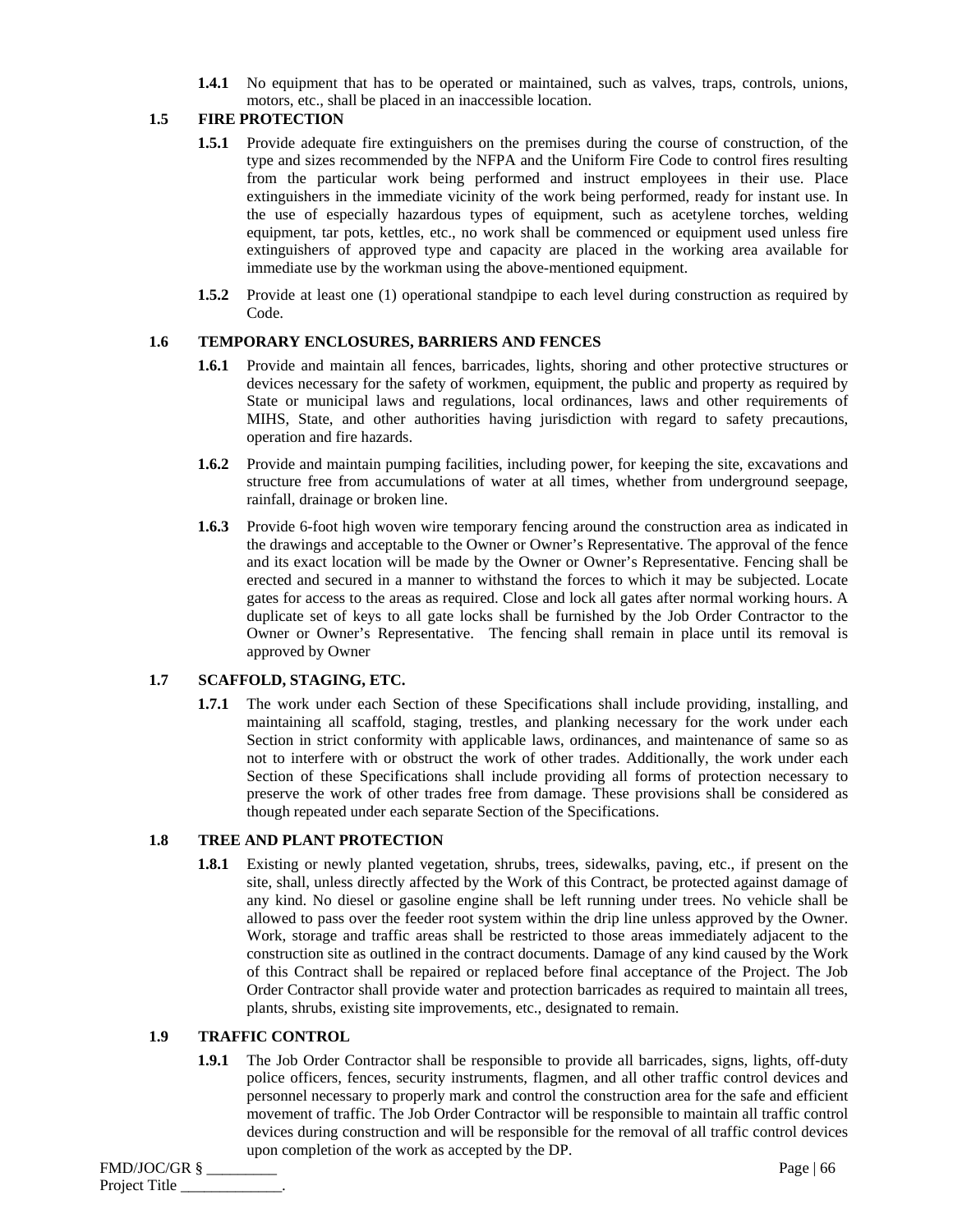**1.4.1** No equipment that has to be operated or maintained, such as valves, traps, controls, unions, motors, etc., shall be placed in an inaccessible location.

# **1.5 FIRE PROTECTION**

- **1.5.1** Provide adequate fire extinguishers on the premises during the course of construction, of the type and sizes recommended by the NFPA and the Uniform Fire Code to control fires resulting from the particular work being performed and instruct employees in their use. Place extinguishers in the immediate vicinity of the work being performed, ready for instant use. In the use of especially hazardous types of equipment, such as acetylene torches, welding equipment, tar pots, kettles, etc., no work shall be commenced or equipment used unless fire extinguishers of approved type and capacity are placed in the working area available for immediate use by the workman using the above-mentioned equipment.
- **1.5.2** Provide at least one (1) operational standpipe to each level during construction as required by Code.

#### **1.6 TEMPORARY ENCLOSURES, BARRIERS AND FENCES**

- **1.6.1** Provide and maintain all fences, barricades, lights, shoring and other protective structures or devices necessary for the safety of workmen, equipment, the public and property as required by State or municipal laws and regulations, local ordinances, laws and other requirements of MIHS, State, and other authorities having jurisdiction with regard to safety precautions, operation and fire hazards.
- **1.6.2** Provide and maintain pumping facilities, including power, for keeping the site, excavations and structure free from accumulations of water at all times, whether from underground seepage, rainfall, drainage or broken line.
- **1.6.3** Provide 6-foot high woven wire temporary fencing around the construction area as indicated in the drawings and acceptable to the Owner or Owner's Representative. The approval of the fence and its exact location will be made by the Owner or Owner's Representative. Fencing shall be erected and secured in a manner to withstand the forces to which it may be subjected. Locate gates for access to the areas as required. Close and lock all gates after normal working hours. A duplicate set of keys to all gate locks shall be furnished by the Job Order Contractor to the Owner or Owner's Representative. The fencing shall remain in place until its removal is approved by Owner

#### **1.7 SCAFFOLD, STAGING, ETC.**

**1.7.1** The work under each Section of these Specifications shall include providing, installing, and maintaining all scaffold, staging, trestles, and planking necessary for the work under each Section in strict conformity with applicable laws, ordinances, and maintenance of same so as not to interfere with or obstruct the work of other trades. Additionally, the work under each Section of these Specifications shall include providing all forms of protection necessary to preserve the work of other trades free from damage. These provisions shall be considered as though repeated under each separate Section of the Specifications.

## **1.8 TREE AND PLANT PROTECTION**

**1.8.1** Existing or newly planted vegetation, shrubs, trees, sidewalks, paving, etc., if present on the site, shall, unless directly affected by the Work of this Contract, be protected against damage of any kind. No diesel or gasoline engine shall be left running under trees. No vehicle shall be allowed to pass over the feeder root system within the drip line unless approved by the Owner. Work, storage and traffic areas shall be restricted to those areas immediately adjacent to the construction site as outlined in the contract documents. Damage of any kind caused by the Work of this Contract shall be repaired or replaced before final acceptance of the Project. The Job Order Contractor shall provide water and protection barricades as required to maintain all trees, plants, shrubs, existing site improvements, etc., designated to remain.

# **1.9 TRAFFIC CONTROL**

**1.9.1** The Job Order Contractor shall be responsible to provide all barricades, signs, lights, off-duty police officers, fences, security instruments, flagmen, and all other traffic control devices and personnel necessary to properly mark and control the construction area for the safe and efficient movement of traffic. The Job Order Contractor will be responsible to maintain all traffic control devices during construction and will be responsible for the removal of all traffic control devices upon completion of the work as accepted by the DP.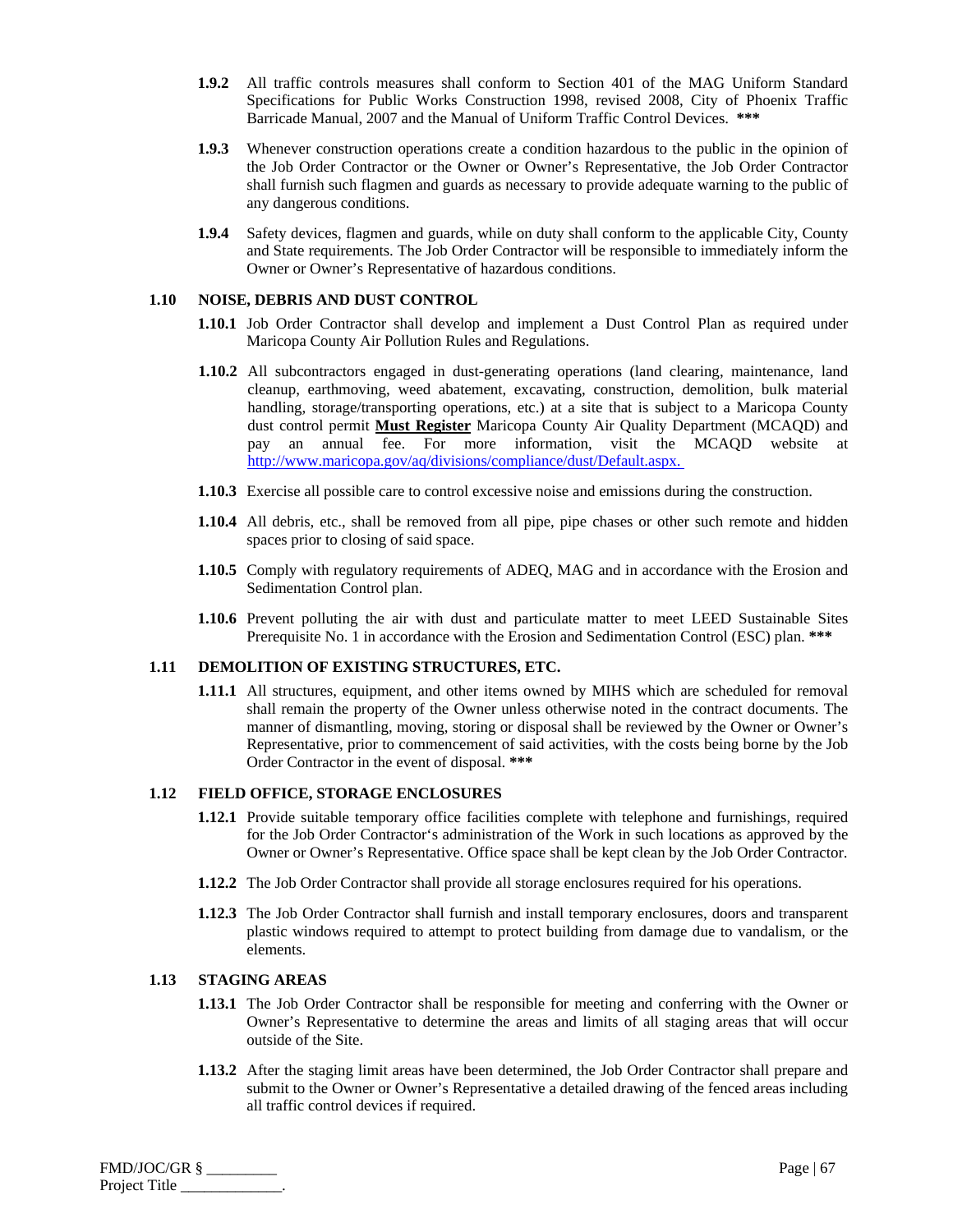- **1.9.2** All traffic controls measures shall conform to Section 401 of the MAG Uniform Standard Specifications for Public Works Construction 1998, revised 2008, City of Phoenix Traffic Barricade Manual, 2007 and the Manual of Uniform Traffic Control Devices. **\*\*\***
- **1.9.3** Whenever construction operations create a condition hazardous to the public in the opinion of the Job Order Contractor or the Owner or Owner's Representative, the Job Order Contractor shall furnish such flagmen and guards as necessary to provide adequate warning to the public of any dangerous conditions.
- **1.9.4** Safety devices, flagmen and guards, while on duty shall conform to the applicable City, County and State requirements. The Job Order Contractor will be responsible to immediately inform the Owner or Owner's Representative of hazardous conditions.

## **1.10 NOISE, DEBRIS AND DUST CONTROL**

- **1.10.1** Job Order Contractor shall develop and implement a Dust Control Plan as required under Maricopa County Air Pollution Rules and Regulations.
- **1.10.2** All subcontractors engaged in dust-generating operations (land clearing, maintenance, land cleanup, earthmoving, weed abatement, excavating, construction, demolition, bulk material handling, storage/transporting operations, etc.) at a site that is subject to a Maricopa County dust control permit **Must Register** Maricopa County Air Quality Department (MCAQD) and pay an annual fee. For more information, visit the MCAQD website at http://www.maricopa.gov/aq/divisions/compliance/dust/Default.aspx.
- **1.10.3** Exercise all possible care to control excessive noise and emissions during the construction.
- **1.10.4** All debris, etc., shall be removed from all pipe, pipe chases or other such remote and hidden spaces prior to closing of said space.
- **1.10.5** Comply with regulatory requirements of ADEO, MAG and in accordance with the Erosion and Sedimentation Control plan.
- **1.10.6** Prevent polluting the air with dust and particulate matter to meet LEED Sustainable Sites Prerequisite No. 1 in accordance with the Erosion and Sedimentation Control (ESC) plan. **\*\*\***

#### **1.11 DEMOLITION OF EXISTING STRUCTURES, ETC.**

**1.11.1** All structures, equipment, and other items owned by MIHS which are scheduled for removal shall remain the property of the Owner unless otherwise noted in the contract documents. The manner of dismantling, moving, storing or disposal shall be reviewed by the Owner or Owner's Representative, prior to commencement of said activities, with the costs being borne by the Job Order Contractor in the event of disposal. **\*\*\*** 

#### **1.12 FIELD OFFICE, STORAGE ENCLOSURES**

- **1.12.1** Provide suitable temporary office facilities complete with telephone and furnishings, required for the Job Order Contractor's administration of the Work in such locations as approved by the Owner or Owner's Representative. Office space shall be kept clean by the Job Order Contractor.
- **1.12.2** The Job Order Contractor shall provide all storage enclosures required for his operations.
- **1.12.3** The Job Order Contractor shall furnish and install temporary enclosures, doors and transparent plastic windows required to attempt to protect building from damage due to vandalism, or the elements.

#### **1.13 STAGING AREAS**

- **1.13.1** The Job Order Contractor shall be responsible for meeting and conferring with the Owner or Owner's Representative to determine the areas and limits of all staging areas that will occur outside of the Site.
- **1.13.2** After the staging limit areas have been determined, the Job Order Contractor shall prepare and submit to the Owner or Owner's Representative a detailed drawing of the fenced areas including all traffic control devices if required.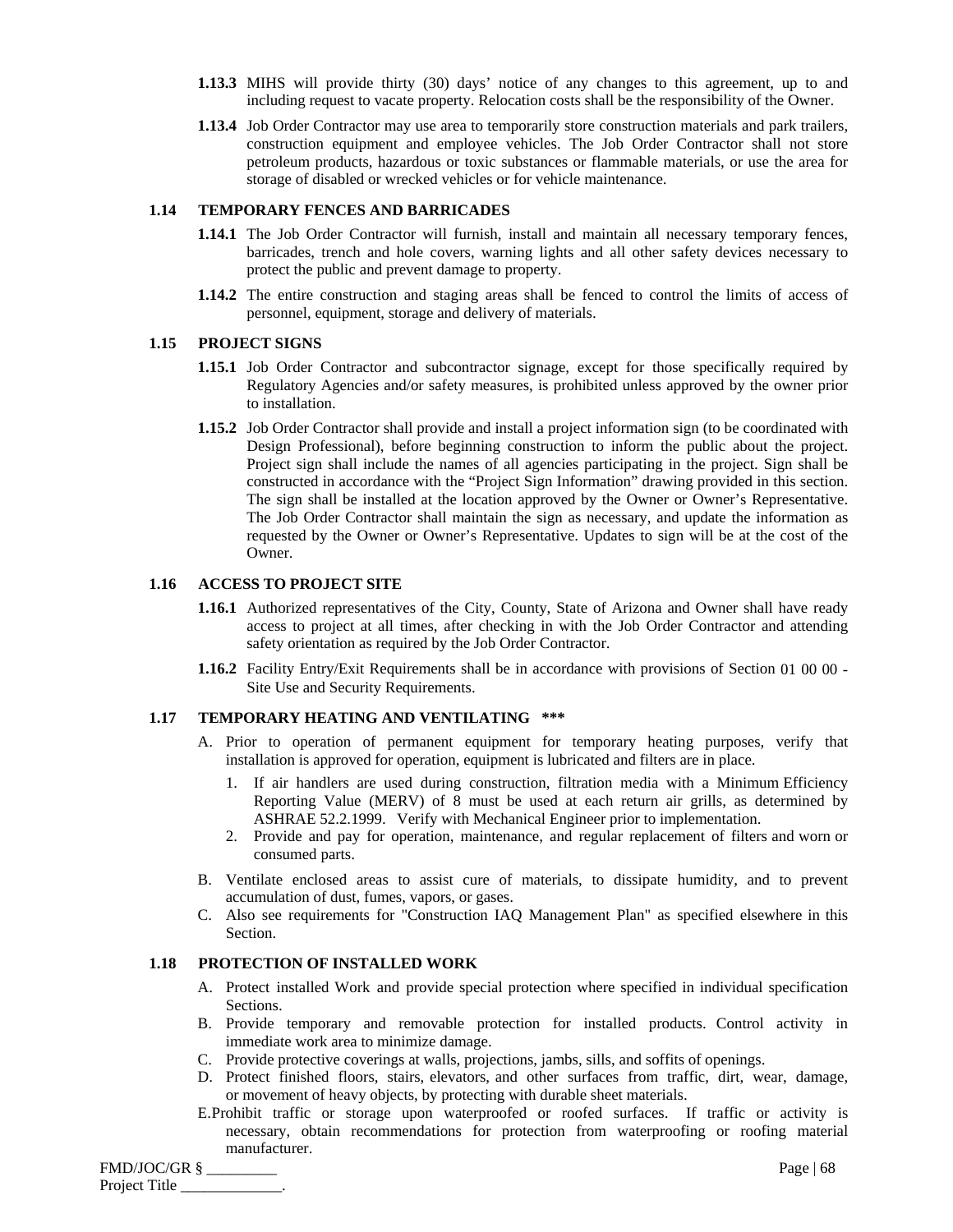- **1.13.3** MIHS will provide thirty (30) days' notice of any changes to this agreement, up to and including request to vacate property. Relocation costs shall be the responsibility of the Owner.
- **1.13.4** Job Order Contractor may use area to temporarily store construction materials and park trailers, construction equipment and employee vehicles. The Job Order Contractor shall not store petroleum products, hazardous or toxic substances or flammable materials, or use the area for storage of disabled or wrecked vehicles or for vehicle maintenance.

## **1.14 TEMPORARY FENCES AND BARRICADES**

- **1.14.1** The Job Order Contractor will furnish, install and maintain all necessary temporary fences, barricades, trench and hole covers, warning lights and all other safety devices necessary to protect the public and prevent damage to property.
- **1.14.2** The entire construction and staging areas shall be fenced to control the limits of access of personnel, equipment, storage and delivery of materials.

#### **1.15 PROJECT SIGNS**

- **1.15.1** Job Order Contractor and subcontractor signage, except for those specifically required by Regulatory Agencies and/or safety measures, is prohibited unless approved by the owner prior to installation.
- **1.15.2** Job Order Contractor shall provide and install a project information sign (to be coordinated with Design Professional), before beginning construction to inform the public about the project. Project sign shall include the names of all agencies participating in the project. Sign shall be constructed in accordance with the "Project Sign Information" drawing provided in this section. The sign shall be installed at the location approved by the Owner or Owner's Representative. The Job Order Contractor shall maintain the sign as necessary, and update the information as requested by the Owner or Owner's Representative. Updates to sign will be at the cost of the Owner.

# **1.16 ACCESS TO PROJECT SITE**

- **1.16.1** Authorized representatives of the City, County, State of Arizona and Owner shall have ready access to project at all times, after checking in with the Job Order Contractor and attending safety orientation as required by the Job Order Contractor.
- **1.16.2** Facility Entry/Exit Requirements shall be in accordance with provisions of Section 01 00 00 -Site Use and Security Requirements.

## **1.17 TEMPORARY HEATING AND VENTILATING \*\*\***

- A. Prior to operation of permanent equipment for temporary heating purposes, verify that installation is approved for operation, equipment is lubricated and filters are in place.
	- 1. If air handlers are used during construction, filtration media with a Minimum Efficiency Reporting Value (MERV) of 8 must be used at each return air grills, as determined by ASHRAE 52.2.1999. Verify with Mechanical Engineer prior to implementation.
	- 2. Provide and pay for operation, maintenance, and regular replacement of filters and worn or consumed parts.
- B. Ventilate enclosed areas to assist cure of materials, to dissipate humidity, and to prevent accumulation of dust, fumes, vapors, or gases.
- C. Also see requirements for "Construction IAQ Management Plan" as specified elsewhere in this Section.

#### **1.18 PROTECTION OF INSTALLED WORK**

- A. Protect installed Work and provide special protection where specified in individual specification Sections.
- B. Provide temporary and removable protection for installed products. Control activity in immediate work area to minimize damage.
- C. Provide protective coverings at walls, projections, jambs, sills, and soffits of openings.
- D. Protect finished floors, stairs, elevators, and other surfaces from traffic, dirt, wear, damage, or movement of heavy objects, by protecting with durable sheet materials.
- E.Prohibit traffic or storage upon waterproofed or roofed surfaces. If traffic or activity is necessary, obtain recommendations for protection from waterproofing or roofing material manufacturer.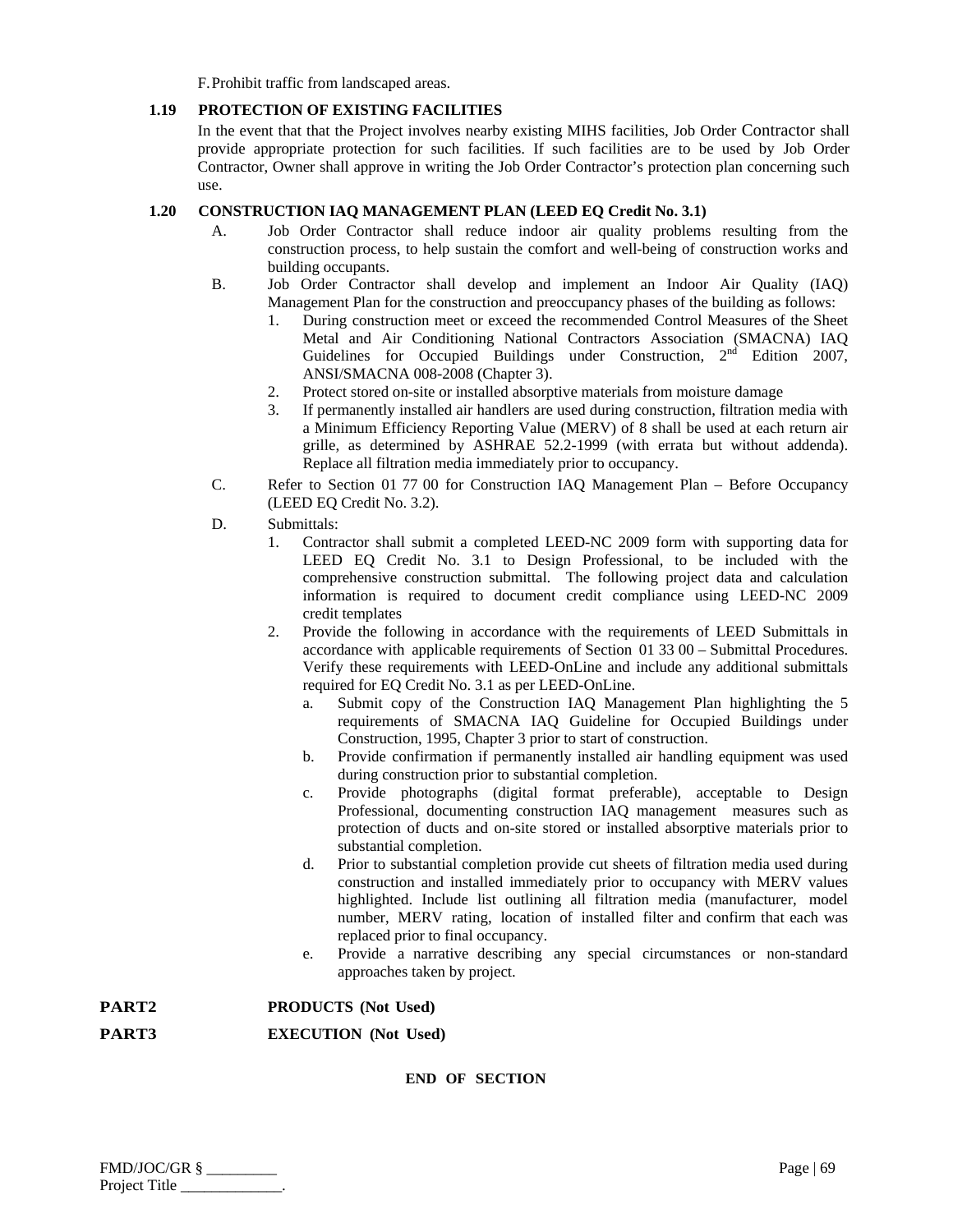F.Prohibit traffic from landscaped areas.

# **1.19 PROTECTION OF EXISTING FACILITIES**

In the event that that the Project involves nearby existing MIHS facilities, Job Order Contractor shall provide appropriate protection for such facilities. If such facilities are to be used by Job Order Contractor, Owner shall approve in writing the Job Order Contractor's protection plan concerning such use.

# **1.20 CONSTRUCTION IAQ MANAGEMENT PLAN (LEED EQ Credit No. 3.1)**

- A. Job Order Contractor shall reduce indoor air quality problems resulting from the construction process, to help sustain the comfort and well-being of construction works and building occupants.
- B. Job Order Contractor shall develop and implement an Indoor Air Quality (IAQ) Management Plan for the construction and preoccupancy phases of the building as follows:
	- 1. During construction meet or exceed the recommended Control Measures of the Sheet Metal and Air Conditioning National Contractors Association (SMACNA) IAQ Guidelines for Occupied Buildings under Construction, 2<sup>nd</sup> Edition 2007, ANSI/SMACNA 008-2008 (Chapter 3).
	- 2. Protect stored on-site or installed absorptive materials from moisture damage
	- 3. If permanently installed air handlers are used during construction, filtration media with a Minimum Efficiency Reporting Value (MERV) of 8 shall be used at each return air grille, as determined by ASHRAE 52.2-1999 (with errata but without addenda). Replace all filtration media immediately prior to occupancy.
- C. Refer to Section 01 77 00 for Construction IAQ Management Plan Before Occupancy (LEED EQ Credit No. 3.2).
- D. Submittals:
	- 1. Contractor shall submit a completed LEED-NC 2009 form with supporting data for LEED EQ Credit No. 3.1 to Design Professional, to be included with the comprehensive construction submittal. The following project data and calculation information is required to document credit compliance using LEED-NC 2009 credit templates
	- 2. Provide the following in accordance with the requirements of LEED Submittals in accordance with applicable requirements of Section 01 33 00 – Submittal Procedures. Verify these requirements with LEED-OnLine and include any additional submittals required for EQ Credit No. 3.1 as per LEED-OnLine.
		- a. Submit copy of the Construction IAQ Management Plan highlighting the 5 requirements of SMACNA IAQ Guideline for Occupied Buildings under Construction, 1995, Chapter 3 prior to start of construction.
		- b. Provide confirmation if permanently installed air handling equipment was used during construction prior to substantial completion.
		- c. Provide photographs (digital format preferable), acceptable to Design Professional, documenting construction IAQ management measures such as protection of ducts and on-site stored or installed absorptive materials prior to substantial completion.
		- d. Prior to substantial completion provide cut sheets of filtration media used during construction and installed immediately prior to occupancy with MERV values highlighted. Include list outlining all filtration media (manufacturer, model number, MERV rating, location of installed filter and confirm that each was replaced prior to final occupancy.
		- e. Provide a narrative describing any special circumstances or non-standard approaches taken by project.

**PART2 PRODUCTS (Not Used)** 

**PART3 EXECUTION (Not Used)**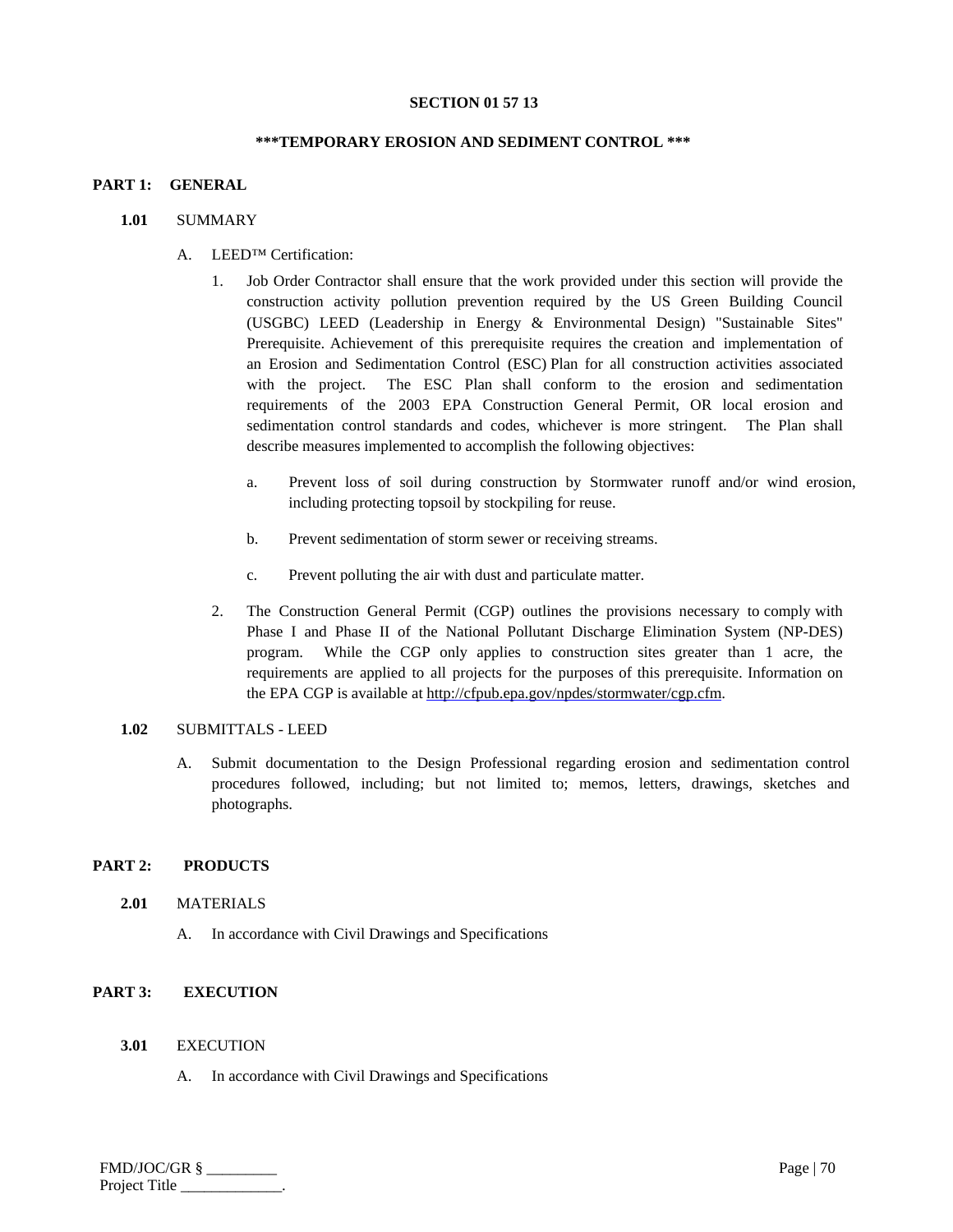# **SECTION 01 57 13**

## **\*\*\*TEMPORARY EROSION AND SEDIMENT CONTROL \*\*\***

## **PART 1: GENERAL**

## **1.01** SUMMARY

- A. LEED™ Certification:
	- 1. Job Order Contractor shall ensure that the work provided under this section will provide the construction activity pollution prevention required by the US Green Building Council (USGBC) LEED (Leadership in Energy & Environmental Design) "Sustainable Sites" Prerequisite. Achievement of this prerequisite requires the creation and implementation of an Erosion and Sedimentation Control (ESC) Plan for all construction activities associated with the project. The ESC Plan shall conform to the erosion and sedimentation requirements of the 2003 EPA Construction General Permit, OR local erosion and sedimentation control standards and codes, whichever is more stringent. The Plan shall describe measures implemented to accomplish the following objectives:
		- a. Prevent loss of soil during construction by Stormwater runoff and/or wind erosion, including protecting topsoil by stockpiling for reuse.
		- b. Prevent sedimentation of storm sewer or receiving streams.
		- c. Prevent polluting the air with dust and particulate matter.
	- 2. The Construction General Permit (CGP) outlines the provisions necessary to comply with Phase I and Phase II of the National Pollutant Discharge Elimination System (NP-DES) program. While the CGP only applies to construction sites greater than 1 acre, the requirements are applied to all projects for the purposes of this prerequisite. Information on the EPA CGP is available at http://cfpub.epa.gov/npdes/stormwater/cgp.cfm.

## 1.02 SUBMITTALS - LEED

A. Submit documentation to the Design Professional regarding erosion and sedimentation control procedures followed, including; but not limited to; memos, letters, drawings, sketches and photographs.

# **PART 2: PRODUCTS**

#### **2.01** MATERIALS

A. In accordance with Civil Drawings and Specifications

# **PART 3: EXECUTION**

# **3.01** EXECUTION

A. In accordance with Civil Drawings and Specifications

| FMD/JOC/GR §  | Page   $70$ |
|---------------|-------------|
| Project Title |             |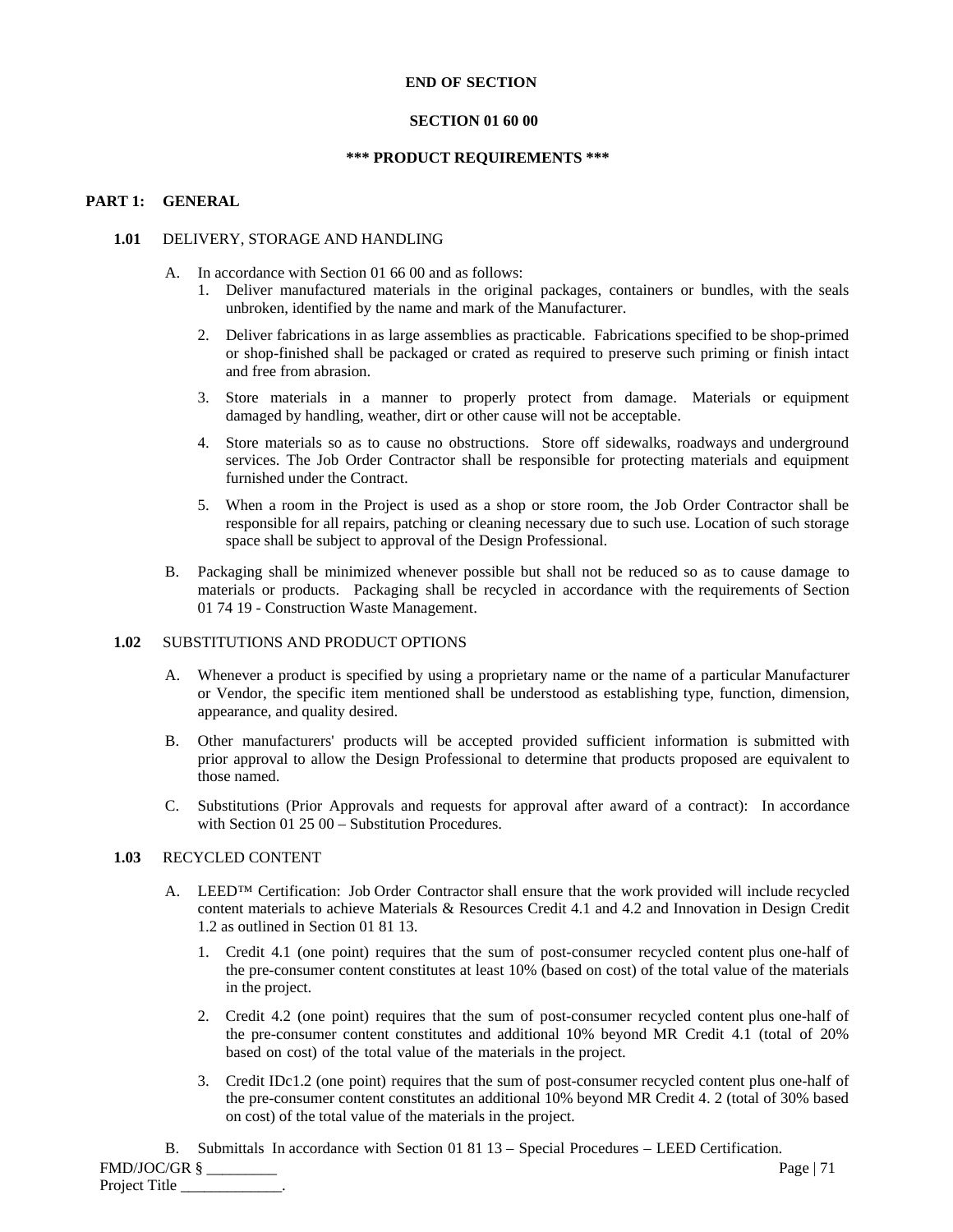#### **END OF SECTION**

#### **SECTION 01 60 00**

#### **\*\*\* PRODUCT REQUIREMENTS \*\*\***

# **PART 1: GENERAL**

#### **1.01** DELIVERY, STORAGE AND HANDLING

- A. In accordance with Section 01 66 00 and as follows:
	- 1. Deliver manufactured materials in the original packages, containers or bundles, with the seals unbroken, identified by the name and mark of the Manufacturer.
	- 2. Deliver fabrications in as large assemblies as practicable. Fabrications specified to be shop-primed or shop-finished shall be packaged or crated as required to preserve such priming or finish intact and free from abrasion.
	- 3. Store materials in a manner to properly protect from damage. Materials or equipment damaged by handling, weather, dirt or other cause will not be acceptable.
	- 4. Store materials so as to cause no obstructions. Store off sidewalks, roadways and underground services. The Job Order Contractor shall be responsible for protecting materials and equipment furnished under the Contract.
	- 5. When a room in the Project is used as a shop or store room, the Job Order Contractor shall be responsible for all repairs, patching or cleaning necessary due to such use. Location of such storage space shall be subject to approval of the Design Professional.
- B. Packaging shall be minimized whenever possible but shall not be reduced so as to cause damage to materials or products. Packaging shall be recycled in accordance with the requirements of Section 01 74 19 - Construction Waste Management.

# **1.02** SUBSTITUTIONS AND PRODUCT OPTIONS

- A. Whenever a product is specified by using a proprietary name or the name of a particular Manufacturer or Vendor, the specific item mentioned shall be understood as establishing type, function, dimension, appearance, and quality desired.
- B. Other manufacturers' products will be accepted provided sufficient information is submitted with prior approval to allow the Design Professional to determine that products proposed are equivalent to those named.
- C. Substitutions (Prior Approvals and requests for approval after award of a contract): In accordance with Section 01 25 00 – Substitution Procedures.

#### **1.03** RECYCLED CONTENT

- A. LEED<sup>™</sup> Certification: Job Order Contractor shall ensure that the work provided will include recycled content materials to achieve Materials & Resources Credit 4.1 and 4.2 and Innovation in Design Credit 1.2 as outlined in Section 01 81 13.
	- 1. Credit 4.1 (one point) requires that the sum of post-consumer recycled content plus one-half of the pre-consumer content constitutes at least 10% (based on cost) of the total value of the materials in the project.
	- 2. Credit 4.2 (one point) requires that the sum of post-consumer recycled content plus one-half of the pre-consumer content constitutes and additional 10% beyond MR Credit 4.1 (total of 20% based on cost) of the total value of the materials in the project.
	- 3. Credit IDc1.2 (one point) requires that the sum of post-consumer recycled content plus one-half of the pre-consumer content constitutes an additional 10% beyond MR Credit 4. 2 (total of 30% based on cost) of the total value of the materials in the project.

B. Submittals In accordance with Section 01 81 13 – Special Procedures – LEED Certification.

FMD/JOC/GR § \_\_\_\_\_\_\_\_\_ Page | 71 Project Title \_\_\_\_\_\_\_\_\_\_\_\_\_.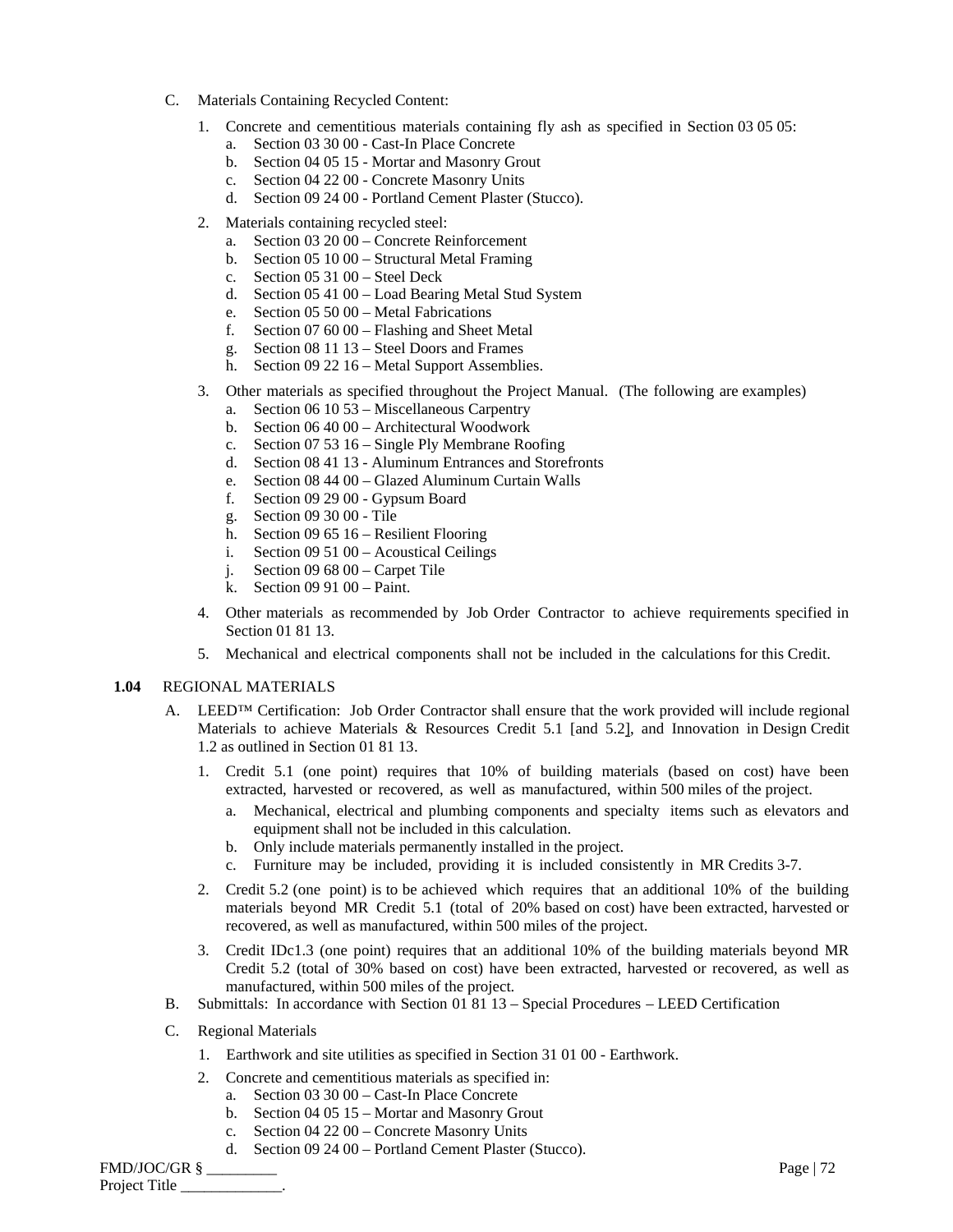- C. Materials Containing Recycled Content:
	- 1. Concrete and cementitious materials containing fly ash as specified in Section 03 05 05:
		- a. Section 03 30 00 Cast-In Place Concrete
		- b. Section 04 05 15 Mortar and Masonry Grout
		- c. Section 04 22 00 Concrete Masonry Units
		- d. Section 09 24 00 Portland Cement Plaster (Stucco).
	- 2. Materials containing recycled steel:
		- a. Section 03 20 00 Concrete Reinforcement
		- b. Section 05 10 00 Structural Metal Framing
		- c. Section 05 31 00 Steel Deck
		- d. Section 05 41 00 Load Bearing Metal Stud System
		- e. Section 05 50 00 Metal Fabrications
		- f. Section 07 60 00 Flashing and Sheet Metal
		- g. Section 08 11 13 Steel Doors and Frames
		- h. Section 09 22 16 Metal Support Assemblies.
	- 3. Other materials as specified throughout the Project Manual. (The following are examples)
		- a. Section 06 10 53 Miscellaneous Carpentry
		- b. Section 06 40 00 Architectural Woodwork
		- c. Section 07 53 16 Single Ply Membrane Roofing
		- d. Section 08 41 13 Aluminum Entrances and Storefronts
		- e. Section 08 44 00 Glazed Aluminum Curtain Walls
		- f. Section 09 29 00 Gypsum Board
		- g. Section 09 30 00 Tile
		- h. Section 09 65 16 Resilient Flooring
		- i. Section 09 51 00 Acoustical Ceilings
		- j. Section 09 68 00 Carpet Tile
		- k. Section 09 91 00 Paint.
	- 4. Other materials as recommended by Job Order Contractor to achieve requirements specified in Section 01 81 13.
	- 5. Mechanical and electrical components shall not be included in the calculations for this Credit.

# **1.04** REGIONAL MATERIALS

- A. LEED<sup>™</sup> Certification: Job Order Contractor shall ensure that the work provided will include regional Materials to achieve Materials & Resources Credit 5.1 [and 5.2], and Innovation in Design Credit 1.2 as outlined in Section 01 81 13.
	- 1. Credit 5.1 (one point) requires that 10% of building materials (based on cost) have been extracted, harvested or recovered, as well as manufactured, within 500 miles of the project.
		- a. Mechanical, electrical and plumbing components and specialty items such as elevators and equipment shall not be included in this calculation.
		- b. Only include materials permanently installed in the project.
		- c. Furniture may be included, providing it is included consistently in MR Credits 3-7.
	- 2. Credit 5.2 (one point) is to be achieved which requires that an additional 10% of the building materials beyond MR Credit 5.1 (total of 20% based on cost) have been extracted, harvested or recovered, as well as manufactured*,* within 500 miles of the project.
	- 3. Credit IDc1.3 (one point) requires that an additional 10% of the building materials beyond MR Credit 5.2 (total of 30% based on cost) have been extracted, harvested or recovered, as well as manufactured, within 500 miles of the project.
- B. Submittals: In accordance with Section 01 81 13 Special Procedures LEED Certification
- C. Regional Materials
	- 1. Earthwork and site utilities as specified in Section 31 01 00 Earthwork.
	- 2. Concrete and cementitious materials as specified in:
		- a. Section 03 30 00 Cast-In Place Concrete
		- b. Section 04 05 15 Mortar and Masonry Grout
		- c. Section 04 22 00 Concrete Masonry Units
		- d. Section 09 24 00 Portland Cement Plaster (Stucco).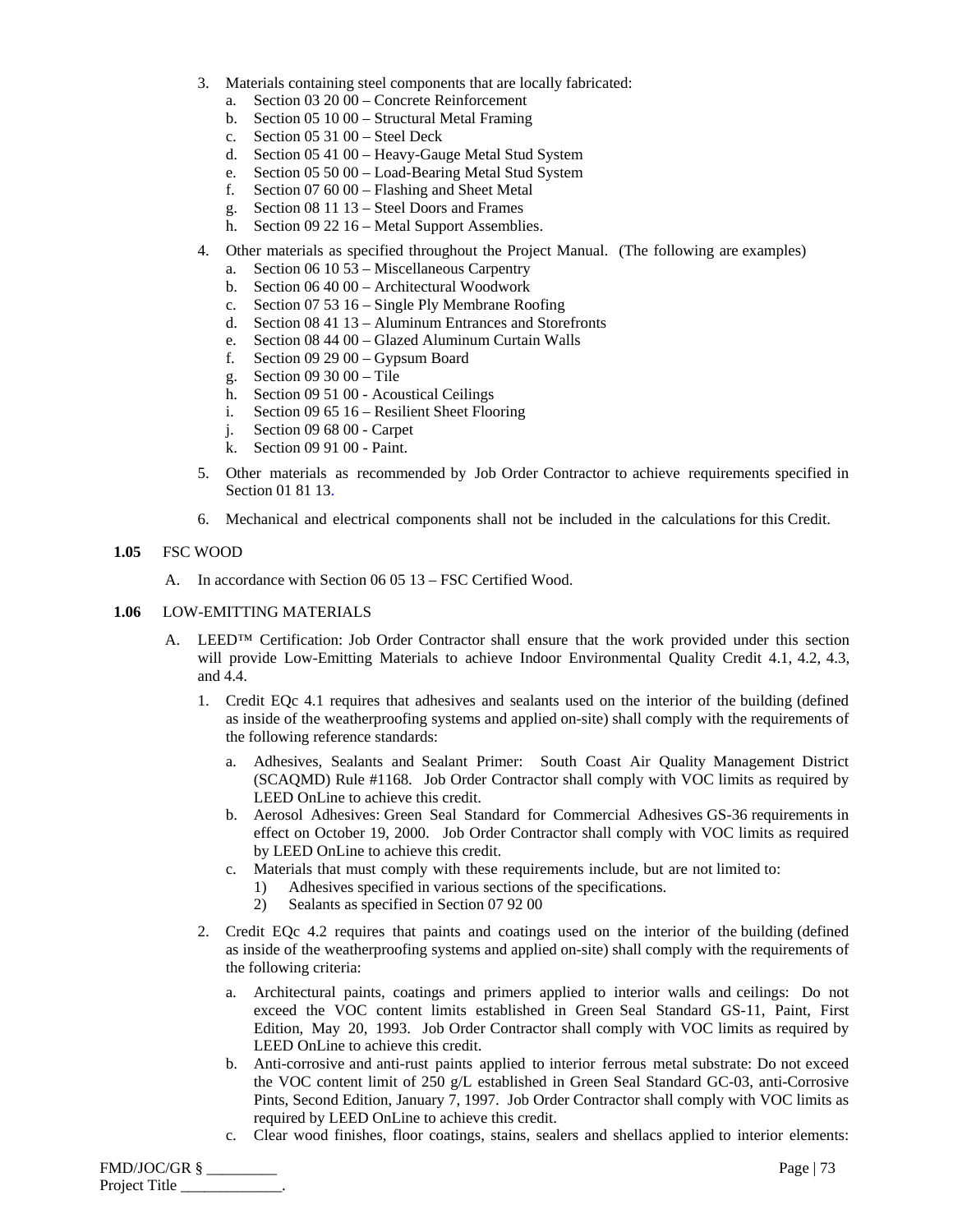- 3. Materials containing steel components that are locally fabricated:
	- a. Section 03 20 00 Concrete Reinforcement
	- b. Section 05 10 00 Structural Metal Framing
	- c. Section 05 31 00 Steel Deck
	- d. Section 05 41 00 Heavy-Gauge Metal Stud System
	- e. Section 05 50 00 Load-Bearing Metal Stud System
	- f. Section 07 60 00 Flashing and Sheet Metal
	- g. Section 08 11 13 Steel Doors and Frames
	- h. Section 09 22 16 Metal Support Assemblies.
- 4. Other materials as specified throughout the Project Manual. (The following are examples)
	- a. Section 06 10 53 Miscellaneous Carpentry
	- b. Section 06 40 00 Architectural Woodwork
	- c. Section 07 53 16 Single Ply Membrane Roofing
	- d. Section 08 41 13 Aluminum Entrances and Storefronts
	- e. Section 08 44 00 Glazed Aluminum Curtain Walls
	- f. Section 09 29 00 Gypsum Board
	- g. Section 09 30 00 Tile
	- h. Section 09 51 00 Acoustical Ceilings
	- i. Section 09 65 16 Resilient Sheet Flooring
	- j. Section 09 68 00 Carpet
	- k. Section 09 91 00 Paint.
- 5. Other materials as recommended by Job Order Contractor to achieve requirements specified in Section 01 81 13.
- 6. Mechanical and electrical components shall not be included in the calculations for this Credit.

# **1.05** FSC WOOD

A. In accordance with Section 06 05 13 – FSC Certified Wood.

## **1.06** LOW-EMITTING MATERIALS

- A. LEED<sup>TM</sup> Certification: Job Order Contractor shall ensure that the work provided under this section will provide Low-Emitting Materials to achieve Indoor Environmental Quality Credit 4.1, 4.2, 4.3, and 4.4.
	- 1. Credit EQc 4.1 requires that adhesives and sealants used on the interior of the building (defined as inside of the weatherproofing systems and applied on-site) shall comply with the requirements of the following reference standards:
		- a. Adhesives, Sealants and Sealant Primer: South Coast Air Quality Management District (SCAQMD) Rule #1168. Job Order Contractor shall comply with VOC limits as required by LEED OnLine to achieve this credit.
		- b. Aerosol Adhesives: Green Seal Standard for Commercial Adhesives GS-36 requirements in effect on October 19, 2000. Job Order Contractor shall comply with VOC limits as required by LEED OnLine to achieve this credit.
		- c. Materials that must comply with these requirements include, but are not limited to:
			- 1) Adhesives specified in various sections of the specifications.
			- 2) Sealants as specified in Section 07 92 00
	- 2. Credit EQc 4.2 requires that paints and coatings used on the interior of the building (defined as inside of the weatherproofing systems and applied on-site) shall comply with the requirements of the following criteria:
		- a. Architectural paints, coatings and primers applied to interior walls and ceilings: Do not exceed the VOC content limits established in Green Seal Standard GS-11, Paint, First Edition, May 20, 1993. Job Order Contractor shall comply with VOC limits as required by LEED OnLine to achieve this credit.
		- b. Anti-corrosive and anti-rust paints applied to interior ferrous metal substrate: Do not exceed the VOC content limit of 250 g/L established in Green Seal Standard GC-03, anti-Corrosive Pints, Second Edition, January 7, 1997. Job Order Contractor shall comply with VOC limits as required by LEED OnLine to achieve this credit.
		- c. Clear wood finishes, floor coatings, stains, sealers and shellacs applied to interior elements: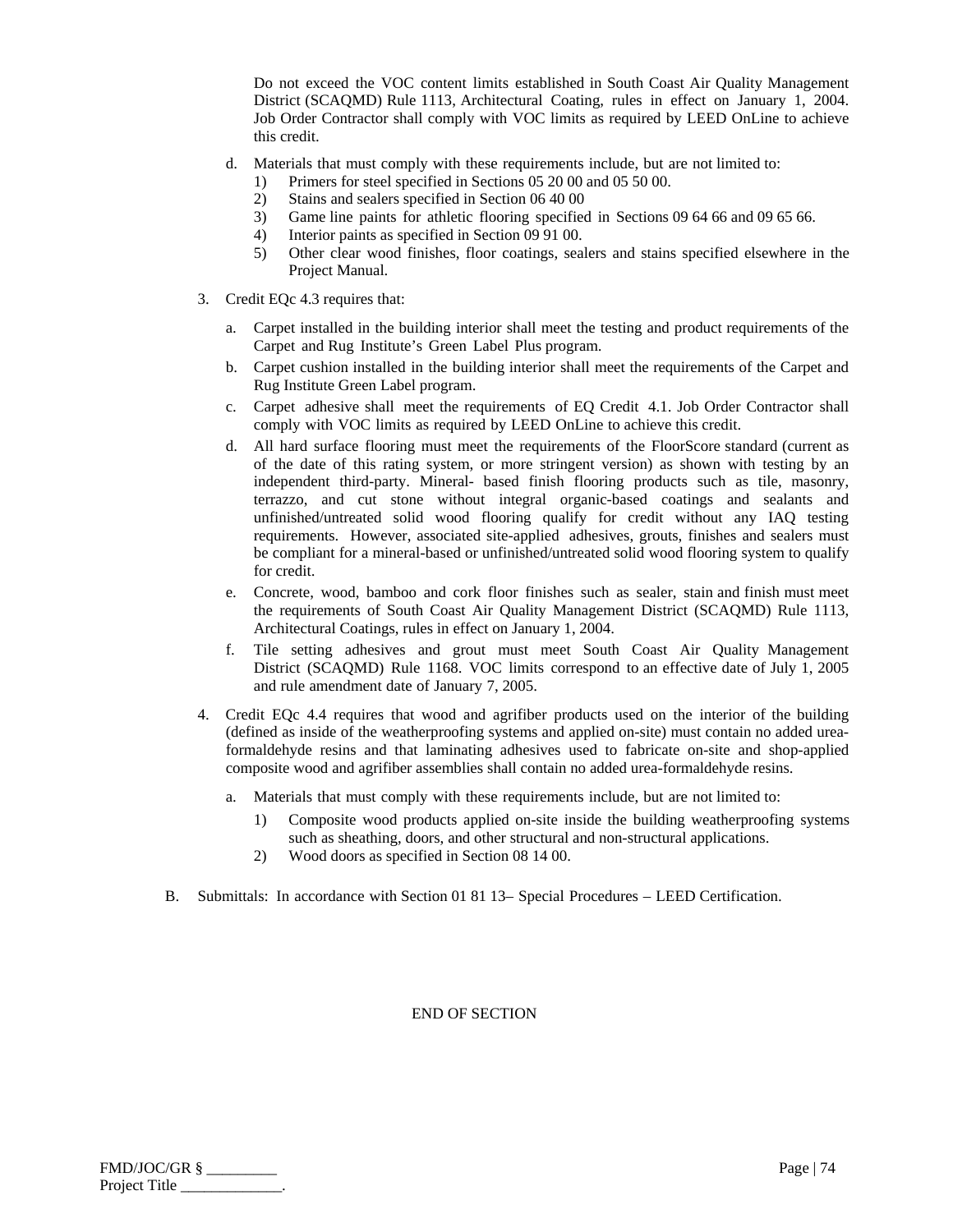Do not exceed the VOC content limits established in South Coast Air Quality Management District (SCAQMD) Rule 1113, Architectural Coating, rules in effect on January 1, 2004. Job Order Contractor shall comply with VOC limits as required by LEED OnLine to achieve this credit.

- d. Materials that must comply with these requirements include, but are not limited to:
	- 1) Primers for steel specified in Sections 05 20 00 and 05 50 00.
	- 2) Stains and sealers specified in Section 06 40 00
	- 3) Game line paints for athletic flooring specified in Sections 09 64 66 and 09 65 66.
	- 4) Interior paints as specified in Section 09 91 00.
	- 5) Other clear wood finishes, floor coatings, sealers and stains specified elsewhere in the Project Manual.
- 3. Credit EQc 4.3 requires that:
	- a. Carpet installed in the building interior shall meet the testing and product requirements of the Carpet and Rug Institute's Green Label Plus program.
	- b. Carpet cushion installed in the building interior shall meet the requirements of the Carpet and Rug Institute Green Label program.
	- c. Carpet adhesive shall meet the requirements of EQ Credit 4.1. Job Order Contractor shall comply with VOC limits as required by LEED OnLine to achieve this credit.
	- d. All hard surface flooring must meet the requirements of the FloorScore standard (current as of the date of this rating system, or more stringent version) as shown with testing by an independent third-party. Mineral- based finish flooring products such as tile, masonry, terrazzo, and cut stone without integral organic-based coatings and sealants and unfinished/untreated solid wood flooring qualify for credit without any IAQ testing requirements. However, associated site-applied adhesives, grouts, finishes and sealers must be compliant for a mineral-based or unfinished/untreated solid wood flooring system to qualify for credit.
	- e. Concrete, wood, bamboo and cork floor finishes such as sealer, stain and finish must meet the requirements of South Coast Air Quality Management District (SCAQMD) Rule 1113, Architectural Coatings, rules in effect on January 1, 2004.
	- f. Tile setting adhesives and grout must meet South Coast Air Quality Management District (SCAQMD) Rule 1168. VOC limits correspond to an effective date of July 1, 2005 and rule amendment date of January 7, 2005.
- 4. Credit EQc 4.4 requires that wood and agrifiber products used on the interior of the building (defined as inside of the weatherproofing systems and applied on-site) must contain no added ureaformaldehyde resins and that laminating adhesives used to fabricate on-site and shop-applied composite wood and agrifiber assemblies shall contain no added urea-formaldehyde resins.
	- a. Materials that must comply with these requirements include, but are not limited to:
		- 1) Composite wood products applied on-site inside the building weatherproofing systems such as sheathing, doors, and other structural and non-structural applications.
		- 2) Wood doors as specified in Section 08 14 00.
- B. Submittals: In accordance with Section 01 81 13– Special Procedures LEED Certification.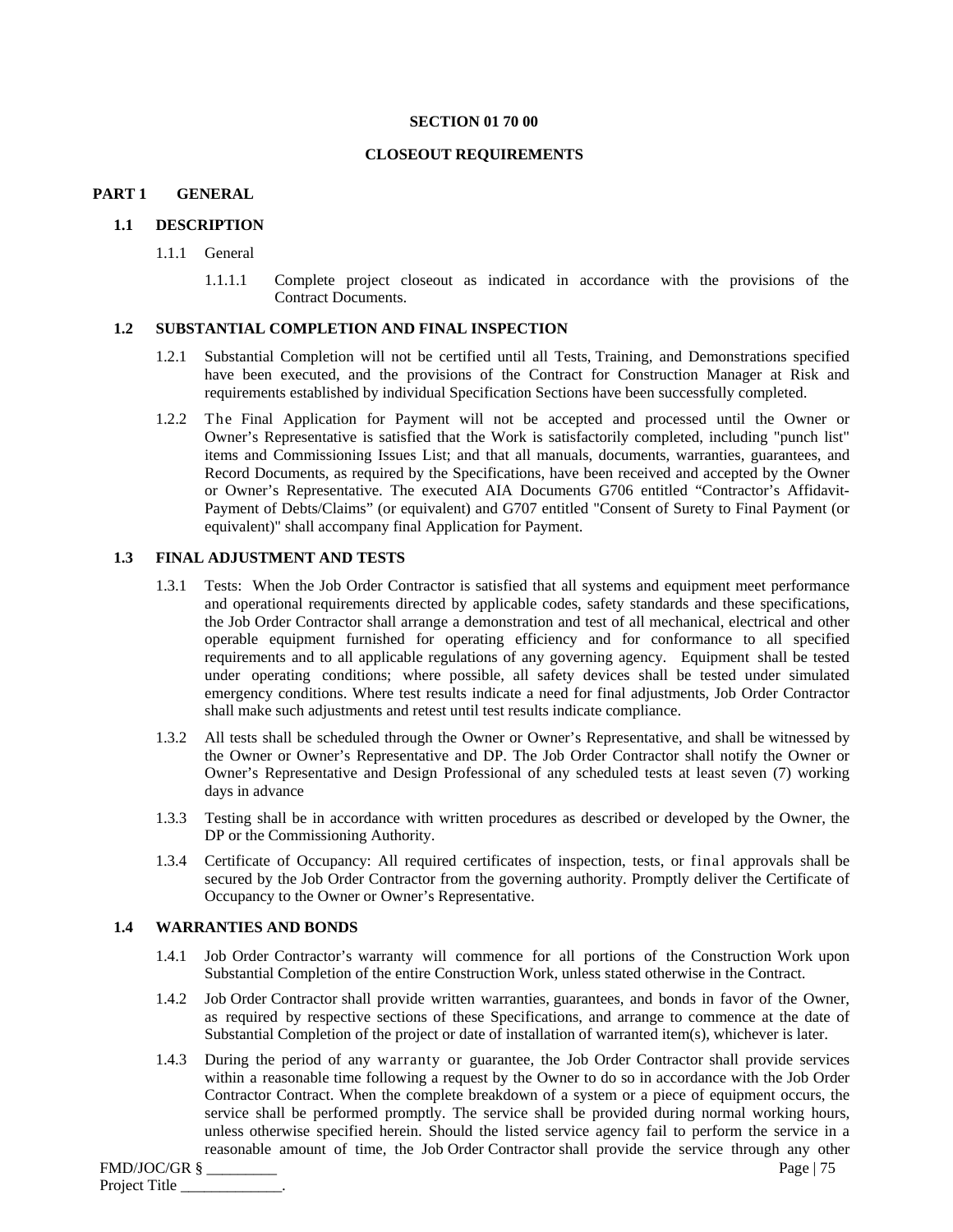#### **SECTION 01 70 00**

## **CLOSEOUT REQUIREMENTS**

#### **PART 1 GENERAL**

#### **1.1 DESCRIPTION**

- 1.1.1 General
	- 1.1.1.1 Complete project closeout as indicated in accordance with the provisions of the Contract Documents.

#### **1.2 SUBSTANTIAL COMPLETION AND FINAL INSPECTION**

- 1.2.1 Substantial Completion will not be certified until all Tests, Training, and Demonstrations specified have been executed, and the provisions of the Contract for Construction Manager at Risk and requirements established by individual Specification Sections have been successfully completed.
- 1.2.2 The Final Application for Payment will not be accepted and processed until the Owner or Owner's Representative is satisfied that the Work is satisfactorily completed, including "punch list" items and Commissioning Issues List; and that all manuals, documents, warranties, guarantees, and Record Documents, as required by the Specifications, have been received and accepted by the Owner or Owner's Representative. The executed AIA Documents G706 entitled "Contractor's Affidavit-Payment of Debts/Claims" (or equivalent) and G707 entitled "Consent of Surety to Final Payment (or equivalent)" shall accompany final Application for Payment.

## **1.3 FINAL ADJUSTMENT AND TESTS**

- 1.3.1 Tests: When the Job Order Contractor is satisfied that all systems and equipment meet performance and operational requirements directed by applicable codes, safety standards and these specifications, the Job Order Contractor shall arrange a demonstration and test of all mechanical, electrical and other operable equipment furnished for operating efficiency and for conformance to all specified requirements and to all applicable regulations of any governing agency. Equipment shall be tested under operating conditions; where possible, all safety devices shall be tested under simulated emergency conditions. Where test results indicate a need for final adjustments, Job Order Contractor shall make such adjustments and retest until test results indicate compliance.
- 1.3.2 All tests shall be scheduled through the Owner or Owner's Representative, and shall be witnessed by the Owner or Owner's Representative and DP. The Job Order Contractor shall notify the Owner or Owner's Representative and Design Professional of any scheduled tests at least seven (7) working days in advance
- 1.3.3 Testing shall be in accordance with written procedures as described or developed by the Owner, the DP or the Commissioning Authority.
- 1.3.4 Certificate of Occupancy: All required certificates of inspection, tests, or final approvals shall be secured by the Job Order Contractor from the governing authority. Promptly deliver the Certificate of Occupancy to the Owner or Owner's Representative.

#### **1.4 WARRANTIES AND BONDS**

- 1.4.1 Job Order Contractor's warranty will commence for all portions of the Construction Work upon Substantial Completion of the entire Construction Work, unless stated otherwise in the Contract.
- 1.4.2 Job Order Contractor shall provide written warranties, guarantees, and bonds in favor of the Owner, as required by respective sections of these Specifications, and arrange to commence at the date of Substantial Completion of the project or date of installation of warranted item(s), whichever is later.
- 1.4.3 During the period of any warranty or guarantee, the Job Order Contractor shall provide services within a reasonable time following a request by the Owner to do so in accordance with the Job Order Contractor Contract. When the complete breakdown of a system or a piece of equipment occurs, the service shall be performed promptly. The service shall be provided during normal working hours, unless otherwise specified herein. Should the listed service agency fail to perform the service in a reasonable amount of time, the Job Order Contractor shall provide the service through any other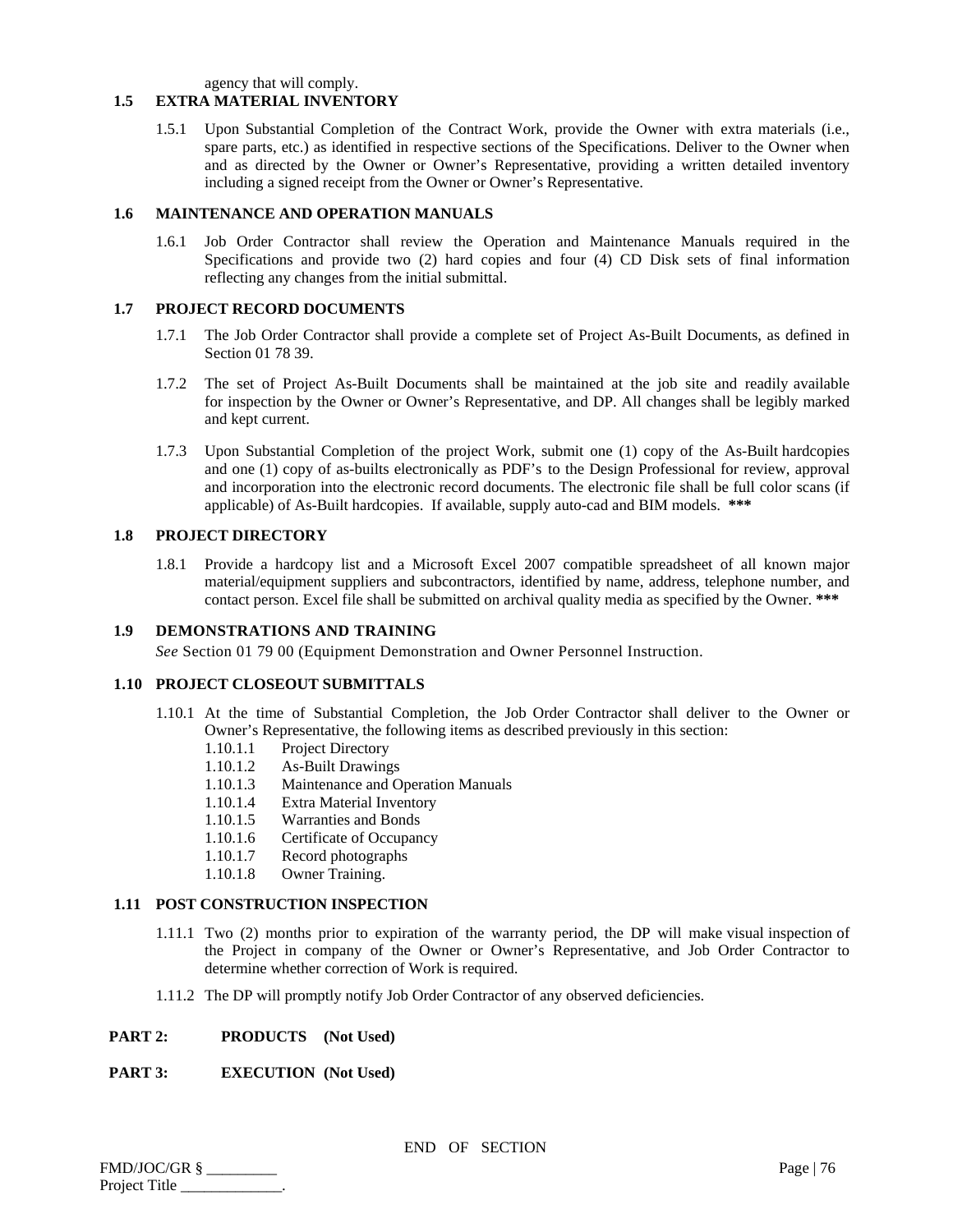agency that will comply.

# **1.5 EXTRA MATERIAL INVENTORY**

1.5.1 Upon Substantial Completion of the Contract Work, provide the Owner with extra materials (i.e., spare parts, etc.) as identified in respective sections of the Specifications. Deliver to the Owner when and as directed by the Owner or Owner's Representative, providing a written detailed inventory including a signed receipt from the Owner or Owner's Representative.

# **1.6 MAINTENANCE AND OPERATION MANUALS**

1.6.1 Job Order Contractor shall review the Operation and Maintenance Manuals required in the Specifications and provide two (2) hard copies and four (4) CD Disk sets of final information reflecting any changes from the initial submittal.

# **1.7 PROJECT RECORD DOCUMENTS**

- 1.7.1 The Job Order Contractor shall provide a complete set of Project As-Built Documents, as defined in Section 01 78 39.
- 1.7.2 The set of Project As-Built Documents shall be maintained at the job site and readily available for inspection by the Owner or Owner's Representative, and DP. All changes shall be legibly marked and kept current.
- 1.7.3 Upon Substantial Completion of the project Work, submit one (1) copy of the As-Built hardcopies and one (1) copy of as-builts electronically as PDF's to the Design Professional for review, approval and incorporation into the electronic record documents. The electronic file shall be full color scans (if applicable) of As-Built hardcopies. If available, supply auto-cad and BIM models. **\*\*\***

# **1.8 PROJECT DIRECTORY**

1.8.1 Provide a hardcopy list and a Microsoft Excel 2007 compatible spreadsheet of all known major material/equipment suppliers and subcontractors, identified by name, address, telephone number, and contact person. Excel file shall be submitted on archival quality media as specified by the Owner. **\*\*\***

## **1.9 DEMONSTRATIONS AND TRAINING**

*See* Section 01 79 00 (Equipment Demonstration and Owner Personnel Instruction.

## **1.10 PROJECT CLOSEOUT SUBMITTALS**

- 1.10.1 At the time of Substantial Completion, the Job Order Contractor shall deliver to the Owner or Owner's Representative, the following items as described previously in this section:
	- 1.10.1.1 Project Directory<br>1.10.1.2 As-Built Drawing
	- As-Built Drawings
	- 1.10.1.3 Maintenance and Operation Manuals
	- 1.10.1.4 Extra Material Inventory
	- 1.10.1.5 Warranties and Bonds
	- 1.10.1.6 Certificate of Occupancy
	- 1.10.1.7 Record photographs
	- 1.10.1.8 Owner Training.

## **1.11 POST CONSTRUCTION INSPECTION**

- 1.11.1 Two (2) months prior to expiration of the warranty period, the DP will make visual inspection of the Project in company of the Owner or Owner's Representative, and Job Order Contractor to determine whether correction of Work is required.
- 1.11.2 The DP will promptly notify Job Order Contractor of any observed deficiencies.
- **PART 2: PRODUCTS (Not Used)**

# **PART 3: EXECUTION (Not Used)**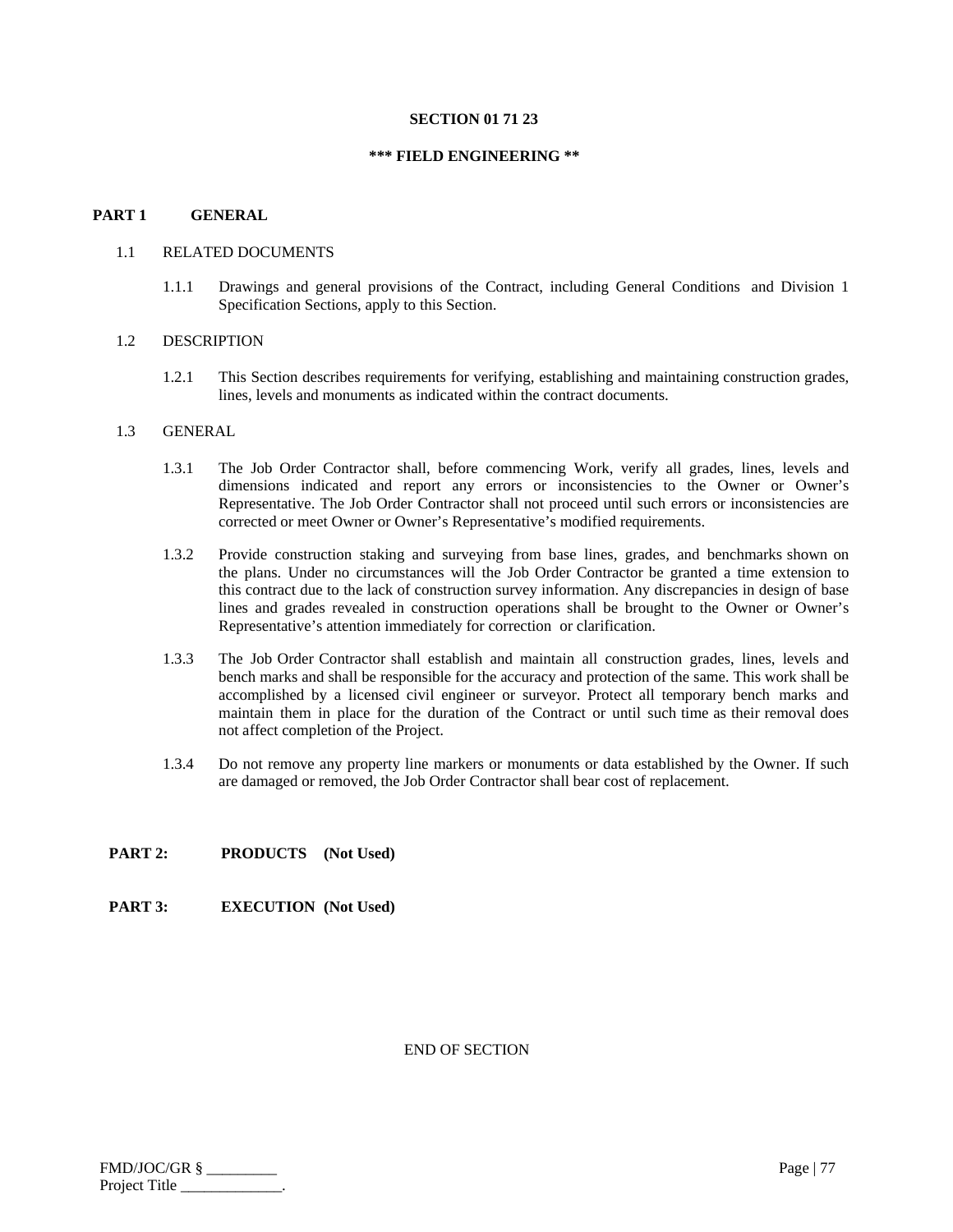#### **SECTION 01 71 23**

#### **\*\*\* FIELD ENGINEERING \*\***

## **PART 1 GENERAL**

#### 1.1 RELATED DOCUMENTS

1.1.1 Drawings and general provisions of the Contract, including General Conditions and Division 1 Specification Sections, apply to this Section.

#### 1.2 DESCRIPTION

1.2.1 This Section describes requirements for verifying, establishing and maintaining construction grades, lines, levels and monuments as indicated within the contract documents.

#### 1.3 GENERAL

- 1.3.1 The Job Order Contractor shall, before commencing Work, verify all grades, lines, levels and dimensions indicated and report any errors or inconsistencies to the Owner or Owner's Representative. The Job Order Contractor shall not proceed until such errors or inconsistencies are corrected or meet Owner or Owner's Representative's modified requirements.
- 1.3.2 Provide construction staking and surveying from base lines, grades, and benchmarks shown on the plans. Under no circumstances will the Job Order Contractor be granted a time extension to this contract due to the lack of construction survey information. Any discrepancies in design of base lines and grades revealed in construction operations shall be brought to the Owner or Owner's Representative's attention immediately for correction or clarification.
- 1.3.3 The Job Order Contractor shall establish and maintain all construction grades, lines, levels and bench marks and shall be responsible for the accuracy and protection of the same. This work shall be accomplished by a licensed civil engineer or surveyor. Protect all temporary bench marks and maintain them in place for the duration of the Contract or until such time as their removal does not affect completion of the Project.
- 1.3.4 Do not remove any property line markers or monuments or data established by the Owner. If such are damaged or removed, the Job Order Contractor shall bear cost of replacement.

## **PART 2: PRODUCTS (Not Used)**

**PART 3: EXECUTION (Not Used)** 

END OF SECTION

FMD/JOC/GR § \_\_\_\_\_\_\_\_\_ Page | 77 Project Title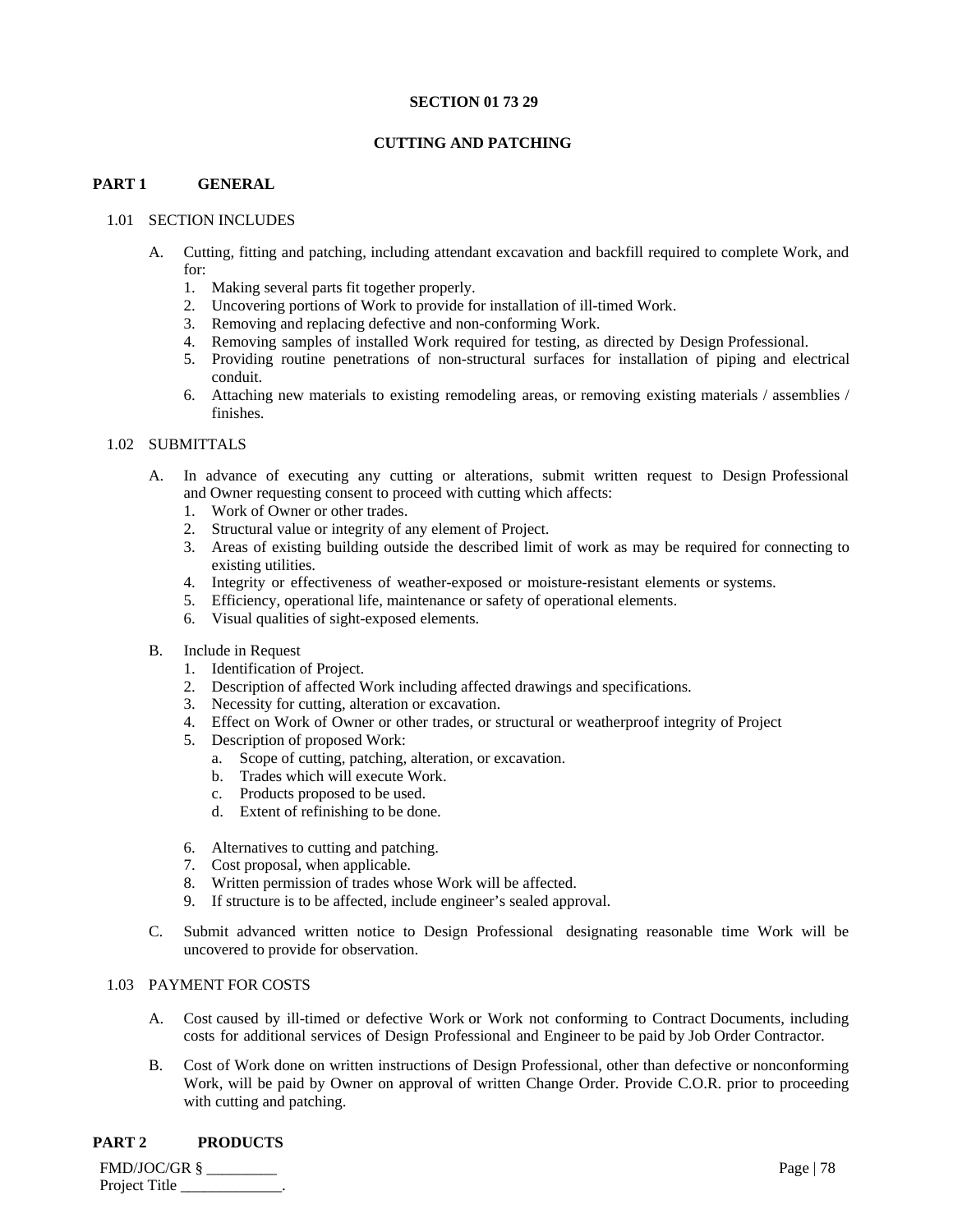## **SECTION 01 73 29**

# **CUTTING AND PATCHING**

# **PART 1 GENERAL**

# 1.01 SECTION INCLUDES

- A. Cutting, fitting and patching, including attendant excavation and backfill required to complete Work, and for:
	- 1. Making several parts fit together properly.
	- 2. Uncovering portions of Work to provide for installation of ill-timed Work.
	- 3. Removing and replacing defective and non-conforming Work.
	- 4. Removing samples of installed Work required for testing, as directed by Design Professional.
	- 5. Providing routine penetrations of non-structural surfaces for installation of piping and electrical conduit.
	- 6. Attaching new materials to existing remodeling areas, or removing existing materials / assemblies / finishes.

# 1.02 SUBMITTALS

- A. In advance of executing any cutting or alterations, submit written request to Design Professional and Owner requesting consent to proceed with cutting which affects:
	- 1. Work of Owner or other trades.
	- 2. Structural value or integrity of any element of Project.
	- 3. Areas of existing building outside the described limit of work as may be required for connecting to existing utilities.
	- 4. Integrity or effectiveness of weather-exposed or moisture-resistant elements or systems.
	- 5. Efficiency, operational life, maintenance or safety of operational elements.
	- 6. Visual qualities of sight-exposed elements.
- B. Include in Request
	- 1. Identification of Project.
	- 2. Description of affected Work including affected drawings and specifications.
	- 3. Necessity for cutting, alteration or excavation.
	- 4. Effect on Work of Owner or other trades, or structural or weatherproof integrity of Project
	- 5. Description of proposed Work:
		- a. Scope of cutting, patching, alteration, or excavation.
		- b. Trades which will execute Work.
		- c. Products proposed to be used.
		- d. Extent of refinishing to be done.
	- 6. Alternatives to cutting and patching.
	- 7. Cost proposal, when applicable.
	- 8. Written permission of trades whose Work will be affected.
	- 9. If structure is to be affected, include engineer's sealed approval.
- C. Submit advanced written notice to Design Professional designating reasonable time Work will be uncovered to provide for observation.

# 1.03 PAYMENT FOR COSTS

- A. Cost caused by ill-timed or defective Work or Work not conforming to Contract Documents, including costs for additional services of Design Professional and Engineer to be paid by Job Order Contractor.
- B. Cost of Work done on written instructions of Design Professional, other than defective or nonconforming Work, will be paid by Owner on approval of written Change Order. Provide C.O.R. prior to proceeding with cutting and patching.

# **PART 2 PRODUCTS**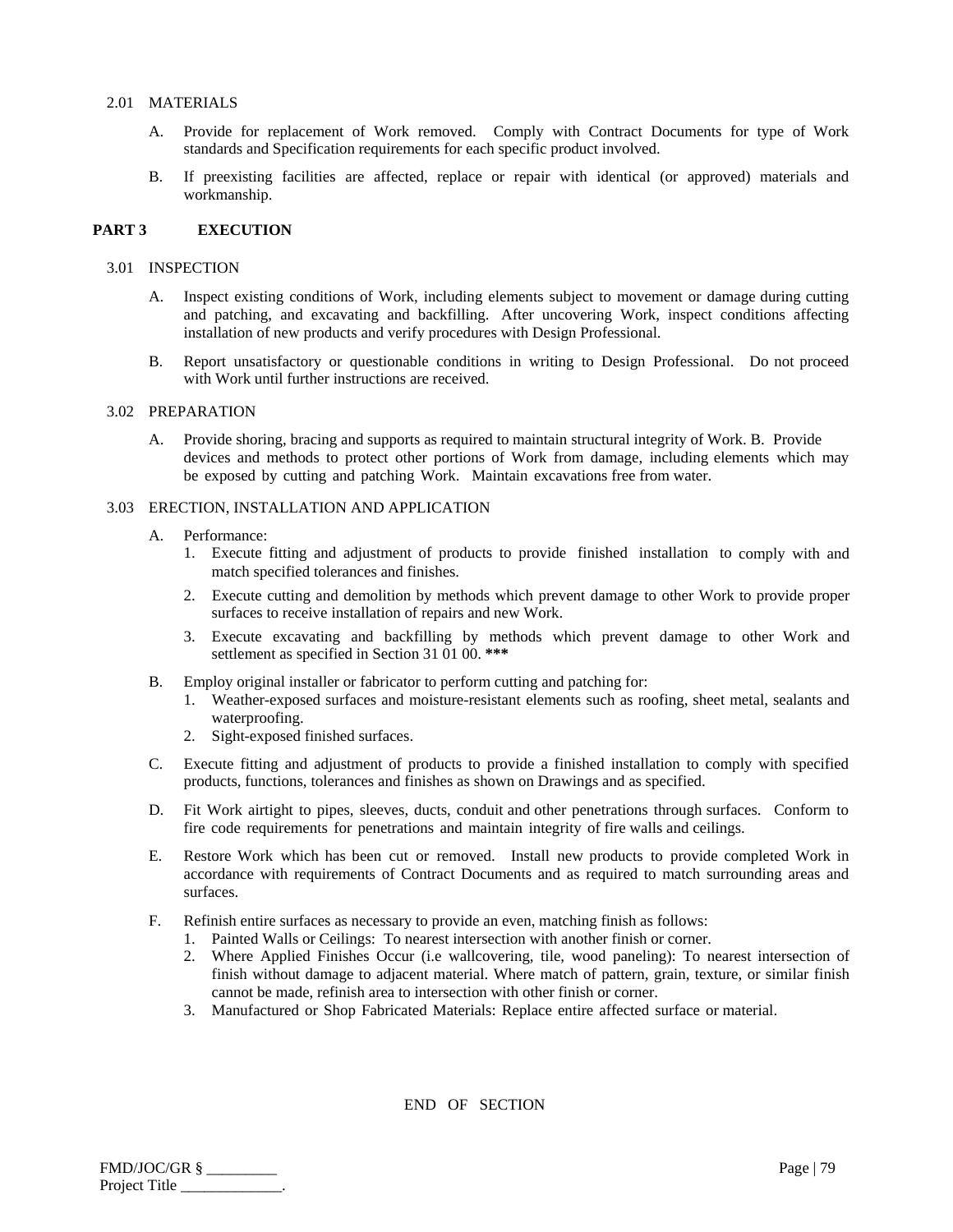## 2.01 MATERIALS

- A. Provide for replacement of Work removed. Comply with Contract Documents for type of Work standards and Specification requirements for each specific product involved.
- B. If preexisting facilities are affected, replace or repair with identical (or approved) materials and workmanship.

## **PART 3 EXECUTION**

#### 3.01 INSPECTION

- A. Inspect existing conditions of Work, including elements subject to movement or damage during cutting and patching, and excavating and backfilling. After uncovering Work, inspect conditions affecting installation of new products and verify procedures with Design Professional.
- B. Report unsatisfactory or questionable conditions in writing to Design Professional. Do not proceed with Work until further instructions are received.

# 3.02 PREPARATION

A. Provide shoring, bracing and supports as required to maintain structural integrity of Work. B. Provide devices and methods to protect other portions of Work from damage, including elements which may be exposed by cutting and patching Work. Maintain excavations free from water.

# 3.03 ERECTION, INSTALLATION AND APPLICATION

- A. Performance:
	- 1. Execute fitting and adjustment of products to provide finished installation to comply with and match specified tolerances and finishes.
	- 2. Execute cutting and demolition by methods which prevent damage to other Work to provide proper surfaces to receive installation of repairs and new Work.
	- 3. Execute excavating and backfilling by methods which prevent damage to other Work and settlement as specified in Section 31 01 00. **\*\*\***
- B. Employ original installer or fabricator to perform cutting and patching for:
	- 1. Weather-exposed surfaces and moisture-resistant elements such as roofing, sheet metal, sealants and waterproofing.
	- 2. Sight-exposed finished surfaces.
- C. Execute fitting and adjustment of products to provide a finished installation to comply with specified products, functions, tolerances and finishes as shown on Drawings and as specified.
- D. Fit Work airtight to pipes, sleeves, ducts, conduit and other penetrations through surfaces. Conform to fire code requirements for penetrations and maintain integrity of fire walls and ceilings.
- E. Restore Work which has been cut or removed. Install new products to provide completed Work in accordance with requirements of Contract Documents and as required to match surrounding areas and surfaces.
- F. Refinish entire surfaces as necessary to provide an even, matching finish as follows:
	- 1. Painted Walls or Ceilings: To nearest intersection with another finish or corner.
	- 2. Where Applied Finishes Occur (i.e wallcovering, tile, wood paneling): To nearest intersection of finish without damage to adjacent material. Where match of pattern, grain, texture, or similar finish cannot be made, refinish area to intersection with other finish or corner.
	- 3. Manufactured or Shop Fabricated Materials: Replace entire affected surface or material.

| FMD/JOC/GR §  | Page   $79$ |
|---------------|-------------|
| Project Title |             |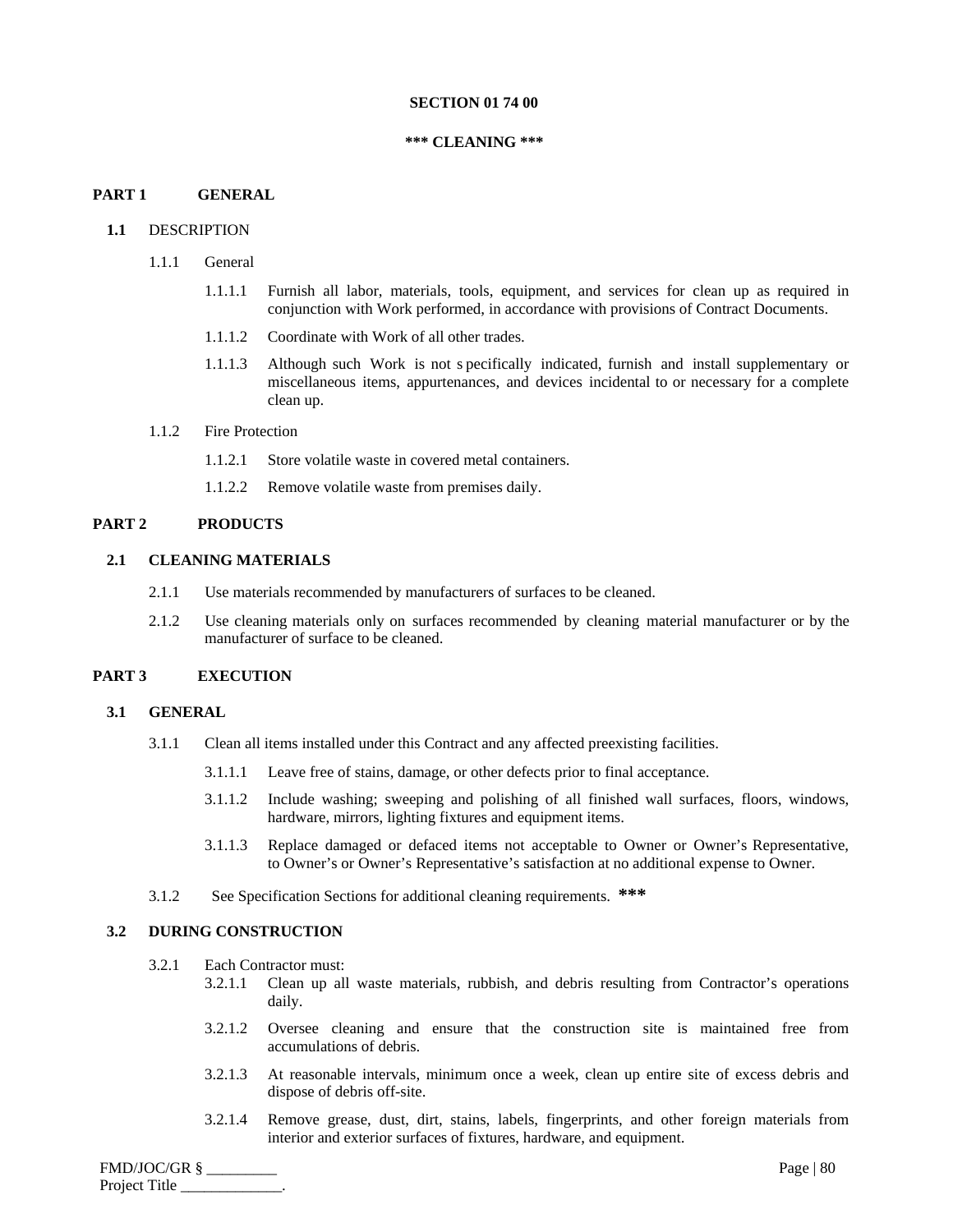#### **SECTION 01 74 00**

#### **\*\*\* CLEANING \*\*\***

## **PART 1 GENERAL**

## **1.1** DESCRIPTION

- 1.1.1 General
	- 1.1.1.1 Furnish all labor, materials, tools, equipment, and services for clean up as required in conjunction with Work performed, in accordance with provisions of Contract Documents.
	- 1.1.1.2 Coordinate with Work of all other trades.
	- 1.1.1.3 Although such Work is not s pecifically indicated, furnish and install supplementary or miscellaneous items, appurtenances, and devices incidental to or necessary for a complete clean up.

#### 1.1.2 Fire Protection

- 1.1.2.1 Store volatile waste in covered metal containers.
- 1.1.2.2 Remove volatile waste from premises daily.

## **PART 2 PRODUCTS**

## **2.1 CLEANING MATERIALS**

- 2.1.1 Use materials recommended by manufacturers of surfaces to be cleaned.
- 2.1.2 Use cleaning materials only on surfaces recommended by cleaning material manufacturer or by the manufacturer of surface to be cleaned.

# **PART 3 EXECUTION**

## **3.1 GENERAL**

- 3.1.1 Clean all items installed under this Contract and any affected preexisting facilities.
	- 3.1.1.1 Leave free of stains, damage, or other defects prior to final acceptance.
	- 3.1.1.2 Include washing; sweeping and polishing of all finished wall surfaces, floors, windows, hardware, mirrors, lighting fixtures and equipment items.
	- 3.1.1.3 Replace damaged or defaced items not acceptable to Owner or Owner's Representative, to Owner's or Owner's Representative's satisfaction at no additional expense to Owner.
- 3.1.2 See Specification Sections for additional cleaning requirements. **\*\*\***

## **3.2 DURING CONSTRUCTION**

- 3.2.1 Each Contractor must:
	- 3.2.1.1 Clean up all waste materials, rubbish, and debris resulting from Contractor's operations daily.
	- 3.2.1.2 Oversee cleaning and ensure that the construction site is maintained free from accumulations of debris.
	- 3.2.1.3 At reasonable intervals, minimum once a week, clean up entire site of excess debris and dispose of debris off-site.
	- 3.2.1.4 Remove grease, dust, dirt, stains, labels, fingerprints, and other foreign materials from interior and exterior surfaces of fixtures, hardware, and equipment.

FMD/JOC/GR § \_\_\_\_\_\_\_\_\_ Page | 80 Project Title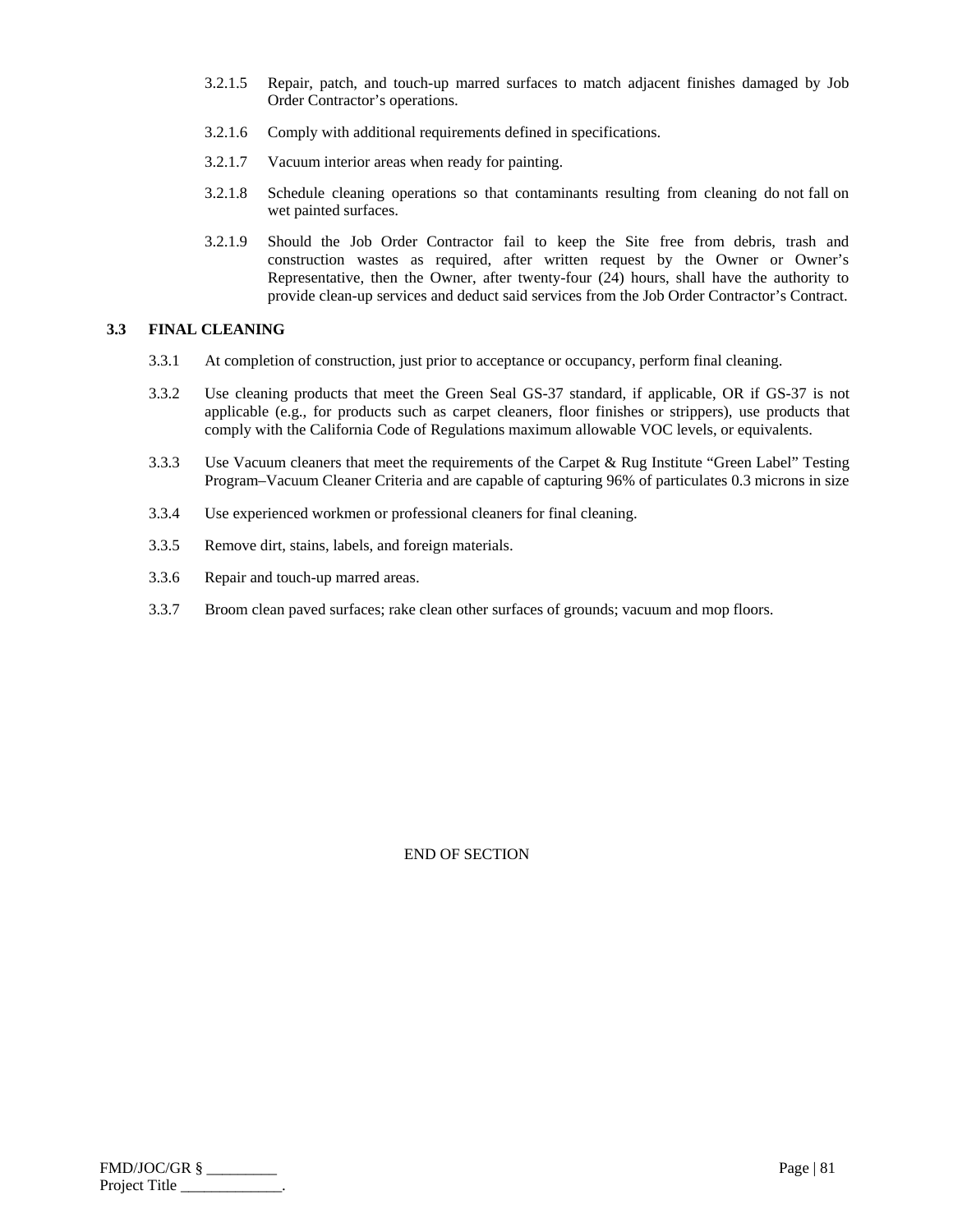- 3.2.1.5 Repair, patch, and touch-up marred surfaces to match adjacent finishes damaged by Job Order Contractor's operations.
- 3.2.1.6 Comply with additional requirements defined in specifications.
- 3.2.1.7 Vacuum interior areas when ready for painting.
- 3.2.1.8 Schedule cleaning operations so that contaminants resulting from cleaning do not fall on wet painted surfaces.
- 3.2.1.9 Should the Job Order Contractor fail to keep the Site free from debris, trash and construction wastes as required, after written request by the Owner or Owner's Representative, then the Owner, after twenty-four (24) hours, shall have the authority to provide clean-up services and deduct said services from the Job Order Contractor's Contract.

# **3.3 FINAL CLEANING**

- 3.3.1 At completion of construction, just prior to acceptance or occupancy, perform final cleaning.
- 3.3.2 Use cleaning products that meet the Green Seal GS-37 standard, if applicable, OR if GS-37 is not applicable (e.g., for products such as carpet cleaners, floor finishes or strippers), use products that comply with the California Code of Regulations maximum allowable VOC levels, or equivalents.
- 3.3.3 Use Vacuum cleaners that meet the requirements of the Carpet & Rug Institute "Green Label" Testing Program–Vacuum Cleaner Criteria and are capable of capturing 96% of particulates 0.3 microns in size
- 3.3.4 Use experienced workmen or professional cleaners for final cleaning.
- 3.3.5 Remove dirt, stains, labels, and foreign materials.
- 3.3.6 Repair and touch-up marred areas.
- 3.3.7 Broom clean paved surfaces; rake clean other surfaces of grounds; vacuum and mop floors.

| FMD/JOC/GR §  | Page $ 81$ |
|---------------|------------|
| Project Title |            |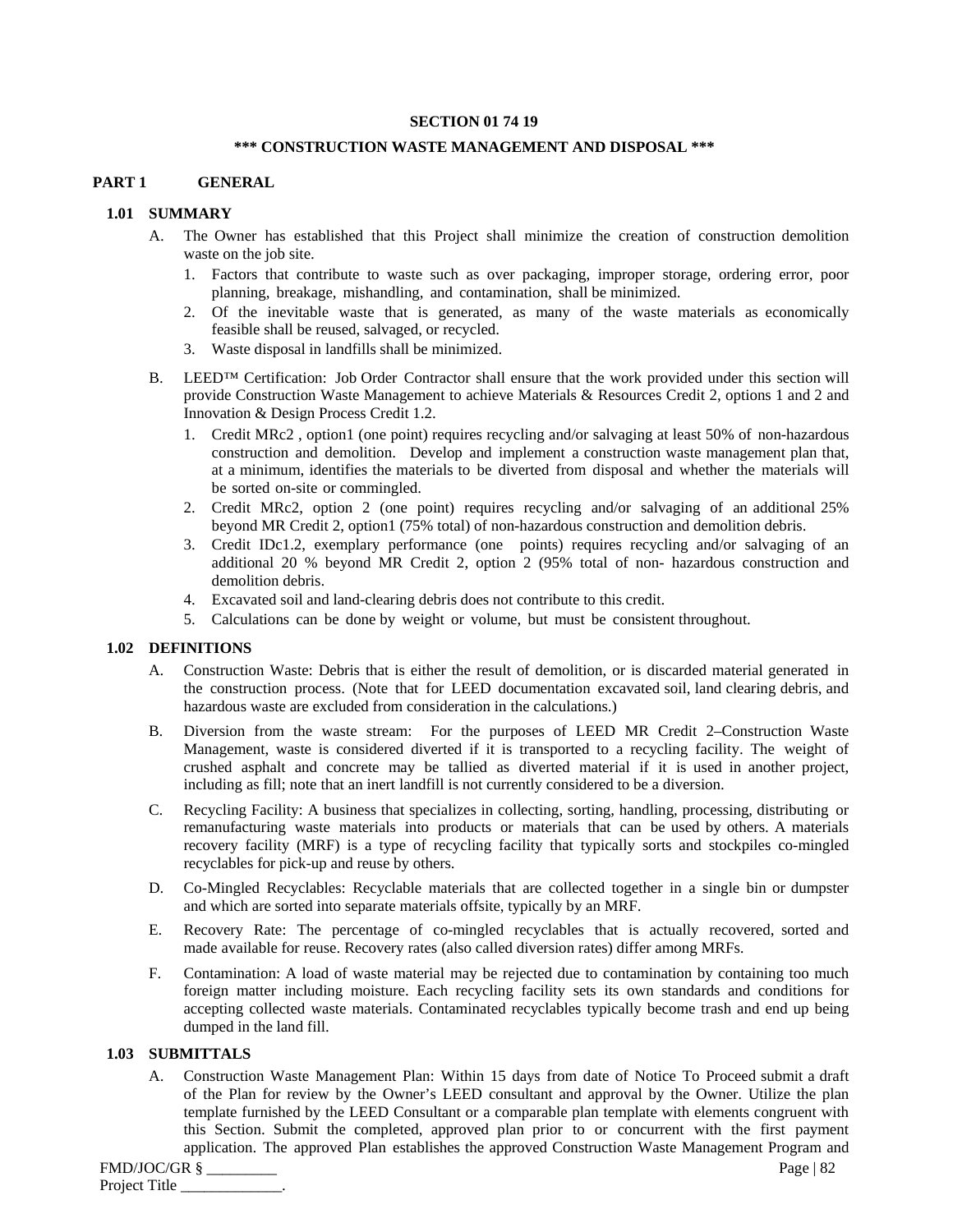## **SECTION 01 74 19**

#### **\*\*\* CONSTRUCTION WASTE MANAGEMENT AND DISPOSAL \*\*\***

## **PART 1 GENERAL**

## **1.01 SUMMARY**

- A. The Owner has established that this Project shall minimize the creation of construction demolition waste on the job site.
	- 1. Factors that contribute to waste such as over packaging, improper storage, ordering error, poor planning, breakage, mishandling, and contamination, shall be minimized.
	- 2. Of the inevitable waste that is generated, as many of the waste materials as economically feasible shall be reused, salvaged, or recycled.
	- 3. Waste disposal in landfills shall be minimized.
- B. LEED™ Certification: Job Order Contractor shall ensure that the work provided under this section will provide Construction Waste Management to achieve Materials & Resources Credit 2, options 1 and 2 and Innovation & Design Process Credit 1.2.
	- 1. Credit MRc2 , option1 (one point) requires recycling and/or salvaging at least 50% of non-hazardous construction and demolition. Develop and implement a construction waste management plan that, at a minimum, identifies the materials to be diverted from disposal and whether the materials will be sorted on-site or commingled.
	- 2. Credit MRc2, option 2 (one point) requires recycling and/or salvaging of an additional 25% beyond MR Credit 2, option1 (75% total) of non-hazardous construction and demolition debris.
	- 3. Credit IDc1.2, exemplary performance (one points) requires recycling and/or salvaging of an additional 20 % beyond MR Credit 2, option 2 (95% total of non- hazardous construction and demolition debris.
	- 4. Excavated soil and land-clearing debris does not contribute to this credit.
	- 5. Calculations can be done by weight or volume, but must be consistent throughout.

#### **1.02 DEFINITIONS**

- A. Construction Waste: Debris that is either the result of demolition, or is discarded material generated in the construction process. (Note that for LEED documentation excavated soil, land clearing debris, and hazardous waste are excluded from consideration in the calculations.)
- B. Diversion from the waste stream: For the purposes of LEED MR Credit 2–Construction Waste Management, waste is considered diverted if it is transported to a recycling facility. The weight of crushed asphalt and concrete may be tallied as diverted material if it is used in another project, including as fill; note that an inert landfill is not currently considered to be a diversion.
- C. Recycling Facility: A business that specializes in collecting, sorting, handling, processing, distributing or remanufacturing waste materials into products or materials that can be used by others. A materials recovery facility (MRF) is a type of recycling facility that typically sorts and stockpiles co-mingled recyclables for pick-up and reuse by others.
- D. Co-Mingled Recyclables: Recyclable materials that are collected together in a single bin or dumpster and which are sorted into separate materials offsite, typically by an MRF.
- E. Recovery Rate: The percentage of co-mingled recyclables that is actually recovered, sorted and made available for reuse. Recovery rates (also called diversion rates) differ among MRFs.
- F. Contamination: A load of waste material may be rejected due to contamination by containing too much foreign matter including moisture. Each recycling facility sets its own standards and conditions for accepting collected waste materials. Contaminated recyclables typically become trash and end up being dumped in the land fill.

## **1.03 SUBMITTALS**

A. Construction Waste Management Plan: Within 15 days from date of Notice To Proceed submit a draft of the Plan for review by the Owner's LEED consultant and approval by the Owner. Utilize the plan template furnished by the LEED Consultant or a comparable plan template with elements congruent with this Section. Submit the completed, approved plan prior to or concurrent with the first payment application. The approved Plan establishes the approved Construction Waste Management Program and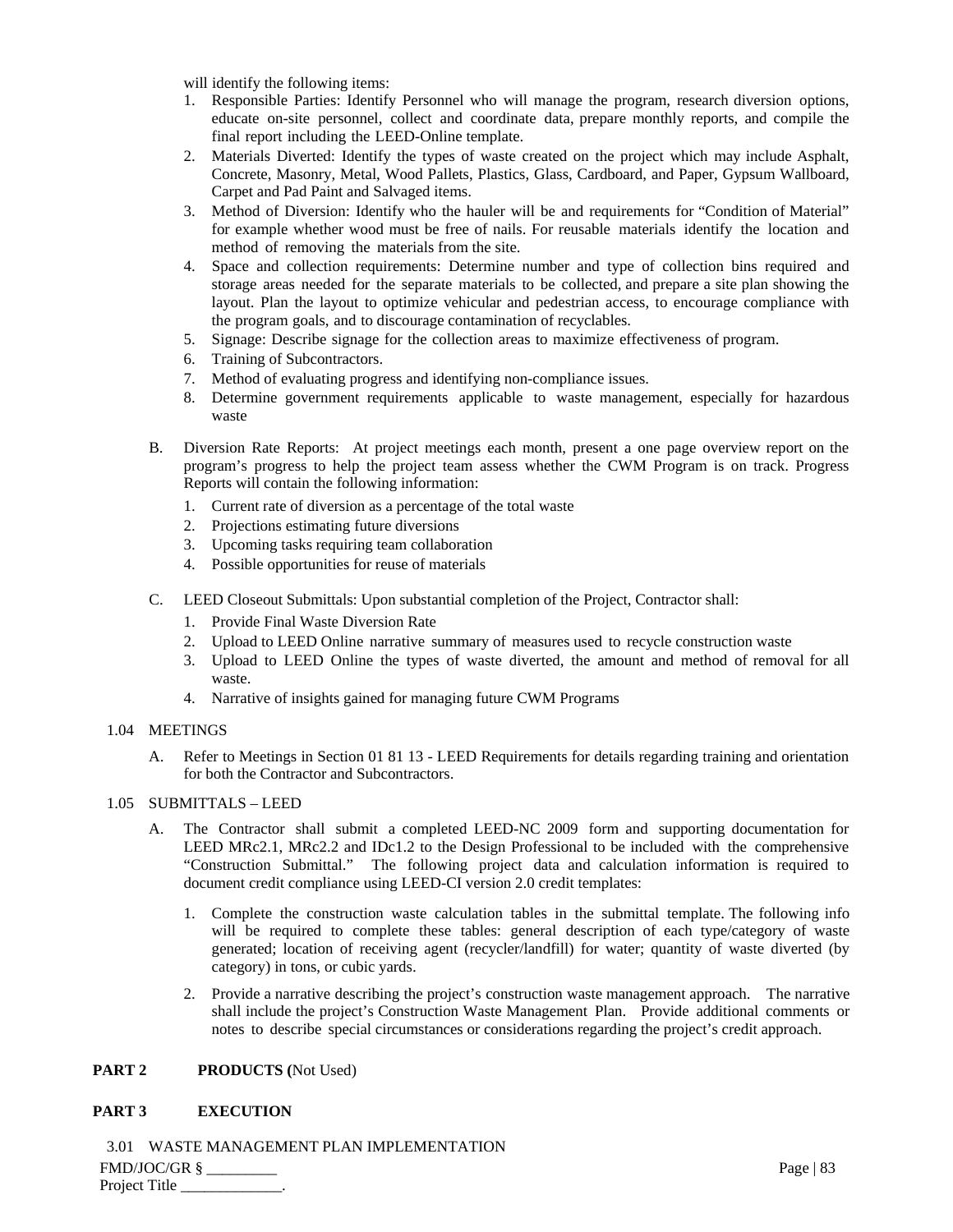will identify the following items:

- 1. Responsible Parties: Identify Personnel who will manage the program, research diversion options, educate on-site personnel, collect and coordinate data, prepare monthly reports, and compile the final report including the LEED-Online template.
- 2. Materials Diverted: Identify the types of waste created on the project which may include Asphalt, Concrete, Masonry, Metal, Wood Pallets, Plastics, Glass, Cardboard, and Paper, Gypsum Wallboard, Carpet and Pad Paint and Salvaged items.
- 3. Method of Diversion: Identify who the hauler will be and requirements for "Condition of Material" for example whether wood must be free of nails. For reusable materials identify the location and method of removing the materials from the site.
- 4. Space and collection requirements: Determine number and type of collection bins required and storage areas needed for the separate materials to be collected, and prepare a site plan showing the layout. Plan the layout to optimize vehicular and pedestrian access, to encourage compliance with the program goals, and to discourage contamination of recyclables.
- 5. Signage: Describe signage for the collection areas to maximize effectiveness of program.
- 6. Training of Subcontractors.
- 7. Method of evaluating progress and identifying non-compliance issues.
- 8. Determine government requirements applicable to waste management, especially for hazardous waste
- B. Diversion Rate Reports: At project meetings each month, present a one page overview report on the program's progress to help the project team assess whether the CWM Program is on track. Progress Reports will contain the following information:
	- 1. Current rate of diversion as a percentage of the total waste
	- 2. Projections estimating future diversions
	- 3. Upcoming tasks requiring team collaboration
	- 4. Possible opportunities for reuse of materials
- C. LEED Closeout Submittals: Upon substantial completion of the Project, Contractor shall:
	- 1. Provide Final Waste Diversion Rate
	- 2. Upload to LEED Online narrative summary of measures used to recycle construction waste
	- 3. Upload to LEED Online the types of waste diverted, the amount and method of removal for all waste.
	- 4. Narrative of insights gained for managing future CWM Programs
- 1.04 MEETINGS
	- A. Refer to Meetings in Section 01 81 13 LEED Requirements for details regarding training and orientation for both the Contractor and Subcontractors.

# 1.05 SUBMITTALS – LEED

- A. The Contractor shall submit a completed LEED-NC 2009 form and supporting documentation for LEED MRc2.1, MRc2.2 and IDc1.2 to the Design Professional to be included with the comprehensive "Construction Submittal." The following project data and calculation information is required to document credit compliance using LEED-CI version 2.0 credit templates:
	- 1. Complete the construction waste calculation tables in the submittal template. The following info will be required to complete these tables: general description of each type/category of waste generated; location of receiving agent (recycler/landfill) for water; quantity of waste diverted (by category) in tons, or cubic yards.
	- 2. Provide a narrative describing the project's construction waste management approach. The narrative shall include the project's Construction Waste Management Plan. Provide additional comments or notes to describe special circumstances or considerations regarding the project's credit approach.

# **PART 2 PRODUCTS (**Not Used)

# **PART 3 EXECUTION**

FMD/JOC/GR § \_\_\_\_\_\_\_\_\_ Page | 83 Project Title 3.01 WASTE MANAGEMENT PLAN IMPLEMENTATION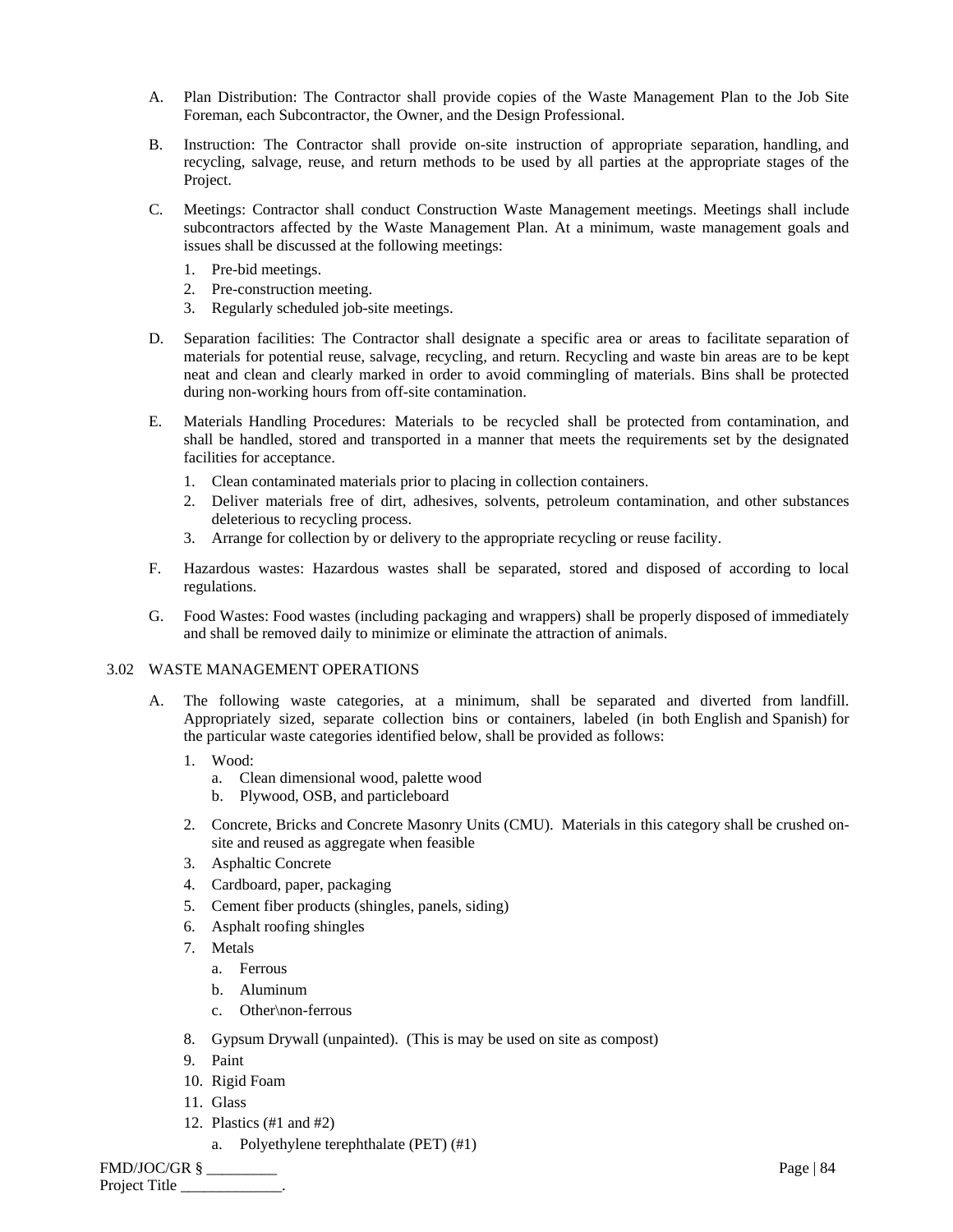- A. Plan Distribution: The Contractor shall provide copies of the Waste Management Plan to the Job Site Foreman, each Subcontractor, the Owner, and the Design Professional.
- B. Instruction: The Contractor shall provide on-site instruction of appropriate separation, handling, and recycling, salvage, reuse, and return methods to be used by all parties at the appropriate stages of the Project.
- C. Meetings: Contractor shall conduct Construction Waste Management meetings. Meetings shall include subcontractors affected by the Waste Management Plan. At a minimum, waste management goals and issues shall be discussed at the following meetings:
	- 1. Pre-bid meetings.
	- 2. Pre-construction meeting.
	- 3. Regularly scheduled job-site meetings.
- D. Separation facilities: The Contractor shall designate a specific area or areas to facilitate separation of materials for potential reuse, salvage, recycling, and return. Recycling and waste bin areas are to be kept neat and clean and clearly marked in order to avoid commingling of materials. Bins shall be protected during non-working hours from off-site contamination.
- E. Materials Handling Procedures: Materials to be recycled shall be protected from contamination, and shall be handled, stored and transported in a manner that meets the requirements set by the designated facilities for acceptance.
	- 1. Clean contaminated materials prior to placing in collection containers.
	- 2. Deliver materials free of dirt, adhesives, solvents, petroleum contamination, and other substances deleterious to recycling process.
	- 3. Arrange for collection by or delivery to the appropriate recycling or reuse facility.
- F. Hazardous wastes: Hazardous wastes shall be separated, stored and disposed of according to local regulations.
- G. Food Wastes: Food wastes (including packaging and wrappers) shall be properly disposed of immediately and shall be removed daily to minimize or eliminate the attraction of animals.

# 3.02 WASTE MANAGEMENT OPERATIONS

- A. The following waste categories, at a minimum, shall be separated and diverted from landfill. Appropriately sized, separate collection bins or containers, labeled (in both English and Spanish) for the particular waste categories identified below, shall be provided as follows:
	- 1. Wood:
		- a. Clean dimensional wood, palette wood
		- b. Plywood, OSB, and particleboard
	- 2. Concrete, Bricks and Concrete Masonry Units (CMU). Materials in this category shall be crushed onsite and reused as aggregate when feasible
	- 3. Asphaltic Concrete
	- 4. Cardboard, paper, packaging
	- 5. Cement fiber products (shingles, panels, siding)
	- 6. Asphalt roofing shingles
	- 7. Metals
		- a. Ferrous
		- b. Aluminum
		- c. Other\non-ferrous
	- 8. Gypsum Drywall (unpainted). (This is may be used on site as compost)
	- 9. Paint
	- 10. Rigid Foam
	- 11. Glass
	- 12. Plastics (#1 and #2)
		- a. Polyethylene terephthalate (PET) (#1)

FMD/JOC/GR § \_\_\_\_\_\_\_\_\_ Page | 84 Project Title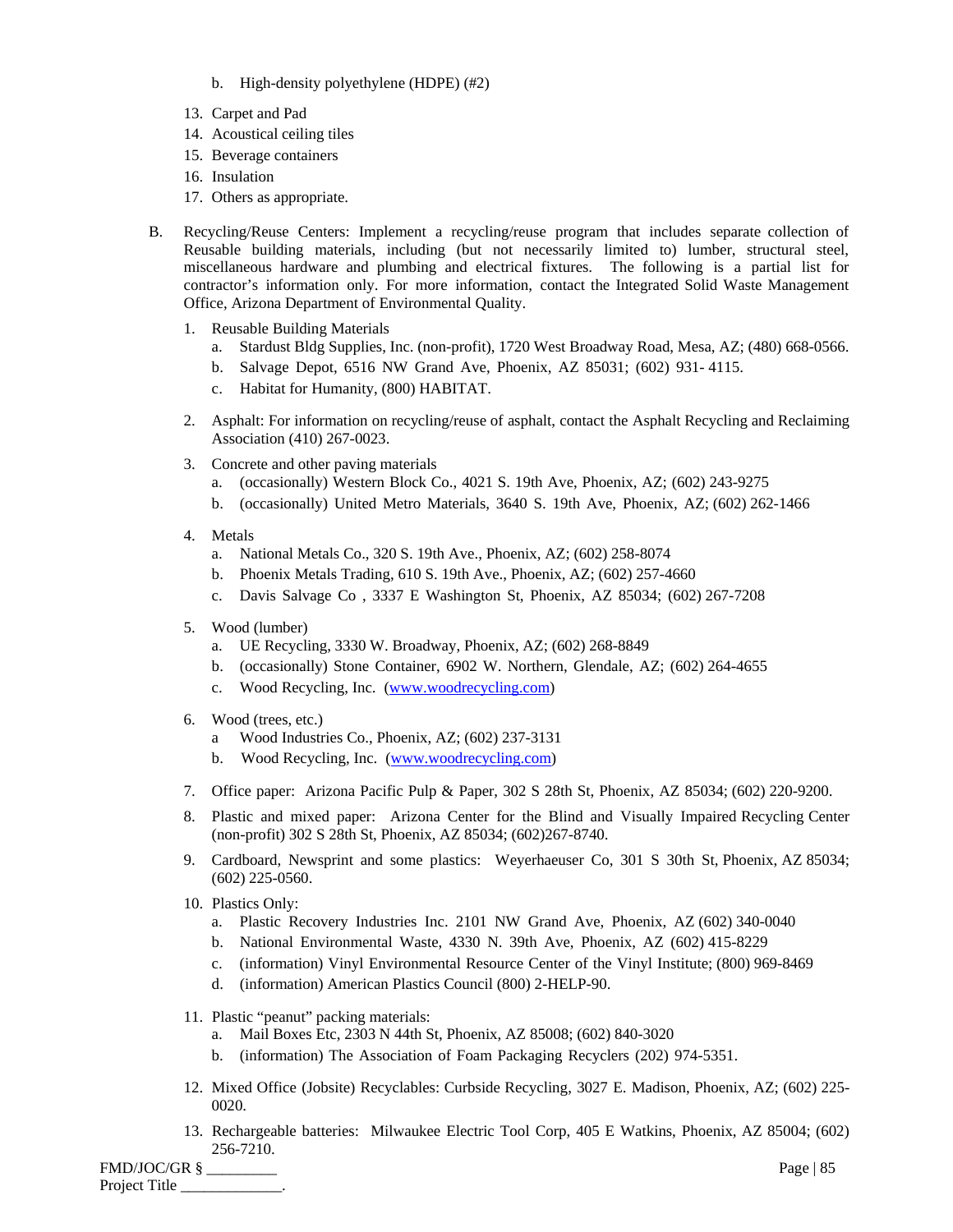- b. High-density polyethylene (HDPE) (#2)
- 13. Carpet and Pad
- 14. Acoustical ceiling tiles
- 15. Beverage containers
- 16. Insulation
- 17. Others as appropriate.
- B. Recycling/Reuse Centers: Implement a recycling/reuse program that includes separate collection of Reusable building materials, including (but not necessarily limited to) lumber, structural steel, miscellaneous hardware and plumbing and electrical fixtures. The following is a partial list for contractor's information only. For more information, contact the Integrated Solid Waste Management Office, Arizona Department of Environmental Quality.
	- 1. Reusable Building Materials
		- a. Stardust Bldg Supplies, Inc. (non-profit), 1720 West Broadway Road, Mesa, AZ; (480) 668-0566.
		- b. Salvage Depot, 6516 NW Grand Ave, Phoenix, AZ 85031; (602) 931- 4115.
		- c. Habitat for Humanity, (800) HABITAT.
	- 2. Asphalt: For information on recycling/reuse of asphalt, contact the Asphalt Recycling and Reclaiming Association (410) 267-0023.
	- 3. Concrete and other paving materials
		- a. (occasionally) Western Block Co., 4021 S. 19th Ave, Phoenix, AZ; (602) 243-9275
		- b. (occasionally) United Metro Materials, 3640 S. 19th Ave, Phoenix, AZ; (602) 262-1466
	- 4. Metals
		- a. National Metals Co., 320 S. 19th Ave., Phoenix, AZ; (602) 258-8074
		- b. Phoenix Metals Trading, 610 S. 19th Ave., Phoenix, AZ; (602) 257-4660
		- c. Davis Salvage Co , 3337 E Washington St, Phoenix, AZ 85034; (602) 267-7208
	- 5. Wood (lumber)
		- a. UE Recycling, 3330 W. Broadway, Phoenix, AZ; (602) 268-8849
		- b. (occasionally) Stone Container, 6902 W. Northern, Glendale, AZ; (602) 264-4655
		- c. Wood Recycling, Inc. (www.woodrecycling.com)
	- 6. Wood (trees, etc.)
		- a Wood Industries Co., Phoenix, AZ; (602) 237-3131
		- b. Wood Recycling, Inc. (www.woodrecycling.com)
	- 7. Office paper: Arizona Pacific Pulp & Paper, 302 S 28th St, Phoenix, AZ 85034; (602) 220-9200.
	- 8. Plastic and mixed paper: Arizona Center for the Blind and Visually Impaired Recycling Center (non-profit) 302 S 28th St, Phoenix, AZ 85034; (602)267-8740.
	- 9. Cardboard, Newsprint and some plastics: Weyerhaeuser Co, 301 S 30th St, Phoenix, AZ 85034; (602) 225-0560.
	- 10. Plastics Only:
		- a. Plastic Recovery Industries Inc. 2101 NW Grand Ave, Phoenix, AZ (602) 340-0040
		- b. National Environmental Waste, 4330 N. 39th Ave, Phoenix, AZ (602) 415-8229
		- c. (information) Vinyl Environmental Resource Center of the Vinyl Institute; (800) 969-8469
		- d. (information) American Plastics Council (800) 2-HELP-90.
	- 11. Plastic "peanut" packing materials:
		- a. Mail Boxes Etc, 2303 N 44th St, Phoenix, AZ 85008; (602) 840-3020
		- b. (information) The Association of Foam Packaging Recyclers (202) 974-5351.
	- 12. Mixed Office (Jobsite) Recyclables: Curbside Recycling, 3027 E. Madison, Phoenix, AZ; (602) 225- 0020.
	- 13. Rechargeable batteries: Milwaukee Electric Tool Corp, 405 E Watkins, Phoenix, AZ 85004; (602) 256-7210.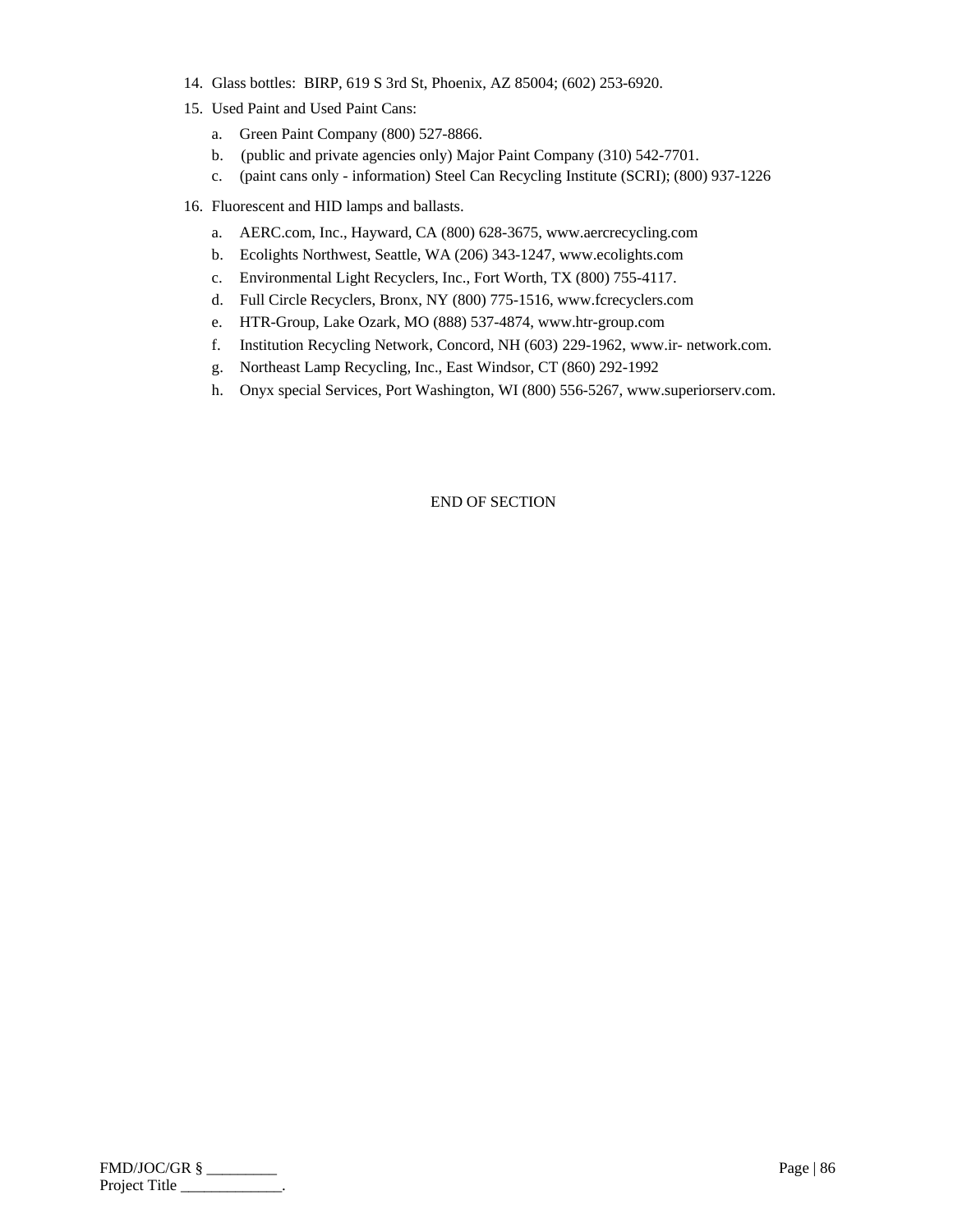- 14. Glass bottles: BIRP, 619 S 3rd St, Phoenix, AZ 85004; (602) 253-6920.
- 15. Used Paint and Used Paint Cans:
	- a. Green Paint Company (800) 527-8866.
	- b. (public and private agencies only) Major Paint Company (310) 542-7701.
	- c. (paint cans only information) Steel Can Recycling Institute (SCRI); (800) 937-1226
- 16. Fluorescent and HID lamps and ballasts.
	- a. AERC.com, Inc., Hayward, CA (800) 628-3675, www.aercrecycling.com
	- b. Ecolights Northwest, Seattle, WA (206) 343-1247, www.ecolights.com
	- c. Environmental Light Recyclers, Inc., Fort Worth, TX (800) 755-4117.
	- d. Full Circle Recyclers, Bronx, NY (800) 775-1516, www.fcrecyclers.com
	- e. HTR-Group, Lake Ozark, MO (888) 537-4874, www.htr-group.com
	- f. Institution Recycling Network, Concord, NH (603) 229-1962, www.ir- network.com.
	- g. Northeast Lamp Recycling, Inc., East Windsor, CT (860) 292-1992
	- h. Onyx special Services, Port Washington, WI (800) 556-5267, www.superiorserv.com.

| FMD/JOC/GR §  | Page   $86$ |
|---------------|-------------|
| Project Title |             |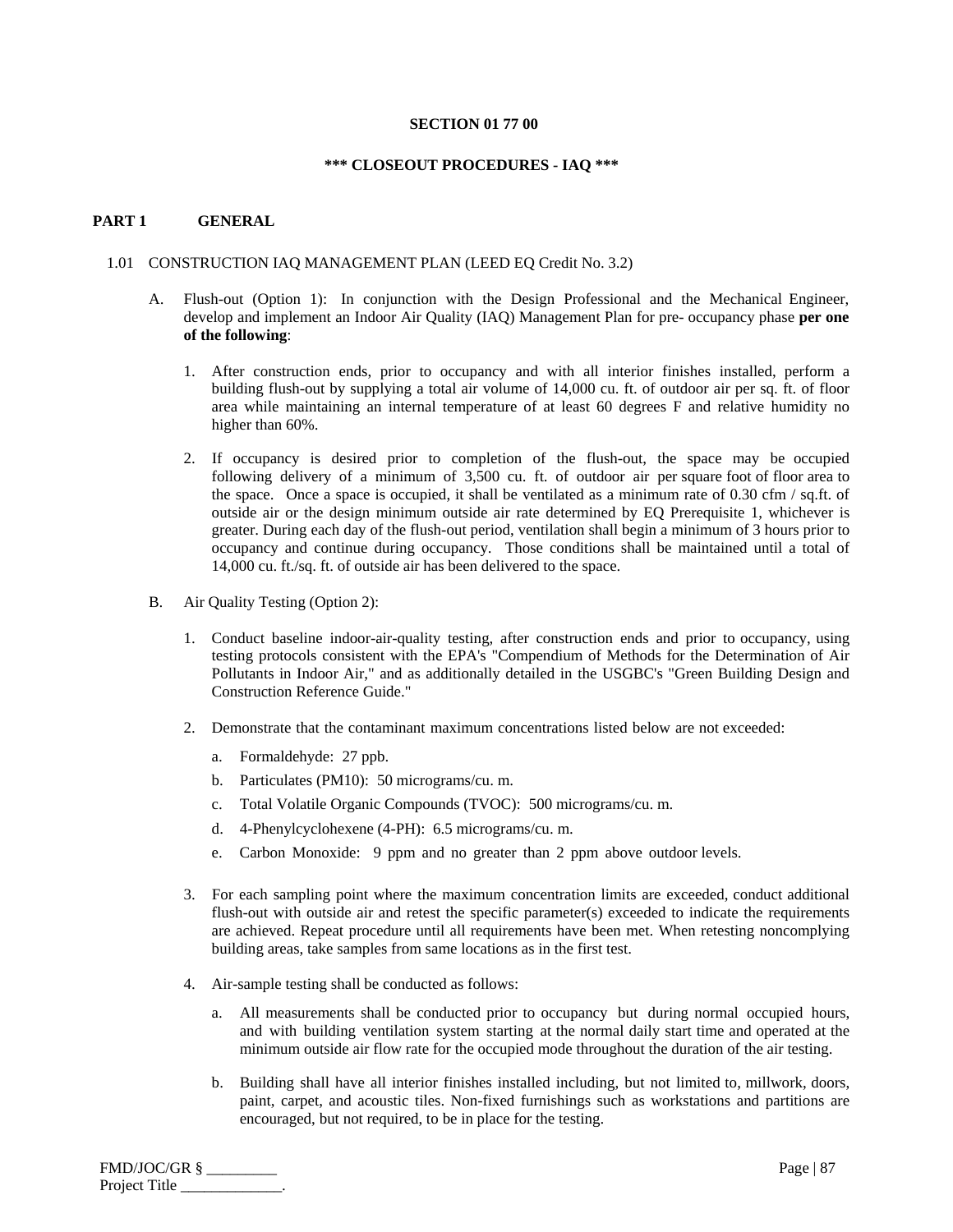## **SECTION 01 77 00**

## **\*\*\* CLOSEOUT PROCEDURES - IAQ \*\*\***

# **PART 1 GENERAL**

#### 1.01 CONSTRUCTION IAQ MANAGEMENT PLAN (LEED EQ Credit No. 3.2)

- A. Flush-out (Option 1): In conjunction with the Design Professional and the Mechanical Engineer, develop and implement an Indoor Air Quality (IAQ) Management Plan for pre- occupancy phase **per one of the following**:
	- 1. After construction ends, prior to occupancy and with all interior finishes installed, perform a building flush-out by supplying a total air volume of 14,000 cu. ft. of outdoor air per sq. ft. of floor area while maintaining an internal temperature of at least 60 degrees F and relative humidity no higher than 60%.
	- 2. If occupancy is desired prior to completion of the flush-out, the space may be occupied following delivery of a minimum of 3,500 cu. ft. of outdoor air per square foot of floor area to the space. Once a space is occupied, it shall be ventilated as a minimum rate of 0.30 cfm / sq.ft. of outside air or the design minimum outside air rate determined by EQ Prerequisite 1, whichever is greater. During each day of the flush-out period, ventilation shall begin a minimum of 3 hours prior to occupancy and continue during occupancy. Those conditions shall be maintained until a total of 14,000 cu. ft./sq. ft. of outside air has been delivered to the space.
- B. Air Quality Testing (Option 2):
	- 1. Conduct baseline indoor-air-quality testing, after construction ends and prior to occupancy, using testing protocols consistent with the EPA's "Compendium of Methods for the Determination of Air Pollutants in Indoor Air," and as additionally detailed in the USGBC's "Green Building Design and Construction Reference Guide."
	- 2. Demonstrate that the contaminant maximum concentrations listed below are not exceeded:
		- a. Formaldehyde: 27 ppb.
		- b. Particulates (PM10): 50 micrograms/cu. m.
		- c. Total Volatile Organic Compounds (TVOC): 500 micrograms/cu. m.
		- d. 4-Phenylcyclohexene (4-PH): 6.5 micrograms/cu. m.
		- e. Carbon Monoxide: 9 ppm and no greater than 2 ppm above outdoor levels.
	- 3. For each sampling point where the maximum concentration limits are exceeded, conduct additional flush-out with outside air and retest the specific parameter(s) exceeded to indicate the requirements are achieved. Repeat procedure until all requirements have been met. When retesting noncomplying building areas, take samples from same locations as in the first test.
	- 4. Air-sample testing shall be conducted as follows:
		- a. All measurements shall be conducted prior to occupancy but during normal occupied hours, and with building ventilation system starting at the normal daily start time and operated at the minimum outside air flow rate for the occupied mode throughout the duration of the air testing.
		- b. Building shall have all interior finishes installed including, but not limited to, millwork, doors, paint, carpet, and acoustic tiles. Non-fixed furnishings such as workstations and partitions are encouraged, but not required, to be in place for the testing.

| FMD/JOC/GR §  | Page $ 87$ |
|---------------|------------|
| Project Title |            |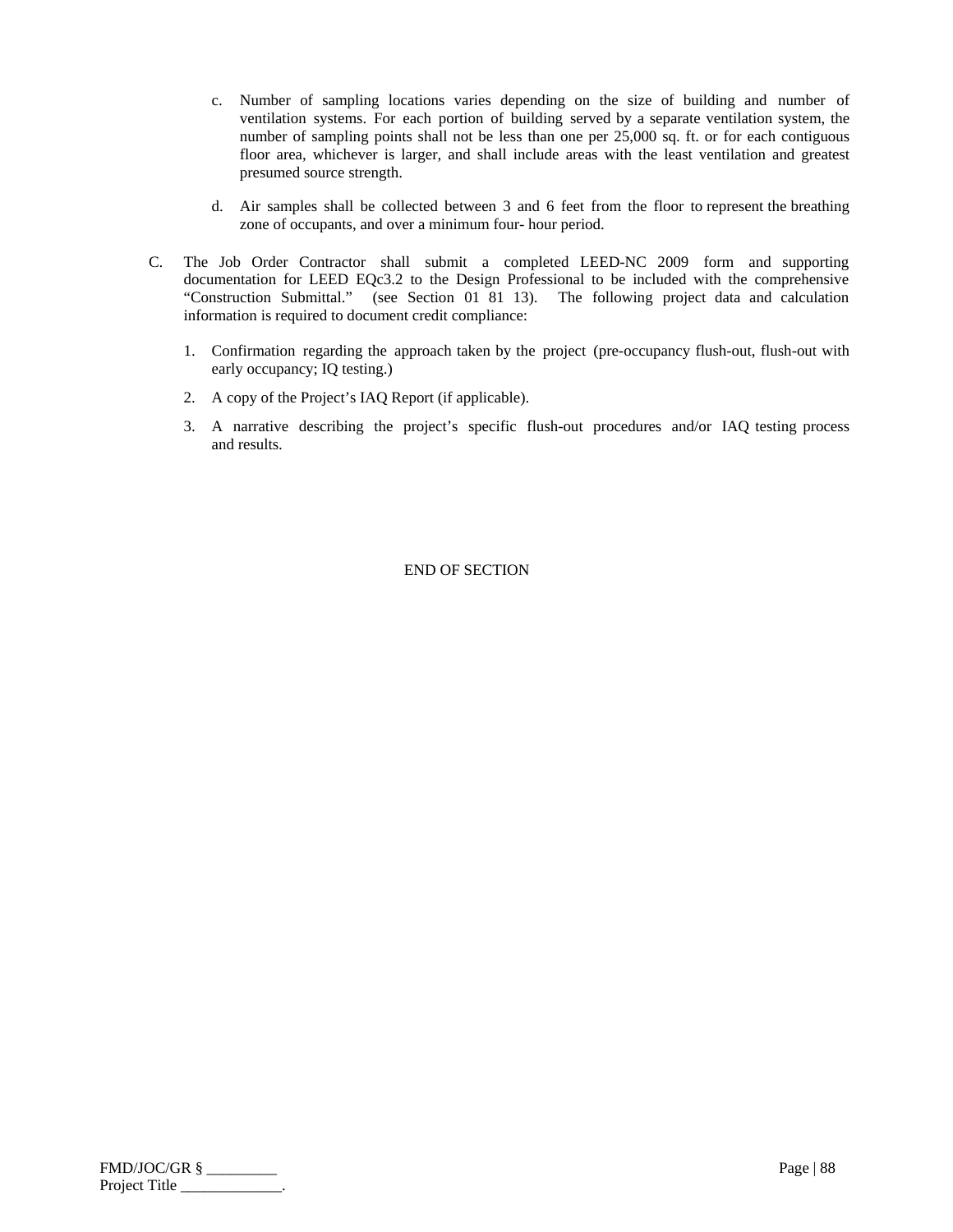- c. Number of sampling locations varies depending on the size of building and number of ventilation systems. For each portion of building served by a separate ventilation system, the number of sampling points shall not be less than one per 25,000 sq. ft. or for each contiguous floor area, whichever is larger, and shall include areas with the least ventilation and greatest presumed source strength.
- d. Air samples shall be collected between 3 and 6 feet from the floor to represent the breathing zone of occupants, and over a minimum four- hour period.
- C. The Job Order Contractor shall submit a completed LEED-NC 2009 form and supporting documentation for LEED EQc3.2 to the Design Professional to be included with the comprehensive "Construction Submittal." (see Section 01 81 13). The following project data and calculation information is required to document credit compliance:
	- 1. Confirmation regarding the approach taken by the project (pre-occupancy flush-out, flush-out with early occupancy; IQ testing.)
	- 2. A copy of the Project's IAQ Report (if applicable).
	- 3. A narrative describing the project's specific flush-out procedures and/or IAQ testing process and results.

| FMD/JOC/GR §  | Page   $88$ |
|---------------|-------------|
| Project Title |             |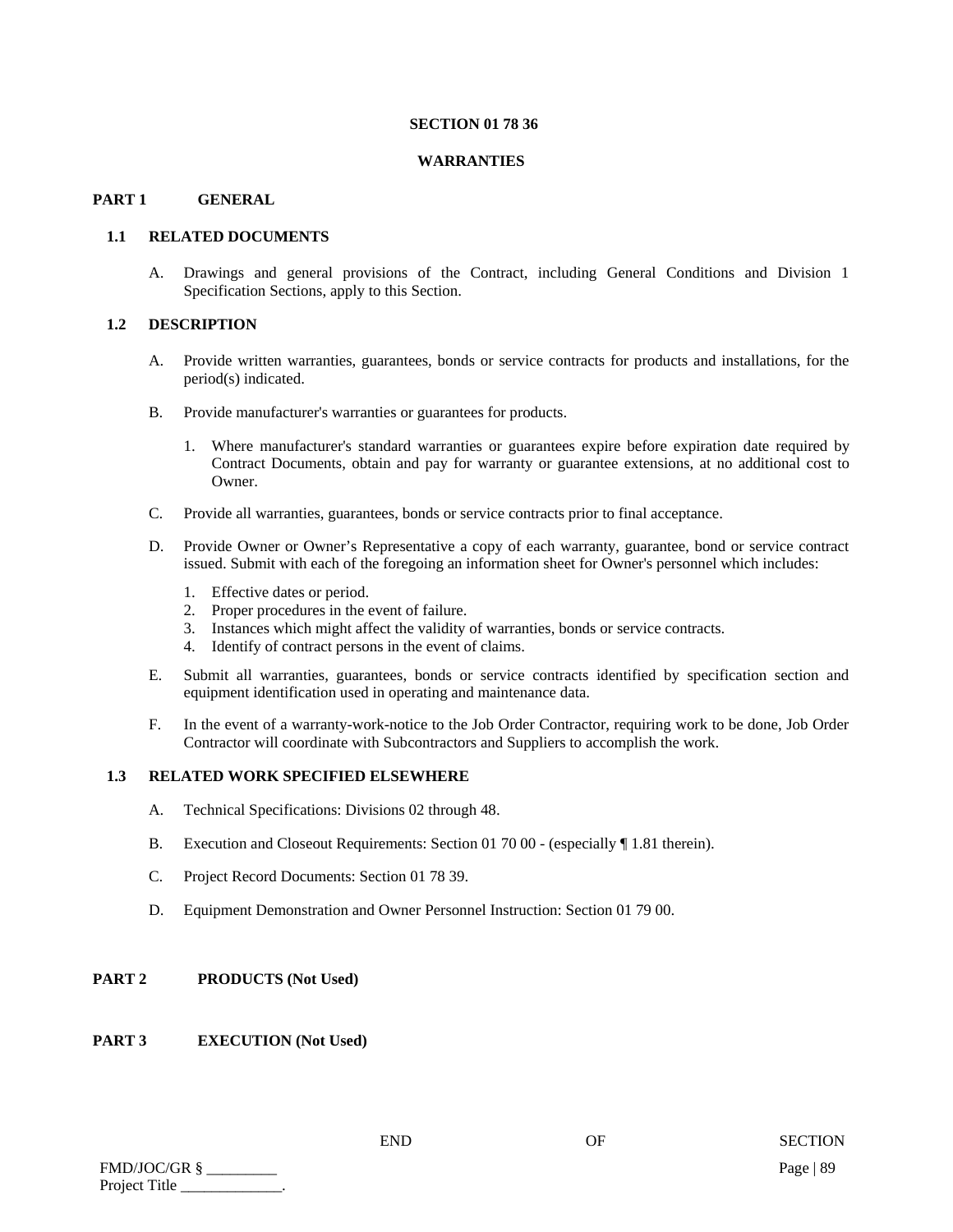#### **SECTION 01 78 36**

#### **WARRANTIES**

# **PART 1 GENERAL**

## **1.1 RELATED DOCUMENTS**

A. Drawings and general provisions of the Contract, including General Conditions and Division 1 Specification Sections, apply to this Section.

## **1.2 DESCRIPTION**

- A. Provide written warranties, guarantees, bonds or service contracts for products and installations, for the period(s) indicated.
- B. Provide manufacturer's warranties or guarantees for products.
	- 1. Where manufacturer's standard warranties or guarantees expire before expiration date required by Contract Documents, obtain and pay for warranty or guarantee extensions, at no additional cost to Owner.
- C. Provide all warranties, guarantees, bonds or service contracts prior to final acceptance.
- D. Provide Owner or Owner's Representative a copy of each warranty, guarantee, bond or service contract issued. Submit with each of the foregoing an information sheet for Owner's personnel which includes:
	- 1. Effective dates or period.
	- 2. Proper procedures in the event of failure.
	- 3. Instances which might affect the validity of warranties, bonds or service contracts.
	- 4. Identify of contract persons in the event of claims.
- E. Submit all warranties, guarantees, bonds or service contracts identified by specification section and equipment identification used in operating and maintenance data.
- F. In the event of a warranty-work-notice to the Job Order Contractor, requiring work to be done, Job Order Contractor will coordinate with Subcontractors and Suppliers to accomplish the work.

#### **1.3 RELATED WORK SPECIFIED ELSEWHERE**

- A. Technical Specifications: Divisions 02 through 48.
- B. Execution and Closeout Requirements: Section 01 70 00 (especially ¶ 1.81 therein).
- C. Project Record Documents: Section 01 78 39.
- D. Equipment Demonstration and Owner Personnel Instruction: Section 01 79 00.

# **PART 2 PRODUCTS (Not Used)**

# **PART 3 EXECUTION (Not Used)**

| FMD/JOC/GR §  | Page   $89$ |
|---------------|-------------|
| Project Title |             |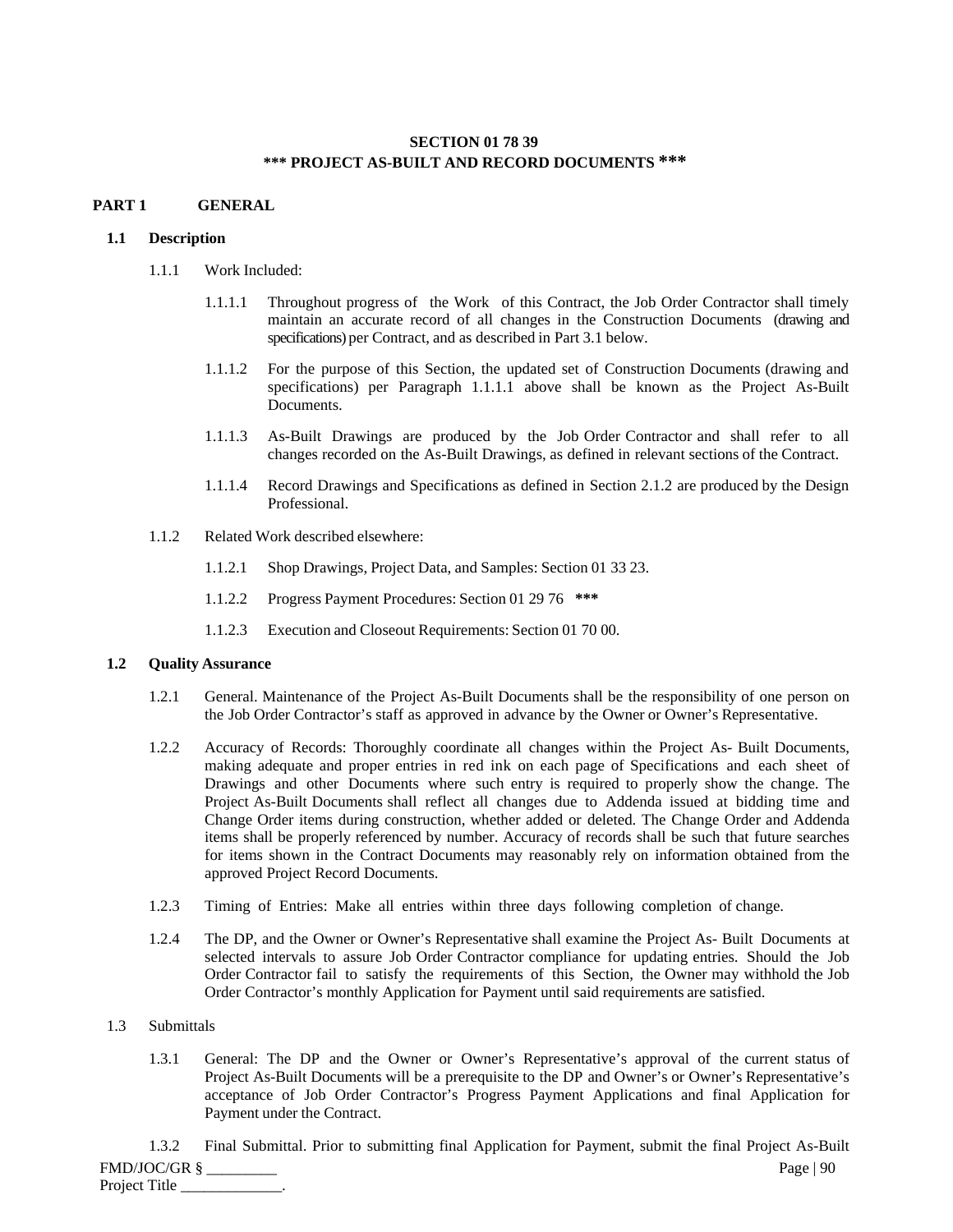# **SECTION 01 78 39 \*\*\* PROJECT AS-BUILT AND RECORD DOCUMENTS \*\*\***

# **PART 1 GENERAL**

# **1.1 Description**

- 1.1.1 Work Included:
	- 1.1.1.1 Throughout progress of the Work of this Contract, the Job Order Contractor shall timely maintain an accurate record of all changes in the Construction Documents (drawing and specifications) per Contract, and as described in Part 3.1 below.
	- 1.1.1.2 For the purpose of this Section, the updated set of Construction Documents (drawing and specifications) per Paragraph 1.1.1.1 above shall be known as the Project As-Built Documents.
	- 1.1.1.3 As-Built Drawings are produced by the Job Order Contractor and shall refer to all changes recorded on the As-Built Drawings, as defined in relevant sections of the Contract.
	- 1.1.1.4 Record Drawings and Specifications as defined in Section 2.1.2 are produced by the Design Professional.
- 1.1.2 Related Work described elsewhere:
	- 1.1.2.1 Shop Drawings, Project Data, and Samples: Section 01 33 23.
	- 1.1.2.2 Progress Payment Procedures: Section 01 29 76 **\*\*\***
	- 1.1.2.3 Execution and Closeout Requirements: Section 01 70 00.

# **1.2 Quality Assurance**

- 1.2.1 General. Maintenance of the Project As-Built Documents shall be the responsibility of one person on the Job Order Contractor's staff as approved in advance by the Owner or Owner's Representative.
- 1.2.2 Accuracy of Records: Thoroughly coordinate all changes within the Project As- Built Documents, making adequate and proper entries in red ink on each page of Specifications and each sheet of Drawings and other Documents where such entry is required to properly show the change. The Project As-Built Documents shall reflect all changes due to Addenda issued at bidding time and Change Order items during construction, whether added or deleted. The Change Order and Addenda items shall be properly referenced by number. Accuracy of records shall be such that future searches for items shown in the Contract Documents may reasonably rely on information obtained from the approved Project Record Documents.
- 1.2.3 Timing of Entries: Make all entries within three days following completion of change.
- 1.2.4 The DP, and the Owner or Owner's Representative shall examine the Project As- Built Documents at selected intervals to assure Job Order Contractor compliance for updating entries. Should the Job Order Contractor fail to satisfy the requirements of this Section, the Owner may withhold the Job Order Contractor's monthly Application for Payment until said requirements are satisfied.

# 1.3 Submittals

1.3.1 General: The DP and the Owner or Owner's Representative's approval of the current status of Project As-Built Documents will be a prerequisite to the DP and Owner's or Owner's Representative's acceptance of Job Order Contractor's Progress Payment Applications and final Application for Payment under the Contract.

FMD/JOC/GR § \_\_\_\_\_\_\_\_\_ Page | 90 Project Title 1.3.2 Final Submittal. Prior to submitting final Application for Payment, submit the final Project As-Built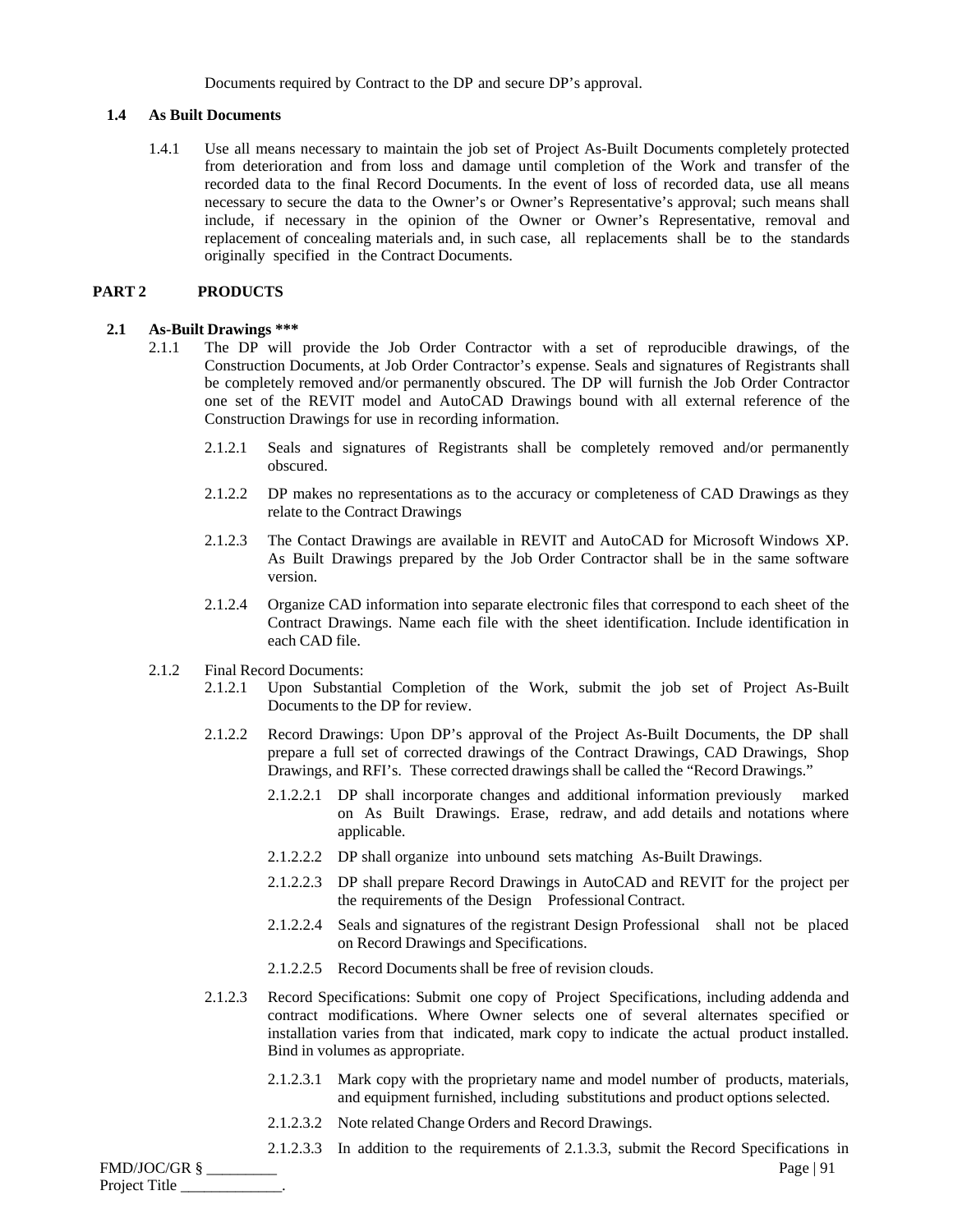Documents required by Contract to the DP and secure DP's approval.

#### **1.4 As Built Documents**

1.4.1 Use all means necessary to maintain the job set of Project As-Built Documents completely protected from deterioration and from loss and damage until completion of the Work and transfer of the recorded data to the final Record Documents. In the event of loss of recorded data, use all means necessary to secure the data to the Owner's or Owner's Representative's approval; such means shall include, if necessary in the opinion of the Owner or Owner's Representative, removal and replacement of concealing materials and, in such case, all replacements shall be to the standards originally specified in the Contract Documents.

## **PART 2 PRODUCTS**

## **2.1 As-Built Drawings \*\*\***

- 2.1.1 The DP will provide the Job Order Contractor with a set of reproducible drawings, of the Construction Documents, at Job Order Contractor's expense. Seals and signatures of Registrants shall be completely removed and/or permanently obscured. The DP will furnish the Job Order Contractor one set of the REVIT model and AutoCAD Drawings bound with all external reference of the Construction Drawings for use in recording information.
	- 2.1.2.1 Seals and signatures of Registrants shall be completely removed and/or permanently obscured.
	- 2.1.2.2 DP makes no representations as to the accuracy or completeness of CAD Drawings as they relate to the Contract Drawings
	- 2.1.2.3 The Contact Drawings are available in REVIT and AutoCAD for Microsoft Windows XP. As Built Drawings prepared by the Job Order Contractor shall be in the same software version.
	- 2.1.2.4 Organize CAD information into separate electronic files that correspond to each sheet of the Contract Drawings. Name each file with the sheet identification. Include identification in each CAD file.
- 2.1.2 Final Record Documents:
	- 2.1.2.1 Upon Substantial Completion of the Work, submit the job set of Project As-Built Documents to the DP for review.
	- 2.1.2.2 Record Drawings: Upon DP's approval of the Project As-Built Documents, the DP shall prepare a full set of corrected drawings of the Contract Drawings, CAD Drawings, Shop Drawings, and RFI's. These corrected drawings shall be called the "Record Drawings."
		- 2.1.2.2.1 DP shall incorporate changes and additional information previously marked on As Built Drawings. Erase, redraw, and add details and notations where applicable.
		- 2.1.2.2.2 DP shall organize into unbound sets matching As-Built Drawings.
		- 2.1.2.2.3 DP shall prepare Record Drawings in AutoCAD and REVIT for the project per the requirements of the Design Professional Contract.
		- 2.1.2.2.4 Seals and signatures of the registrant Design Professional shall not be placed on Record Drawings and Specifications.
		- 2.1.2.2.5 Record Documents shall be free of revision clouds.
	- 2.1.2.3 Record Specifications: Submit one copy of Project Specifications, including addenda and contract modifications. Where Owner selects one of several alternates specified or installation varies from that indicated, mark copy to indicate the actual product installed. Bind in volumes as appropriate.
		- 2.1.2.3.1 Mark copy with the proprietary name and model number of products, materials, and equipment furnished, including substitutions and product options selected.
		- 2.1.2.3.2 Note related Change Orders and Record Drawings.
		- 2.1.2.3.3 In addition to the requirements of 2.1.3.3, submit the Record Specifications in

FMD/JOC/GR § \_\_\_\_\_\_\_\_\_ Page | 91 Project Title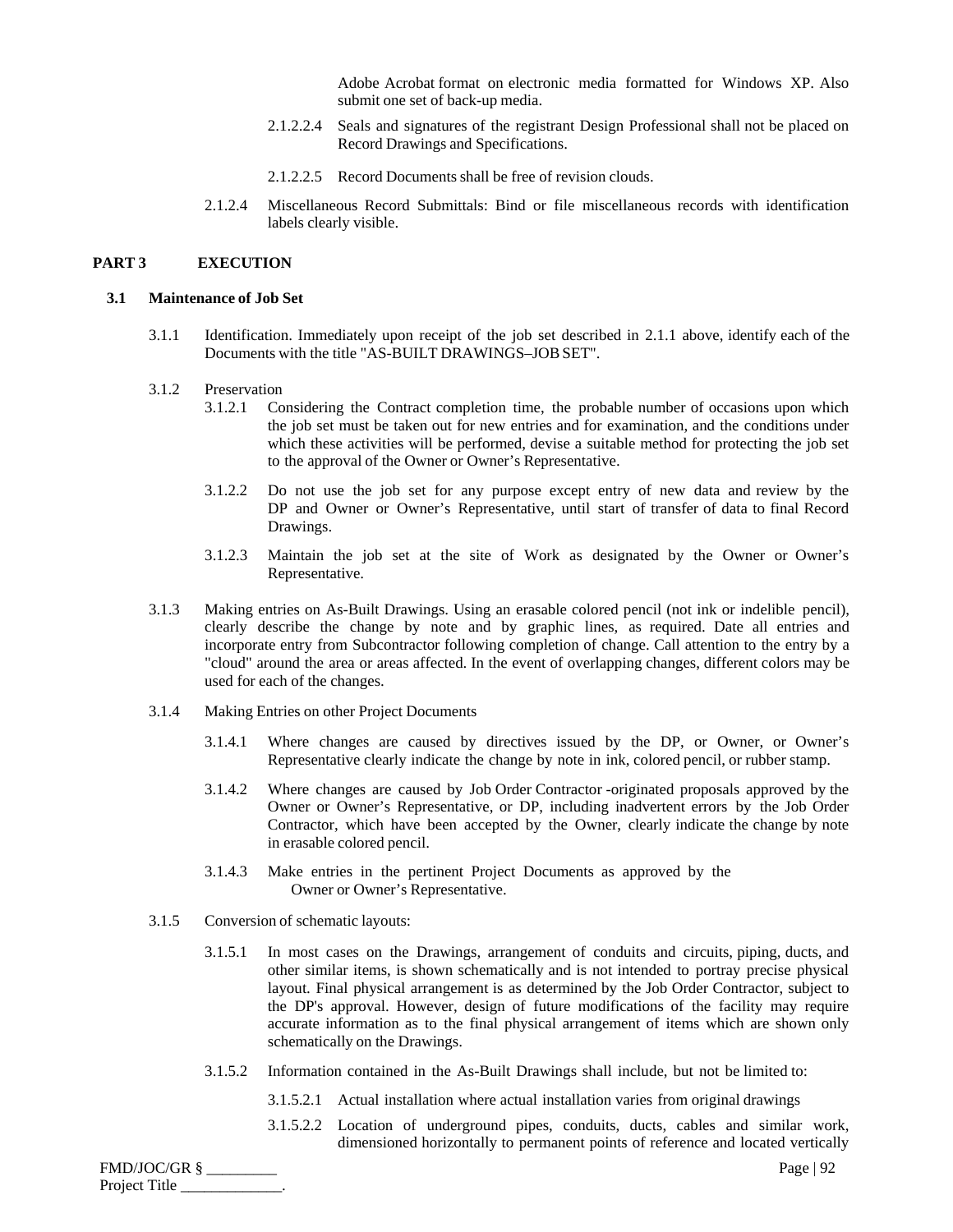Adobe Acrobat format on electronic media formatted for Windows XP. Also submit one set of back-up media.

- 2.1.2.2.4 Seals and signatures of the registrant Design Professional shall not be placed on Record Drawings and Specifications.
- 2.1.2.2.5 Record Documents shall be free of revision clouds.
- 2.1.2.4 Miscellaneous Record Submittals: Bind or file miscellaneous records with identification labels clearly visible.

#### **PART 3 EXECUTION**

#### **3.1 Maintenance of Job Set**

3.1.1 Identification. Immediately upon receipt of the job set described in 2.1.1 above, identify each of the Documents with the title "AS-BUILT DRAWINGS–JOB SET".

#### 3.1.2 Preservation

- 3.1.2.1 Considering the Contract completion time, the probable number of occasions upon which the job set must be taken out for new entries and for examination, and the conditions under which these activities will be performed, devise a suitable method for protecting the job set to the approval of the Owner or Owner's Representative.
- 3.1.2.2 Do not use the job set for any purpose except entry of new data and review by the DP and Owner or Owner's Representative, until start of transfer of data to final Record Drawings.
- 3.1.2.3 Maintain the job set at the site of Work as designated by the Owner or Owner's Representative.
- 3.1.3 Making entries on As-Built Drawings. Using an erasable colored pencil (not ink or indelible pencil), clearly describe the change by note and by graphic lines, as required. Date all entries and incorporate entry from Subcontractor following completion of change. Call attention to the entry by a "cloud" around the area or areas affected. In the event of overlapping changes, different colors may be used for each of the changes.
- 3.1.4 Making Entries on other Project Documents
	- 3.1.4.1 Where changes are caused by directives issued by the DP, or Owner, or Owner's Representative clearly indicate the change by note in ink, colored pencil, or rubber stamp.
	- 3.1.4.2 Where changes are caused by Job Order Contractor -originated proposals approved by the Owner or Owner's Representative, or DP, including inadvertent errors by the Job Order Contractor, which have been accepted by the Owner, clearly indicate the change by note in erasable colored pencil.
	- 3.1.4.3 Make entries in the pertinent Project Documents as approved by the Owner or Owner's Representative.
- 3.1.5 Conversion of schematic layouts:
	- 3.1.5.1 In most cases on the Drawings, arrangement of conduits and circuits, piping, ducts, and other similar items, is shown schematically and is not intended to portray precise physical layout. Final physical arrangement is as determined by the Job Order Contractor, subject to the DP's approval. However, design of future modifications of the facility may require accurate information as to the final physical arrangement of items which are shown only schematically on the Drawings.
	- 3.1.5.2 Information contained in the As-Built Drawings shall include, but not be limited to:
		- 3.1.5.2.1 Actual installation where actual installation varies from original drawings
		- 3.1.5.2.2 Location of underground pipes, conduits, ducts, cables and similar work, dimensioned horizontally to permanent points of reference and located vertically

FMD/JOC/GR § \_\_\_\_\_\_\_\_\_ Page | 92 Project Title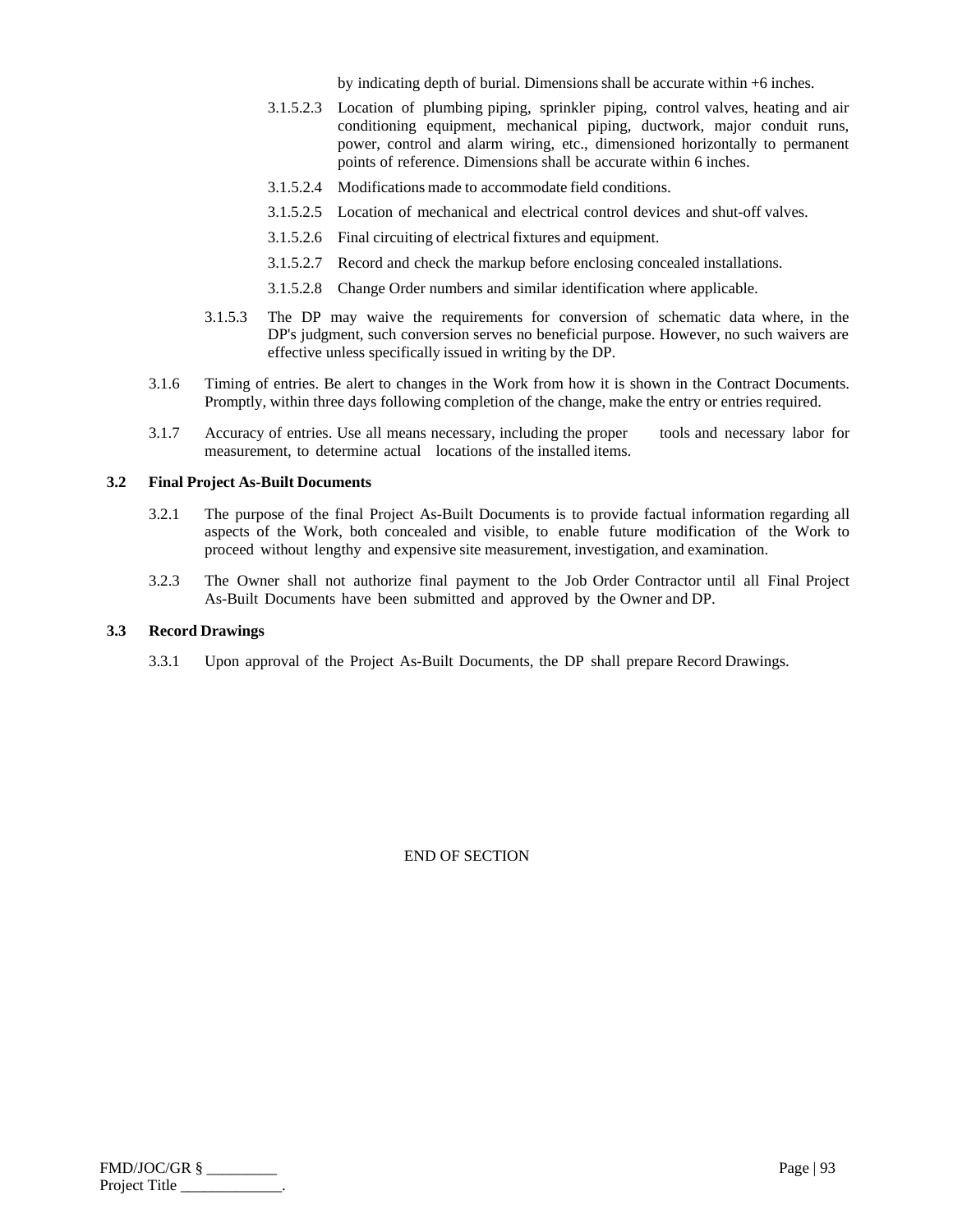by indicating depth of burial. Dimensions shall be accurate within +6 inches.

- 3.1.5.2.3 Location of plumbing piping, sprinkler piping, control valves, heating and air conditioning equipment, mechanical piping, ductwork, major conduit runs, power, control and alarm wiring, etc., dimensioned horizontally to permanent points of reference. Dimensions shall be accurate within 6 inches.
- 3.1.5.2.4 Modifications made to accommodate field conditions.
- 3.1.5.2.5 Location of mechanical and electrical control devices and shut-off valves.
- 3.1.5.2.6 Final circuiting of electrical fixtures and equipment.
- 3.1.5.2.7 Record and check the markup before enclosing concealed installations.
- 3.1.5.2.8 Change Order numbers and similar identification where applicable.
- 3.1.5.3 The DP may waive the requirements for conversion of schematic data where, in the DP's judgment, such conversion serves no beneficial purpose. However, no such waivers are effective unless specifically issued in writing by the DP.
- 3.1.6 Timing of entries. Be alert to changes in the Work from how it is shown in the Contract Documents. Promptly, within three days following completion of the change, make the entry or entries required.
- 3.1.7 Accuracy of entries. Use all means necessary, including the proper tools and necessary labor for measurement, to determine actual locations of the installed items.

## **3.2 Final Project As-Built Documents**

- 3.2.1 The purpose of the final Project As-Built Documents is to provide factual information regarding all aspects of the Work, both concealed and visible, to enable future modification of the Work to proceed without lengthy and expensive site measurement, investigation, and examination.
- 3.2.3 The Owner shall not authorize final payment to the Job Order Contractor until all Final Project As-Built Documents have been submitted and approved by the Owner and DP.

#### **3.3 Record Drawings**

3.3.1 Upon approval of the Project As-Built Documents, the DP shall prepare Record Drawings.

| $FMD/JOC/GR$ § | Page   $93$ |
|----------------|-------------|
| Project Title  |             |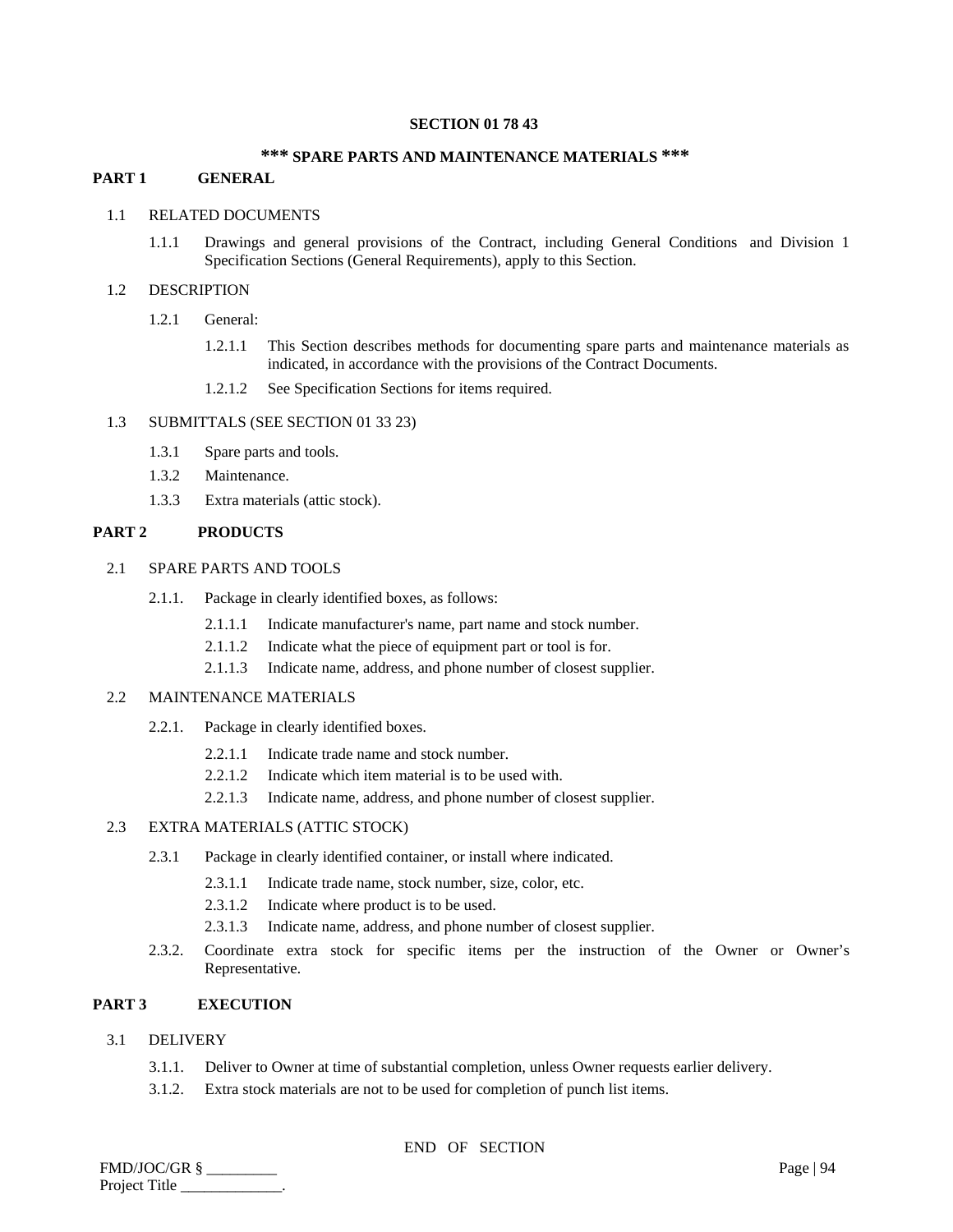## **SECTION 01 78 43**

## **\*\*\* SPARE PARTS AND MAINTENANCE MATERIALS \*\*\***

# **PART 1 GENERAL**

# 1.1 RELATED DOCUMENTS

1.1.1 Drawings and general provisions of the Contract, including General Conditions and Division 1 Specification Sections (General Requirements), apply to this Section.

#### 1.2 DESCRIPTION

- 1.2.1 General:
	- 1.2.1.1 This Section describes methods for documenting spare parts and maintenance materials as indicated, in accordance with the provisions of the Contract Documents.
	- 1.2.1.2 See Specification Sections for items required.

## 1.3 SUBMITTALS (SEE SECTION 01 33 23)

- 1.3.1 Spare parts and tools.
- 1.3.2 Maintenance.
- 1.3.3 Extra materials (attic stock).

# **PART 2 PRODUCTS**

# 2.1 SPARE PARTS AND TOOLS

- 2.1.1. Package in clearly identified boxes, as follows:
	- 2.1.1.1 Indicate manufacturer's name, part name and stock number.
	- 2.1.1.2 Indicate what the piece of equipment part or tool is for.
	- 2.1.1.3 Indicate name, address, and phone number of closest supplier.

# 2.2 MAINTENANCE MATERIALS

- 2.2.1. Package in clearly identified boxes.
	- 2.2.1.1 Indicate trade name and stock number.
	- 2.2.1.2 Indicate which item material is to be used with.
	- 2.2.1.3 Indicate name, address, and phone number of closest supplier.

# 2.3 EXTRA MATERIALS (ATTIC STOCK)

- 2.3.1 Package in clearly identified container, or install where indicated.
	- 2.3.1.1 Indicate trade name, stock number, size, color, etc.
	- 2.3.1.2 Indicate where product is to be used.
	- 2.3.1.3 Indicate name, address, and phone number of closest supplier.
- 2.3.2. Coordinate extra stock for specific items per the instruction of the Owner or Owner's Representative.

#### **PART 3 EXECUTION**

## 3.1 DELIVERY

- 3.1.1. Deliver to Owner at time of substantial completion, unless Owner requests earlier delivery.
- 3.1.2. Extra stock materials are not to be used for completion of punch list items.

| FMD/JOC/GR §  | Page   $94$ |
|---------------|-------------|
| Project Title |             |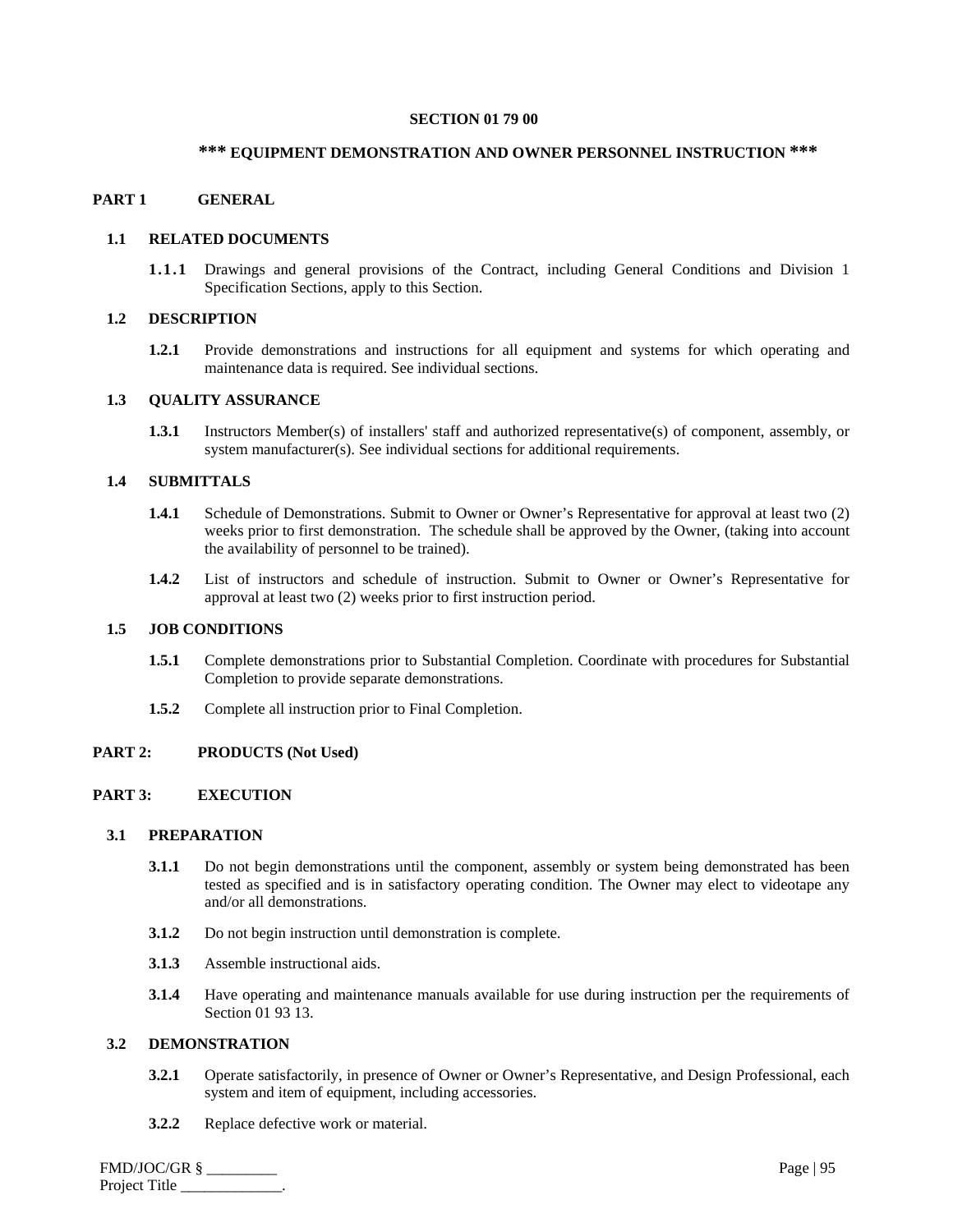#### **SECTION 01 79 00**

# **\*\*\* EQUIPMENT DEMONSTRATION AND OWNER PERSONNEL INSTRUCTION \*\*\***

## **PART 1 GENERAL**

## **1.1 RELATED DOCUMENTS**

**1.1.1** Drawings and general provisions of the Contract, including General Conditions and Division 1 Specification Sections, apply to this Section.

# **1.2 DESCRIPTION**

**1.2.1** Provide demonstrations and instructions for all equipment and systems for which operating and maintenance data is required. See individual sections.

## **1.3 QUALITY ASSURANCE**

**1.3.1** Instructors Member(s) of installers' staff and authorized representative(s) of component, assembly, or system manufacturer(s). See individual sections for additional requirements.

# **1.4 SUBMITTALS**

- **1.4.1** Schedule of Demonstrations. Submit to Owner or Owner's Representative for approval at least two (2) weeks prior to first demonstration. The schedule shall be approved by the Owner, (taking into account the availability of personnel to be trained).
- **1.4.2** List of instructors and schedule of instruction. Submit to Owner or Owner's Representative for approval at least two (2) weeks prior to first instruction period.

## **1.5 JOB CONDITIONS**

- **1.5.1** Complete demonstrations prior to Substantial Completion. Coordinate with procedures for Substantial Completion to provide separate demonstrations.
- **1.5.2** Complete all instruction prior to Final Completion.

## **PART 2: PRODUCTS (Not Used)**

# **PART 3: EXECUTION**

## **3.1 PREPARATION**

- **3.1.1** Do not begin demonstrations until the component, assembly or system being demonstrated has been tested as specified and is in satisfactory operating condition. The Owner may elect to videotape any and/or all demonstrations.
- **3.1.2** Do not begin instruction until demonstration is complete.
- **3.1.3** Assemble instructional aids.
- **3.1.4** Have operating and maintenance manuals available for use during instruction per the requirements of Section 01 93 13.

## **3.2 DEMONSTRATION**

- **3.2.1** Operate satisfactorily, in presence of Owner or Owner's Representative, and Design Professional, each system and item of equipment, including accessories.
- **3.2.2** Replace defective work or material.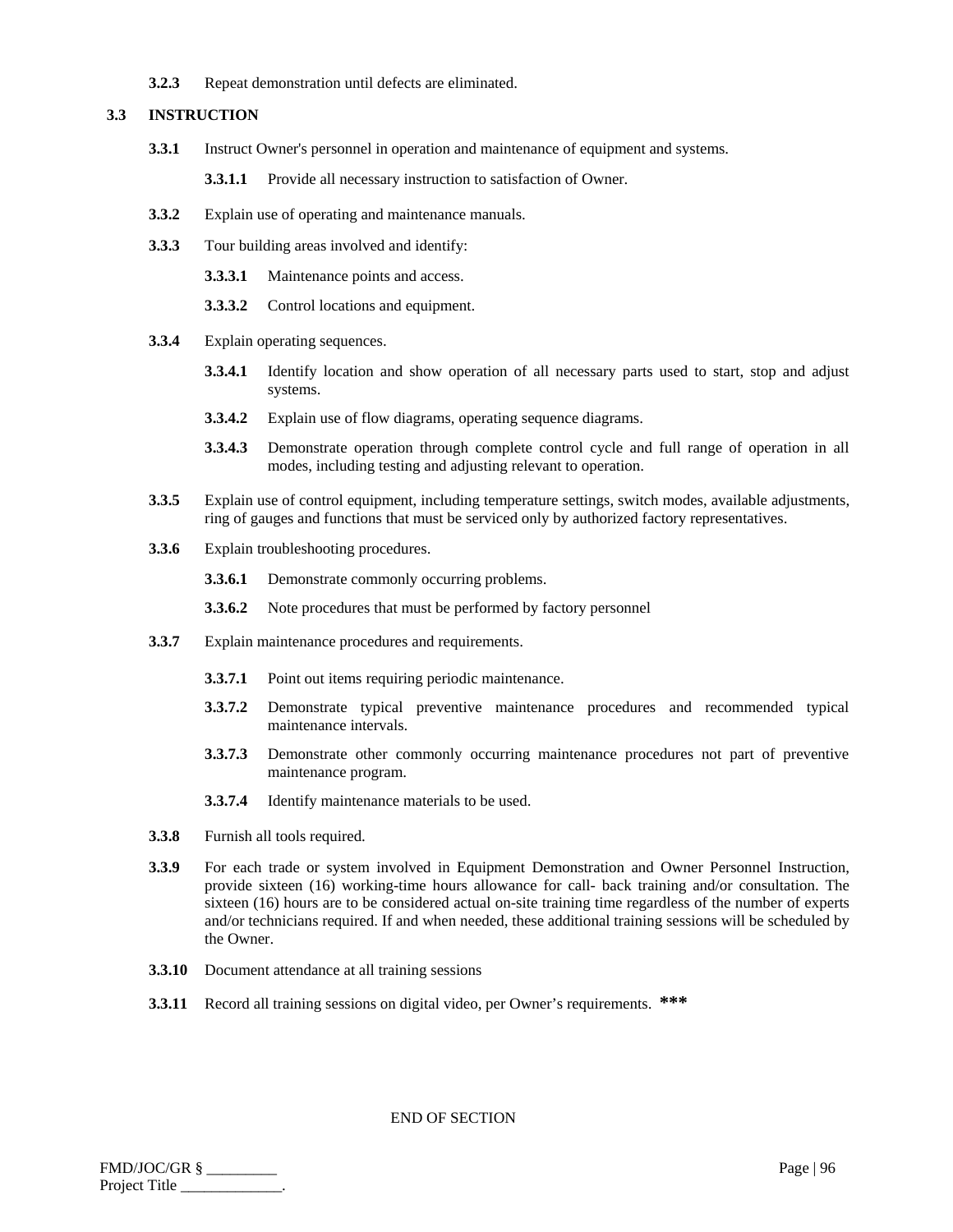**3.2.3** Repeat demonstration until defects are eliminated.

## **3.3 INSTRUCTION**

**3.3.1** Instruct Owner's personnel in operation and maintenance of equipment and systems.

**3.3.1.1** Provide all necessary instruction to satisfaction of Owner.

- **3.3.2** Explain use of operating and maintenance manuals.
- **3.3.3** Tour building areas involved and identify:
	- **3.3.3.1** Maintenance points and access.
	- **3.3.3.2** Control locations and equipment.
- **3.3.4** Explain operating sequences.
	- **3.3.4.1** Identify location and show operation of all necessary parts used to start, stop and adjust systems.
	- **3.3.4.2** Explain use of flow diagrams, operating sequence diagrams.
	- **3.3.4.3** Demonstrate operation through complete control cycle and full range of operation in all modes, including testing and adjusting relevant to operation.
- **3.3.5** Explain use of control equipment, including temperature settings, switch modes, available adjustments, ring of gauges and functions that must be serviced only by authorized factory representatives.
- **3.3.6** Explain troubleshooting procedures.
	- **3.3.6.1** Demonstrate commonly occurring problems.
	- **3.3.6.2** Note procedures that must be performed by factory personnel
- **3.3.7** Explain maintenance procedures and requirements.
	- **3.3.7.1** Point out items requiring periodic maintenance.
	- **3.3.7.2** Demonstrate typical preventive maintenance procedures and recommended typical maintenance intervals.
	- **3.3.7.3** Demonstrate other commonly occurring maintenance procedures not part of preventive maintenance program.
	- **3.3.7.4** Identify maintenance materials to be used.
- **3.3.8** Furnish all tools required.
- **3.3.9** For each trade or system involved in Equipment Demonstration and Owner Personnel Instruction, provide sixteen (16) working-time hours allowance for call- back training and/or consultation. The sixteen (16) hours are to be considered actual on-site training time regardless of the number of experts and/or technicians required. If and when needed, these additional training sessions will be scheduled by the Owner.
- **3.3.10** Document attendance at all training sessions
- **3.3.11** Record all training sessions on digital video, per Owner's requirements. **\*\*\***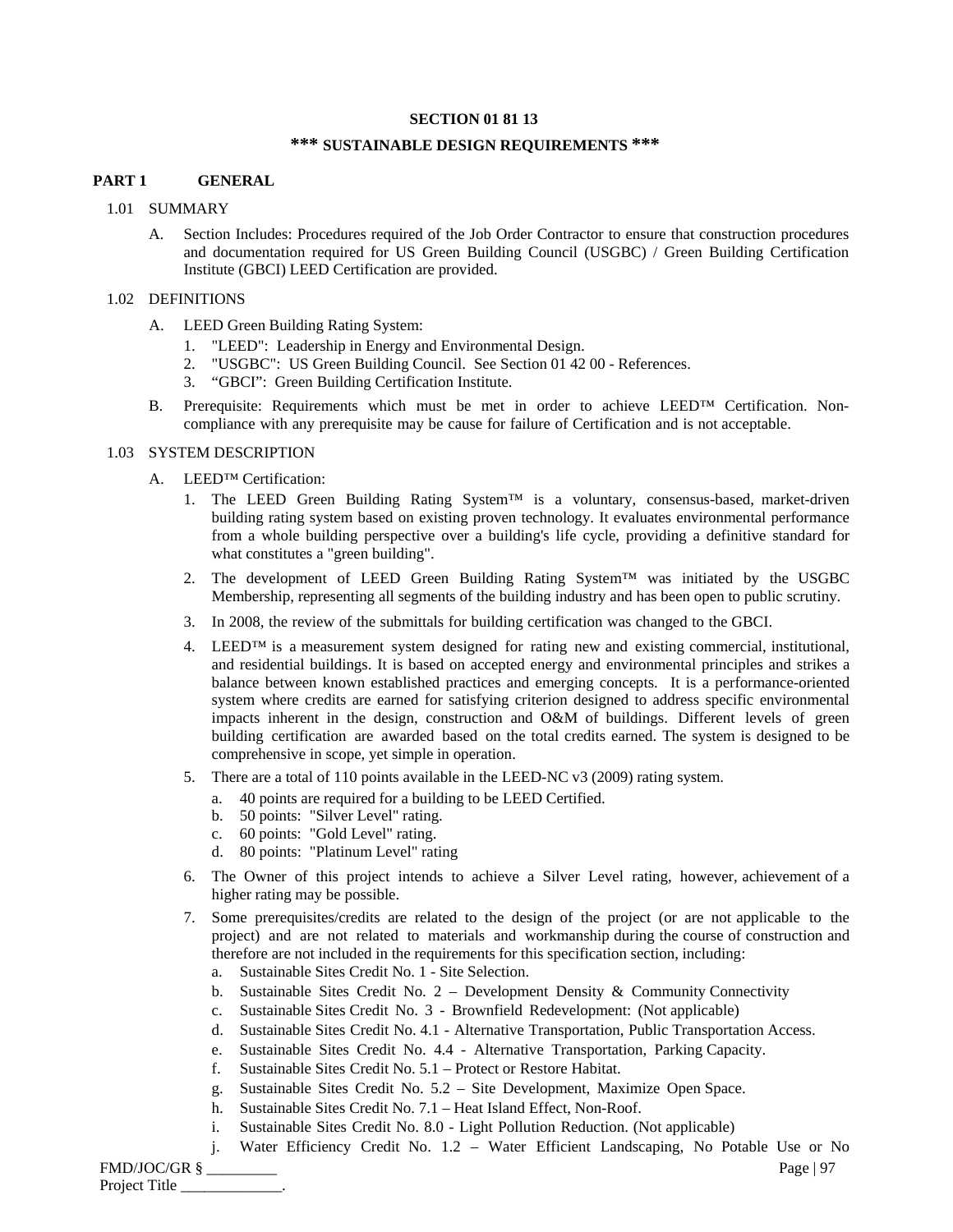## **SECTION 01 81 13**

# **\*\*\* SUSTAINABLE DESIGN REQUIREMENTS \*\*\***

# **PART 1 GENERAL**

## 1.01 SUMMARY

A. Section Includes: Procedures required of the Job Order Contractor to ensure that construction procedures and documentation required for US Green Building Council (USGBC) / Green Building Certification Institute (GBCI) LEED Certification are provided.

# 1.02 DEFINITIONS

- A. LEED Green Building Rating System:
	- 1. "LEED": Leadership in Energy and Environmental Design.
	- 2. "USGBC": US Green Building Council. See Section 01 42 00 References.
	- 3. "GBCI": Green Building Certification Institute.
- B. Prerequisite: Requirements which must be met in order to achieve LEED™ Certification. Noncompliance with any prerequisite may be cause for failure of Certification and is not acceptable.

# 1.03 SYSTEM DESCRIPTION

- A. LEED™ Certification:
	- 1. The LEED Green Building Rating System<sup>TM</sup> is a voluntary, consensus-based, market-driven building rating system based on existing proven technology. It evaluates environmental performance from a whole building perspective over a building's life cycle, providing a definitive standard for what constitutes a "green building".
	- 2. The development of LEED Green Building Rating System™ was initiated by the USGBC Membership, representing all segments of the building industry and has been open to public scrutiny.
	- 3. In 2008, the review of the submittals for building certification was changed to the GBCI.
	- 4. LEED<sup>™</sup> is a measurement system designed for rating new and existing commercial, institutional, and residential buildings. It is based on accepted energy and environmental principles and strikes a balance between known established practices and emerging concepts. It is a performance-oriented system where credits are earned for satisfying criterion designed to address specific environmental impacts inherent in the design, construction and O&M of buildings. Different levels of green building certification are awarded based on the total credits earned. The system is designed to be comprehensive in scope, yet simple in operation.
	- 5. There are a total of 110 points available in the LEED-NC v3 (2009) rating system.
		- a. 40 points are required for a building to be LEED Certified.
		- b. 50 points: "Silver Level" rating.
		- c. 60 points: "Gold Level" rating.
		- d. 80 points: "Platinum Level" rating
	- 6. The Owner of this project intends to achieve a Silver Level rating, however, achievement of a higher rating may be possible.
	- 7. Some prerequisites/credits are related to the design of the project (or are not applicable to the project) and are not related to materials and workmanship during the course of construction and therefore are not included in the requirements for this specification section, including:
		- a. Sustainable Sites Credit No. 1 Site Selection.
		- b. Sustainable Sites Credit No. 2 Development Density & Community Connectivity
		- c. Sustainable Sites Credit No. 3 Brownfield Redevelopment: (Not applicable)
		- d. Sustainable Sites Credit No. 4.1 Alternative Transportation, Public Transportation Access.
		- e. Sustainable Sites Credit No. 4.4 Alternative Transportation, Parking Capacity.
		- f. Sustainable Sites Credit No. 5.1 Protect or Restore Habitat.
		- g. Sustainable Sites Credit No. 5.2 Site Development, Maximize Open Space.
		- h. Sustainable Sites Credit No. 7.1 Heat Island Effect, Non-Roof.
		- i. Sustainable Sites Credit No. 8.0 Light Pollution Reduction. (Not applicable)
	- j. Water Efficiency Credit No. 1.2 Water Efficient Landscaping, No Potable Use or No

FMD/JOC/GR § \_\_\_\_\_\_\_\_\_ Page | 97 Project Title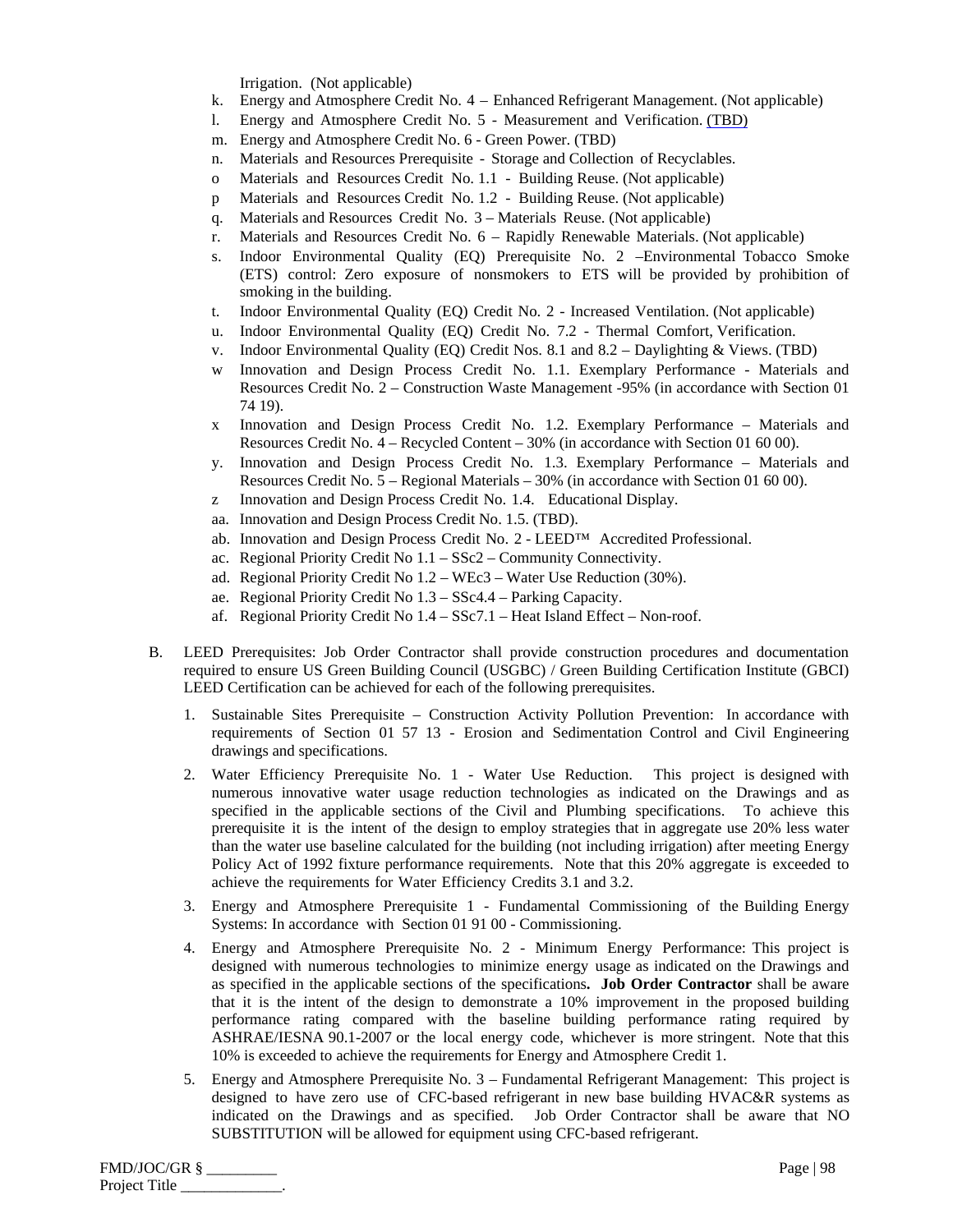Irrigation. (Not applicable)

- k. Energy and Atmosphere Credit No. 4 Enhanced Refrigerant Management. (Not applicable)
- l. Energy and Atmosphere Credit No. 5 Measurement and Verification. (TBD)
- m. Energy and Atmosphere Credit No. 6 Green Power. (TBD)
- n. Materials and Resources Prerequisite Storage and Collection of Recyclables.
- o Materials and Resources Credit No. 1.1 Building Reuse. (Not applicable)
- p Materials and Resources Credit No. 1.2 Building Reuse. (Not applicable)
- q. Materials and Resources Credit No. 3 Materials Reuse. (Not applicable)
- r. Materials and Resources Credit No. 6 Rapidly Renewable Materials. (Not applicable)
- s. Indoor Environmental Quality (EQ) Prerequisite No. 2 –Environmental Tobacco Smoke (ETS) control: Zero exposure of nonsmokers to ETS will be provided by prohibition of smoking in the building.
- t. Indoor Environmental Quality (EQ) Credit No. 2 Increased Ventilation. (Not applicable)
- u. Indoor Environmental Quality (EQ) Credit No. 7.2 Thermal Comfort, Verification.
- v. Indoor Environmental Quality (EQ) Credit Nos. 8.1 and 8.2 Daylighting & Views. (TBD)
- w Innovation and Design Process Credit No. 1.1. Exemplary Performance Materials and Resources Credit No. 2 – Construction Waste Management -95% (in accordance with Section 01 74 19).
- x Innovation and Design Process Credit No. 1.2. Exemplary Performance Materials and Resources Credit No. 4 – Recycled Content – 30% (in accordance with Section 01 60 00).
- y. Innovation and Design Process Credit No. 1.3. Exemplary Performance Materials and Resources Credit No. 5 – Regional Materials – 30% (in accordance with Section 01 60 00).
- z Innovation and Design Process Credit No. 1.4. Educational Display.
- aa. Innovation and Design Process Credit No. 1.5. (TBD).
- ab. Innovation and Design Process Credit No. 2 LEED™ Accredited Professional.
- ac. Regional Priority Credit No 1.1 SSc2 Community Connectivity.
- ad. Regional Priority Credit No 1.2 WEc3 Water Use Reduction (30%).
- ae. Regional Priority Credit No 1.3 SSc4.4 Parking Capacity.
- af. Regional Priority Credit No 1.4 SSc7.1 Heat Island Effect Non-roof.
- B. LEED Prerequisites: Job Order Contractor shall provide construction procedures and documentation required to ensure US Green Building Council (USGBC) / Green Building Certification Institute (GBCI) LEED Certification can be achieved for each of the following prerequisites.
	- 1. Sustainable Sites Prerequisite Construction Activity Pollution Prevention: In accordance with requirements of Section 01 57 13 - Erosion and Sedimentation Control and Civil Engineering drawings and specifications.
	- 2. Water Efficiency Prerequisite No. 1 Water Use Reduction. This project is designed with numerous innovative water usage reduction technologies as indicated on the Drawings and as specified in the applicable sections of the Civil and Plumbing specifications. To achieve this prerequisite it is the intent of the design to employ strategies that in aggregate use 20% less water than the water use baseline calculated for the building (not including irrigation) after meeting Energy Policy Act of 1992 fixture performance requirements. Note that this 20% aggregate is exceeded to achieve the requirements for Water Efficiency Credits 3.1 and 3.2.
	- 3. Energy and Atmosphere Prerequisite 1 Fundamental Commissioning of the Building Energy Systems: In accordance with Section 01 91 00 - Commissioning.
	- 4. Energy and Atmosphere Prerequisite No. 2 Minimum Energy Performance: This project is designed with numerous technologies to minimize energy usage as indicated on the Drawings and as specified in the applicable sections of the specifications**. Job Order Contractor** shall be aware that it is the intent of the design to demonstrate a 10% improvement in the proposed building performance rating compared with the baseline building performance rating required by ASHRAE/IESNA 90.1-2007 or the local energy code, whichever is more stringent. Note that this 10% is exceeded to achieve the requirements for Energy and Atmosphere Credit 1.
	- 5. Energy and Atmosphere Prerequisite No. 3 Fundamental Refrigerant Management: This project is designed to have zero use of CFC-based refrigerant in new base building HVAC&R systems as indicated on the Drawings and as specified. Job Order Contractor shall be aware that NO SUBSTITUTION will be allowed for equipment using CFC-based refrigerant.

| FMD/JOC/GR §  | Page   $98$ |
|---------------|-------------|
| Project Title |             |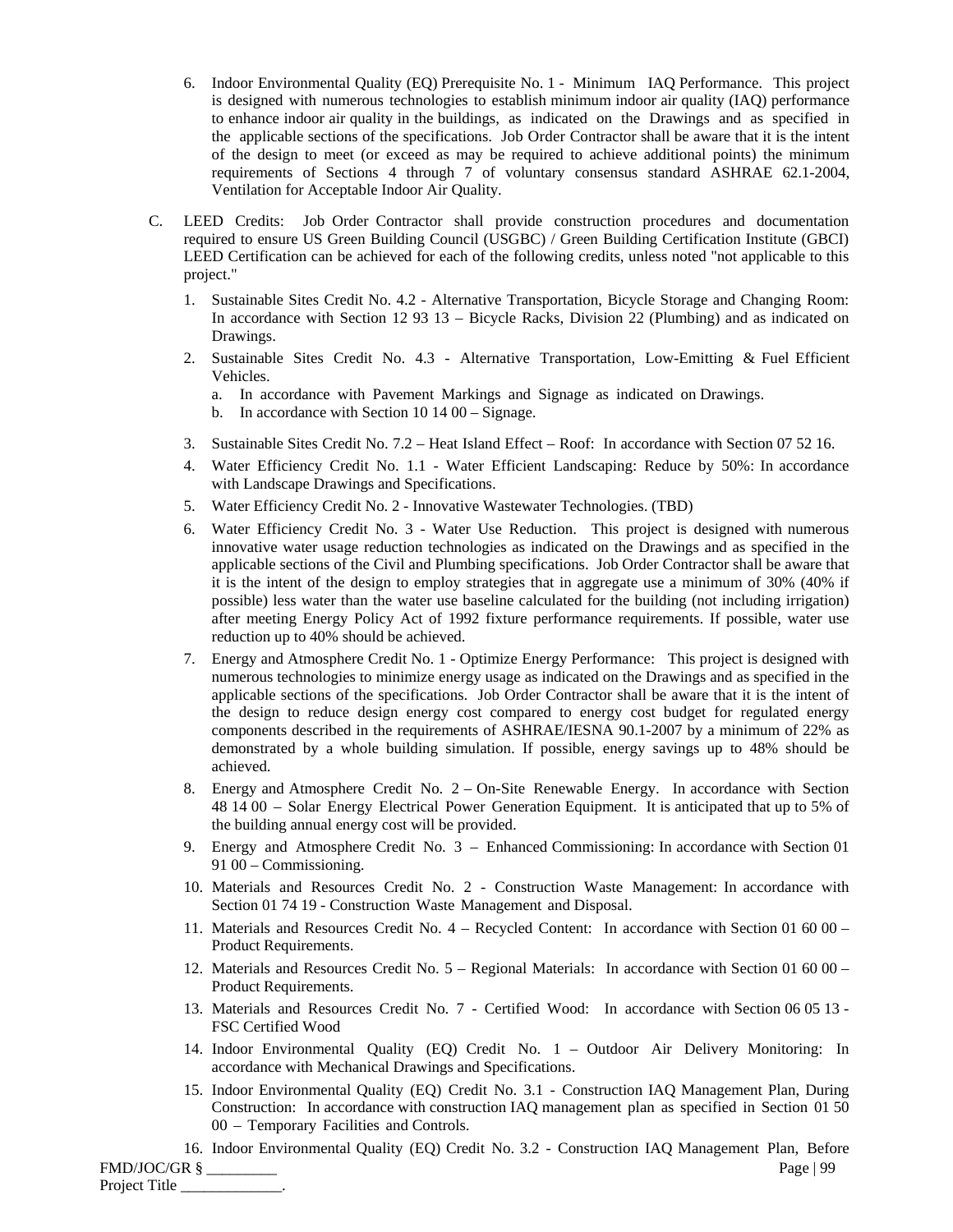- 6. Indoor Environmental Quality (EQ) Prerequisite No. 1 Minimum IAQ Performance. This project is designed with numerous technologies to establish minimum indoor air quality (IAQ) performance to enhance indoor air quality in the buildings, as indicated on the Drawings and as specified in the applicable sections of the specifications. Job Order Contractor shall be aware that it is the intent of the design to meet (or exceed as may be required to achieve additional points) the minimum requirements of Sections 4 through 7 of voluntary consensus standard ASHRAE 62.1-2004, Ventilation for Acceptable Indoor Air Quality.
- C. LEED Credits: Job Order Contractor shall provide construction procedures and documentation required to ensure US Green Building Council (USGBC) / Green Building Certification Institute (GBCI) LEED Certification can be achieved for each of the following credits, unless noted "not applicable to this project."
	- 1. Sustainable Sites Credit No. 4.2 Alternative Transportation, Bicycle Storage and Changing Room: In accordance with Section 12 93 13 – Bicycle Racks, Division 22 (Plumbing) and as indicated on Drawings.
	- 2. Sustainable Sites Credit No. 4.3 Alternative Transportation, Low-Emitting & Fuel Efficient Vehicles.
		- a. In accordance with Pavement Markings and Signage as indicated on Drawings.
		- b. In accordance with Section 10 14 00 Signage.
	- 3. Sustainable Sites Credit No. 7.2 Heat Island Effect Roof: In accordance with Section 07 52 16.
	- 4. Water Efficiency Credit No. 1.1 Water Efficient Landscaping: Reduce by 50%: In accordance with Landscape Drawings and Specifications.
	- 5. Water Efficiency Credit No. 2 Innovative Wastewater Technologies. (TBD)
	- 6. Water Efficiency Credit No. 3 Water Use Reduction. This project is designed with numerous innovative water usage reduction technologies as indicated on the Drawings and as specified in the applicable sections of the Civil and Plumbing specifications. Job Order Contractor shall be aware that it is the intent of the design to employ strategies that in aggregate use a minimum of 30% (40% if possible) less water than the water use baseline calculated for the building (not including irrigation) after meeting Energy Policy Act of 1992 fixture performance requirements. If possible, water use reduction up to 40% should be achieved.
	- 7. Energy and Atmosphere Credit No. 1 Optimize Energy Performance: This project is designed with numerous technologies to minimize energy usage as indicated on the Drawings and as specified in the applicable sections of the specifications. Job Order Contractor shall be aware that it is the intent of the design to reduce design energy cost compared to energy cost budget for regulated energy components described in the requirements of ASHRAE/IESNA 90.1-2007 by a minimum of 22% as demonstrated by a whole building simulation. If possible, energy savings up to 48% should be achieved.
	- 8. Energy and Atmosphere Credit No. 2 On-Site Renewable Energy. In accordance with Section 48 14 00 – Solar Energy Electrical Power Generation Equipment. It is anticipated that up to 5% of the building annual energy cost will be provided.
	- 9. Energy and Atmosphere Credit No. 3 Enhanced Commissioning: In accordance with Section 01 91 00 – Commissioning.
	- 10. Materials and Resources Credit No. 2 Construction Waste Management: In accordance with Section 01 74 19 - Construction Waste Management and Disposal.
	- 11. Materials and Resources Credit No. 4 Recycled Content: In accordance with Section 01 60 00 Product Requirements.
	- 12. Materials and Resources Credit No. 5 Regional Materials: In accordance with Section 01 60 00 Product Requirements.
	- 13. Materials and Resources Credit No. 7 Certified Wood: In accordance with Section 06 05 13 FSC Certified Wood
	- 14. Indoor Environmental Quality (EQ) Credit No. 1 Outdoor Air Delivery Monitoring: In accordance with Mechanical Drawings and Specifications.
	- 15. Indoor Environmental Quality (EQ) Credit No. 3.1 Construction IAQ Management Plan, During Construction: In accordance with construction IAQ management plan as specified in Section 01 50 00 – Temporary Facilities and Controls.
- FMD/JOC/GR § \_\_\_\_\_\_\_\_\_ Page | 99 16. Indoor Environmental Quality (EQ) Credit No. 3.2 - Construction IAQ Management Plan, Before

Project Title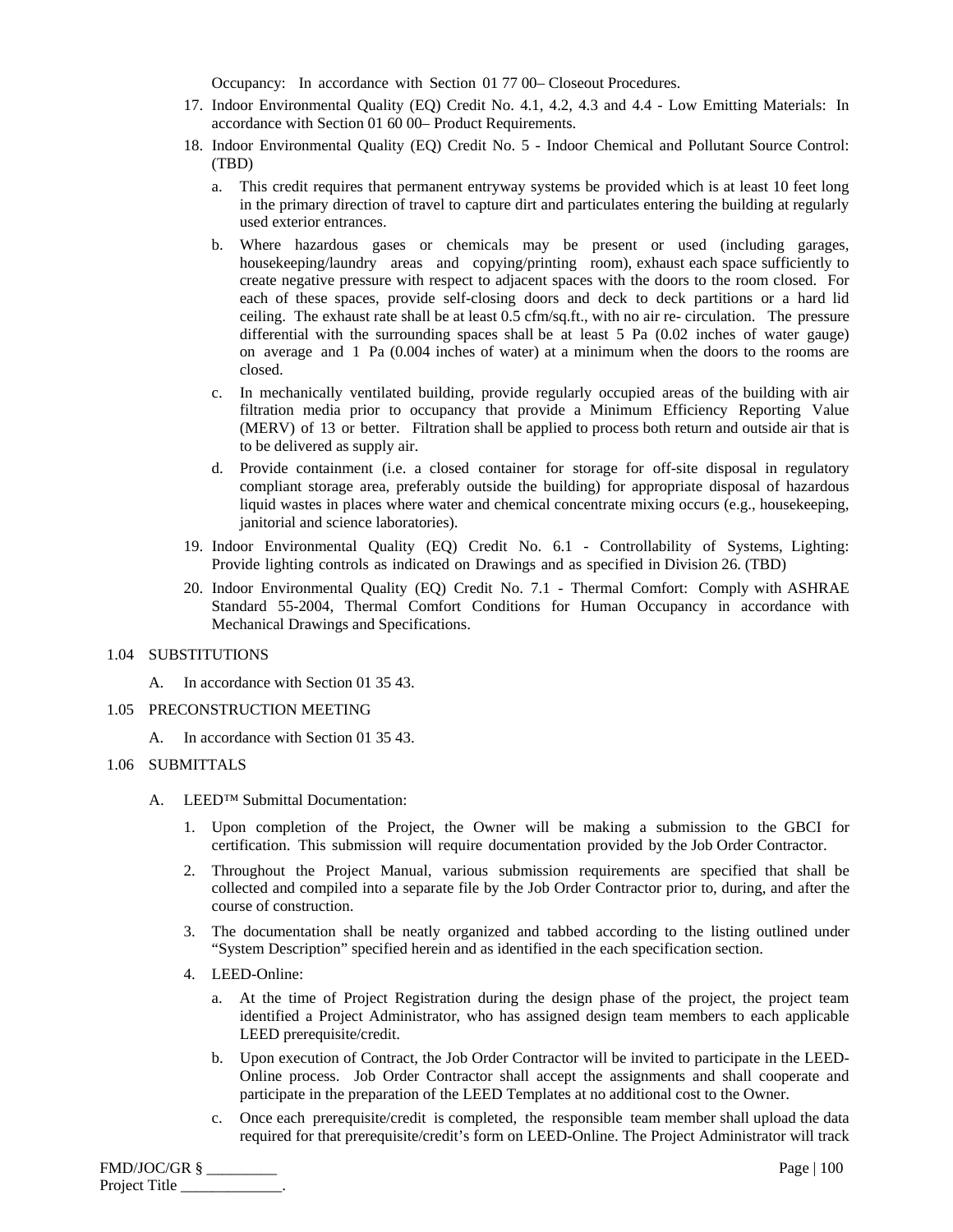Occupancy: In accordance with Section 01 77 00– Closeout Procedures.

- 17. Indoor Environmental Quality (EQ) Credit No. 4.1, 4.2, 4.3 and 4.4 Low Emitting Materials: In accordance with Section 01 60 00– Product Requirements.
- 18. Indoor Environmental Quality (EQ) Credit No. 5 Indoor Chemical and Pollutant Source Control: (TBD)
	- a. This credit requires that permanent entryway systems be provided which is at least 10 feet long in the primary direction of travel to capture dirt and particulates entering the building at regularly used exterior entrances.
	- b. Where hazardous gases or chemicals may be present or used (including garages, housekeeping/laundry areas and copying/printing room), exhaust each space sufficiently to create negative pressure with respect to adjacent spaces with the doors to the room closed. For each of these spaces, provide self-closing doors and deck to deck partitions or a hard lid ceiling. The exhaust rate shall be at least 0.5 cfm/sq.ft., with no air re- circulation. The pressure differential with the surrounding spaces shall be at least 5 Pa (0.02 inches of water gauge) on average and 1 Pa (0.004 inches of water) at a minimum when the doors to the rooms are closed.
	- c. In mechanically ventilated building, provide regularly occupied areas of the building with air filtration media prior to occupancy that provide a Minimum Efficiency Reporting Value (MERV) of 13 or better. Filtration shall be applied to process both return and outside air that is to be delivered as supply air.
	- d. Provide containment (i.e. a closed container for storage for off-site disposal in regulatory compliant storage area, preferably outside the building) for appropriate disposal of hazardous liquid wastes in places where water and chemical concentrate mixing occurs (e.g., housekeeping, janitorial and science laboratories).
- 19. Indoor Environmental Quality (EQ) Credit No. 6.1 Controllability of Systems, Lighting: Provide lighting controls as indicated on Drawings and as specified in Division 26. (TBD)
- 20. Indoor Environmental Quality (EQ) Credit No. 7.1 Thermal Comfort: Comply with ASHRAE Standard 55-2004, Thermal Comfort Conditions for Human Occupancy in accordance with Mechanical Drawings and Specifications.

## 1.04 SUBSTITUTIONS

A. In accordance with Section 01 35 43.

## 1.05 PRECONSTRUCTION MEETING

A. In accordance with Section 01 35 43.

## 1.06 SUBMITTALS

- A. LEED™ Submittal Documentation:
	- 1. Upon completion of the Project, the Owner will be making a submission to the GBCI for certification. This submission will require documentation provided by the Job Order Contractor.
	- 2. Throughout the Project Manual, various submission requirements are specified that shall be collected and compiled into a separate file by the Job Order Contractor prior to, during, and after the course of construction.
	- 3. The documentation shall be neatly organized and tabbed according to the listing outlined under "System Description" specified herein and as identified in the each specification section.
	- 4. LEED-Online:
		- a. At the time of Project Registration during the design phase of the project, the project team identified a Project Administrator, who has assigned design team members to each applicable LEED prerequisite/credit.
		- b. Upon execution of Contract, the Job Order Contractor will be invited to participate in the LEED-Online process. Job Order Contractor shall accept the assignments and shall cooperate and participate in the preparation of the LEED Templates at no additional cost to the Owner.
		- c. Once each prerequisite/credit is completed, the responsible team member shall upload the data required for that prerequisite/credit's form on LEED-Online. The Project Administrator will track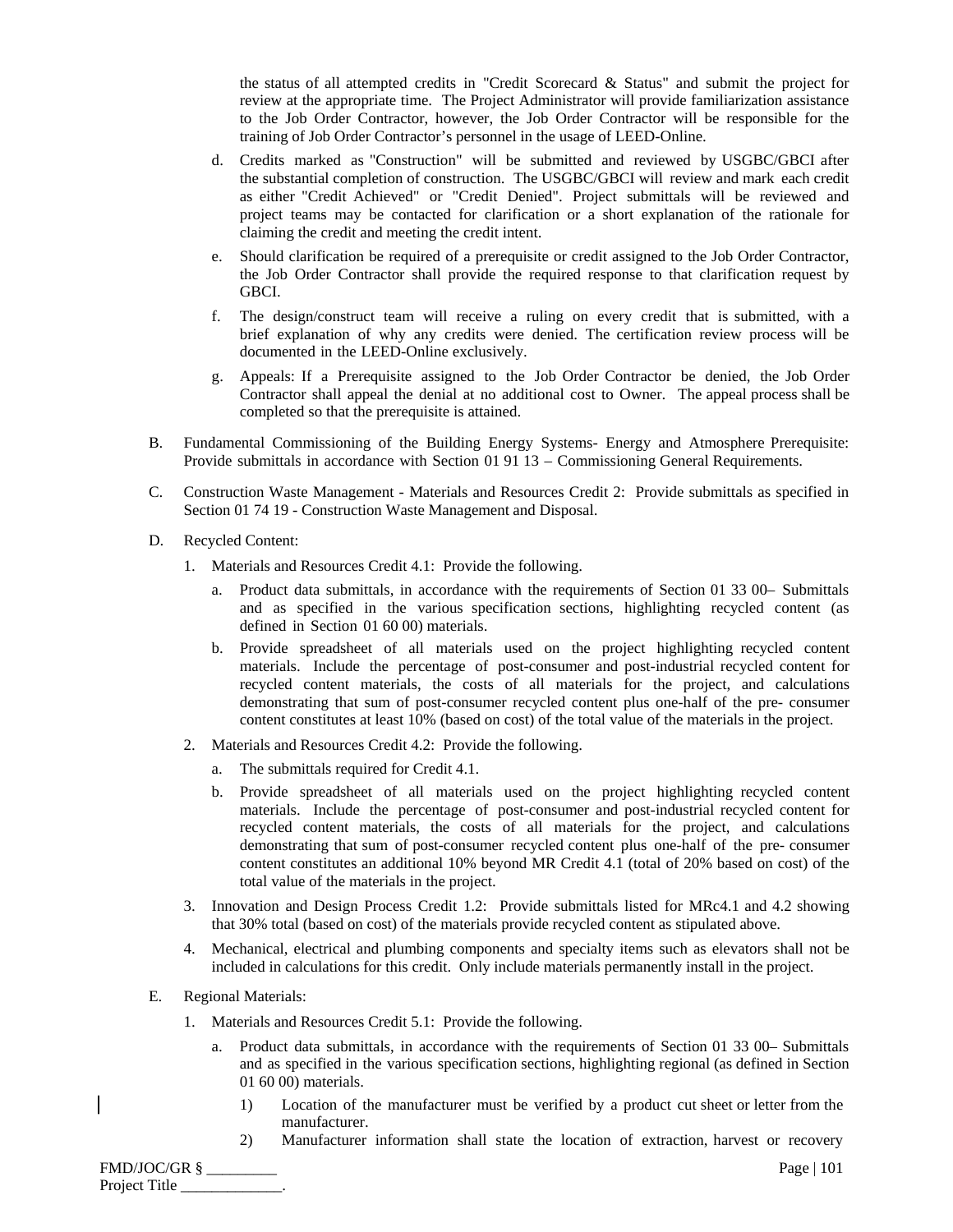the status of all attempted credits in "Credit Scorecard & Status" and submit the project for review at the appropriate time. The Project Administrator will provide familiarization assistance to the Job Order Contractor, however, the Job Order Contractor will be responsible for the training of Job Order Contractor's personnel in the usage of LEED-Online.

- d. Credits marked as "Construction" will be submitted and reviewed by USGBC/GBCI after the substantial completion of construction. The USGBC/GBCI will review and mark each credit as either "Credit Achieved" or "Credit Denied". Project submittals will be reviewed and project teams may be contacted for clarification or a short explanation of the rationale for claiming the credit and meeting the credit intent.
- e. Should clarification be required of a prerequisite or credit assigned to the Job Order Contractor, the Job Order Contractor shall provide the required response to that clarification request by GBCI.
- f. The design/construct team will receive a ruling on every credit that is submitted, with a brief explanation of why any credits were denied. The certification review process will be documented in the LEED-Online exclusively.
- g. Appeals: If a Prerequisite assigned to the Job Order Contractor be denied, the Job Order Contractor shall appeal the denial at no additional cost to Owner. The appeal process shall be completed so that the prerequisite is attained.
- B. Fundamental Commissioning of the Building Energy Systems- Energy and Atmosphere Prerequisite: Provide submittals in accordance with Section 01 91 13 – Commissioning General Requirements.
- C. Construction Waste Management Materials and Resources Credit 2: Provide submittals as specified in Section 01 74 19 - Construction Waste Management and Disposal.
- D. Recycled Content:
	- 1. Materials and Resources Credit 4.1: Provide the following.
		- a. Product data submittals, in accordance with the requirements of Section 01 33 00– Submittals and as specified in the various specification sections, highlighting recycled content (as defined in Section 01 60 00) materials.
		- b. Provide spreadsheet of all materials used on the project highlighting recycled content materials. Include the percentage of post-consumer and post-industrial recycled content for recycled content materials, the costs of all materials for the project, and calculations demonstrating that sum of post-consumer recycled content plus one-half of the pre- consumer content constitutes at least 10% (based on cost) of the total value of the materials in the project.
	- 2. Materials and Resources Credit 4.2: Provide the following.
		- a. The submittals required for Credit 4.1.
		- b. Provide spreadsheet of all materials used on the project highlighting recycled content materials. Include the percentage of post-consumer and post-industrial recycled content for recycled content materials, the costs of all materials for the project, and calculations demonstrating that sum of post-consumer recycled content plus one-half of the pre- consumer content constitutes an additional 10% beyond MR Credit 4.1 (total of 20% based on cost) of the total value of the materials in the project.
	- 3. Innovation and Design Process Credit 1.2: Provide submittals listed for MRc4.1 and 4.2 showing that 30% total (based on cost) of the materials provide recycled content as stipulated above.
	- 4. Mechanical, electrical and plumbing components and specialty items such as elevators shall not be included in calculations for this credit. Only include materials permanently install in the project.
- E. Regional Materials:
	- 1. Materials and Resources Credit 5.1: Provide the following.
		- a. Product data submittals, in accordance with the requirements of Section 01 33 00– Submittals and as specified in the various specification sections, highlighting regional (as defined in Section 01 60 00) materials.
			- 1) Location of the manufacturer must be verified by a product cut sheet or letter from the manufacturer.
			- 2) Manufacturer information shall state the location of extraction, harvest or recovery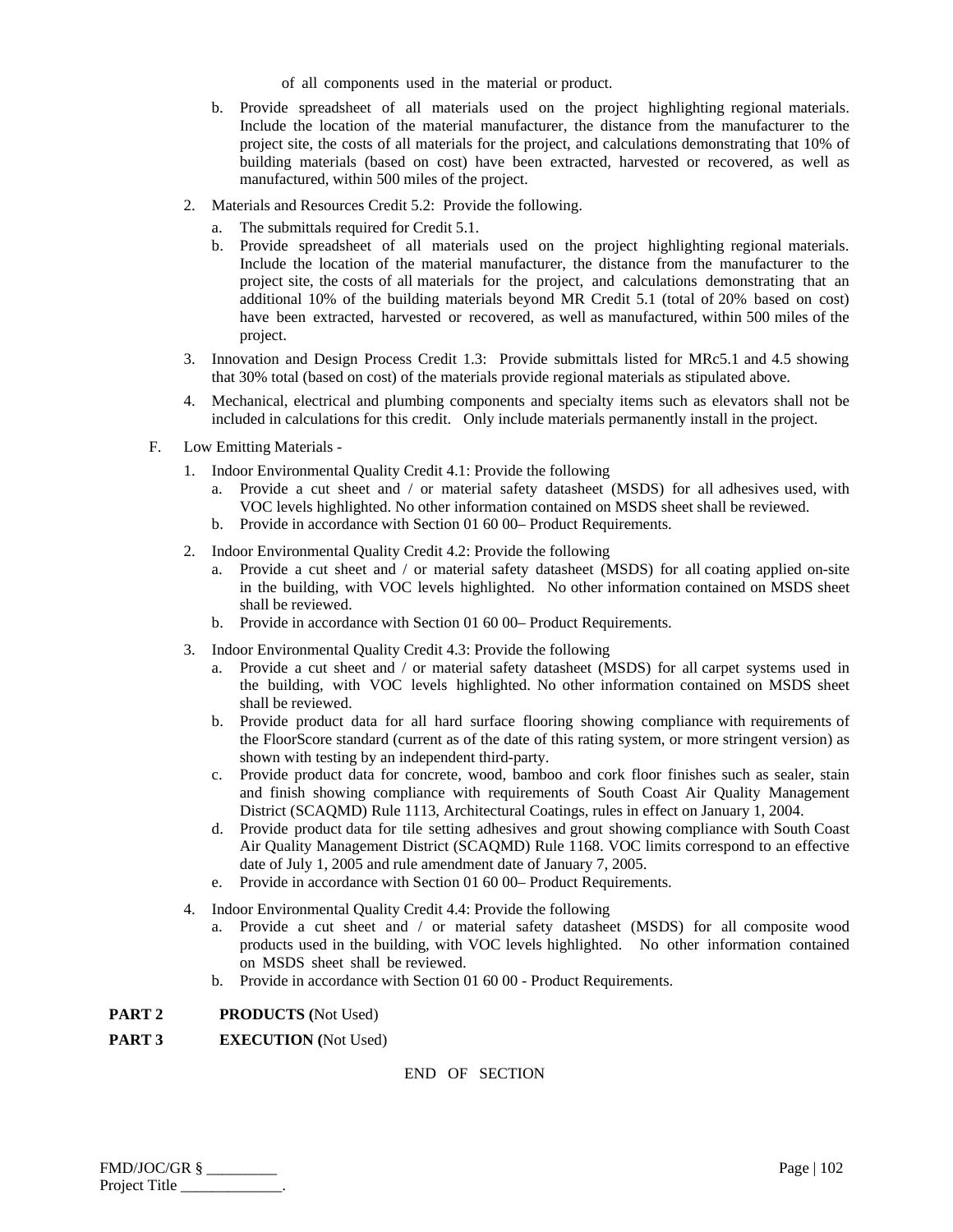of all components used in the material or product.

- b. Provide spreadsheet of all materials used on the project highlighting regional materials. Include the location of the material manufacturer, the distance from the manufacturer to the project site, the costs of all materials for the project, and calculations demonstrating that 10% of building materials (based on cost) have been extracted, harvested or recovered, as well as manufactured, within 500 miles of the project.
- 2. Materials and Resources Credit 5.2: Provide the following.
	- a. The submittals required for Credit 5.1.
	- b. Provide spreadsheet of all materials used on the project highlighting regional materials. Include the location of the material manufacturer, the distance from the manufacturer to the project site, the costs of all materials for the project, and calculations demonstrating that an additional 10% of the building materials beyond MR Credit 5.1 (total of 20% based on cost) have been extracted, harvested or recovered, as well as manufactured, within 500 miles of the project.
- 3. Innovation and Design Process Credit 1.3: Provide submittals listed for MRc5.1 and 4.5 showing that 30% total (based on cost) of the materials provide regional materials as stipulated above.
- 4. Mechanical, electrical and plumbing components and specialty items such as elevators shall not be included in calculations for this credit. Only include materials permanently install in the project.
- F. Low Emitting Materials
	- 1. Indoor Environmental Quality Credit 4.1: Provide the following
		- a. Provide a cut sheet and / or material safety datasheet (MSDS) for all adhesives used, with VOC levels highlighted. No other information contained on MSDS sheet shall be reviewed.
		- b. Provide in accordance with Section 01 60 00– Product Requirements.
	- 2. Indoor Environmental Quality Credit 4.2: Provide the following
		- a. Provide a cut sheet and / or material safety datasheet (MSDS) for all coating applied on-site in the building, with VOC levels highlighted. No other information contained on MSDS sheet shall be reviewed.
		- b. Provide in accordance with Section 01 60 00– Product Requirements.
	- 3. Indoor Environmental Quality Credit 4.3: Provide the following
		- a. Provide a cut sheet and / or material safety datasheet (MSDS) for all carpet systems used in the building, with VOC levels highlighted. No other information contained on MSDS sheet shall be reviewed.
		- b. Provide product data for all hard surface flooring showing compliance with requirements of the FloorScore standard (current as of the date of this rating system, or more stringent version) as shown with testing by an independent third-party.
		- c. Provide product data for concrete, wood, bamboo and cork floor finishes such as sealer, stain and finish showing compliance with requirements of South Coast Air Quality Management District (SCAQMD) Rule 1113, Architectural Coatings, rules in effect on January 1, 2004.
		- d. Provide product data for tile setting adhesives and grout showing compliance with South Coast Air Quality Management District (SCAQMD) Rule 1168. VOC limits correspond to an effective date of July 1, 2005 and rule amendment date of January 7, 2005.
		- e. Provide in accordance with Section 01 60 00– Product Requirements.
	- 4. Indoor Environmental Quality Credit 4.4: Provide the following
		- a. Provide a cut sheet and / or material safety datasheet (MSDS) for all composite wood products used in the building, with VOC levels highlighted. No other information contained on MSDS sheet shall be reviewed.
		- b. Provide in accordance with Section 01 60 00 Product Requirements.

## **PART 2 PRODUCTS (**Not Used)

**PART 3 EXECUTION (**Not Used)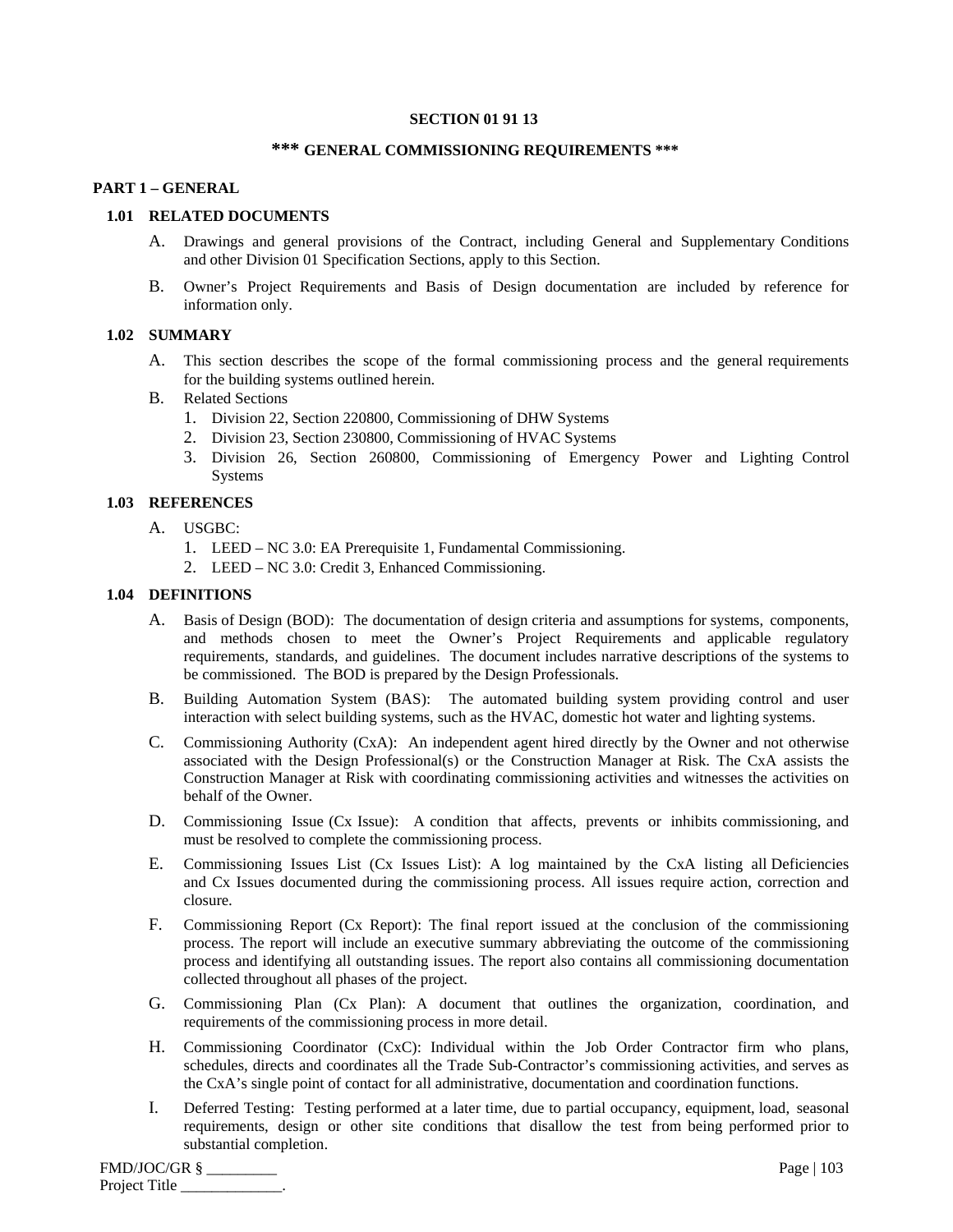## **SECTION 01 91 13**

## **\*\*\* GENERAL COMMISSIONING REQUIREMENTS \*\*\***

# **PART 1 – GENERAL**

## **1.01 RELATED DOCUMENTS**

- A. Drawings and general provisions of the Contract, including General and Supplementary Conditions and other Division 01 Specification Sections, apply to this Section.
- B. Owner's Project Requirements and Basis of Design documentation are included by reference for information only.

# **1.02 SUMMARY**

- A. This section describes the scope of the formal commissioning process and the general requirements for the building systems outlined herein.
- B. Related Sections
	- 1. Division 22, Section 220800, Commissioning of DHW Systems
	- 2. Division 23, Section 230800, Commissioning of HVAC Systems
	- 3. Division 26, Section 260800, Commissioning of Emergency Power and Lighting Control Systems

## **1.03 REFERENCES**

- A. USGBC:
	- 1. LEED NC 3.0: EA Prerequisite 1, Fundamental Commissioning.
	- 2. LEED NC 3.0: Credit 3, Enhanced Commissioning.

# **1.04 DEFINITIONS**

- A. Basis of Design (BOD): The documentation of design criteria and assumptions for systems, components, and methods chosen to meet the Owner's Project Requirements and applicable regulatory requirements, standards, and guidelines. The document includes narrative descriptions of the systems to be commissioned. The BOD is prepared by the Design Professionals.
- B. Building Automation System (BAS): The automated building system providing control and user interaction with select building systems, such as the HVAC, domestic hot water and lighting systems.
- C. Commissioning Authority (CxA): An independent agent hired directly by the Owner and not otherwise associated with the Design Professional(s) or the Construction Manager at Risk. The CxA assists the Construction Manager at Risk with coordinating commissioning activities and witnesses the activities on behalf of the Owner.
- D. Commissioning Issue (Cx Issue): A condition that affects, prevents or inhibits commissioning, and must be resolved to complete the commissioning process.
- E. Commissioning Issues List (Cx Issues List): A log maintained by the CxA listing all Deficiencies and Cx Issues documented during the commissioning process. All issues require action, correction and closure.
- F. Commissioning Report (Cx Report): The final report issued at the conclusion of the commissioning process. The report will include an executive summary abbreviating the outcome of the commissioning process and identifying all outstanding issues. The report also contains all commissioning documentation collected throughout all phases of the project.
- G. Commissioning Plan (Cx Plan): A document that outlines the organization, coordination, and requirements of the commissioning process in more detail.
- H. Commissioning Coordinator (CxC): Individual within the Job Order Contractor firm who plans, schedules, directs and coordinates all the Trade Sub-Contractor's commissioning activities, and serves as the CxA's single point of contact for all administrative, documentation and coordination functions.
- I. Deferred Testing: Testing performed at a later time, due to partial occupancy, equipment, load, seasonal requirements, design or other site conditions that disallow the test from being performed prior to substantial completion.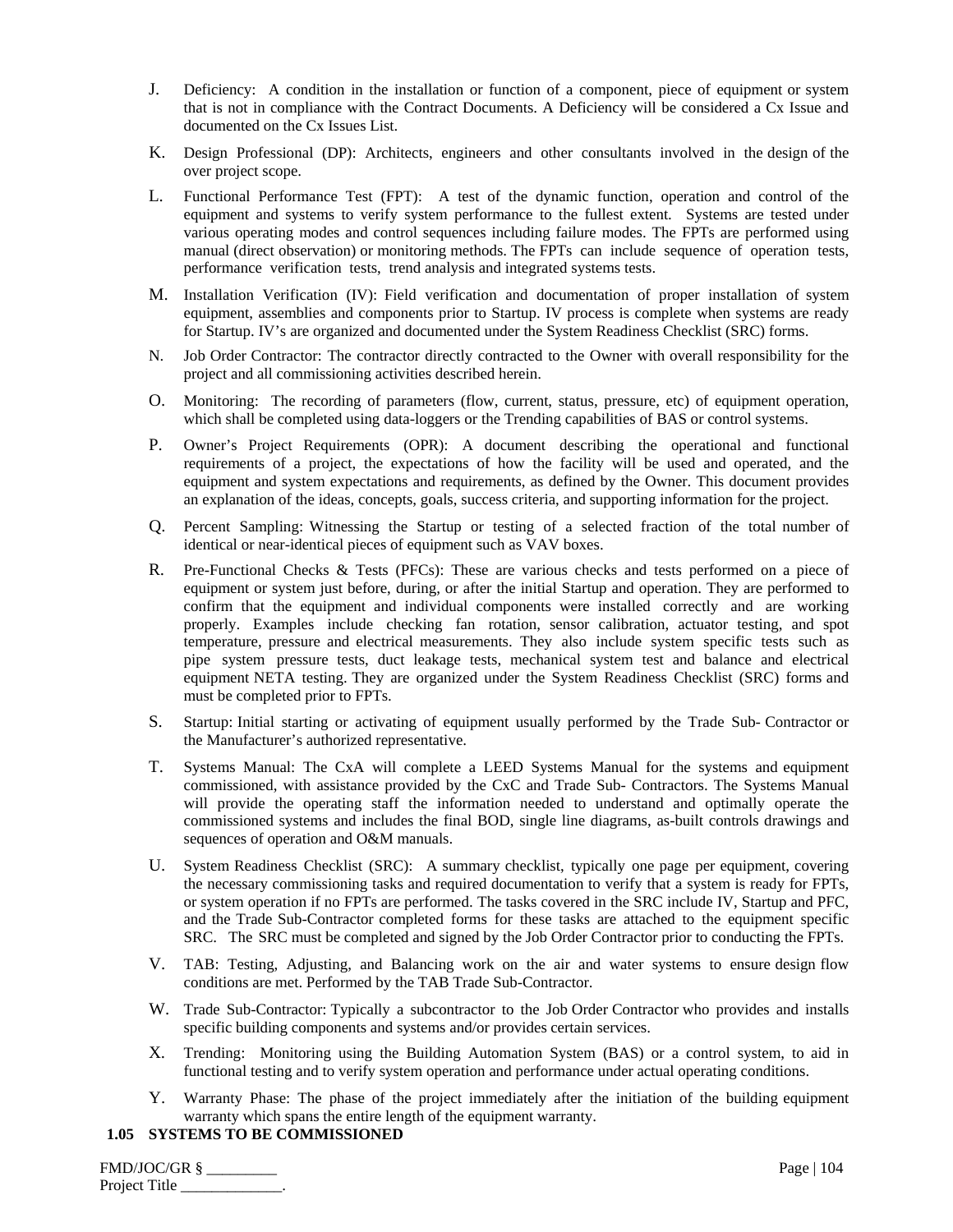- J. Deficiency: A condition in the installation or function of a component, piece of equipment or system that is not in compliance with the Contract Documents. A Deficiency will be considered a Cx Issue and documented on the Cx Issues List.
- K. Design Professional (DP): Architects, engineers and other consultants involved in the design of the over project scope.
- L. Functional Performance Test (FPT): A test of the dynamic function, operation and control of the equipment and systems to verify system performance to the fullest extent. Systems are tested under various operating modes and control sequences including failure modes. The FPTs are performed using manual (direct observation) or monitoring methods. The FPTs can include sequence of operation tests, performance verification tests, trend analysis and integrated systems tests.
- M. Installation Verification (IV): Field verification and documentation of proper installation of system equipment, assemblies and components prior to Startup. IV process is complete when systems are ready for Startup. IV's are organized and documented under the System Readiness Checklist (SRC) forms.
- N. Job Order Contractor: The contractor directly contracted to the Owner with overall responsibility for the project and all commissioning activities described herein.
- O. Monitoring: The recording of parameters (flow, current, status, pressure, etc) of equipment operation, which shall be completed using data-loggers or the Trending capabilities of BAS or control systems.
- P. Owner's Project Requirements (OPR): A document describing the operational and functional requirements of a project, the expectations of how the facility will be used and operated, and the equipment and system expectations and requirements, as defined by the Owner. This document provides an explanation of the ideas, concepts, goals, success criteria, and supporting information for the project.
- Q. Percent Sampling: Witnessing the Startup or testing of a selected fraction of the total number of identical or near-identical pieces of equipment such as VAV boxes.
- R. Pre-Functional Checks & Tests (PFCs): These are various checks and tests performed on a piece of equipment or system just before, during, or after the initial Startup and operation. They are performed to confirm that the equipment and individual components were installed correctly and are working properly. Examples include checking fan rotation, sensor calibration, actuator testing, and spot temperature, pressure and electrical measurements. They also include system specific tests such as pipe system pressure tests, duct leakage tests, mechanical system test and balance and electrical equipment NETA testing. They are organized under the System Readiness Checklist (SRC) forms and must be completed prior to FPTs.
- S. Startup: Initial starting or activating of equipment usually performed by the Trade Sub- Contractor or the Manufacturer's authorized representative.
- T. Systems Manual: The CxA will complete a LEED Systems Manual for the systems and equipment commissioned, with assistance provided by the CxC and Trade Sub- Contractors. The Systems Manual will provide the operating staff the information needed to understand and optimally operate the commissioned systems and includes the final BOD, single line diagrams, as-built controls drawings and sequences of operation and O&M manuals.
- U. System Readiness Checklist (SRC): A summary checklist, typically one page per equipment, covering the necessary commissioning tasks and required documentation to verify that a system is ready for FPTs, or system operation if no FPTs are performed. The tasks covered in the SRC include IV, Startup and PFC, and the Trade Sub-Contractor completed forms for these tasks are attached to the equipment specific SRC. The SRC must be completed and signed by the Job Order Contractor prior to conducting the FPTs.
- V. TAB: Testing, Adjusting, and Balancing work on the air and water systems to ensure design flow conditions are met. Performed by the TAB Trade Sub-Contractor.
- W. Trade Sub-Contractor: Typically a subcontractor to the Job Order Contractor who provides and installs specific building components and systems and/or provides certain services.
- X. Trending: Monitoring using the Building Automation System (BAS) or a control system, to aid in functional testing and to verify system operation and performance under actual operating conditions.
- Y. Warranty Phase: The phase of the project immediately after the initiation of the building equipment warranty which spans the entire length of the equipment warranty.

# **1.05 SYSTEMS TO BE COMMISSIONED**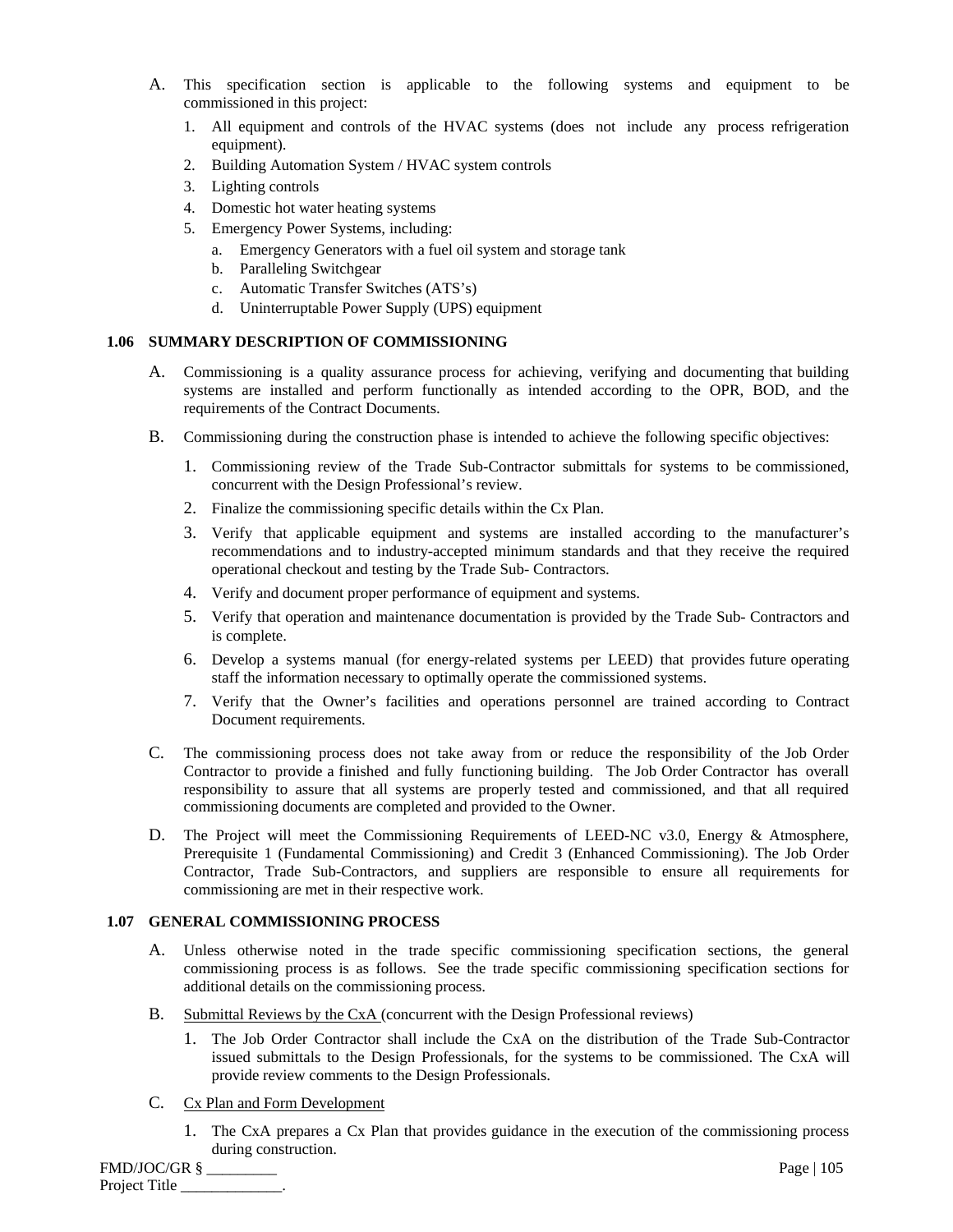- A. This specification section is applicable to the following systems and equipment to be commissioned in this project:
	- 1. All equipment and controls of the HVAC systems (does not include any process refrigeration equipment).
	- 2. Building Automation System / HVAC system controls
	- 3. Lighting controls
	- 4. Domestic hot water heating systems
	- 5. Emergency Power Systems, including:
		- a. Emergency Generators with a fuel oil system and storage tank
			- b. Paralleling Switchgear
			- c. Automatic Transfer Switches (ATS's)
			- d. Uninterruptable Power Supply (UPS) equipment

# **1.06 SUMMARY DESCRIPTION OF COMMISSIONING**

- A. Commissioning is a quality assurance process for achieving, verifying and documenting that building systems are installed and perform functionally as intended according to the OPR, BOD, and the requirements of the Contract Documents.
- B. Commissioning during the construction phase is intended to achieve the following specific objectives:
	- 1. Commissioning review of the Trade Sub-Contractor submittals for systems to be commissioned, concurrent with the Design Professional's review.
	- 2. Finalize the commissioning specific details within the Cx Plan.
	- 3. Verify that applicable equipment and systems are installed according to the manufacturer's recommendations and to industry-accepted minimum standards and that they receive the required operational checkout and testing by the Trade Sub- Contractors.
	- 4. Verify and document proper performance of equipment and systems.
	- 5. Verify that operation and maintenance documentation is provided by the Trade Sub- Contractors and is complete.
	- 6. Develop a systems manual (for energy-related systems per LEED) that provides future operating staff the information necessary to optimally operate the commissioned systems.
	- 7. Verify that the Owner's facilities and operations personnel are trained according to Contract Document requirements.
- C. The commissioning process does not take away from or reduce the responsibility of the Job Order Contractor to provide a finished and fully functioning building. The Job Order Contractor has overall responsibility to assure that all systems are properly tested and commissioned, and that all required commissioning documents are completed and provided to the Owner.
- D. The Project will meet the Commissioning Requirements of LEED-NC v3.0, Energy & Atmosphere, Prerequisite 1 (Fundamental Commissioning) and Credit 3 (Enhanced Commissioning). The Job Order Contractor, Trade Sub-Contractors, and suppliers are responsible to ensure all requirements for commissioning are met in their respective work.

## **1.07 GENERAL COMMISSIONING PROCESS**

- A. Unless otherwise noted in the trade specific commissioning specification sections, the general commissioning process is as follows. See the trade specific commissioning specification sections for additional details on the commissioning process.
- B. Submittal Reviews by the CxA (concurrent with the Design Professional reviews)
	- 1. The Job Order Contractor shall include the CxA on the distribution of the Trade Sub-Contractor issued submittals to the Design Professionals, for the systems to be commissioned. The CxA will provide review comments to the Design Professionals.
- C. Cx Plan and Form Development
	- 1. The CxA prepares a Cx Plan that provides guidance in the execution of the commissioning process during construction.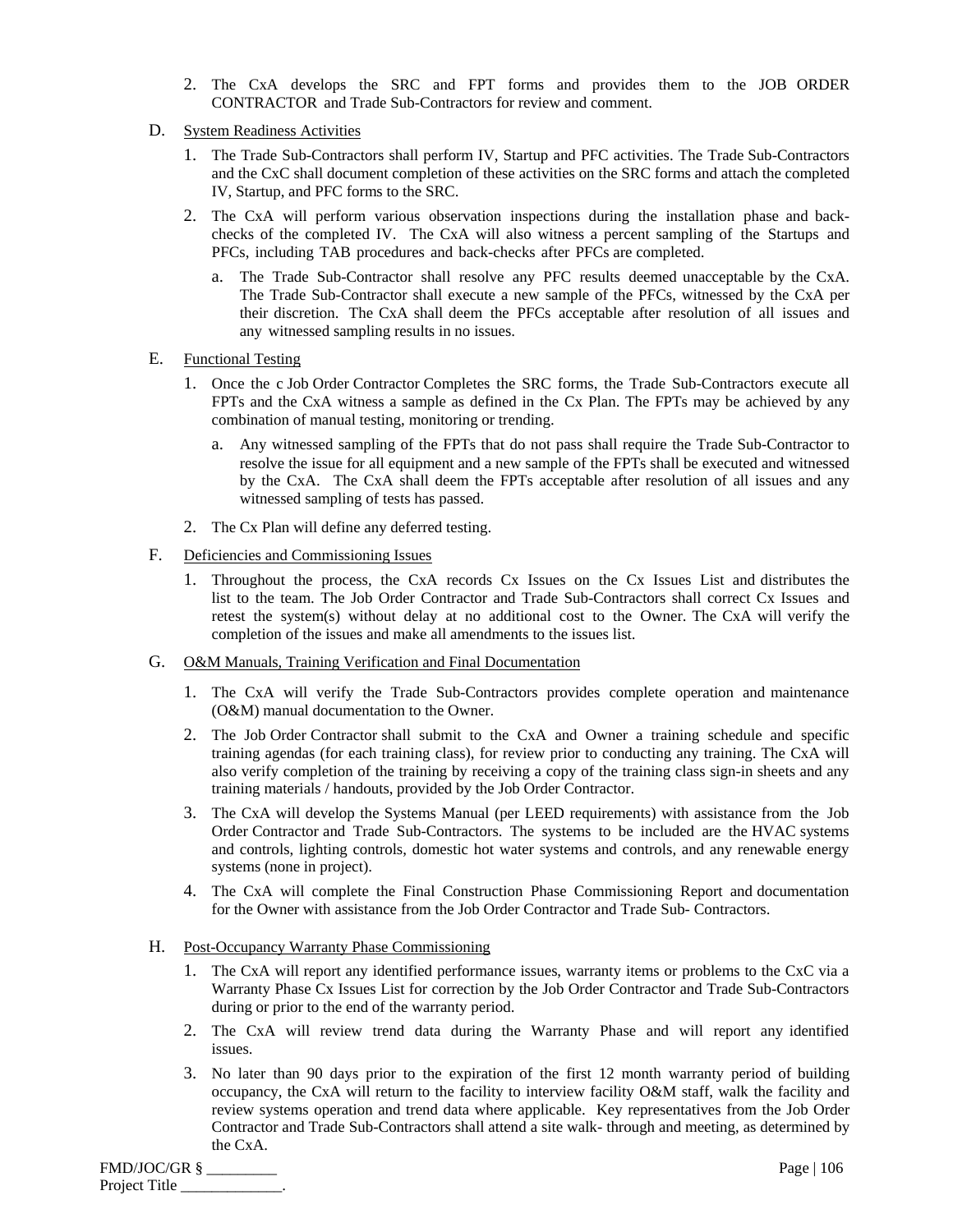- 2. The CxA develops the SRC and FPT forms and provides them to the JOB ORDER CONTRACTOR and Trade Sub-Contractors for review and comment.
- D. System Readiness Activities
	- 1. The Trade Sub-Contractors shall perform IV, Startup and PFC activities. The Trade Sub-Contractors and the CxC shall document completion of these activities on the SRC forms and attach the completed IV, Startup, and PFC forms to the SRC.
	- 2. The CxA will perform various observation inspections during the installation phase and backchecks of the completed IV. The CxA will also witness a percent sampling of the Startups and PFCs, including TAB procedures and back-checks after PFCs are completed.
		- a. The Trade Sub-Contractor shall resolve any PFC results deemed unacceptable by the CxA. The Trade Sub-Contractor shall execute a new sample of the PFCs, witnessed by the CxA per their discretion. The CxA shall deem the PFCs acceptable after resolution of all issues and any witnessed sampling results in no issues.
- E. Functional Testing
	- 1. Once the c Job Order Contractor Completes the SRC forms, the Trade Sub-Contractors execute all FPTs and the CxA witness a sample as defined in the Cx Plan. The FPTs may be achieved by any combination of manual testing, monitoring or trending.
		- a. Any witnessed sampling of the FPTs that do not pass shall require the Trade Sub-Contractor to resolve the issue for all equipment and a new sample of the FPTs shall be executed and witnessed by the CxA. The CxA shall deem the FPTs acceptable after resolution of all issues and any witnessed sampling of tests has passed.
	- 2. The Cx Plan will define any deferred testing.
- F. Deficiencies and Commissioning Issues
	- 1. Throughout the process, the CxA records Cx Issues on the Cx Issues List and distributes the list to the team. The Job Order Contractor and Trade Sub-Contractors shall correct Cx Issues and retest the system(s) without delay at no additional cost to the Owner. The CxA will verify the completion of the issues and make all amendments to the issues list.
- G. O&M Manuals, Training Verification and Final Documentation
	- 1. The CxA will verify the Trade Sub-Contractors provides complete operation and maintenance (O&M) manual documentation to the Owner.
	- 2. The Job Order Contractor shall submit to the CxA and Owner a training schedule and specific training agendas (for each training class), for review prior to conducting any training. The CxA will also verify completion of the training by receiving a copy of the training class sign-in sheets and any training materials / handouts, provided by the Job Order Contractor.
	- 3. The CxA will develop the Systems Manual (per LEED requirements) with assistance from the Job Order Contractor and Trade Sub-Contractors. The systems to be included are the HVAC systems and controls, lighting controls, domestic hot water systems and controls, and any renewable energy systems (none in project).
	- 4. The CxA will complete the Final Construction Phase Commissioning Report and documentation for the Owner with assistance from the Job Order Contractor and Trade Sub- Contractors.
- H. Post-Occupancy Warranty Phase Commissioning
	- 1. The CxA will report any identified performance issues, warranty items or problems to the CxC via a Warranty Phase Cx Issues List for correction by the Job Order Contractor and Trade Sub-Contractors during or prior to the end of the warranty period.
	- 2. The CxA will review trend data during the Warranty Phase and will report any identified issues.
	- 3. No later than 90 days prior to the expiration of the first 12 month warranty period of building occupancy, the CxA will return to the facility to interview facility O&M staff, walk the facility and review systems operation and trend data where applicable. Key representatives from the Job Order Contractor and Trade Sub-Contractors shall attend a site walk- through and meeting, as determined by the CxA.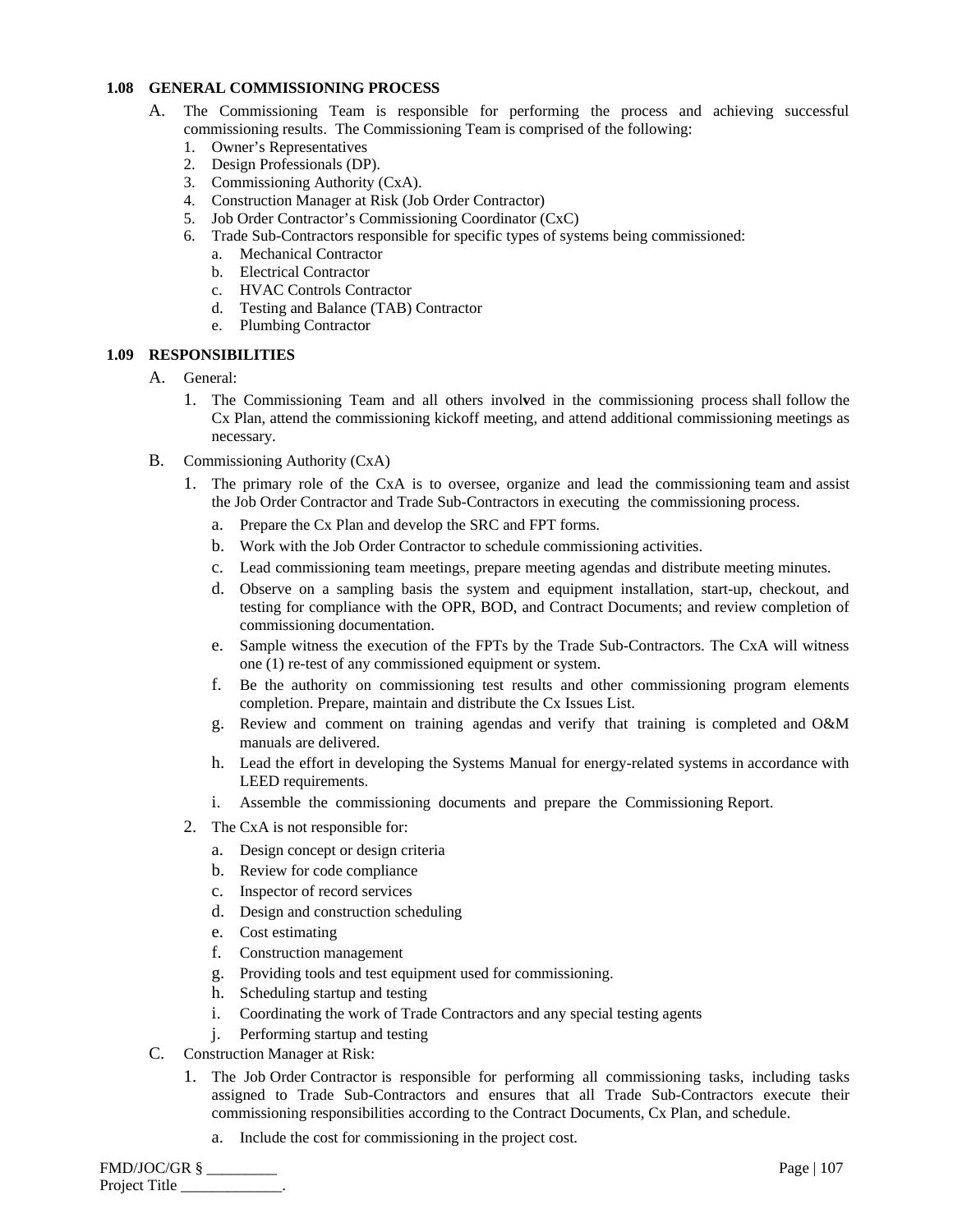# **1.08 GENERAL COMMISSIONING PROCESS**

- A. The Commissioning Team is responsible for performing the process and achieving successful commissioning results. The Commissioning Team is comprised of the following:
	- 1. Owner's Representatives
	- 2. Design Professionals (DP).
	- 3. Commissioning Authority (CxA).
	- 4. Construction Manager at Risk (Job Order Contractor)
	- 5. Job Order Contractor's Commissioning Coordinator (CxC)
	- 6. Trade Sub-Contractors responsible for specific types of systems being commissioned:
		- a. Mechanical Contractor
		- b. Electrical Contractor
		- c. HVAC Controls Contractor
		- d. Testing and Balance (TAB) Contractor
		- e. Plumbing Contractor

# **1.09 RESPONSIBILITIES**

- A. General:
	- 1. The Commissioning Team and all others invol**v**ed in the commissioning process shall follow the Cx Plan, attend the commissioning kickoff meeting, and attend additional commissioning meetings as necessary.
- B. Commissioning Authority (CxA)
	- 1. The primary role of the CxA is to oversee, organize and lead the commissioning team and assist the Job Order Contractor and Trade Sub-Contractors in executing the commissioning process.
		- a. Prepare the Cx Plan and develop the SRC and FPT forms.
		- b. Work with the Job Order Contractor to schedule commissioning activities.
		- c. Lead commissioning team meetings, prepare meeting agendas and distribute meeting minutes.
		- d. Observe on a sampling basis the system and equipment installation, start-up, checkout, and testing for compliance with the OPR, BOD, and Contract Documents; and review completion of commissioning documentation.
		- e. Sample witness the execution of the FPTs by the Trade Sub-Contractors. The CxA will witness one (1) re-test of any commissioned equipment or system.
		- f. Be the authority on commissioning test results and other commissioning program elements completion. Prepare, maintain and distribute the Cx Issues List.
		- g. Review and comment on training agendas and verify that training is completed and O&M manuals are delivered.
		- h. Lead the effort in developing the Systems Manual for energy-related systems in accordance with LEED requirements.
		- i. Assemble the commissioning documents and prepare the Commissioning Report.
	- 2. The CxA is not responsible for:
		- a. Design concept or design criteria
		- b. Review for code compliance
		- c. Inspector of record services
		- d. Design and construction scheduling
		- e. Cost estimating
		- f. Construction management
		- g. Providing tools and test equipment used for commissioning.
		- h. Scheduling startup and testing
		- i. Coordinating the work of Trade Contractors and any special testing agents
		- j. Performing startup and testing
- C. Construction Manager at Risk:
	- 1. The Job Order Contractor is responsible for performing all commissioning tasks, including tasks assigned to Trade Sub-Contractors and ensures that all Trade Sub-Contractors execute their commissioning responsibilities according to the Contract Documents, Cx Plan, and schedule.
		- a. Include the cost for commissioning in the project cost.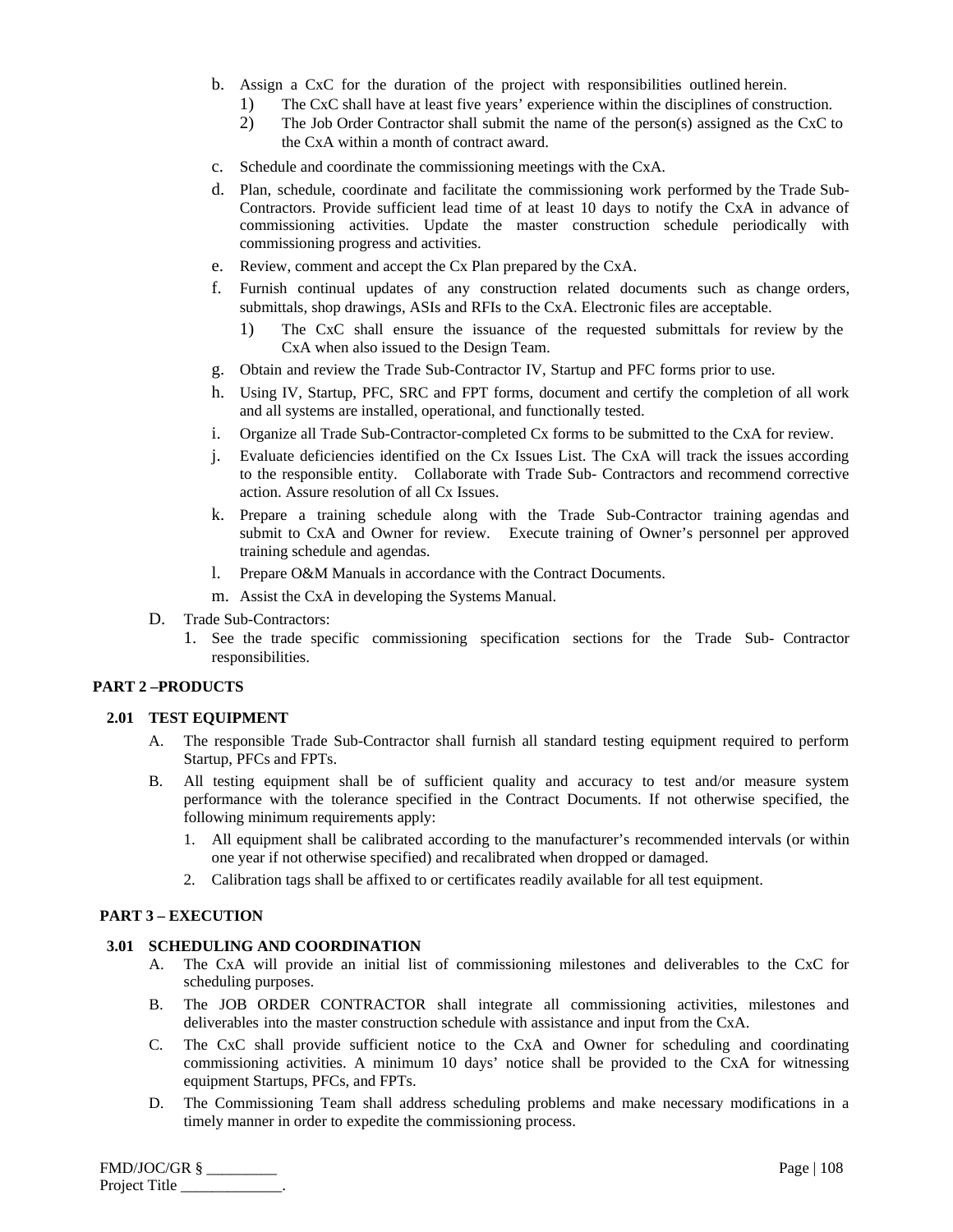- b. Assign a CxC for the duration of the project with responsibilities outlined herein.
	- 1) The CxC shall have at least five years' experience within the disciplines of construction.
	- 2) The Job Order Contractor shall submit the name of the person(s) assigned as the CxC to the CxA within a month of contract award.
- c. Schedule and coordinate the commissioning meetings with the CxA.
- d. Plan, schedule, coordinate and facilitate the commissioning work performed by the Trade Sub-Contractors. Provide sufficient lead time of at least 10 days to notify the CxA in advance of commissioning activities. Update the master construction schedule periodically with commissioning progress and activities.
- e. Review, comment and accept the Cx Plan prepared by the CxA.
- f. Furnish continual updates of any construction related documents such as change orders, submittals, shop drawings, ASIs and RFIs to the CxA. Electronic files are acceptable.
	- 1) The CxC shall ensure the issuance of the requested submittals for review by the CxA when also issued to the Design Team.
- g. Obtain and review the Trade Sub-Contractor IV, Startup and PFC forms prior to use.
- h. Using IV, Startup, PFC, SRC and FPT forms, document and certify the completion of all work and all systems are installed, operational, and functionally tested.
- i. Organize all Trade Sub-Contractor-completed Cx forms to be submitted to the CxA for review.
- j. Evaluate deficiencies identified on the Cx Issues List. The CxA will track the issues according to the responsible entity. Collaborate with Trade Sub- Contractors and recommend corrective action. Assure resolution of all Cx Issues.
- k. Prepare a training schedule along with the Trade Sub-Contractor training agendas and submit to CxA and Owner for review. Execute training of Owner's personnel per approved training schedule and agendas.
- l. Prepare O&M Manuals in accordance with the Contract Documents.
- m. Assist the CxA in developing the Systems Manual.
- D. Trade Sub-Contractors:
	- 1. See the trade specific commissioning specification sections for the Trade Sub- Contractor responsibilities.

# **PART 2 –PRODUCTS**

## **2.01 TEST EQUIPMENT**

- A. The responsible Trade Sub-Contractor shall furnish all standard testing equipment required to perform Startup, PFCs and FPTs.
- B. All testing equipment shall be of sufficient quality and accuracy to test and/or measure system performance with the tolerance specified in the Contract Documents. If not otherwise specified, the following minimum requirements apply:
	- 1. All equipment shall be calibrated according to the manufacturer's recommended intervals (or within one year if not otherwise specified) and recalibrated when dropped or damaged.
	- 2. Calibration tags shall be affixed to or certificates readily available for all test equipment.

# **PART 3 – EXECUTION**

## **3.01 SCHEDULING AND COORDINATION**

- A. The CxA will provide an initial list of commissioning milestones and deliverables to the CxC for scheduling purposes.
- B. The JOB ORDER CONTRACTOR shall integrate all commissioning activities, milestones and deliverables into the master construction schedule with assistance and input from the CxA.
- C. The CxC shall provide sufficient notice to the CxA and Owner for scheduling and coordinating commissioning activities. A minimum 10 days' notice shall be provided to the CxA for witnessing equipment Startups, PFCs, and FPTs.
- D. The Commissioning Team shall address scheduling problems and make necessary modifications in a timely manner in order to expedite the commissioning process.

| $FMD/JOC/GR$ § | Page $ 108$ |
|----------------|-------------|
| Project Title  |             |